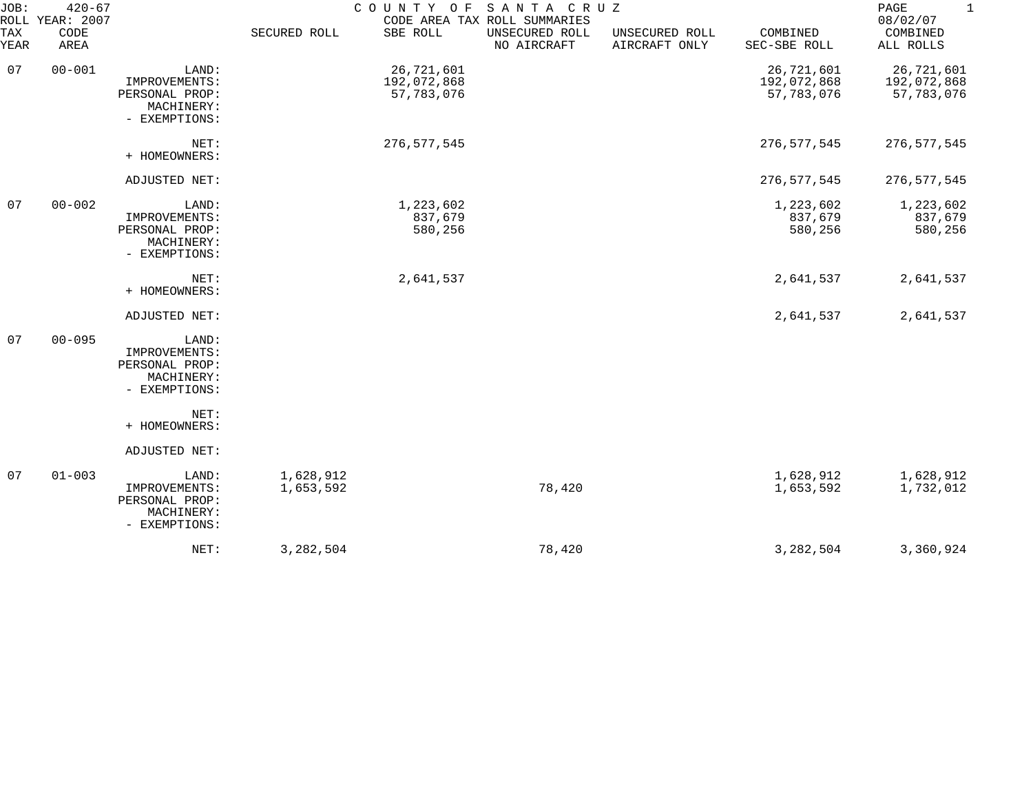| JOB:<br>$420 - 67$<br>ROLL YEAR: 2007 |              |                                                                         | COUNTY OF SANTA CRUZ<br>CODE AREA TAX ROLL SUMMARIES |                                         |                               |                                 |                                         | PAGE<br>$\mathbf{1}$<br>08/02/07        |
|---------------------------------------|--------------|-------------------------------------------------------------------------|------------------------------------------------------|-----------------------------------------|-------------------------------|---------------------------------|-----------------------------------------|-----------------------------------------|
| TAX<br>YEAR                           | CODE<br>AREA |                                                                         | SECURED ROLL                                         | SBE ROLL                                | UNSECURED ROLL<br>NO AIRCRAFT | UNSECURED ROLL<br>AIRCRAFT ONLY | COMBINED<br>SEC-SBE ROLL                | COMBINED<br>ALL ROLLS                   |
| 07                                    | $00 - 001$   | LAND:<br>IMPROVEMENTS:<br>PERSONAL PROP:<br>MACHINERY:<br>- EXEMPTIONS: |                                                      | 26,721,601<br>192,072,868<br>57,783,076 |                               |                                 | 26,721,601<br>192,072,868<br>57,783,076 | 26,721,601<br>192,072,868<br>57,783,076 |
|                                       |              | NET:<br>+ HOMEOWNERS:                                                   |                                                      | 276, 577, 545                           |                               |                                 | 276,577,545                             | 276, 577, 545                           |
|                                       |              | ADJUSTED NET:                                                           |                                                      |                                         |                               |                                 | 276, 577, 545                           | 276,577,545                             |
| 07                                    | $00 - 002$   | LAND:<br>IMPROVEMENTS:<br>PERSONAL PROP:<br>MACHINERY:<br>- EXEMPTIONS: |                                                      | 1,223,602<br>837,679<br>580,256         |                               |                                 | 1,223,602<br>837,679<br>580,256         | 1,223,602<br>837,679<br>580,256         |
|                                       |              | NET:<br>+ HOMEOWNERS:                                                   |                                                      | 2,641,537                               |                               |                                 | 2,641,537                               | 2,641,537                               |
|                                       |              | ADJUSTED NET:                                                           |                                                      |                                         |                               |                                 | 2,641,537                               | 2,641,537                               |
| 07                                    | $00 - 095$   | LAND:<br>IMPROVEMENTS:<br>PERSONAL PROP:<br>MACHINERY:<br>- EXEMPTIONS: |                                                      |                                         |                               |                                 |                                         |                                         |
|                                       |              | NET:<br>+ HOMEOWNERS:                                                   |                                                      |                                         |                               |                                 |                                         |                                         |
|                                       |              | ADJUSTED NET:                                                           |                                                      |                                         |                               |                                 |                                         |                                         |
| 07                                    | $01 - 003$   | LAND:<br>IMPROVEMENTS:<br>PERSONAL PROP:<br>MACHINERY:<br>- EXEMPTIONS: | 1,628,912<br>1,653,592                               |                                         | 78,420                        |                                 | 1,628,912<br>1,653,592                  | 1,628,912<br>1,732,012                  |
|                                       |              | NET:                                                                    | 3,282,504                                            |                                         | 78,420                        |                                 | 3, 282, 504                             | 3,360,924                               |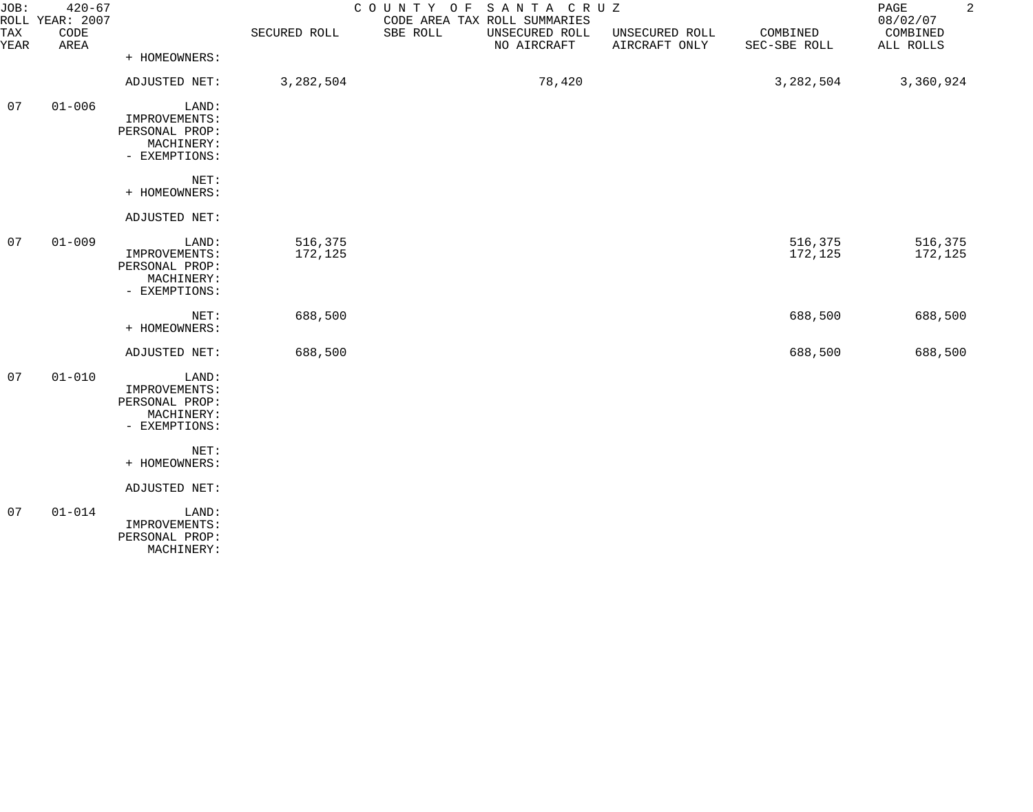| JOB:<br>TAX<br>YEAR | $420 - 67$<br>ROLL YEAR: 2007<br>CODE<br>AREA |                                                                                 | SECURED ROLL       | COUNTY OF<br>SANTA CRUZ<br>CODE AREA TAX ROLL SUMMARIES<br>SBE ROLL<br>UNSECURED ROLL<br>NO AIRCRAFT | UNSECURED ROLL<br>AIRCRAFT ONLY | COMBINED<br>SEC-SBE ROLL | $\overline{a}$<br>PAGE<br>08/02/07<br>COMBINED<br>ALL ROLLS |
|---------------------|-----------------------------------------------|---------------------------------------------------------------------------------|--------------------|------------------------------------------------------------------------------------------------------|---------------------------------|--------------------------|-------------------------------------------------------------|
|                     |                                               | + HOMEOWNERS:                                                                   |                    |                                                                                                      |                                 |                          |                                                             |
|                     |                                               | ADJUSTED NET:                                                                   | 3,282,504          | 78,420                                                                                               |                                 | 3,282,504                | 3,360,924                                                   |
| 07                  | $01 - 006$                                    | LAND:<br>IMPROVEMENTS:<br>PERSONAL PROP:<br>MACHINERY:<br>- EXEMPTIONS:         |                    |                                                                                                      |                                 |                          |                                                             |
|                     |                                               | NET:<br>+ HOMEOWNERS:                                                           |                    |                                                                                                      |                                 |                          |                                                             |
|                     |                                               | ADJUSTED NET:                                                                   |                    |                                                                                                      |                                 |                          |                                                             |
| 07                  | $01 - 009$                                    | LAND:<br>IMPROVEMENTS:<br>PERSONAL PROP:<br>MACHINERY:<br>- EXEMPTIONS:         | 516,375<br>172,125 |                                                                                                      |                                 | 516,375<br>172,125       | 516,375<br>172,125                                          |
|                     |                                               | NET:<br>+ HOMEOWNERS:                                                           | 688,500            |                                                                                                      |                                 | 688,500                  | 688,500                                                     |
|                     |                                               | ADJUSTED NET:                                                                   | 688,500            |                                                                                                      |                                 | 688,500                  | 688,500                                                     |
| 07                  | $01 - 010$                                    | LAND:<br>IMPROVEMENTS:<br>PERSONAL PROP:<br>MACHINERY:<br>- EXEMPTIONS:<br>NET: |                    |                                                                                                      |                                 |                          |                                                             |
|                     |                                               | + HOMEOWNERS:                                                                   |                    |                                                                                                      |                                 |                          |                                                             |
|                     |                                               | ADJUSTED NET:                                                                   |                    |                                                                                                      |                                 |                          |                                                             |
| 07                  | $01 - 014$                                    | LAND:<br>IMPROVEMENTS:<br>PERSONAL PROP:<br>MACHINERY:                          |                    |                                                                                                      |                                 |                          |                                                             |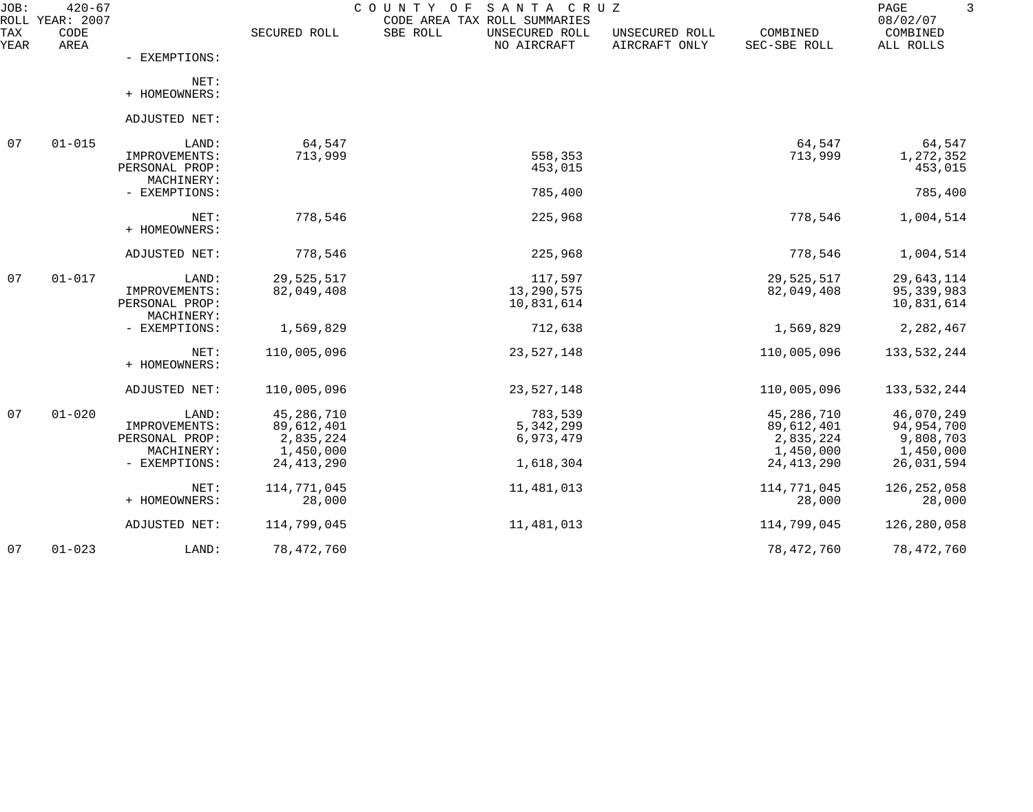| JOB:        | $420 - 67$<br>ROLL YEAR: 2007 |                                                                         |                                                                    | COUNTY<br>SANTA CRUZ<br>O F<br>CODE AREA TAX ROLL SUMMARIES |                                 |                                                                    | PAGE<br>08/02/07                                                 |
|-------------|-------------------------------|-------------------------------------------------------------------------|--------------------------------------------------------------------|-------------------------------------------------------------|---------------------------------|--------------------------------------------------------------------|------------------------------------------------------------------|
| TAX<br>YEAR | CODE<br>AREA                  |                                                                         | SECURED ROLL                                                       | SBE ROLL<br>UNSECURED ROLL<br>NO AIRCRAFT                   | UNSECURED ROLL<br>AIRCRAFT ONLY | COMBINED<br>SEC-SBE ROLL                                           | COMBINED<br>ALL ROLLS                                            |
|             |                               | - EXEMPTIONS:                                                           |                                                                    |                                                             |                                 |                                                                    |                                                                  |
|             |                               | NET:<br>+ HOMEOWNERS:                                                   |                                                                    |                                                             |                                 |                                                                    |                                                                  |
|             |                               | ADJUSTED NET:                                                           |                                                                    |                                                             |                                 |                                                                    |                                                                  |
| 07          | $01 - 015$                    | LAND:                                                                   | 64,547                                                             |                                                             |                                 | 64,547                                                             | 64,547                                                           |
|             |                               | IMPROVEMENTS:<br>PERSONAL PROP:                                         | 713,999                                                            | 558,353<br>453,015                                          |                                 | 713,999                                                            | 1,272,352<br>453,015                                             |
|             |                               | MACHINERY:<br>- EXEMPTIONS:                                             |                                                                    | 785,400                                                     |                                 |                                                                    | 785,400                                                          |
|             |                               | NET:<br>+ HOMEOWNERS:                                                   | 778,546                                                            | 225,968                                                     |                                 | 778,546                                                            | 1,004,514                                                        |
|             |                               | ADJUSTED NET:                                                           | 778,546                                                            | 225,968                                                     |                                 | 778,546                                                            | 1,004,514                                                        |
| 07          | $01 - 017$                    | LAND:<br>IMPROVEMENTS:<br>PERSONAL PROP:                                | 29,525,517<br>82,049,408                                           | 117,597<br>13,290,575<br>10,831,614                         |                                 | 29,525,517<br>82,049,408                                           | 29,643,114<br>95,339,983<br>10,831,614                           |
|             |                               | MACHINERY:<br>- EXEMPTIONS:                                             | 1,569,829                                                          | 712,638                                                     |                                 | 1,569,829                                                          | 2,282,467                                                        |
|             |                               | NET:<br>+ HOMEOWNERS:                                                   | 110,005,096                                                        | 23,527,148                                                  |                                 | 110,005,096                                                        | 133,532,244                                                      |
|             |                               | ADJUSTED NET:                                                           | 110,005,096                                                        | 23,527,148                                                  |                                 | 110,005,096                                                        | 133,532,244                                                      |
| 07          | $01 - 020$                    | LAND:<br>IMPROVEMENTS:<br>PERSONAL PROP:<br>MACHINERY:<br>- EXEMPTIONS: | 45,286,710<br>89,612,401<br>2,835,224<br>1,450,000<br>24, 413, 290 | 783,539<br>5,342,299<br>6,973,479<br>1,618,304              |                                 | 45,286,710<br>89,612,401<br>2,835,224<br>1,450,000<br>24, 413, 290 | 46,070,249<br>94,954,700<br>9,808,703<br>1,450,000<br>26,031,594 |
|             |                               | NET:<br>+ HOMEOWNERS:                                                   | 114,771,045<br>28,000                                              | 11,481,013                                                  |                                 | 114,771,045<br>28,000                                              | 126, 252, 058<br>28,000                                          |
|             |                               | ADJUSTED NET:                                                           | 114,799,045                                                        | 11,481,013                                                  |                                 | 114,799,045                                                        | 126,280,058                                                      |
| 07          | $01 - 023$                    | LAND:                                                                   | 78,472,760                                                         |                                                             |                                 | 78,472,760                                                         | 78,472,760                                                       |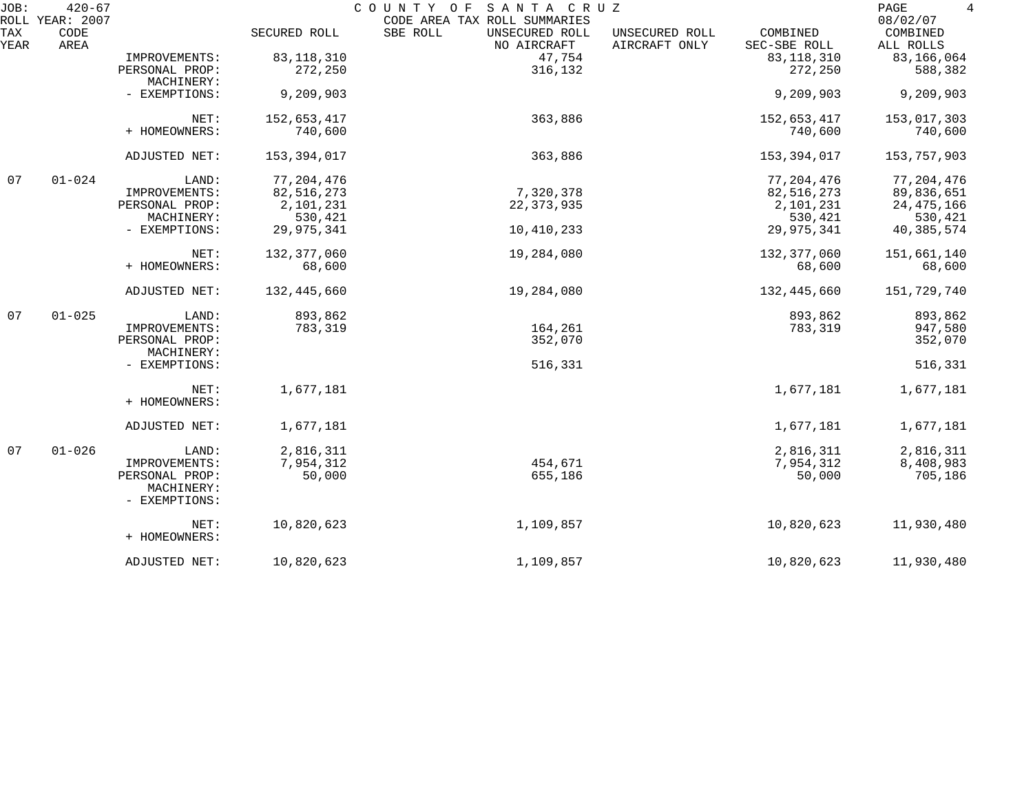| JOB:               | $420 - 67$<br>ROLL YEAR: 2007 |                             |              | SANTA CRUZ<br>COUNTY OF                                                   |                                 |                          | $\overline{4}$<br>PAGE<br>08/02/07 |
|--------------------|-------------------------------|-----------------------------|--------------|---------------------------------------------------------------------------|---------------------------------|--------------------------|------------------------------------|
| <b>TAX</b><br>YEAR | CODE<br>AREA                  |                             | SECURED ROLL | CODE AREA TAX ROLL SUMMARIES<br>SBE ROLL<br>UNSECURED ROLL<br>NO AIRCRAFT | UNSECURED ROLL<br>AIRCRAFT ONLY | COMBINED<br>SEC-SBE ROLL | COMBINED<br>ALL ROLLS              |
|                    |                               | IMPROVEMENTS:               | 83, 118, 310 | 47,754                                                                    |                                 | 83, 118, 310             | 83,166,064                         |
|                    |                               | PERSONAL PROP:              | 272,250      | 316,132                                                                   |                                 | 272,250                  | 588,382                            |
|                    |                               | MACHINERY:                  |              |                                                                           |                                 |                          |                                    |
|                    |                               | - EXEMPTIONS:               | 9,209,903    |                                                                           |                                 | 9,209,903                | 9,209,903                          |
|                    |                               | NET:                        | 152,653,417  | 363,886                                                                   |                                 | 152,653,417              | 153,017,303                        |
|                    |                               | + HOMEOWNERS:               | 740,600      |                                                                           |                                 | 740,600                  | 740,600                            |
|                    |                               | ADJUSTED NET:               | 153,394,017  | 363,886                                                                   |                                 | 153,394,017              | 153,757,903                        |
| 07                 | $01 - 024$                    | LAND:                       | 77, 204, 476 |                                                                           |                                 | 77, 204, 476             | 77, 204, 476                       |
|                    |                               | IMPROVEMENTS:               | 82,516,273   | 7,320,378                                                                 |                                 | 82,516,273               | 89,836,651                         |
|                    |                               | PERSONAL PROP:              | 2,101,231    | 22, 373, 935                                                              |                                 | 2,101,231                | 24, 475, 166                       |
|                    |                               | MACHINERY:                  | 530,421      |                                                                           |                                 | 530,421                  | 530,421                            |
|                    |                               | - EXEMPTIONS:               | 29,975,341   | 10,410,233                                                                |                                 | 29,975,341               | 40,385,574                         |
|                    |                               | NET:                        | 132,377,060  | 19,284,080                                                                |                                 | 132,377,060              | 151,661,140                        |
|                    |                               | + HOMEOWNERS:               | 68,600       |                                                                           |                                 | 68,600                   | 68,600                             |
|                    |                               | ADJUSTED NET:               | 132,445,660  | 19,284,080                                                                |                                 | 132,445,660              | 151,729,740                        |
| 07                 | $01 - 025$                    | LAND:                       | 893,862      |                                                                           |                                 | 893,862                  | 893,862                            |
|                    |                               | IMPROVEMENTS:               | 783,319      | 164,261                                                                   |                                 | 783,319                  | 947,580                            |
|                    |                               | PERSONAL PROP:              |              | 352,070                                                                   |                                 |                          | 352,070                            |
|                    |                               | MACHINERY:<br>- EXEMPTIONS: |              | 516,331                                                                   |                                 |                          | 516,331                            |
|                    |                               | NET:                        | 1,677,181    |                                                                           |                                 | 1,677,181                |                                    |
|                    |                               | + HOMEOWNERS:               |              |                                                                           |                                 |                          | 1,677,181                          |
|                    |                               | ADJUSTED NET:               | 1,677,181    |                                                                           |                                 | 1,677,181                | 1,677,181                          |
| 07                 | $01 - 026$                    | LAND:                       | 2,816,311    |                                                                           |                                 | 2,816,311                | 2,816,311                          |
|                    |                               | IMPROVEMENTS:               | 7,954,312    | 454,671                                                                   |                                 | 7,954,312                | 8,408,983                          |
|                    |                               | PERSONAL PROP:              | 50,000       | 655,186                                                                   |                                 | 50,000                   | 705,186                            |
|                    |                               | MACHINERY:<br>- EXEMPTIONS: |              |                                                                           |                                 |                          |                                    |
|                    |                               | NET:                        | 10,820,623   | 1,109,857                                                                 |                                 | 10,820,623               | 11,930,480                         |
|                    |                               | + HOMEOWNERS:               |              |                                                                           |                                 |                          |                                    |
|                    |                               | ADJUSTED NET:               | 10,820,623   | 1,109,857                                                                 |                                 | 10,820,623               | 11,930,480                         |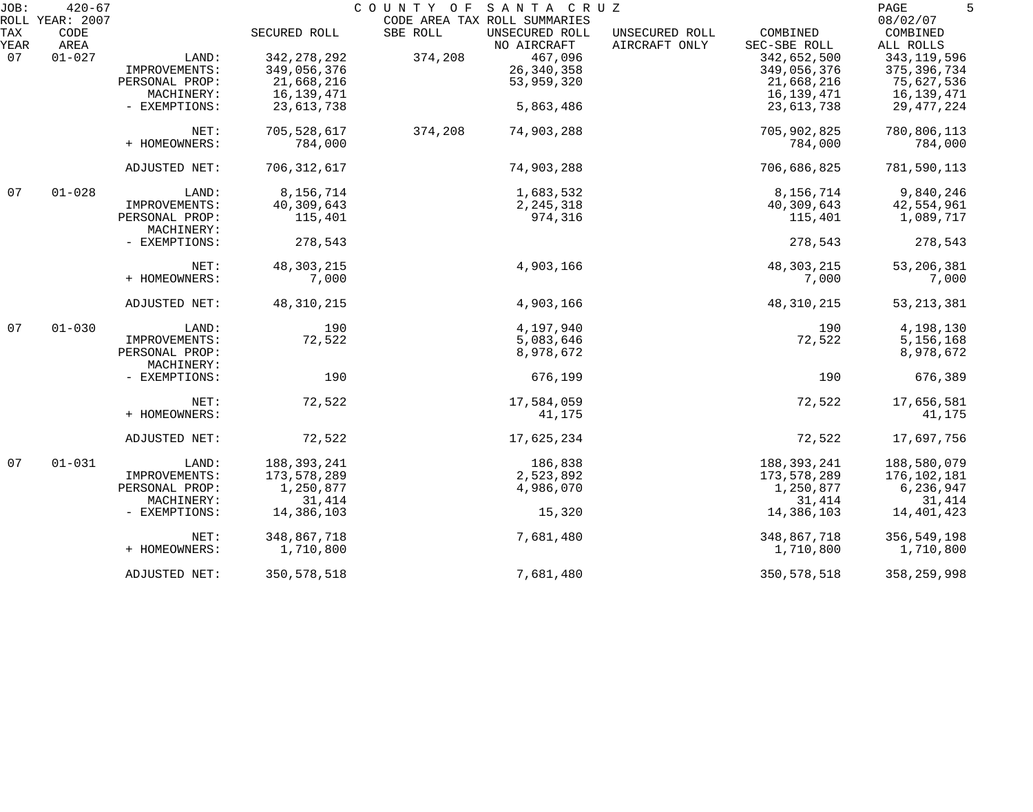| JOB:       | $420 - 67$              |                |               | COUNTY OF SANTA CRUZ                                       |                |               | 5<br>PAGE            |
|------------|-------------------------|----------------|---------------|------------------------------------------------------------|----------------|---------------|----------------------|
| <b>TAX</b> | ROLL YEAR: 2007<br>CODE |                | SECURED ROLL  | CODE AREA TAX ROLL SUMMARIES<br>SBE ROLL<br>UNSECURED ROLL | UNSECURED ROLL | COMBINED      | 08/02/07<br>COMBINED |
| YEAR       | AREA                    |                |               | NO AIRCRAFT                                                | AIRCRAFT ONLY  | SEC-SBE ROLL  | ALL ROLLS            |
| 07         | $01 - 027$              | LAND:          | 342, 278, 292 | 467,096<br>374,208                                         |                | 342,652,500   | 343, 119, 596        |
|            |                         | IMPROVEMENTS:  | 349,056,376   | 26, 340, 358                                               |                | 349,056,376   | 375, 396, 734        |
|            |                         | PERSONAL PROP: | 21,668,216    | 53,959,320                                                 |                | 21,668,216    | 75,627,536           |
|            |                         | MACHINERY:     | 16,139,471    |                                                            |                | 16,139,471    | 16,139,471           |
|            |                         | - EXEMPTIONS:  | 23,613,738    | 5,863,486                                                  |                | 23,613,738    | 29, 477, 224         |
|            |                         | NET:           | 705,528,617   | 374,208<br>74,903,288                                      |                | 705,902,825   | 780,806,113          |
|            |                         | + HOMEOWNERS:  | 784,000       |                                                            |                | 784,000       | 784,000              |
|            |                         | ADJUSTED NET:  | 706, 312, 617 | 74,903,288                                                 |                | 706,686,825   | 781,590,113          |
| 07         | $01 - 028$              | LAND:          | 8,156,714     | 1,683,532                                                  |                | 8,156,714     | 9,840,246            |
|            |                         | IMPROVEMENTS:  | 40,309,643    | 2, 245, 318                                                |                | 40,309,643    | 42,554,961           |
|            |                         | PERSONAL PROP: | 115,401       | 974,316                                                    |                | 115,401       | 1,089,717            |
|            |                         | MACHINERY:     |               |                                                            |                |               |                      |
|            |                         | - EXEMPTIONS:  | 278,543       |                                                            |                | 278,543       | 278,543              |
|            |                         | NET:           | 48, 303, 215  | 4,903,166                                                  |                | 48, 303, 215  | 53, 206, 381         |
|            |                         | + HOMEOWNERS:  | 7,000         |                                                            |                | 7,000         | 7,000                |
|            |                         | ADJUSTED NET:  | 48, 310, 215  | 4,903,166                                                  |                | 48, 310, 215  | 53, 213, 381         |
| 07         | $01 - 030$              | LAND:          | 190           | 4,197,940                                                  |                | 190           | 4,198,130            |
|            |                         | IMPROVEMENTS:  | 72,522        | 5,083,646                                                  |                | 72,522        | 5,156,168            |
|            |                         | PERSONAL PROP: |               | 8,978,672                                                  |                |               | 8,978,672            |
|            |                         | MACHINERY:     |               |                                                            |                |               |                      |
|            |                         | - EXEMPTIONS:  | 190           | 676,199                                                    |                | 190           | 676,389              |
|            |                         | NET:           | 72,522        | 17,584,059                                                 |                | 72,522        | 17,656,581           |
|            |                         | + HOMEOWNERS:  |               | 41,175                                                     |                |               | 41,175               |
|            |                         | ADJUSTED NET:  | 72,522        | 17,625,234                                                 |                | 72,522        | 17,697,756           |
| 07         | $01 - 031$              | LAND:          | 188, 393, 241 | 186,838                                                    |                | 188, 393, 241 | 188,580,079          |
|            |                         | IMPROVEMENTS:  | 173,578,289   | 2,523,892                                                  |                | 173,578,289   | 176,102,181          |
|            |                         | PERSONAL PROP: | 1,250,877     | 4,986,070                                                  |                | 1,250,877     | 6,236,947            |
|            |                         | MACHINERY:     | 31,414        |                                                            |                | 31,414        | 31,414               |
|            |                         | - EXEMPTIONS:  | 14,386,103    | 15,320                                                     |                | 14,386,103    | 14,401,423           |
|            |                         | NET:           | 348,867,718   | 7,681,480                                                  |                | 348,867,718   | 356,549,198          |
|            |                         | + HOMEOWNERS:  | 1,710,800     |                                                            |                | 1,710,800     | 1,710,800            |
|            |                         | ADJUSTED NET:  | 350, 578, 518 | 7,681,480                                                  |                | 350, 578, 518 | 358, 259, 998        |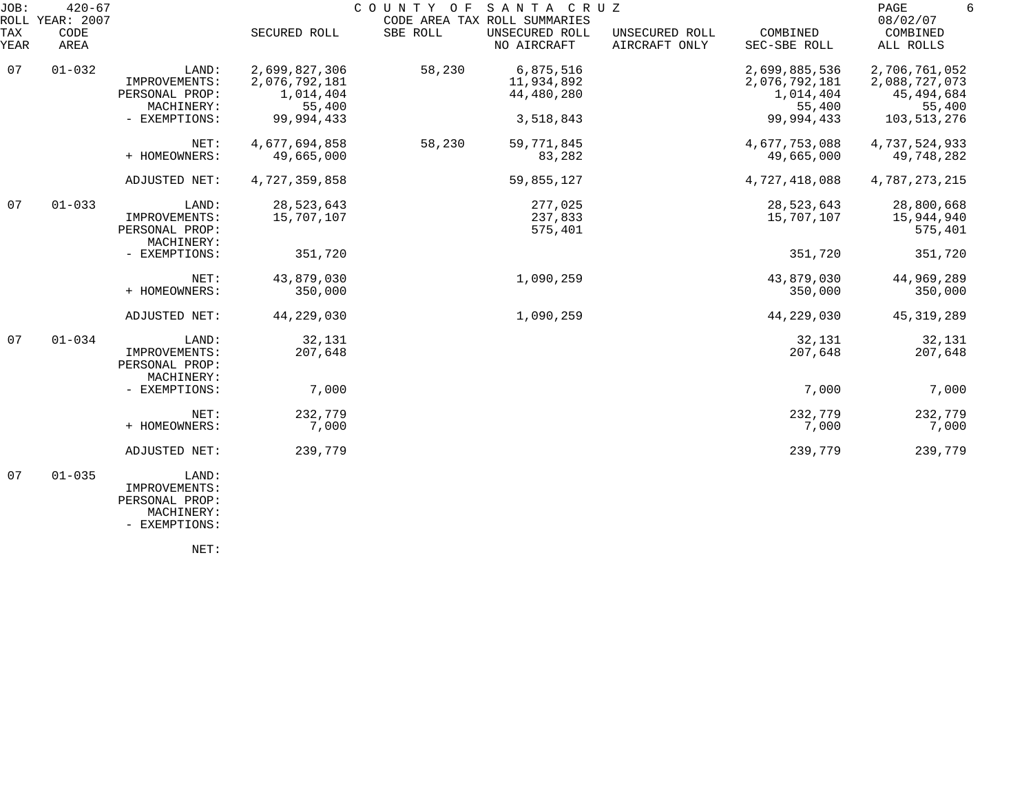| JOB:        | $420 - 67$<br>ROLL YEAR: 2007 |                                                        |                                                       | COUNTY OF | SANTA CRUZ<br>CODE AREA TAX ROLL SUMMARIES |                                 |                                                       | PAGE<br>6<br>08/02/07                                  |
|-------------|-------------------------------|--------------------------------------------------------|-------------------------------------------------------|-----------|--------------------------------------------|---------------------------------|-------------------------------------------------------|--------------------------------------------------------|
| TAX<br>YEAR | CODE<br>AREA                  |                                                        | SECURED ROLL                                          | SBE ROLL  | UNSECURED ROLL<br>NO AIRCRAFT              | UNSECURED ROLL<br>AIRCRAFT ONLY | COMBINED<br>SEC-SBE ROLL                              | COMBINED<br>ALL ROLLS                                  |
| 07          | $01 - 032$                    | LAND:<br>IMPROVEMENTS:<br>PERSONAL PROP:<br>MACHINERY: | 2,699,827,306<br>2,076,792,181<br>1,014,404<br>55,400 | 58,230    | 6,875,516<br>11,934,892<br>44,480,280      |                                 | 2,699,885,536<br>2,076,792,181<br>1,014,404<br>55,400 | 2,706,761,052<br>2,088,727,073<br>45,494,684<br>55,400 |
|             |                               | - EXEMPTIONS:                                          | 99,994,433                                            |           | 3,518,843                                  |                                 | 99,994,433                                            | 103,513,276                                            |
|             |                               | NET:<br>+ HOMEOWNERS:                                  | 4,677,694,858<br>49,665,000                           | 58,230    | 59, 771, 845<br>83,282                     |                                 | 4,677,753,088<br>49,665,000                           | 4,737,524,933<br>49,748,282                            |
|             |                               | ADJUSTED NET:                                          | 4,727,359,858                                         |           | 59,855,127                                 |                                 | 4,727,418,088                                         | 4,787,273,215                                          |
| 07          | $01 - 033$                    | LAND:<br>IMPROVEMENTS:<br>PERSONAL PROP:<br>MACHINERY: | 28,523,643<br>15,707,107                              |           | 277,025<br>237,833<br>575,401              |                                 | 28,523,643<br>15,707,107                              | 28,800,668<br>15,944,940<br>575,401                    |
|             |                               | - EXEMPTIONS:                                          | 351,720                                               |           |                                            |                                 | 351,720                                               | 351,720                                                |
|             |                               | NET:<br>+ HOMEOWNERS:                                  | 43,879,030<br>350,000                                 |           | 1,090,259                                  |                                 | 43,879,030<br>350,000                                 | 44,969,289<br>350,000                                  |
|             |                               | ADJUSTED NET:                                          | 44,229,030                                            |           | 1,090,259                                  |                                 | 44,229,030                                            | 45, 319, 289                                           |
| 07          | $01 - 034$                    | LAND:<br>IMPROVEMENTS:<br>PERSONAL PROP:<br>MACHINERY: | 32,131<br>207,648                                     |           |                                            |                                 | 32,131<br>207,648                                     | 32,131<br>207,648                                      |
|             |                               | - EXEMPTIONS:                                          | 7,000                                                 |           |                                            |                                 | 7,000                                                 | 7,000                                                  |
|             |                               | NET:<br>+ HOMEOWNERS:                                  | 232,779<br>7,000                                      |           |                                            |                                 | 232,779<br>7,000                                      | 232,779<br>7,000                                       |
|             |                               | ADJUSTED NET:                                          | 239,779                                               |           |                                            |                                 | 239,779                                               | 239,779                                                |
| 07          | $01 - 035$                    | LAND:<br>IMPROVEMENTS:                                 |                                                       |           |                                            |                                 |                                                       |                                                        |

 PERSONAL PROP: MACHINERY:

- EXEMPTIONS:

NET: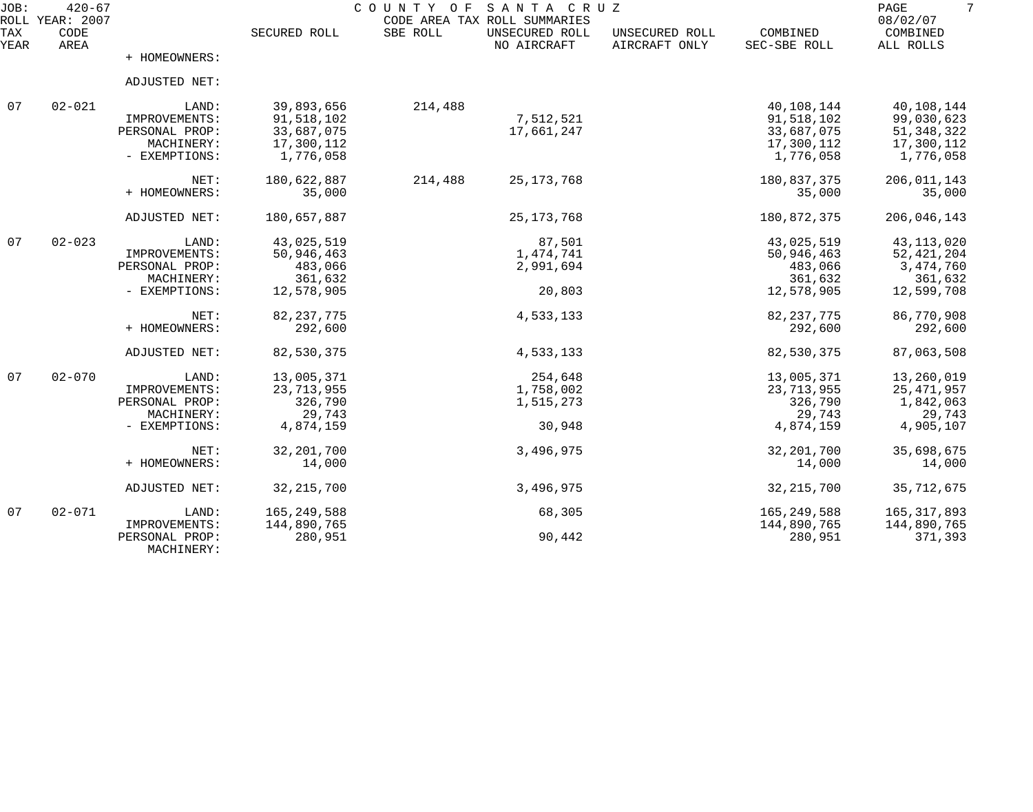| JOB:        | $420 - 67$<br>ROLL YEAR: 2007 |                              |               | COUNTY<br>O F | SANTA CRUZ<br>CODE AREA TAX ROLL SUMMARIES |                                 |                          | PAGE<br>08/02/07      |
|-------------|-------------------------------|------------------------------|---------------|---------------|--------------------------------------------|---------------------------------|--------------------------|-----------------------|
| TAX<br>YEAR | CODE<br>AREA                  |                              | SECURED ROLL  | SBE ROLL      | UNSECURED ROLL<br>NO AIRCRAFT              | UNSECURED ROLL<br>AIRCRAFT ONLY | COMBINED<br>SEC-SBE ROLL | COMBINED<br>ALL ROLLS |
|             |                               | + HOMEOWNERS:                |               |               |                                            |                                 |                          |                       |
|             |                               | ADJUSTED NET:                |               |               |                                            |                                 |                          |                       |
| 07          | $02 - 021$                    | LAND:                        | 39,893,656    | 214,488       |                                            |                                 | 40,108,144               | 40,108,144            |
|             |                               | IMPROVEMENTS:                | 91,518,102    |               | 7,512,521                                  |                                 | 91,518,102               | 99,030,623            |
|             |                               | PERSONAL PROP:               | 33,687,075    |               | 17,661,247                                 |                                 | 33,687,075               | 51, 348, 322          |
|             |                               | MACHINERY:                   | 17,300,112    |               |                                            |                                 | 17,300,112               | 17,300,112            |
|             |                               | - EXEMPTIONS:                | 1,776,058     |               |                                            |                                 | 1,776,058                | 1,776,058             |
|             |                               | NET:                         | 180,622,887   | 214,488       | 25, 173, 768                               |                                 | 180,837,375              | 206,011,143           |
|             |                               | + HOMEOWNERS:                | 35,000        |               |                                            |                                 | 35,000                   | 35,000                |
|             |                               | ADJUSTED NET:                | 180,657,887   |               | 25, 173, 768                               |                                 | 180,872,375              | 206,046,143           |
| 07          | $02 - 023$                    | LAND:                        | 43,025,519    |               | 87,501                                     |                                 | 43,025,519               | 43, 113, 020          |
|             |                               | IMPROVEMENTS:                | 50,946,463    |               | 1,474,741                                  |                                 | 50,946,463               | 52, 421, 204          |
|             |                               | PERSONAL PROP:               | 483,066       |               | 2,991,694                                  |                                 | 483,066                  | 3, 474, 760           |
|             |                               | MACHINERY:                   | 361,632       |               |                                            |                                 | 361,632                  | 361,632               |
|             |                               | - EXEMPTIONS:                | 12,578,905    |               | 20,803                                     |                                 | 12,578,905               | 12,599,708            |
|             |                               | NET:                         | 82, 237, 775  |               | 4,533,133                                  |                                 | 82, 237, 775             | 86,770,908            |
|             |                               | + HOMEOWNERS:                | 292,600       |               |                                            |                                 | 292,600                  | 292,600               |
|             |                               | ADJUSTED NET:                | 82,530,375    |               | 4,533,133                                  |                                 | 82,530,375               | 87,063,508            |
| 07          | $02 - 070$                    | LAND:                        | 13,005,371    |               | 254,648                                    |                                 | 13,005,371               | 13,260,019            |
|             |                               | IMPROVEMENTS:                | 23, 713, 955  |               | 1,758,002                                  |                                 | 23,713,955               | 25, 471, 957          |
|             |                               | PERSONAL PROP:               | 326,790       |               | 1,515,273                                  |                                 | 326,790                  | 1,842,063             |
|             |                               | MACHINERY:                   | 29,743        |               |                                            |                                 | 29,743                   | 29,743                |
|             |                               | - EXEMPTIONS:                | 4,874,159     |               | 30,948                                     |                                 | 4,874,159                | 4,905,107             |
|             |                               | NET:                         | 32, 201, 700  |               | 3,496,975                                  |                                 | 32, 201, 700             | 35,698,675            |
|             |                               | + HOMEOWNERS:                | 14,000        |               |                                            |                                 | 14,000                   | 14,000                |
|             |                               | ADJUSTED NET:                | 32, 215, 700  |               | 3,496,975                                  |                                 | 32, 215, 700             | 35, 712, 675          |
| 07          | $02 - 071$                    | LAND:                        | 165, 249, 588 |               | 68,305                                     |                                 | 165, 249, 588            | 165, 317, 893         |
|             |                               | IMPROVEMENTS:                | 144,890,765   |               |                                            |                                 | 144,890,765              | 144,890,765           |
|             |                               | PERSONAL PROP:<br>MACHINERY: | 280,951       |               | 90,442                                     |                                 | 280,951                  | 371,393               |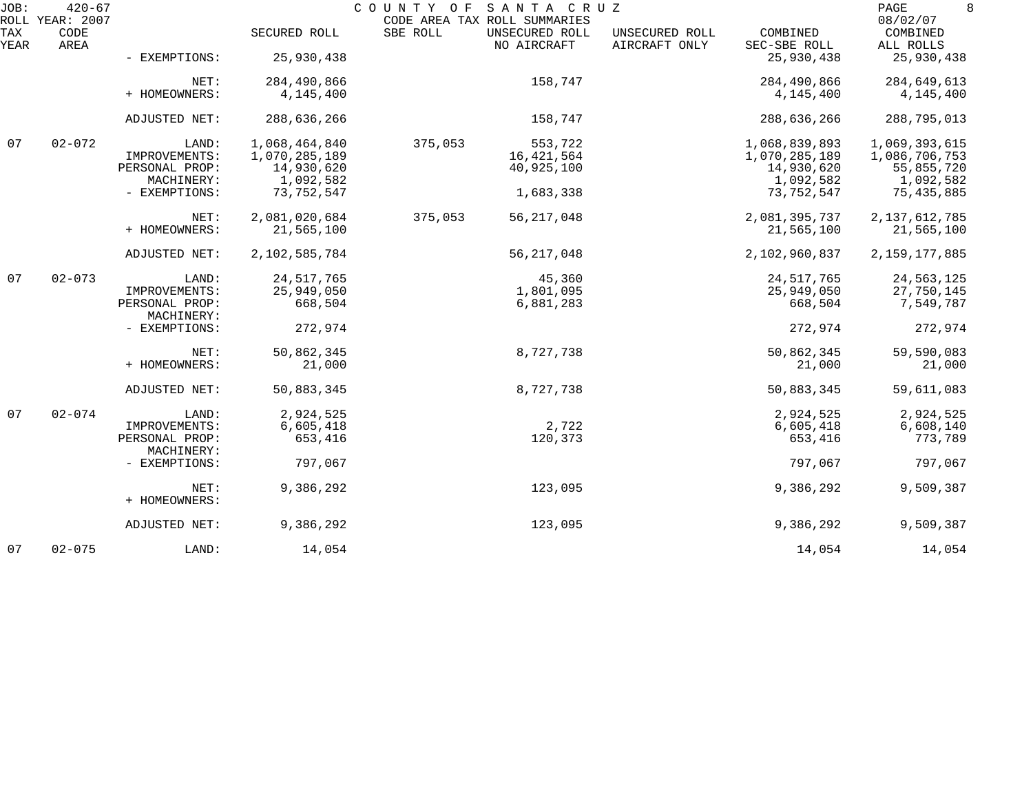| JOB:        | $420 - 67$<br>ROLL YEAR: 2007 |                              |               | COUNTY OF SANTA CRUZ | CODE AREA TAX ROLL SUMMARIES  |                                 |                          | PAGE<br>8<br>08/02/07 |
|-------------|-------------------------------|------------------------------|---------------|----------------------|-------------------------------|---------------------------------|--------------------------|-----------------------|
| TAX<br>YEAR | CODE<br>AREA                  |                              | SECURED ROLL  | SBE ROLL             | UNSECURED ROLL<br>NO AIRCRAFT | UNSECURED ROLL<br>AIRCRAFT ONLY | COMBINED<br>SEC-SBE ROLL | COMBINED<br>ALL ROLLS |
|             |                               | - EXEMPTIONS:                | 25,930,438    |                      |                               |                                 | 25,930,438               | 25,930,438            |
|             |                               | NET:                         | 284,490,866   |                      | 158,747                       |                                 | 284,490,866              | 284,649,613           |
|             |                               | + HOMEOWNERS:                | 4,145,400     |                      |                               |                                 | 4,145,400                | 4,145,400             |
|             |                               | ADJUSTED NET:                | 288,636,266   |                      | 158,747                       |                                 | 288,636,266              | 288,795,013           |
| 07          | $02 - 072$                    | LAND:                        | 1,068,464,840 | 375,053              | 553,722                       |                                 | 1,068,839,893            | 1,069,393,615         |
|             |                               | IMPROVEMENTS:                | 1,070,285,189 |                      | 16, 421, 564                  |                                 | 1,070,285,189            | 1,086,706,753         |
|             |                               | PERSONAL PROP:               | 14,930,620    |                      | 40,925,100                    |                                 | 14,930,620               | 55,855,720            |
|             |                               | MACHINERY:                   | 1,092,582     |                      |                               |                                 | 1,092,582                | 1,092,582             |
|             |                               | - EXEMPTIONS:                | 73,752,547    |                      | 1,683,338                     |                                 | 73,752,547               | 75,435,885            |
|             |                               | NET:                         | 2,081,020,684 | 375,053              | 56, 217, 048                  |                                 | 2,081,395,737            | 2, 137, 612, 785      |
|             |                               | + HOMEOWNERS:                | 21,565,100    |                      |                               |                                 | 21,565,100               | 21,565,100            |
|             |                               | ADJUSTED NET:                | 2,102,585,784 |                      | 56, 217, 048                  |                                 | 2,102,960,837            | 2, 159, 177, 885      |
| 07          | $02 - 073$                    | LAND:                        | 24, 517, 765  |                      | 45,360                        |                                 | 24, 517, 765             | 24,563,125            |
|             |                               | IMPROVEMENTS:                | 25,949,050    |                      | 1,801,095                     |                                 | 25,949,050               | 27,750,145            |
|             |                               | PERSONAL PROP:<br>MACHINERY: | 668,504       |                      | 6,881,283                     |                                 | 668,504                  | 7,549,787             |
|             |                               | - EXEMPTIONS:                | 272,974       |                      |                               |                                 | 272,974                  | 272,974               |
|             |                               | NET:                         | 50,862,345    |                      | 8,727,738                     |                                 | 50,862,345               | 59,590,083            |
|             |                               | + HOMEOWNERS:                | 21,000        |                      |                               |                                 | 21,000                   | 21,000                |
|             |                               | ADJUSTED NET:                | 50,883,345    |                      | 8,727,738                     |                                 | 50,883,345               | 59,611,083            |
| 07          | $02 - 074$                    | LAND:                        | 2,924,525     |                      |                               |                                 | 2,924,525                | 2,924,525             |
|             |                               | IMPROVEMENTS:                | 6,605,418     |                      | 2,722                         |                                 | 6,605,418                | 6,608,140             |
|             |                               | PERSONAL PROP:               | 653,416       |                      | 120,373                       |                                 | 653,416                  | 773,789               |
|             |                               | MACHINERY:                   |               |                      |                               |                                 |                          |                       |
|             |                               | - EXEMPTIONS:                | 797,067       |                      |                               |                                 | 797,067                  | 797,067               |
|             |                               | NET:                         | 9,386,292     |                      | 123,095                       |                                 | 9,386,292                | 9,509,387             |
|             |                               | + HOMEOWNERS:                |               |                      |                               |                                 |                          |                       |
|             |                               | ADJUSTED NET:                | 9,386,292     |                      | 123,095                       |                                 | 9,386,292                | 9,509,387             |
| 07          | $02 - 075$                    | LAND:                        | 14,054        |                      |                               |                                 | 14,054                   | 14,054                |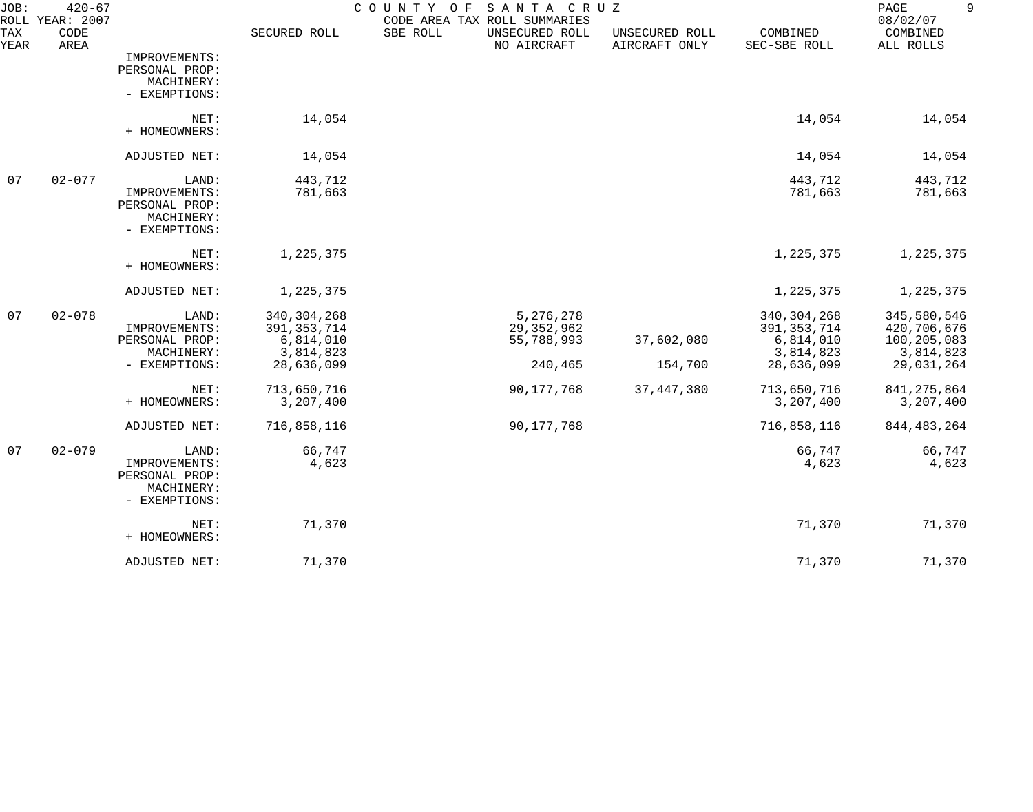| JOB:<br>ROLL | $420 - 67$<br>YEAR: 2007 |                                                                         |                                                                        | COUNTY<br>O F<br>CODE AREA TAX ROLL SUMMARIES | SANTA CRUZ                                         |                                 |                                                                        | PAGE<br>9<br>08/02/07                                                |
|--------------|--------------------------|-------------------------------------------------------------------------|------------------------------------------------------------------------|-----------------------------------------------|----------------------------------------------------|---------------------------------|------------------------------------------------------------------------|----------------------------------------------------------------------|
| TAX<br>YEAR  | CODE<br>AREA             |                                                                         | SECURED ROLL                                                           | SBE ROLL                                      | UNSECURED ROLL<br>NO AIRCRAFT                      | UNSECURED ROLL<br>AIRCRAFT ONLY | COMBINED<br>SEC-SBE ROLL                                               | COMBINED<br>ALL ROLLS                                                |
|              |                          | IMPROVEMENTS:<br>PERSONAL PROP:<br>MACHINERY:<br>- EXEMPTIONS:          |                                                                        |                                               |                                                    |                                 |                                                                        |                                                                      |
|              |                          | NET:<br>+ HOMEOWNERS:                                                   | 14,054                                                                 |                                               |                                                    |                                 | 14,054                                                                 | 14,054                                                               |
|              |                          | ADJUSTED NET:                                                           | 14,054                                                                 |                                               |                                                    |                                 | 14,054                                                                 | 14,054                                                               |
| 07           | $02 - 077$               | LAND:<br>IMPROVEMENTS:<br>PERSONAL PROP:<br>MACHINERY:<br>- EXEMPTIONS: | 443,712<br>781,663                                                     |                                               |                                                    |                                 | 443,712<br>781,663                                                     | 443,712<br>781,663                                                   |
|              |                          | NET:<br>+ HOMEOWNERS:                                                   | 1,225,375                                                              |                                               |                                                    |                                 | 1,225,375                                                              | 1,225,375                                                            |
|              |                          | ADJUSTED NET:                                                           | 1,225,375                                                              |                                               |                                                    |                                 | 1,225,375                                                              | 1,225,375                                                            |
| 07           | $02 - 078$               | LAND:<br>IMPROVEMENTS:<br>PERSONAL PROP:<br>MACHINERY:<br>- EXEMPTIONS: | 340, 304, 268<br>391, 353, 714<br>6,814,010<br>3,814,823<br>28,636,099 |                                               | 5,276,278<br>29, 352, 962<br>55,788,993<br>240,465 | 37,602,080<br>154,700           | 340, 304, 268<br>391, 353, 714<br>6,814,010<br>3,814,823<br>28,636,099 | 345,580,546<br>420,706,676<br>100,205,083<br>3,814,823<br>29,031,264 |
|              |                          | NET:<br>+ HOMEOWNERS:                                                   | 713,650,716<br>3,207,400                                               |                                               | 90,177,768                                         | 37, 447, 380                    | 713,650,716<br>3,207,400                                               | 841, 275, 864<br>3,207,400                                           |
|              |                          | ADJUSTED NET:                                                           | 716,858,116                                                            |                                               | 90,177,768                                         |                                 | 716,858,116                                                            | 844, 483, 264                                                        |
| 07           | $02 - 079$               | LAND:<br>IMPROVEMENTS:<br>PERSONAL PROP:<br>MACHINERY:<br>- EXEMPTIONS: | 66,747<br>4,623                                                        |                                               |                                                    |                                 | 66,747<br>4,623                                                        | 66,747<br>4,623                                                      |
|              |                          | NET:<br>+ HOMEOWNERS:                                                   | 71,370                                                                 |                                               |                                                    |                                 | 71,370                                                                 | 71,370                                                               |
|              |                          | ADJUSTED NET:                                                           | 71,370                                                                 |                                               |                                                    |                                 | 71,370                                                                 | 71,370                                                               |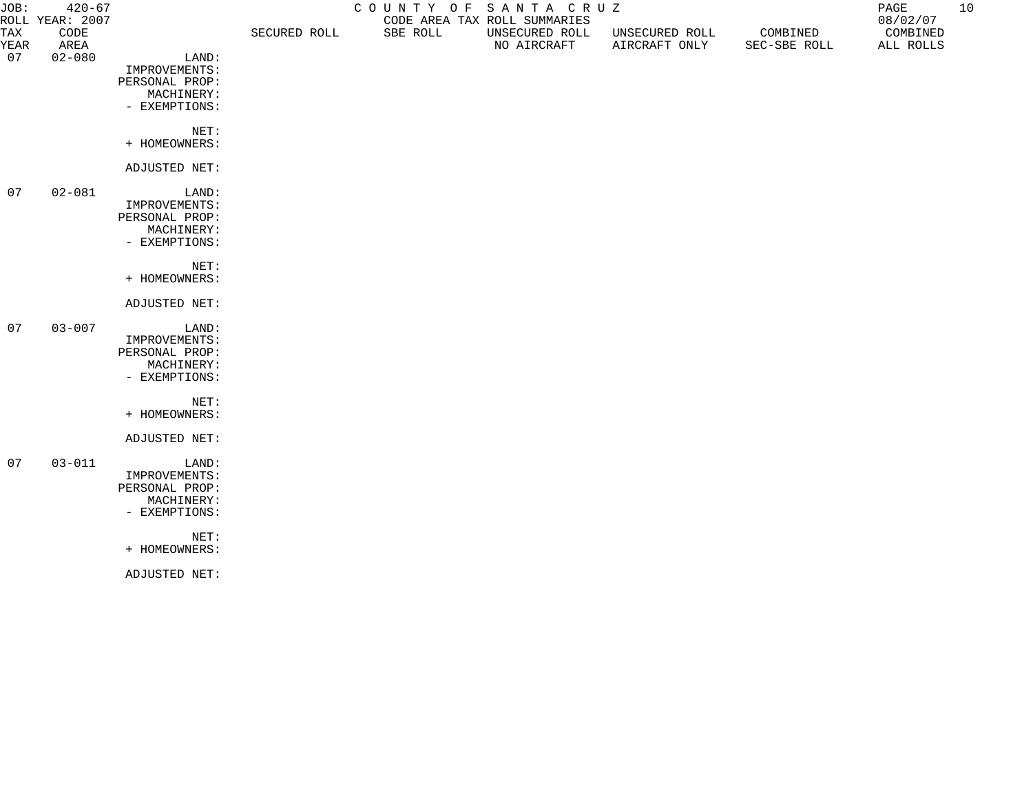| JOB:               | $420 - 67$<br>ROLL YEAR: 2007 |                             | SECURED ROLL | COUNTY OF SANTA CRUZ | CODE AREA TAX ROLL SUMMARIES  |                                 |                          | PAGE<br>08/02/07      | 10 |
|--------------------|-------------------------------|-----------------------------|--------------|----------------------|-------------------------------|---------------------------------|--------------------------|-----------------------|----|
| <b>TAX</b><br>YEAR | CODE<br>AREA                  |                             |              | SBE ROLL             | UNSECURED ROLL<br>NO AIRCRAFT | UNSECURED ROLL<br>AIRCRAFT ONLY | COMBINED<br>SEC-SBE ROLL | COMBINED<br>ALL ROLLS |    |
| 07                 | $02 - 080$                    | LAND:                       |              |                      |                               |                                 |                          |                       |    |
|                    |                               | IMPROVEMENTS:               |              |                      |                               |                                 |                          |                       |    |
|                    |                               | PERSONAL PROP:              |              |                      |                               |                                 |                          |                       |    |
|                    |                               | MACHINERY:                  |              |                      |                               |                                 |                          |                       |    |
|                    |                               | - EXEMPTIONS:               |              |                      |                               |                                 |                          |                       |    |
|                    |                               | NET:                        |              |                      |                               |                                 |                          |                       |    |
|                    |                               | + HOMEOWNERS:               |              |                      |                               |                                 |                          |                       |    |
|                    |                               | ADJUSTED NET:               |              |                      |                               |                                 |                          |                       |    |
| 07                 | $02 - 081$                    | LAND:                       |              |                      |                               |                                 |                          |                       |    |
|                    |                               | IMPROVEMENTS:               |              |                      |                               |                                 |                          |                       |    |
|                    |                               | PERSONAL PROP:              |              |                      |                               |                                 |                          |                       |    |
|                    |                               | MACHINERY:<br>- EXEMPTIONS: |              |                      |                               |                                 |                          |                       |    |
|                    |                               |                             |              |                      |                               |                                 |                          |                       |    |
|                    |                               | NET:                        |              |                      |                               |                                 |                          |                       |    |
|                    |                               | + HOMEOWNERS:               |              |                      |                               |                                 |                          |                       |    |
|                    |                               | ADJUSTED NET:               |              |                      |                               |                                 |                          |                       |    |
| 07                 | $03 - 007$                    | LAND:                       |              |                      |                               |                                 |                          |                       |    |
|                    |                               | IMPROVEMENTS:               |              |                      |                               |                                 |                          |                       |    |
|                    |                               | PERSONAL PROP:              |              |                      |                               |                                 |                          |                       |    |
|                    |                               | MACHINERY:<br>- EXEMPTIONS: |              |                      |                               |                                 |                          |                       |    |
|                    |                               |                             |              |                      |                               |                                 |                          |                       |    |
|                    |                               | NET:                        |              |                      |                               |                                 |                          |                       |    |
|                    |                               | + HOMEOWNERS:               |              |                      |                               |                                 |                          |                       |    |
|                    |                               | ADJUSTED NET:               |              |                      |                               |                                 |                          |                       |    |
|                    | 07 03-011                     | LAND:                       |              |                      |                               |                                 |                          |                       |    |
|                    |                               | IMPROVEMENTS:               |              |                      |                               |                                 |                          |                       |    |
|                    |                               | PERSONAL PROP:              |              |                      |                               |                                 |                          |                       |    |
|                    |                               | MACHINERY:<br>- EXEMPTIONS: |              |                      |                               |                                 |                          |                       |    |
|                    |                               |                             |              |                      |                               |                                 |                          |                       |    |
|                    |                               | NET:                        |              |                      |                               |                                 |                          |                       |    |
|                    |                               | + HOMEOWNERS:               |              |                      |                               |                                 |                          |                       |    |
|                    |                               | ADJUSTED NET:               |              |                      |                               |                                 |                          |                       |    |
|                    |                               |                             |              |                      |                               |                                 |                          |                       |    |
|                    |                               |                             |              |                      |                               |                                 |                          |                       |    |
|                    |                               |                             |              |                      |                               |                                 |                          |                       |    |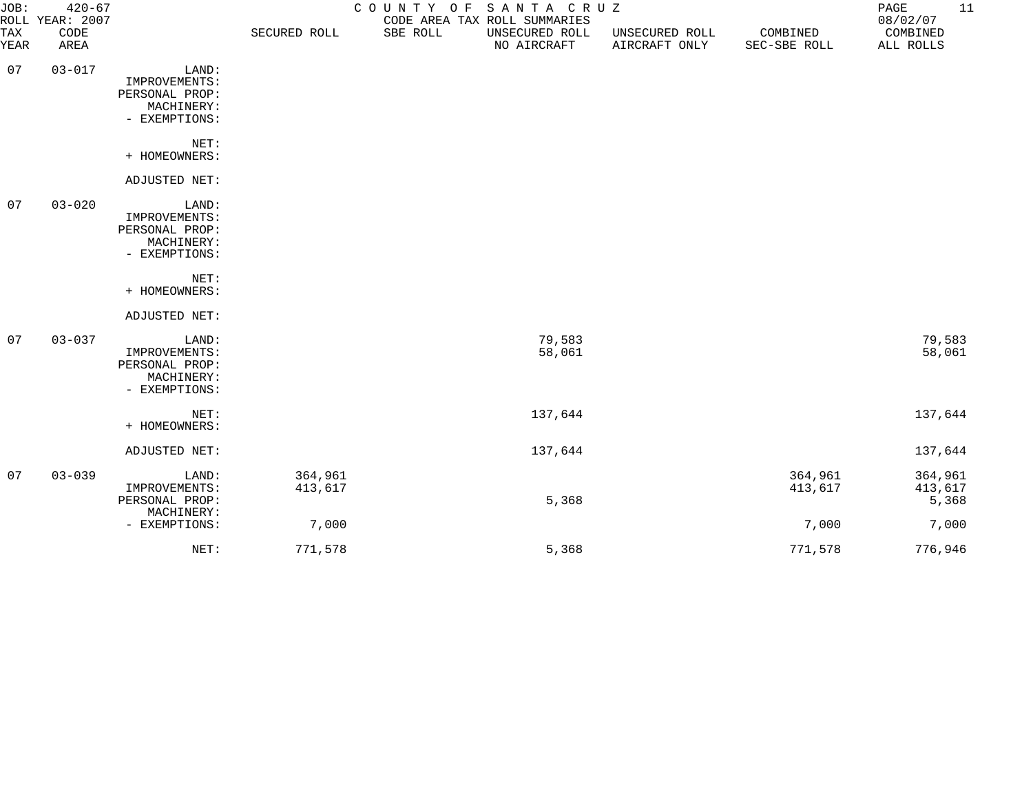| JOB:        | $420 - 67$<br>COUNTY OF SANTA CRUZ<br>ROLL YEAR: 2007<br>CODE AREA TAX ROLL SUMMARIES |                                                                         |                    |          |                               |                                 | 11<br>PAGE<br>08/02/07   |                             |
|-------------|---------------------------------------------------------------------------------------|-------------------------------------------------------------------------|--------------------|----------|-------------------------------|---------------------------------|--------------------------|-----------------------------|
| TAX<br>YEAR | CODE<br>AREA                                                                          |                                                                         | SECURED ROLL       | SBE ROLL | UNSECURED ROLL<br>NO AIRCRAFT | UNSECURED ROLL<br>AIRCRAFT ONLY | COMBINED<br>SEC-SBE ROLL | COMBINED<br>ALL ROLLS       |
| 07          | $03 - 017$                                                                            | LAND:<br>IMPROVEMENTS:<br>PERSONAL PROP:<br>MACHINERY:<br>- EXEMPTIONS: |                    |          |                               |                                 |                          |                             |
|             |                                                                                       | NET:<br>+ HOMEOWNERS:                                                   |                    |          |                               |                                 |                          |                             |
|             |                                                                                       | ADJUSTED NET:                                                           |                    |          |                               |                                 |                          |                             |
| 07          | $03 - 020$                                                                            | LAND:<br>IMPROVEMENTS:<br>PERSONAL PROP:<br>MACHINERY:<br>- EXEMPTIONS: |                    |          |                               |                                 |                          |                             |
|             |                                                                                       | NET:<br>+ HOMEOWNERS:                                                   |                    |          |                               |                                 |                          |                             |
|             |                                                                                       | ADJUSTED NET:                                                           |                    |          |                               |                                 |                          |                             |
| 07          | $03 - 037$                                                                            | LAND:<br>IMPROVEMENTS:<br>PERSONAL PROP:<br>MACHINERY:<br>- EXEMPTIONS: |                    |          | 79,583<br>58,061              |                                 |                          | 79,583<br>58,061            |
|             |                                                                                       | NET:<br>+ HOMEOWNERS:                                                   |                    |          | 137,644                       |                                 |                          | 137,644                     |
|             |                                                                                       | ADJUSTED NET:                                                           |                    |          | 137,644                       |                                 |                          | 137,644                     |
| 07          | $03 - 039$                                                                            | LAND:<br>IMPROVEMENTS:<br>PERSONAL PROP:<br>MACHINERY:                  | 364,961<br>413,617 |          | 5,368                         |                                 | 364,961<br>413,617       | 364,961<br>413,617<br>5,368 |
|             |                                                                                       | - EXEMPTIONS:                                                           | 7,000              |          |                               |                                 | 7,000                    | 7,000                       |
|             |                                                                                       | NET:                                                                    | 771,578            |          | 5,368                         |                                 | 771,578                  | 776,946                     |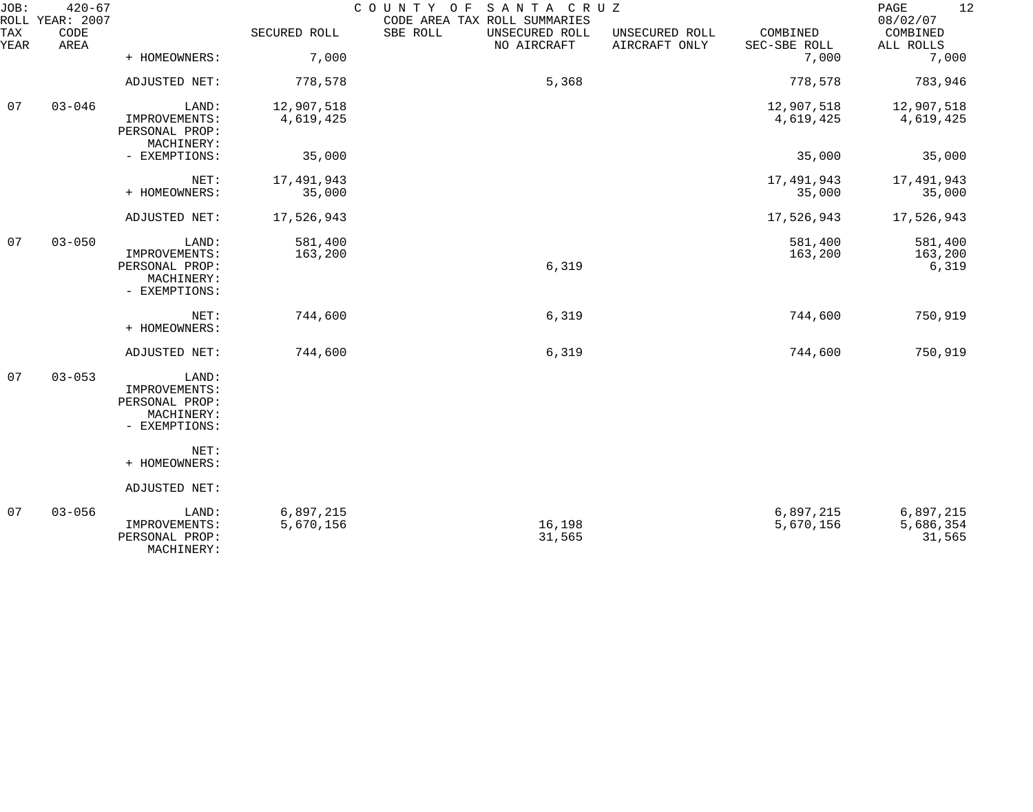| JOB:        | $420 - 67$<br>ROLL YEAR: 2007 |                                                                         |                         | COUNTY OF SANTA CRUZ<br>CODE AREA TAX ROLL SUMMARIES |                                 |                          | 12<br>PAGE<br>08/02/07           |
|-------------|-------------------------------|-------------------------------------------------------------------------|-------------------------|------------------------------------------------------|---------------------------------|--------------------------|----------------------------------|
| TAX<br>YEAR | CODE<br>AREA                  |                                                                         | SECURED ROLL            | SBE ROLL<br>UNSECURED ROLL<br>NO AIRCRAFT            | UNSECURED ROLL<br>AIRCRAFT ONLY | COMBINED<br>SEC-SBE ROLL | COMBINED<br>ALL ROLLS            |
|             |                               | + HOMEOWNERS:                                                           | 7,000                   |                                                      |                                 | 7,000                    | 7,000                            |
|             |                               | ADJUSTED NET:                                                           | 778,578                 | 5,368                                                |                                 | 778,578                  | 783,946                          |
| 07          | $03 - 046$                    | LAND:<br>IMPROVEMENTS:<br>PERSONAL PROP:<br>MACHINERY:                  | 12,907,518<br>4,619,425 |                                                      |                                 | 12,907,518<br>4,619,425  | 12,907,518<br>4,619,425          |
|             |                               | - EXEMPTIONS:                                                           | 35,000                  |                                                      |                                 | 35,000                   | 35,000                           |
|             |                               | NET:<br>+ HOMEOWNERS:                                                   | 17,491,943<br>35,000    |                                                      |                                 | 17,491,943<br>35,000     | 17,491,943<br>35,000             |
|             |                               | ADJUSTED NET:                                                           | 17,526,943              |                                                      |                                 | 17,526,943               | 17,526,943                       |
| 07          | $03 - 050$                    | LAND:<br>IMPROVEMENTS:<br>PERSONAL PROP:<br>MACHINERY:<br>- EXEMPTIONS: | 581,400<br>163,200      | 6,319                                                |                                 | 581,400<br>163,200       | 581,400<br>163,200<br>6,319      |
|             |                               | NET:<br>+ HOMEOWNERS:                                                   | 744,600                 | 6,319                                                |                                 | 744,600                  | 750,919                          |
|             |                               | ADJUSTED NET:                                                           | 744,600                 | 6,319                                                |                                 | 744,600                  | 750,919                          |
| 07          | $03 - 053$                    | LAND:<br>IMPROVEMENTS:<br>PERSONAL PROP:<br>MACHINERY:<br>- EXEMPTIONS: |                         |                                                      |                                 |                          |                                  |
|             |                               | NET:<br>+ HOMEOWNERS:                                                   |                         |                                                      |                                 |                          |                                  |
|             |                               | ADJUSTED NET:                                                           |                         |                                                      |                                 |                          |                                  |
| 07          | $03 - 056$                    | LAND:<br>IMPROVEMENTS:<br>PERSONAL PROP:<br>MACHINERY:                  | 6,897,215<br>5,670,156  | 16,198<br>31,565                                     |                                 | 6,897,215<br>5,670,156   | 6,897,215<br>5,686,354<br>31,565 |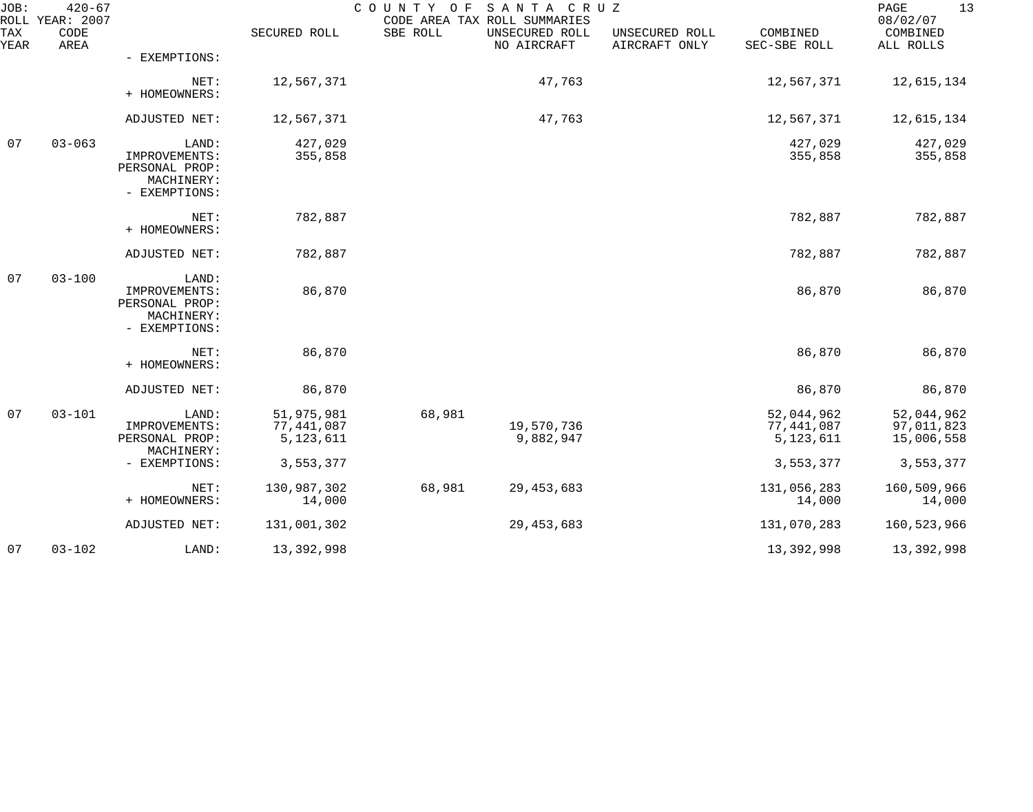| JOB:        | $420 - 67$<br>ROLL YEAR: 2007 |                                                                         |                                       | COUNTY OF | SANTA CRUZ<br>CODE AREA TAX ROLL SUMMARIES |                                 |                                       | 13<br>PAGE<br>08/02/07                 |
|-------------|-------------------------------|-------------------------------------------------------------------------|---------------------------------------|-----------|--------------------------------------------|---------------------------------|---------------------------------------|----------------------------------------|
| TAX<br>YEAR | CODE<br>AREA                  |                                                                         | SECURED ROLL                          | SBE ROLL  | UNSECURED ROLL<br>NO AIRCRAFT              | UNSECURED ROLL<br>AIRCRAFT ONLY | COMBINED<br>SEC-SBE ROLL              | COMBINED<br>ALL ROLLS                  |
|             |                               | - EXEMPTIONS:                                                           |                                       |           |                                            |                                 |                                       |                                        |
|             |                               | NET:<br>+ HOMEOWNERS:                                                   | 12,567,371                            |           | 47,763                                     |                                 | 12,567,371                            | 12,615,134                             |
|             |                               | ADJUSTED NET:                                                           | 12,567,371                            |           | 47,763                                     |                                 | 12,567,371                            | 12,615,134                             |
| 07          | $03 - 063$                    | LAND:<br>IMPROVEMENTS:<br>PERSONAL PROP:<br>MACHINERY:<br>- EXEMPTIONS: | 427,029<br>355,858                    |           |                                            |                                 | 427,029<br>355,858                    | 427,029<br>355,858                     |
|             |                               | NET:<br>+ HOMEOWNERS:                                                   | 782,887                               |           |                                            |                                 | 782,887                               | 782,887                                |
|             |                               | ADJUSTED NET:                                                           | 782,887                               |           |                                            |                                 | 782,887                               | 782,887                                |
| 07          | $03 - 100$                    | LAND:<br>IMPROVEMENTS:<br>PERSONAL PROP:<br>MACHINERY:<br>- EXEMPTIONS: | 86,870                                |           |                                            |                                 | 86,870                                | 86,870                                 |
|             |                               | NET:<br>+ HOMEOWNERS:                                                   | 86,870                                |           |                                            |                                 | 86,870                                | 86,870                                 |
|             |                               | ADJUSTED NET:                                                           | 86,870                                |           |                                            |                                 | 86,870                                | 86,870                                 |
| 07          | $03 - 101$                    | LAND:<br>IMPROVEMENTS:<br>PERSONAL PROP:                                | 51,975,981<br>77,441,087<br>5,123,611 | 68,981    | 19,570,736<br>9,882,947                    |                                 | 52,044,962<br>77,441,087<br>5,123,611 | 52,044,962<br>97,011,823<br>15,006,558 |
|             |                               | MACHINERY:<br>- EXEMPTIONS:                                             | 3,553,377                             |           |                                            |                                 | 3,553,377                             | 3,553,377                              |
|             |                               | NET:<br>+ HOMEOWNERS:                                                   | 130,987,302<br>14,000                 | 68,981    | 29, 453, 683                               |                                 | 131,056,283<br>14,000                 | 160,509,966<br>14,000                  |
|             |                               | ADJUSTED NET:                                                           | 131,001,302                           |           | 29, 453, 683                               |                                 | 131,070,283                           | 160,523,966                            |
| 07          | $03 - 102$                    | LAND:                                                                   | 13,392,998                            |           |                                            |                                 | 13,392,998                            | 13,392,998                             |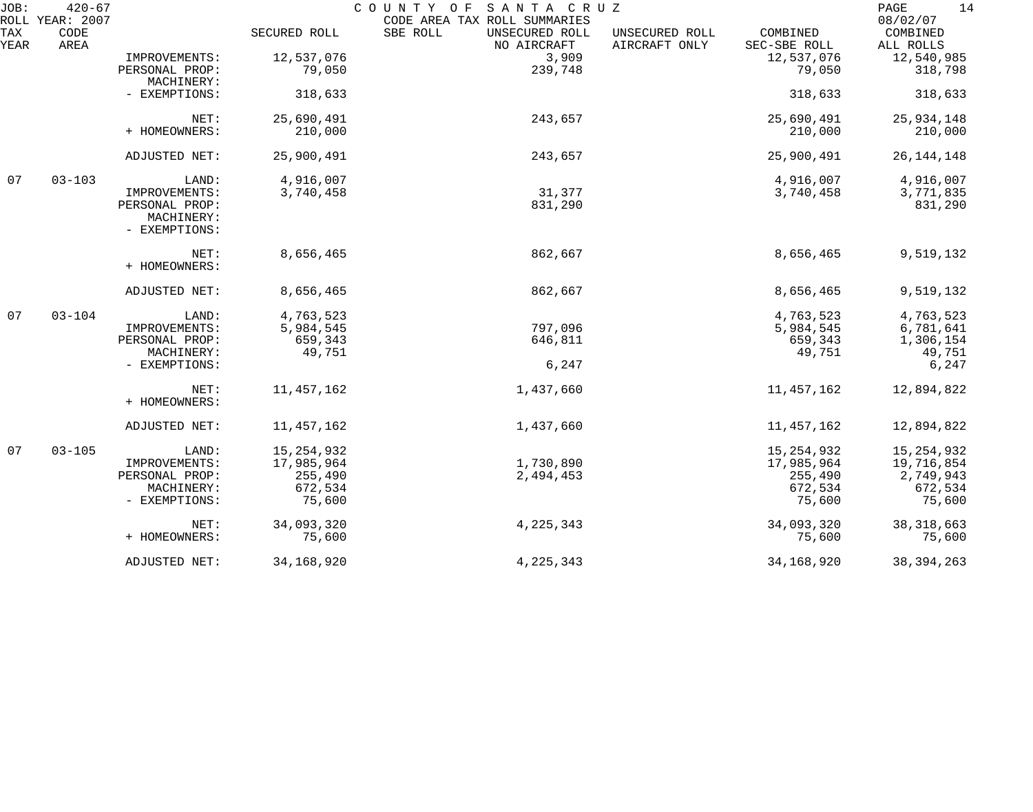| JOB:        | $420 - 67$<br>ROLL YEAR: 2007 |                |              | SANTA CRUZ<br>COUNTY OF<br>CODE AREA TAX ROLL SUMMARIES |                                 |                          | 14<br>PAGE<br>08/02/07 |
|-------------|-------------------------------|----------------|--------------|---------------------------------------------------------|---------------------------------|--------------------------|------------------------|
| TAX<br>YEAR | CODE<br>AREA                  |                | SECURED ROLL | SBE ROLL<br>UNSECURED ROLL<br>NO AIRCRAFT               | UNSECURED ROLL<br>AIRCRAFT ONLY | COMBINED<br>SEC-SBE ROLL | COMBINED<br>ALL ROLLS  |
|             |                               | IMPROVEMENTS:  | 12,537,076   | 3,909                                                   |                                 | 12,537,076               | 12,540,985             |
|             |                               | PERSONAL PROP: | 79,050       | 239,748                                                 |                                 | 79,050                   | 318,798                |
|             |                               | MACHINERY:     |              |                                                         |                                 |                          |                        |
|             |                               | - EXEMPTIONS:  | 318,633      |                                                         |                                 | 318,633                  | 318,633                |
|             |                               | NET:           | 25,690,491   | 243,657                                                 |                                 | 25,690,491               | 25,934,148             |
|             |                               | + HOMEOWNERS:  | 210,000      |                                                         |                                 | 210,000                  | 210,000                |
|             |                               | ADJUSTED NET:  | 25,900,491   | 243,657                                                 |                                 | 25,900,491               | 26, 144, 148           |
| 07          | $03 - 103$                    | LAND:          | 4,916,007    |                                                         |                                 | 4,916,007                | 4,916,007              |
|             |                               | IMPROVEMENTS:  | 3,740,458    | 31,377                                                  |                                 | 3,740,458                | 3,771,835              |
|             |                               | PERSONAL PROP: |              | 831,290                                                 |                                 |                          | 831,290                |
|             |                               | MACHINERY:     |              |                                                         |                                 |                          |                        |
|             |                               | - EXEMPTIONS:  |              |                                                         |                                 |                          |                        |
|             |                               | NET:           | 8,656,465    | 862,667                                                 |                                 | 8,656,465                | 9,519,132              |
|             |                               | + HOMEOWNERS:  |              |                                                         |                                 |                          |                        |
|             |                               | ADJUSTED NET:  | 8,656,465    | 862,667                                                 |                                 | 8,656,465                | 9,519,132              |
| 07          | $03 - 104$                    | LAND:          | 4,763,523    |                                                         |                                 | 4,763,523                | 4,763,523              |
|             |                               | IMPROVEMENTS:  | 5,984,545    | 797,096                                                 |                                 | 5,984,545                | 6,781,641              |
|             |                               | PERSONAL PROP: | 659,343      | 646,811                                                 |                                 | 659,343                  | 1,306,154              |
|             |                               | MACHINERY:     | 49,751       |                                                         |                                 | 49,751                   | 49,751                 |
|             |                               | - EXEMPTIONS:  |              | 6,247                                                   |                                 |                          | 6,247                  |
|             |                               | NET:           | 11, 457, 162 | 1,437,660                                               |                                 | 11, 457, 162             | 12,894,822             |
|             |                               | + HOMEOWNERS:  |              |                                                         |                                 |                          |                        |
|             |                               | ADJUSTED NET:  | 11,457,162   | 1,437,660                                               |                                 | 11,457,162               | 12,894,822             |
| 07          | $03 - 105$                    | LAND:          | 15, 254, 932 |                                                         |                                 | 15, 254, 932             | 15, 254, 932           |
|             |                               | IMPROVEMENTS:  | 17,985,964   | 1,730,890                                               |                                 | 17,985,964               | 19,716,854             |
|             |                               | PERSONAL PROP: | 255,490      | 2,494,453                                               |                                 | 255,490                  | 2,749,943              |
|             |                               | MACHINERY:     | 672,534      |                                                         |                                 | 672,534                  | 672,534                |
|             |                               | - EXEMPTIONS:  | 75,600       |                                                         |                                 | 75,600                   | 75,600                 |
|             |                               | NET:           | 34,093,320   | 4, 225, 343                                             |                                 | 34,093,320               | 38, 318, 663           |
|             |                               | + HOMEOWNERS:  | 75,600       |                                                         |                                 | 75,600                   | 75,600                 |
|             |                               | ADJUSTED NET:  | 34,168,920   | 4, 225, 343                                             |                                 | 34, 168, 920             | 38, 394, 263           |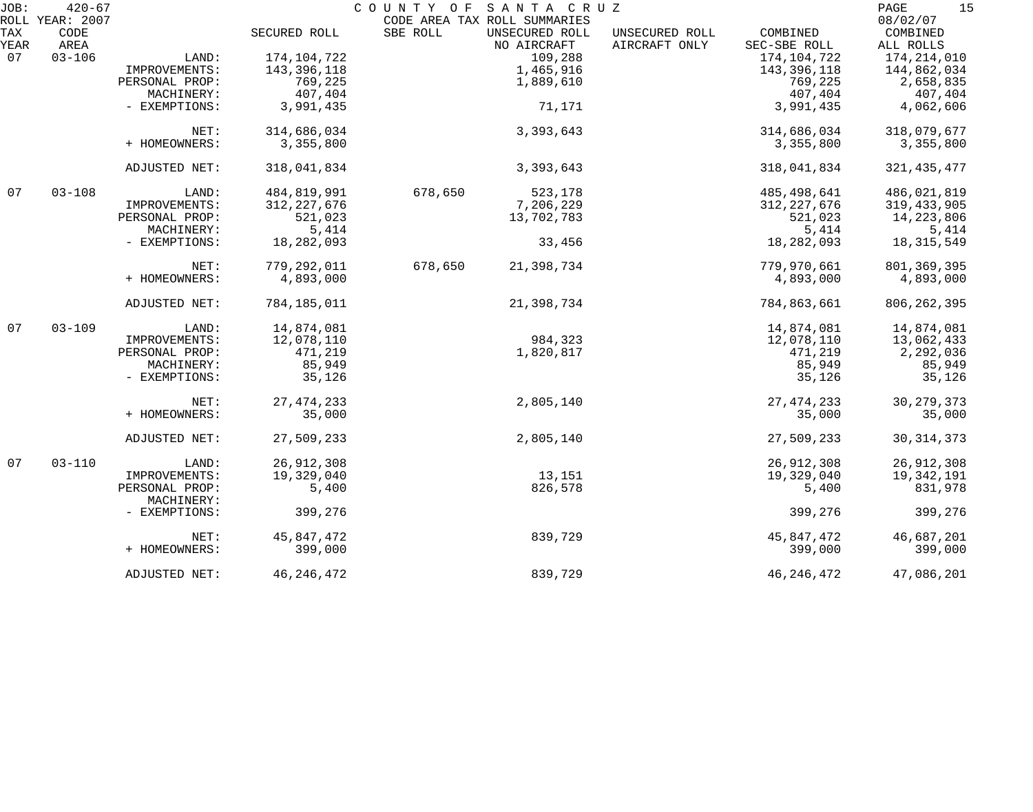| JOB: | $420 - 67$<br>ROLL YEAR: 2007 |                |               | COUNTY OF SANTA CRUZ<br>CODE AREA TAX ROLL SUMMARIES |                |               | 15<br>PAGE<br>08/02/07 |
|------|-------------------------------|----------------|---------------|------------------------------------------------------|----------------|---------------|------------------------|
| TAX  | CODE                          |                | SECURED ROLL  | UNSECURED ROLL<br>SBE ROLL                           | UNSECURED ROLL | COMBINED      | COMBINED               |
| YEAR | AREA                          |                |               | NO AIRCRAFT                                          | AIRCRAFT ONLY  | SEC-SBE ROLL  | ALL ROLLS              |
| 07   | $03 - 106$                    | LAND:          | 174,104,722   | 109,288                                              |                | 174,104,722   | 174,214,010            |
|      |                               | IMPROVEMENTS:  | 143, 396, 118 | 1,465,916                                            |                | 143,396,118   | 144,862,034            |
|      |                               |                |               |                                                      |                |               |                        |
|      |                               | PERSONAL PROP: | 769,225       | 1,889,610                                            |                | 769,225       | 2,658,835              |
|      |                               | MACHINERY:     | 407,404       |                                                      |                | 407,404       | 407,404                |
|      |                               | - EXEMPTIONS:  | 3,991,435     | 71,171                                               |                | 3,991,435     | 4,062,606              |
|      |                               | NET:           | 314,686,034   | 3,393,643                                            |                | 314,686,034   | 318,079,677            |
|      |                               | + HOMEOWNERS:  | 3,355,800     |                                                      |                | 3,355,800     | 3,355,800              |
|      |                               | ADJUSTED NET:  | 318,041,834   | 3,393,643                                            |                | 318,041,834   | 321, 435, 477          |
| 07   | $03 - 108$                    | LAND:          | 484,819,991   | 523,178<br>678,650                                   |                | 485,498,641   | 486,021,819            |
|      |                               | IMPROVEMENTS:  | 312, 227, 676 | 7,206,229                                            |                | 312, 227, 676 | 319, 433, 905          |
|      |                               | PERSONAL PROP: | 521,023       | 13,702,783                                           |                | 521,023       | 14, 223, 806           |
|      |                               | MACHINERY:     | 5,414         |                                                      |                | 5,414         | 5,414                  |
|      |                               | - EXEMPTIONS:  | 18,282,093    | 33,456                                               |                | 18,282,093    | 18, 315, 549           |
|      |                               |                |               |                                                      |                |               |                        |
|      |                               | NET:           | 779,292,011   | 678,650<br>21,398,734                                |                | 779,970,661   | 801, 369, 395          |
|      |                               | + HOMEOWNERS:  | 4,893,000     |                                                      |                | 4,893,000     | 4,893,000              |
|      |                               | ADJUSTED NET:  | 784,185,011   | 21,398,734                                           |                | 784,863,661   | 806, 262, 395          |
| 07   | $03 - 109$                    | LAND:          | 14,874,081    |                                                      |                | 14,874,081    | 14,874,081             |
|      |                               | IMPROVEMENTS:  | 12,078,110    | 984,323                                              |                | 12,078,110    | 13,062,433             |
|      |                               | PERSONAL PROP: | 471,219       | 1,820,817                                            |                | 471,219       | 2,292,036              |
|      |                               | MACHINERY:     | 85,949        |                                                      |                | 85,949        | 85,949                 |
|      |                               | - EXEMPTIONS:  | 35,126        |                                                      |                | 35,126        | 35,126                 |
|      |                               | NET:           | 27, 474, 233  | 2,805,140                                            |                | 27, 474, 233  | 30, 279, 373           |
|      |                               | + HOMEOWNERS:  | 35,000        |                                                      |                | 35,000        | 35,000                 |
|      |                               |                |               |                                                      |                |               |                        |
|      |                               | ADJUSTED NET:  | 27,509,233    | 2,805,140                                            |                | 27,509,233    | 30, 314, 373           |
| 07   | $03 - 110$                    | LAND:          | 26,912,308    |                                                      |                | 26,912,308    | 26, 912, 308           |
|      |                               | IMPROVEMENTS:  | 19,329,040    | 13,151                                               |                | 19,329,040    | 19,342,191             |
|      |                               | PERSONAL PROP: | 5,400         | 826,578                                              |                | 5,400         | 831,978                |
|      |                               | MACHINERY:     |               |                                                      |                |               |                        |
|      |                               | - EXEMPTIONS:  | 399,276       |                                                      |                | 399,276       | 399,276                |
|      |                               | NET:           | 45,847,472    | 839,729                                              |                | 45,847,472    | 46,687,201             |
|      |                               | + HOMEOWNERS:  | 399,000       |                                                      |                | 399,000       | 399,000                |
|      |                               | ADJUSTED NET:  | 46, 246, 472  | 839,729                                              |                | 46, 246, 472  | 47,086,201             |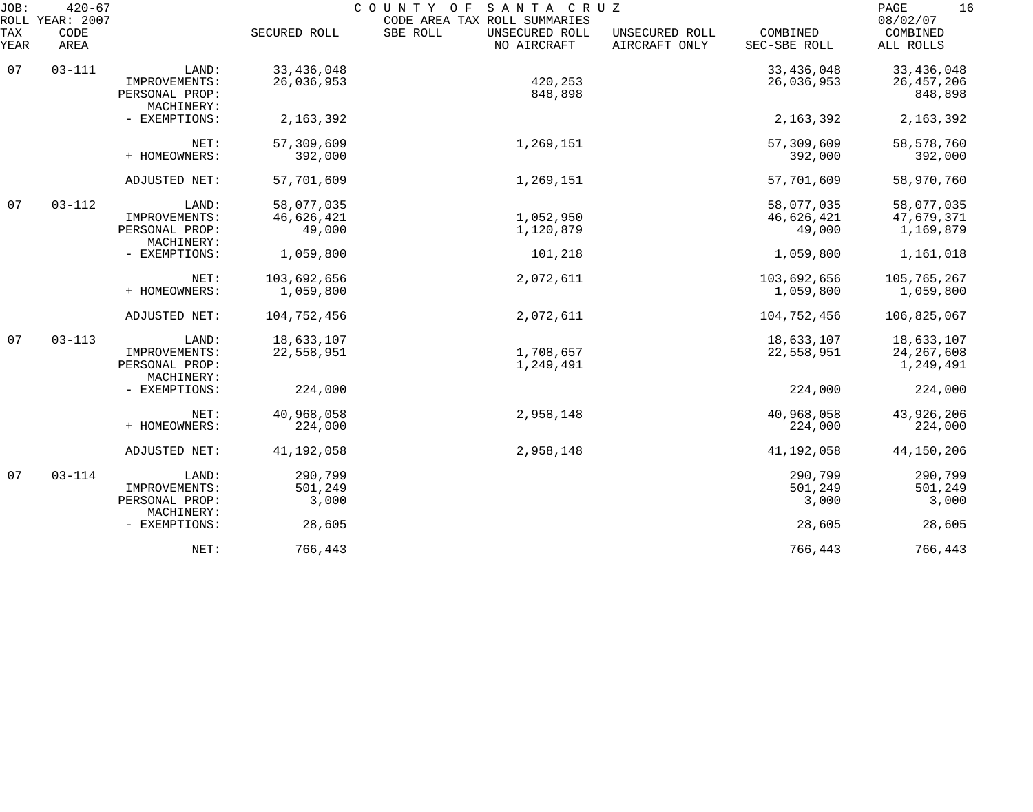| JOB:<br>ROLL | $420 - 67$<br><b>YEAR: 2007</b> |                                               |                          | COUNTY<br>SANTA CRUZ<br>O F<br>CODE AREA TAX ROLL SUMMARIES |                                 |                          | 16<br>PAGE<br>08/02/07    |
|--------------|---------------------------------|-----------------------------------------------|--------------------------|-------------------------------------------------------------|---------------------------------|--------------------------|---------------------------|
| TAX<br>YEAR  | CODE<br>AREA                    |                                               | SECURED ROLL             | SBE ROLL<br>UNSECURED ROLL<br>NO AIRCRAFT                   | UNSECURED ROLL<br>AIRCRAFT ONLY | COMBINED<br>SEC-SBE ROLL | COMBINED<br>ALL ROLLS     |
| 07           | $03 - 111$                      | LAND:                                         | 33, 436, 048             |                                                             |                                 | 33,436,048               | 33, 436, 048              |
|              |                                 | IMPROVEMENTS:<br>PERSONAL PROP:<br>MACHINERY: | 26,036,953               | 420,253<br>848,898                                          |                                 | 26,036,953               | 26, 457, 206<br>848,898   |
|              |                                 | - EXEMPTIONS:                                 | 2, 163, 392              |                                                             |                                 | 2, 163, 392              | 2, 163, 392               |
|              |                                 | NET:<br>+ HOMEOWNERS:                         | 57,309,609<br>392,000    | 1,269,151                                                   |                                 | 57,309,609<br>392,000    | 58,578,760<br>392,000     |
|              |                                 | ADJUSTED NET:                                 | 57,701,609               | 1,269,151                                                   |                                 | 57,701,609               | 58,970,760                |
| 07           | $03 - 112$                      | LAND:                                         | 58,077,035               |                                                             |                                 | 58,077,035               | 58,077,035                |
|              |                                 | IMPROVEMENTS:<br>PERSONAL PROP:<br>MACHINERY: | 46,626,421<br>49,000     | 1,052,950<br>1,120,879                                      |                                 | 46,626,421<br>49,000     | 47,679,371<br>1,169,879   |
|              |                                 | - EXEMPTIONS:                                 | 1,059,800                | 101,218                                                     |                                 | 1,059,800                | 1,161,018                 |
|              |                                 | NET:<br>+ HOMEOWNERS:                         | 103,692,656<br>1,059,800 | 2,072,611                                                   |                                 | 103,692,656<br>1,059,800 | 105,765,267<br>1,059,800  |
|              |                                 | ADJUSTED NET:                                 | 104,752,456              | 2,072,611                                                   |                                 | 104,752,456              | 106,825,067               |
| 07           | $03 - 113$                      | LAND:                                         | 18,633,107               |                                                             |                                 | 18,633,107               | 18,633,107                |
|              |                                 | IMPROVEMENTS:<br>PERSONAL PROP:<br>MACHINERY: | 22,558,951               | 1,708,657<br>1,249,491                                      |                                 | 22,558,951               | 24, 267, 608<br>1,249,491 |
|              |                                 | - EXEMPTIONS:                                 | 224,000                  |                                                             |                                 | 224,000                  | 224,000                   |
|              |                                 | NET:<br>+ HOMEOWNERS:                         | 40,968,058<br>224,000    | 2,958,148                                                   |                                 | 40,968,058<br>224,000    | 43,926,206<br>224,000     |
|              |                                 | ADJUSTED NET:                                 | 41,192,058               | 2,958,148                                                   |                                 | 41,192,058               | 44,150,206                |
| 07           | $03 - 114$                      | LAND:                                         | 290,799                  |                                                             |                                 | 290,799                  | 290,799                   |
|              |                                 | IMPROVEMENTS:<br>PERSONAL PROP:               | 501,249<br>3,000         |                                                             |                                 | 501,249<br>3,000         | 501,249<br>3,000          |
|              |                                 | MACHINERY:<br>- EXEMPTIONS:                   | 28,605                   |                                                             |                                 | 28,605                   | 28,605                    |
|              |                                 | NET:                                          | 766,443                  |                                                             |                                 | 766,443                  | 766,443                   |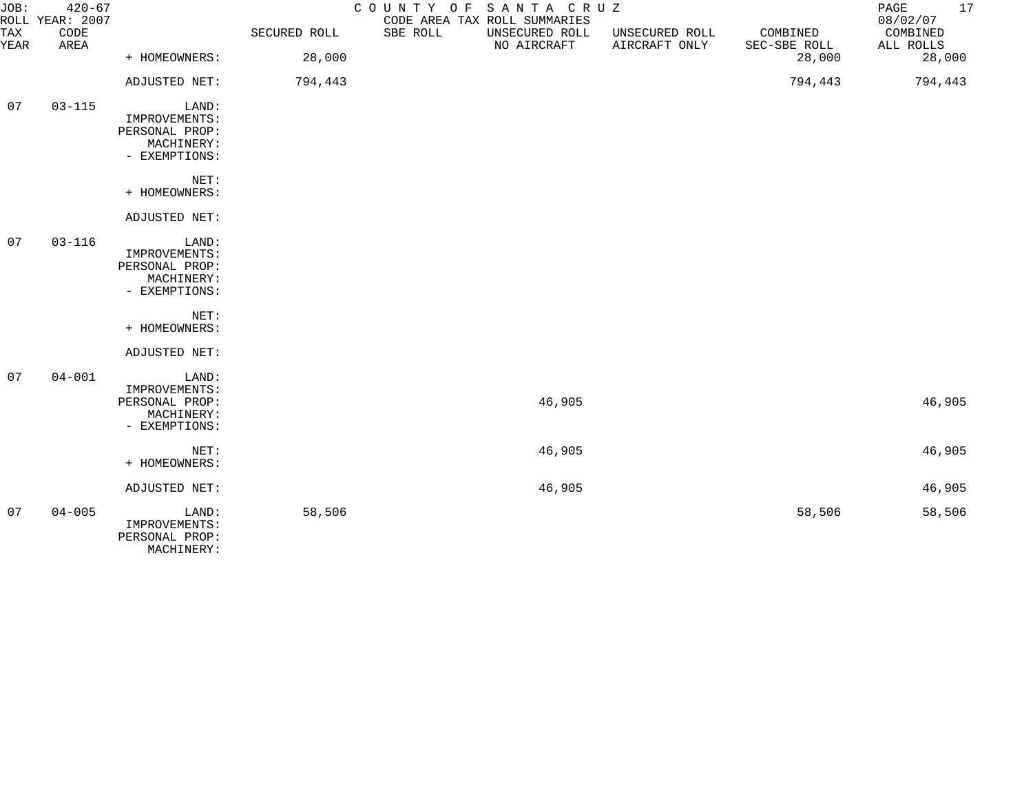| JOB:        | $420 - 67$<br>ROLL YEAR: 2007 |                                                                         |              | COUNTY OF SANTA CRUZ | CODE AREA TAX ROLL SUMMARIES  |                                 |                          | 17<br>PAGE<br>08/02/07 |
|-------------|-------------------------------|-------------------------------------------------------------------------|--------------|----------------------|-------------------------------|---------------------------------|--------------------------|------------------------|
| TAX<br>YEAR | CODE<br>AREA                  |                                                                         | SECURED ROLL | SBE ROLL             | UNSECURED ROLL<br>NO AIRCRAFT | UNSECURED ROLL<br>AIRCRAFT ONLY | COMBINED<br>SEC-SBE ROLL | COMBINED<br>ALL ROLLS  |
|             |                               | + HOMEOWNERS:                                                           | 28,000       |                      |                               |                                 | 28,000                   | 28,000                 |
|             |                               | ADJUSTED NET:                                                           | 794,443      |                      |                               |                                 | 794,443                  | 794,443                |
| 07          | $03 - 115$                    | LAND:<br>IMPROVEMENTS:<br>PERSONAL PROP:<br>MACHINERY:<br>- EXEMPTIONS: |              |                      |                               |                                 |                          |                        |
|             |                               | NET:<br>+ HOMEOWNERS:                                                   |              |                      |                               |                                 |                          |                        |
|             |                               | ADJUSTED NET:                                                           |              |                      |                               |                                 |                          |                        |
| 07          | $03 - 116$                    | LAND:<br>IMPROVEMENTS:<br>PERSONAL PROP:<br>MACHINERY:<br>- EXEMPTIONS: |              |                      |                               |                                 |                          |                        |
|             |                               | NET:<br>+ HOMEOWNERS:                                                   |              |                      |                               |                                 |                          |                        |
|             |                               | ADJUSTED NET:                                                           |              |                      |                               |                                 |                          |                        |
| 07          | $04 - 001$                    | LAND:<br>IMPROVEMENTS:<br>PERSONAL PROP:<br>MACHINERY:<br>- EXEMPTIONS: |              |                      | 46,905                        |                                 |                          | 46,905                 |
|             |                               | NET:<br>+ HOMEOWNERS:                                                   |              |                      | 46,905                        |                                 |                          | 46,905                 |
|             |                               | ADJUSTED NET:                                                           |              |                      | 46,905                        |                                 |                          | 46,905                 |
| 07          | $04 - 005$                    | LAND:<br>IMPROVEMENTS:<br>PERSONAL PROP:                                | 58,506       |                      |                               |                                 | 58,506                   | 58,506                 |

MACHINERY: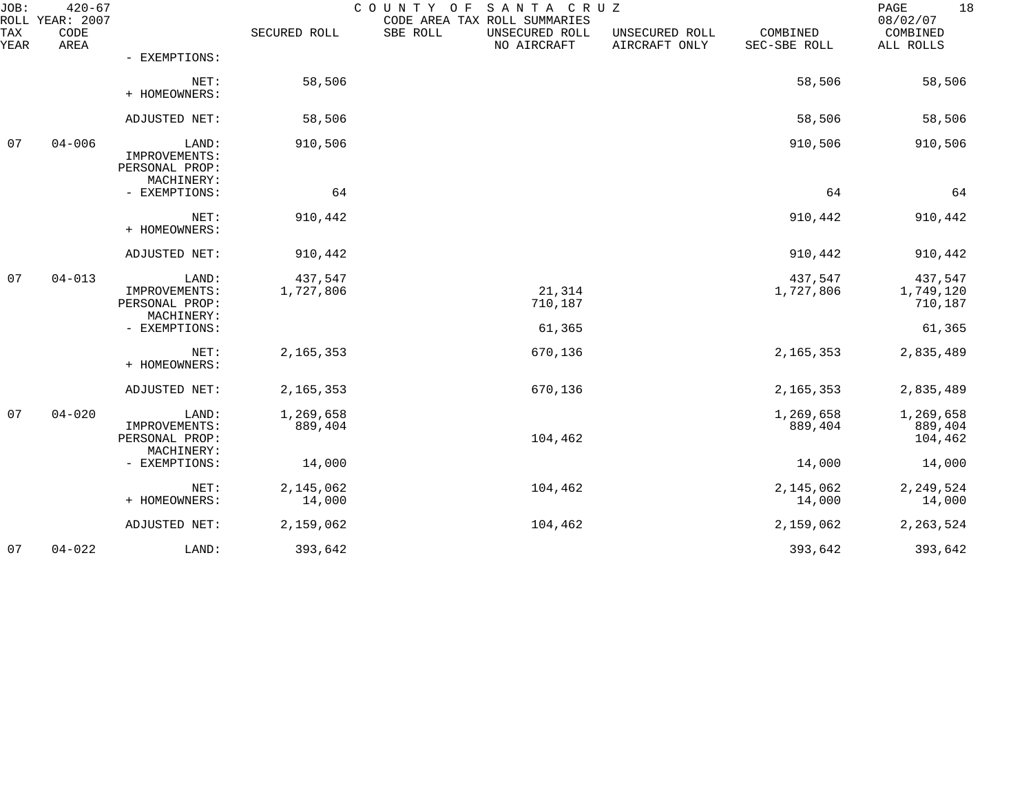| JOB:        | $420 - 67$<br>ROLL YEAR: 2007 |                                                                         |                      | SANTA CRUZ<br>COUNTY OF<br>CODE AREA TAX ROLL SUMMARIES |                                 |                          | 18<br>PAGE<br>08/02/07                    |
|-------------|-------------------------------|-------------------------------------------------------------------------|----------------------|---------------------------------------------------------|---------------------------------|--------------------------|-------------------------------------------|
| TAX<br>YEAR | CODE<br>AREA                  |                                                                         | SECURED ROLL         | SBE ROLL<br>UNSECURED ROLL<br>NO AIRCRAFT               | UNSECURED ROLL<br>AIRCRAFT ONLY | COMBINED<br>SEC-SBE ROLL | COMBINED<br>ALL ROLLS                     |
|             |                               | - EXEMPTIONS:                                                           |                      |                                                         |                                 |                          |                                           |
|             |                               | NET:<br>+ HOMEOWNERS:                                                   | 58,506               |                                                         |                                 | 58,506                   | 58,506                                    |
|             |                               | ADJUSTED NET:                                                           | 58,506               |                                                         |                                 | 58,506                   | 58,506                                    |
| 07          | $04 - 006$                    | LAND:<br>IMPROVEMENTS:<br>PERSONAL PROP:<br>MACHINERY:                  | 910,506              |                                                         |                                 | 910,506                  | 910,506                                   |
|             |                               | - EXEMPTIONS:                                                           | 64                   |                                                         |                                 | 64                       | 64                                        |
|             |                               | NET:<br>+ HOMEOWNERS:                                                   | 910,442              |                                                         |                                 | 910,442                  | 910,442                                   |
|             |                               | ADJUSTED NET:                                                           | 910,442              |                                                         |                                 | 910,442                  | 910,442                                   |
| 07          | $04 - 013$                    | LAND:<br>IMPROVEMENTS:<br>PERSONAL PROP:<br>MACHINERY:<br>- EXEMPTIONS: | 437,547<br>1,727,806 | 21,314<br>710,187<br>61,365                             |                                 | 437,547<br>1,727,806     | 437,547<br>1,749,120<br>710,187<br>61,365 |
|             |                               | NET:                                                                    |                      |                                                         |                                 |                          |                                           |
|             |                               | + HOMEOWNERS:                                                           | 2, 165, 353          | 670,136                                                 |                                 | 2, 165, 353              | 2,835,489                                 |
|             |                               | ADJUSTED NET:                                                           | 2, 165, 353          | 670,136                                                 |                                 | 2, 165, 353              | 2,835,489                                 |
| 07          | $04 - 020$                    | LAND:<br>IMPROVEMENTS:<br>PERSONAL PROP:                                | 1,269,658<br>889,404 | 104,462                                                 |                                 | 1,269,658<br>889,404     | 1,269,658<br>889,404<br>104,462           |
|             |                               | MACHINERY:<br>- EXEMPTIONS:                                             | 14,000               |                                                         |                                 | 14,000                   | 14,000                                    |
|             |                               | NET:<br>+ HOMEOWNERS:                                                   | 2,145,062<br>14,000  | 104,462                                                 |                                 | 2,145,062<br>14,000      | 2, 249, 524<br>14,000                     |
|             |                               | ADJUSTED NET:                                                           | 2,159,062            | 104,462                                                 |                                 | 2,159,062                | 2, 263, 524                               |
| 07          | $04 - 022$                    | LAND:                                                                   | 393,642              |                                                         |                                 | 393,642                  | 393,642                                   |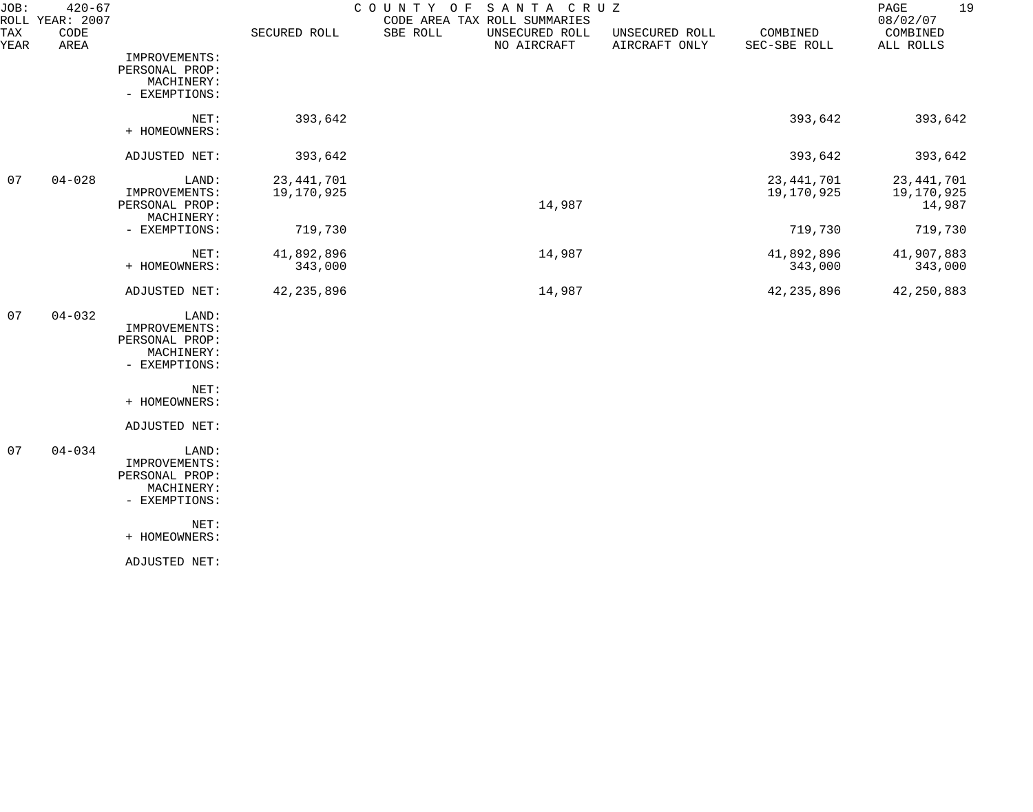| JOB:<br>ROLL | $420 - 67$<br>YEAR: 2007 |                                                                         |                            | COUNTY<br>SANTA CRUZ<br>O F<br>CODE AREA TAX ROLL SUMMARIES |                                 |                            | 19<br>$\mathop{\mathrm{PAGE}}$<br>08/02/07 |
|--------------|--------------------------|-------------------------------------------------------------------------|----------------------------|-------------------------------------------------------------|---------------------------------|----------------------------|--------------------------------------------|
| TAX<br>YEAR  | CODE<br>AREA             |                                                                         | SECURED ROLL               | SBE ROLL<br>UNSECURED ROLL<br>NO AIRCRAFT                   | UNSECURED ROLL<br>AIRCRAFT ONLY | COMBINED<br>SEC-SBE ROLL   | COMBINED<br>ALL ROLLS                      |
|              |                          | IMPROVEMENTS:<br>PERSONAL PROP:<br>MACHINERY:<br>- EXEMPTIONS:          |                            |                                                             |                                 |                            |                                            |
|              |                          | NET:<br>+ HOMEOWNERS:                                                   | 393,642                    |                                                             |                                 | 393,642                    | 393,642                                    |
|              |                          | ADJUSTED NET:                                                           | 393,642                    |                                                             |                                 | 393,642                    | 393,642                                    |
| 07           | $04 - 028$               | LAND:<br>IMPROVEMENTS:<br>PERSONAL PROP:                                | 23, 441, 701<br>19,170,925 | 14,987                                                      |                                 | 23, 441, 701<br>19,170,925 | 23, 441, 701<br>19,170,925<br>14,987       |
|              |                          | MACHINERY:<br>- EXEMPTIONS:                                             | 719,730                    |                                                             |                                 | 719,730                    | 719,730                                    |
|              |                          | NET:<br>+ HOMEOWNERS:                                                   | 41,892,896<br>343,000      | 14,987                                                      |                                 | 41,892,896<br>343,000      | 41,907,883<br>343,000                      |
|              |                          | ADJUSTED NET:                                                           | 42, 235, 896               | 14,987                                                      |                                 | 42, 235, 896               | 42, 250, 883                               |
| 07           | $04 - 032$               | LAND:<br>IMPROVEMENTS:<br>PERSONAL PROP:<br>MACHINERY:<br>- EXEMPTIONS: |                            |                                                             |                                 |                            |                                            |
|              |                          | NET:<br>+ HOMEOWNERS:                                                   |                            |                                                             |                                 |                            |                                            |
|              |                          | ADJUSTED NET:                                                           |                            |                                                             |                                 |                            |                                            |
| 07           | $04 - 034$               | LAND:<br>IMPROVEMENTS:<br>PERSONAL PROP:<br>MACHINERY:<br>- EXEMPTIONS: |                            |                                                             |                                 |                            |                                            |
|              |                          | NET:<br>+ HOMEOWNERS:                                                   |                            |                                                             |                                 |                            |                                            |
|              |                          | ADJUSTED NET:                                                           |                            |                                                             |                                 |                            |                                            |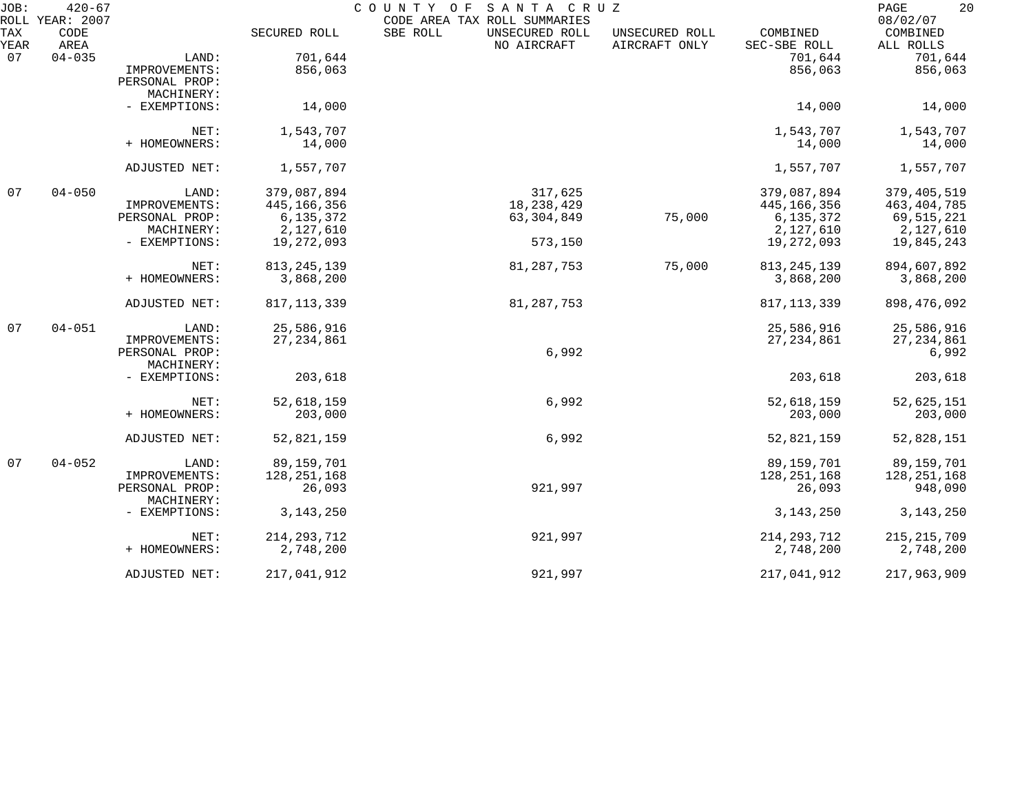| JOB:        | $420 - 67$<br>ROLL YEAR: 2007 |                              |               | COUNTY OF<br>SANTA CRUZ<br>CODE AREA TAX ROLL SUMMARIES |                                 |                          | 20<br>PAGE<br>08/02/07 |
|-------------|-------------------------------|------------------------------|---------------|---------------------------------------------------------|---------------------------------|--------------------------|------------------------|
| TAX<br>YEAR | CODE<br>AREA                  |                              | SECURED ROLL  | SBE ROLL<br>UNSECURED ROLL<br>NO AIRCRAFT               | UNSECURED ROLL<br>AIRCRAFT ONLY | COMBINED<br>SEC-SBE ROLL | COMBINED<br>ALL ROLLS  |
| 07          | $04 - 035$                    | LAND:                        | 701,644       |                                                         |                                 | 701,644                  | 701,644                |
|             |                               | IMPROVEMENTS:                | 856,063       |                                                         |                                 | 856,063                  | 856,063                |
|             |                               | PERSONAL PROP:               |               |                                                         |                                 |                          |                        |
|             |                               | MACHINERY:                   |               |                                                         |                                 |                          |                        |
|             |                               | - EXEMPTIONS:                | 14,000        |                                                         |                                 | 14,000                   | 14,000                 |
|             |                               | NET:                         | 1,543,707     |                                                         |                                 | 1,543,707                | 1,543,707              |
|             |                               | + HOMEOWNERS:                | 14,000        |                                                         |                                 | 14,000                   | 14,000                 |
|             |                               | ADJUSTED NET:                | 1,557,707     |                                                         |                                 | 1,557,707                | 1,557,707              |
| 07          | $04 - 050$                    | LAND:                        | 379,087,894   | 317,625                                                 |                                 | 379,087,894              | 379, 405, 519          |
|             |                               | IMPROVEMENTS:                | 445, 166, 356 | 18, 238, 429                                            |                                 | 445,166,356              | 463, 404, 785          |
|             |                               | PERSONAL PROP:               | 6, 135, 372   | 63, 304, 849                                            | 75,000                          | 6,135,372                | 69, 515, 221           |
|             |                               | MACHINERY:                   | 2,127,610     |                                                         |                                 | 2,127,610                | 2,127,610              |
|             |                               | - EXEMPTIONS:                | 19,272,093    | 573,150                                                 |                                 | 19,272,093               | 19,845,243             |
|             |                               | NET:                         | 813, 245, 139 | 81, 287, 753                                            | 75,000                          | 813, 245, 139            | 894,607,892            |
|             |                               | + HOMEOWNERS:                | 3,868,200     |                                                         |                                 | 3,868,200                | 3,868,200              |
|             |                               | ADJUSTED NET:                | 817, 113, 339 | 81, 287, 753                                            |                                 | 817, 113, 339            | 898, 476, 092          |
| 07          | $04 - 051$                    | LAND:                        | 25,586,916    |                                                         |                                 | 25,586,916               | 25,586,916             |
|             |                               | IMPROVEMENTS:                | 27, 234, 861  |                                                         |                                 | 27, 234, 861             | 27, 234, 861           |
|             |                               | PERSONAL PROP:               |               | 6,992                                                   |                                 |                          | 6,992                  |
|             |                               | MACHINERY:                   |               |                                                         |                                 |                          |                        |
|             |                               | - EXEMPTIONS:                | 203,618       |                                                         |                                 | 203,618                  | 203,618                |
|             |                               | NET:                         | 52,618,159    | 6,992                                                   |                                 | 52,618,159               | 52,625,151             |
|             |                               | + HOMEOWNERS:                | 203,000       |                                                         |                                 | 203,000                  | 203,000                |
|             |                               | ADJUSTED NET:                | 52,821,159    | 6,992                                                   |                                 | 52,821,159               | 52,828,151             |
| 07          | $04 - 052$                    | LAND:                        | 89,159,701    |                                                         |                                 | 89, 159, 701             | 89,159,701             |
|             |                               | IMPROVEMENTS:                | 128, 251, 168 |                                                         |                                 | 128, 251, 168            | 128, 251, 168          |
|             |                               | PERSONAL PROP:<br>MACHINERY: | 26,093        | 921,997                                                 |                                 | 26,093                   | 948,090                |
|             |                               | - EXEMPTIONS:                | 3, 143, 250   |                                                         |                                 | 3, 143, 250              | 3, 143, 250            |
|             |                               | NET:                         | 214, 293, 712 | 921,997                                                 |                                 | 214, 293, 712            | 215, 215, 709          |
|             |                               | + HOMEOWNERS:                | 2,748,200     |                                                         |                                 | 2,748,200                | 2,748,200              |
|             |                               | ADJUSTED NET:                | 217,041,912   | 921,997                                                 |                                 | 217,041,912              | 217,963,909            |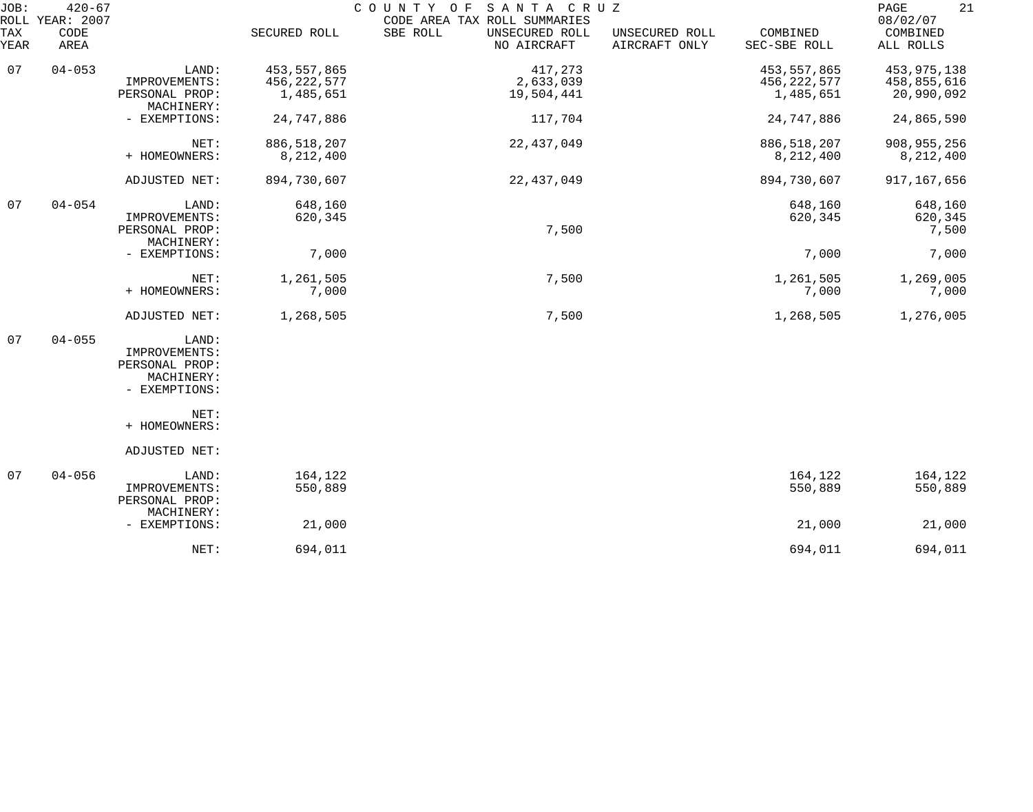| JOB:        | $420 - 67$<br>ROLL YEAR: 2007 |                                                                         |                                             | COUNTY OF<br>SANTA CRUZ<br>CODE AREA TAX ROLL SUMMARIES |                                 |                                             | 21<br>$\mathop{\mathrm{PAGE}}$<br>08/02/07 |
|-------------|-------------------------------|-------------------------------------------------------------------------|---------------------------------------------|---------------------------------------------------------|---------------------------------|---------------------------------------------|--------------------------------------------|
| TAX<br>YEAR | CODE<br>AREA                  |                                                                         | SECURED ROLL                                | SBE ROLL<br>UNSECURED ROLL<br>NO AIRCRAFT               | UNSECURED ROLL<br>AIRCRAFT ONLY | COMBINED<br>SEC-SBE ROLL                    | COMBINED<br>ALL ROLLS                      |
| 07          | $04 - 053$                    | LAND:<br>IMPROVEMENTS:<br>PERSONAL PROP:                                | 453, 557, 865<br>456, 222, 577<br>1,485,651 | 417,273<br>2,633,039<br>19,504,441                      |                                 | 453, 557, 865<br>456, 222, 577<br>1,485,651 | 453,975,138<br>458,855,616<br>20,990,092   |
|             |                               | MACHINERY:<br>- EXEMPTIONS:                                             | 24,747,886                                  | 117,704                                                 |                                 | 24,747,886                                  | 24,865,590                                 |
|             |                               | NET:<br>+ HOMEOWNERS:                                                   | 886, 518, 207<br>8,212,400                  | 22, 437, 049                                            |                                 | 886, 518, 207<br>8,212,400                  | 908, 955, 256<br>8,212,400                 |
|             |                               | ADJUSTED NET:                                                           | 894,730,607                                 | 22,437,049                                              |                                 | 894,730,607                                 | 917, 167, 656                              |
| 07          | $04 - 054$                    | LAND:<br>IMPROVEMENTS:<br>PERSONAL PROP:<br>MACHINERY:                  | 648,160<br>620,345                          | 7,500                                                   |                                 | 648,160<br>620,345                          | 648,160<br>620,345<br>7,500                |
|             |                               | - EXEMPTIONS:                                                           | 7,000                                       |                                                         |                                 | 7,000                                       | 7,000                                      |
|             |                               | NET:<br>+ HOMEOWNERS:                                                   | 1,261,505<br>7,000                          | 7,500                                                   |                                 | 1,261,505<br>7,000                          | 1,269,005<br>7,000                         |
|             |                               | ADJUSTED NET:                                                           | 1,268,505                                   | 7,500                                                   |                                 | 1,268,505                                   | 1,276,005                                  |
| 07          | $04 - 055$                    | LAND:<br>IMPROVEMENTS:<br>PERSONAL PROP:<br>MACHINERY:<br>- EXEMPTIONS: |                                             |                                                         |                                 |                                             |                                            |
|             |                               | NET:<br>+ HOMEOWNERS:                                                   |                                             |                                                         |                                 |                                             |                                            |
|             |                               | ADJUSTED NET:                                                           |                                             |                                                         |                                 |                                             |                                            |
| 07          | $04 - 056$                    | LAND:<br>IMPROVEMENTS:<br>PERSONAL PROP:<br>MACHINERY:                  | 164,122<br>550,889                          |                                                         |                                 | 164,122<br>550,889                          | 164,122<br>550,889                         |
|             |                               | - EXEMPTIONS:                                                           | 21,000                                      |                                                         |                                 | 21,000                                      | 21,000                                     |
|             |                               | NET:                                                                    | 694,011                                     |                                                         |                                 | 694,011                                     | 694,011                                    |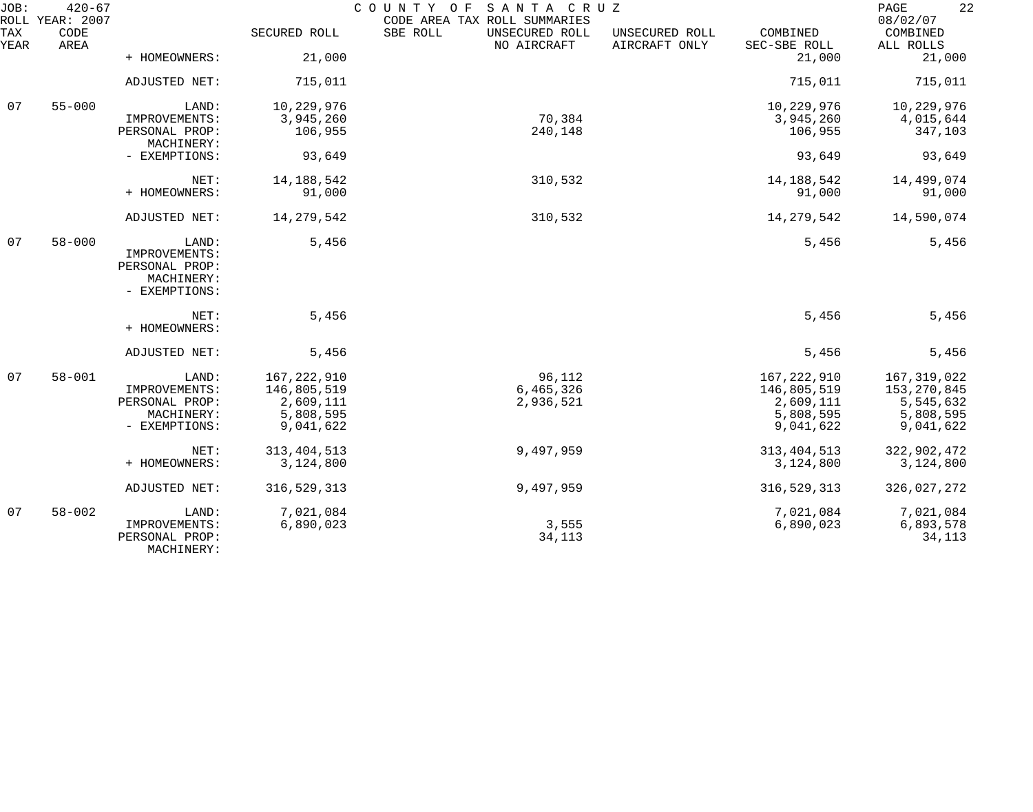| JOB:        | $420 - 67$<br>ROLL YEAR: 2007 |                              |               | COUNTY OF SANTA CRUZ<br>CODE AREA TAX ROLL SUMMARIES |                                 |                          | 22<br>PAGE<br>08/02/07 |
|-------------|-------------------------------|------------------------------|---------------|------------------------------------------------------|---------------------------------|--------------------------|------------------------|
| TAX<br>YEAR | CODE<br>AREA                  |                              | SECURED ROLL  | SBE ROLL<br>UNSECURED ROLL<br>NO AIRCRAFT            | UNSECURED ROLL<br>AIRCRAFT ONLY | COMBINED<br>SEC-SBE ROLL | COMBINED<br>ALL ROLLS  |
|             |                               | + HOMEOWNERS:                | 21,000        |                                                      |                                 | 21,000                   | 21,000                 |
|             |                               | ADJUSTED NET:                | 715,011       |                                                      |                                 | 715,011                  | 715,011                |
| 07          | $55 - 000$                    | LAND:                        | 10,229,976    |                                                      |                                 | 10,229,976               | 10,229,976             |
|             |                               | IMPROVEMENTS:                | 3,945,260     | 70,384                                               |                                 | 3,945,260                | 4,015,644              |
|             |                               | PERSONAL PROP:<br>MACHINERY: | 106,955       | 240,148                                              |                                 | 106,955                  | 347,103                |
|             |                               | - EXEMPTIONS:                | 93,649        |                                                      |                                 | 93,649                   | 93,649                 |
|             |                               | NET:                         | 14, 188, 542  | 310,532                                              |                                 | 14, 188, 542             | 14,499,074             |
|             |                               | + HOMEOWNERS:                | 91,000        |                                                      |                                 | 91,000                   | 91,000                 |
|             |                               | ADJUSTED NET:                | 14, 279, 542  | 310,532                                              |                                 | 14, 279, 542             | 14,590,074             |
| 07          | $58 - 000$                    | LAND:                        | 5,456         |                                                      |                                 | 5,456                    | 5,456                  |
|             |                               | IMPROVEMENTS:                |               |                                                      |                                 |                          |                        |
|             |                               | PERSONAL PROP:               |               |                                                      |                                 |                          |                        |
|             |                               | MACHINERY:                   |               |                                                      |                                 |                          |                        |
|             |                               | - EXEMPTIONS:                |               |                                                      |                                 |                          |                        |
|             |                               | NET:<br>+ HOMEOWNERS:        | 5,456         |                                                      |                                 | 5,456                    | 5,456                  |
|             |                               |                              |               |                                                      |                                 |                          |                        |
|             |                               | ADJUSTED NET:                | 5,456         |                                                      |                                 | 5,456                    | 5,456                  |
| 07          | $58 - 001$                    | LAND:                        | 167, 222, 910 | 96,112                                               |                                 | 167,222,910              | 167, 319, 022          |
|             |                               | IMPROVEMENTS:                | 146,805,519   | 6,465,326                                            |                                 | 146,805,519              | 153, 270, 845          |
|             |                               | PERSONAL PROP:               | 2,609,111     | 2,936,521                                            |                                 | 2,609,111                | 5,545,632              |
|             |                               | MACHINERY:                   | 5,808,595     |                                                      |                                 | 5,808,595                | 5,808,595              |
|             |                               | - EXEMPTIONS:                | 9,041,622     |                                                      |                                 | 9,041,622                | 9,041,622              |
|             |                               | NET:                         | 313, 404, 513 | 9,497,959                                            |                                 | 313, 404, 513            | 322,902,472            |
|             |                               | + HOMEOWNERS:                | 3,124,800     |                                                      |                                 | 3,124,800                | 3,124,800              |
|             |                               | ADJUSTED NET:                | 316, 529, 313 | 9,497,959                                            |                                 | 316, 529, 313            | 326,027,272            |
| 07          | $58 - 002$                    | LAND:                        | 7,021,084     |                                                      |                                 | 7,021,084                | 7,021,084              |
|             |                               | IMPROVEMENTS:                | 6,890,023     | 3,555                                                |                                 | 6,890,023                | 6,893,578              |
|             |                               | PERSONAL PROP:               |               | 34,113                                               |                                 |                          | 34,113                 |
|             |                               | MACHINERY:                   |               |                                                      |                                 |                          |                        |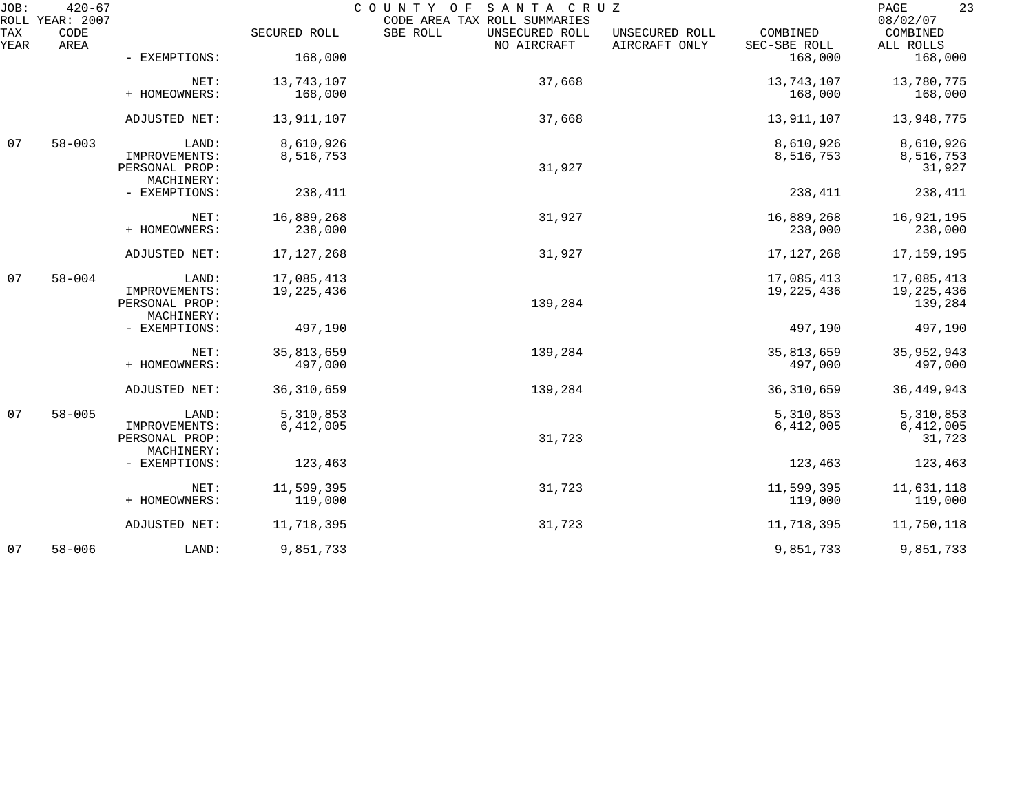| JOB:        | $420 - 67$<br>ROLL YEAR: 2007 |                                               |              | COUNTY OF SANTA CRUZ<br>CODE AREA TAX ROLL SUMMARIES |                                 |                          | 23<br>PAGE<br>08/02/07  |
|-------------|-------------------------------|-----------------------------------------------|--------------|------------------------------------------------------|---------------------------------|--------------------------|-------------------------|
| TAX<br>YEAR | CODE<br>AREA                  |                                               | SECURED ROLL | SBE ROLL<br>UNSECURED ROLL<br>NO AIRCRAFT            | UNSECURED ROLL<br>AIRCRAFT ONLY | COMBINED<br>SEC-SBE ROLL | COMBINED<br>ALL ROLLS   |
|             |                               | - EXEMPTIONS:                                 | 168,000      |                                                      |                                 | 168,000                  | 168,000                 |
|             |                               | NET:                                          | 13,743,107   | 37,668                                               |                                 | 13,743,107               | 13,780,775              |
|             |                               | + HOMEOWNERS:                                 | 168,000      |                                                      |                                 | 168,000                  | 168,000                 |
|             |                               | ADJUSTED NET:                                 | 13,911,107   | 37,668                                               |                                 | 13,911,107               | 13,948,775              |
| 07          | $58 - 003$                    | LAND:                                         | 8,610,926    |                                                      |                                 | 8,610,926                | 8,610,926               |
|             |                               | IMPROVEMENTS:<br>PERSONAL PROP:<br>MACHINERY: | 8,516,753    | 31,927                                               |                                 | 8,516,753                | 8,516,753<br>31,927     |
|             |                               | - EXEMPTIONS:                                 | 238,411      |                                                      |                                 | 238,411                  | 238,411                 |
|             |                               | NET:                                          | 16,889,268   | 31,927                                               |                                 | 16,889,268               | 16,921,195              |
|             |                               | + HOMEOWNERS:                                 | 238,000      |                                                      |                                 | 238,000                  | 238,000                 |
|             |                               | ADJUSTED NET:                                 | 17, 127, 268 | 31,927                                               |                                 | 17, 127, 268             | 17,159,195              |
| 07          | $58 - 004$                    | LAND:                                         | 17,085,413   |                                                      |                                 | 17,085,413               | 17,085,413              |
|             |                               | IMPROVEMENTS:<br>PERSONAL PROP:<br>MACHINERY: | 19, 225, 436 | 139,284                                              |                                 | 19, 225, 436             | 19, 225, 436<br>139,284 |
|             |                               | - EXEMPTIONS:                                 | 497,190      |                                                      |                                 | 497,190                  | 497,190                 |
|             |                               | NET:                                          | 35,813,659   | 139,284                                              |                                 | 35,813,659               | 35,952,943              |
|             |                               | + HOMEOWNERS:                                 | 497,000      |                                                      |                                 | 497,000                  | 497,000                 |
|             |                               | ADJUSTED NET:                                 | 36, 310, 659 | 139,284                                              |                                 | 36, 310, 659             | 36, 449, 943            |
| 07          | $58 - 005$                    | LAND:                                         | 5,310,853    |                                                      |                                 | 5,310,853                | 5,310,853               |
|             |                               | IMPROVEMENTS:<br>PERSONAL PROP:               | 6,412,005    | 31,723                                               |                                 | 6,412,005                | 6,412,005<br>31,723     |
|             |                               | MACHINERY:<br>- EXEMPTIONS:                   | 123,463      |                                                      |                                 | 123,463                  | 123,463                 |
|             |                               | NET:                                          | 11,599,395   | 31,723                                               |                                 | 11,599,395               | 11,631,118              |
|             |                               | + HOMEOWNERS:                                 | 119,000      |                                                      |                                 | 119,000                  | 119,000                 |
|             |                               | ADJUSTED NET:                                 | 11,718,395   | 31,723                                               |                                 | 11,718,395               | 11,750,118              |
| 07          | $58 - 006$                    | LAND:                                         | 9,851,733    |                                                      |                                 | 9,851,733                | 9,851,733               |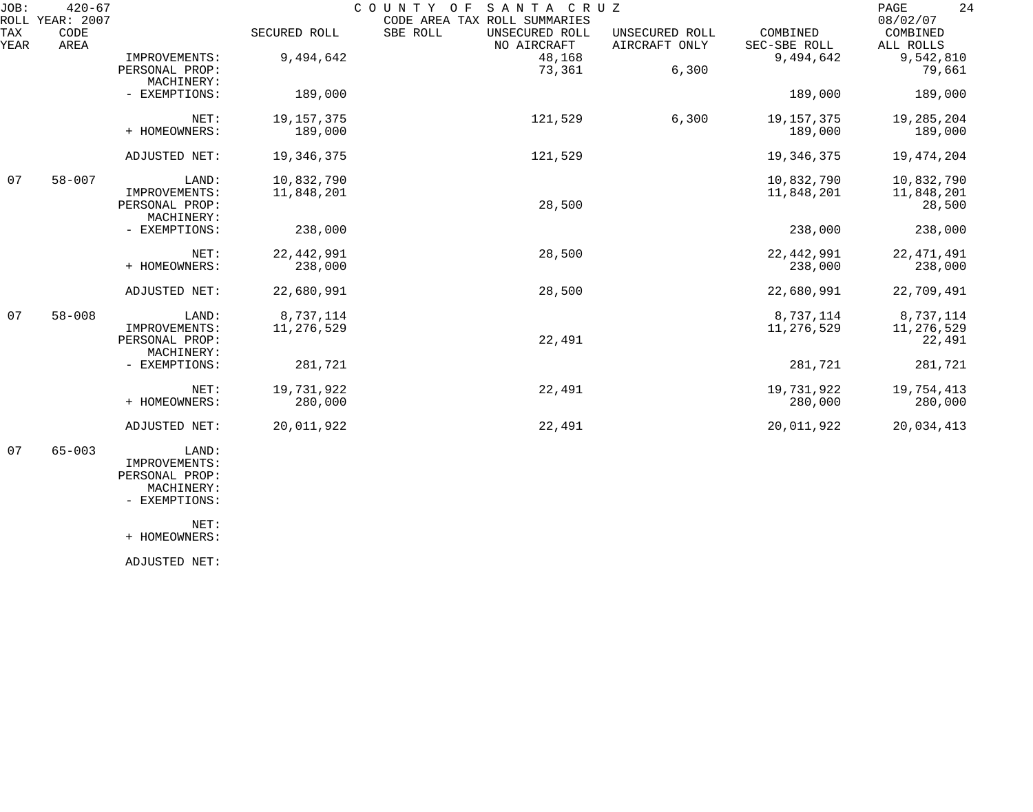| JOB:        | $420 - 67$<br>ROLL YEAR: 2007 |                                                        |                          | SANTA CRUZ<br>COUNTY<br>O F<br>CODE AREA TAX ROLL SUMMARIES |                                 |                          | 24<br>PAGE<br>08/02/07             |
|-------------|-------------------------------|--------------------------------------------------------|--------------------------|-------------------------------------------------------------|---------------------------------|--------------------------|------------------------------------|
| TAX<br>YEAR | CODE<br>AREA                  |                                                        | SECURED ROLL             | SBE ROLL<br>UNSECURED ROLL<br>NO AIRCRAFT                   | UNSECURED ROLL<br>AIRCRAFT ONLY | COMBINED<br>SEC-SBE ROLL | COMBINED                           |
|             |                               | IMPROVEMENTS:<br>PERSONAL PROP:<br>MACHINERY:          | 9,494,642                | 48,168<br>73,361                                            | 6,300                           | 9,494,642                | ALL ROLLS<br>9,542,810<br>79,661   |
|             |                               | - EXEMPTIONS:                                          | 189,000                  |                                                             |                                 | 189,000                  | 189,000                            |
|             |                               | NET:<br>+ HOMEOWNERS:                                  | 19, 157, 375<br>189,000  | 121,529                                                     | 6,300                           | 19, 157, 375<br>189,000  | 19,285,204<br>189,000              |
|             |                               | ADJUSTED NET:                                          | 19, 346, 375             | 121,529                                                     |                                 | 19,346,375               | 19,474,204                         |
| 07          | $58 - 007$                    | LAND:<br>IMPROVEMENTS:<br>PERSONAL PROP:<br>MACHINERY: | 10,832,790<br>11,848,201 | 28,500                                                      |                                 | 10,832,790<br>11,848,201 | 10,832,790<br>11,848,201<br>28,500 |
|             |                               | - EXEMPTIONS:                                          | 238,000                  |                                                             |                                 | 238,000                  | 238,000                            |
|             |                               | NET:<br>+ HOMEOWNERS:                                  | 22, 442, 991<br>238,000  | 28,500                                                      |                                 | 22, 442, 991<br>238,000  | 22, 471, 491<br>238,000            |
|             |                               | ADJUSTED NET:                                          | 22,680,991               | 28,500                                                      |                                 | 22,680,991               | 22,709,491                         |
| 07          | $58 - 008$                    | LAND:<br>IMPROVEMENTS:<br>PERSONAL PROP:<br>MACHINERY: | 8,737,114<br>11,276,529  | 22,491                                                      |                                 | 8,737,114<br>11,276,529  | 8,737,114<br>11,276,529<br>22,491  |
|             |                               | - EXEMPTIONS:                                          | 281,721                  |                                                             |                                 | 281,721                  | 281,721                            |
|             |                               | NET:<br>+ HOMEOWNERS:                                  | 19,731,922<br>280,000    | 22,491                                                      |                                 | 19,731,922<br>280,000    | 19,754,413<br>280,000              |
|             |                               | ADJUSTED NET:                                          | 20,011,922               | 22,491                                                      |                                 | 20,011,922               | 20,034,413                         |
| 07          | $65 - 003$                    | LAND:<br>TMDROVEMENTS:                                 |                          |                                                             |                                 |                          |                                    |

 IMPROVEMENTS: PERSONAL PROP: MACHINERY:

- EXEMPTIONS:

NET:

+ HOMEOWNERS:

ADJUSTED NET: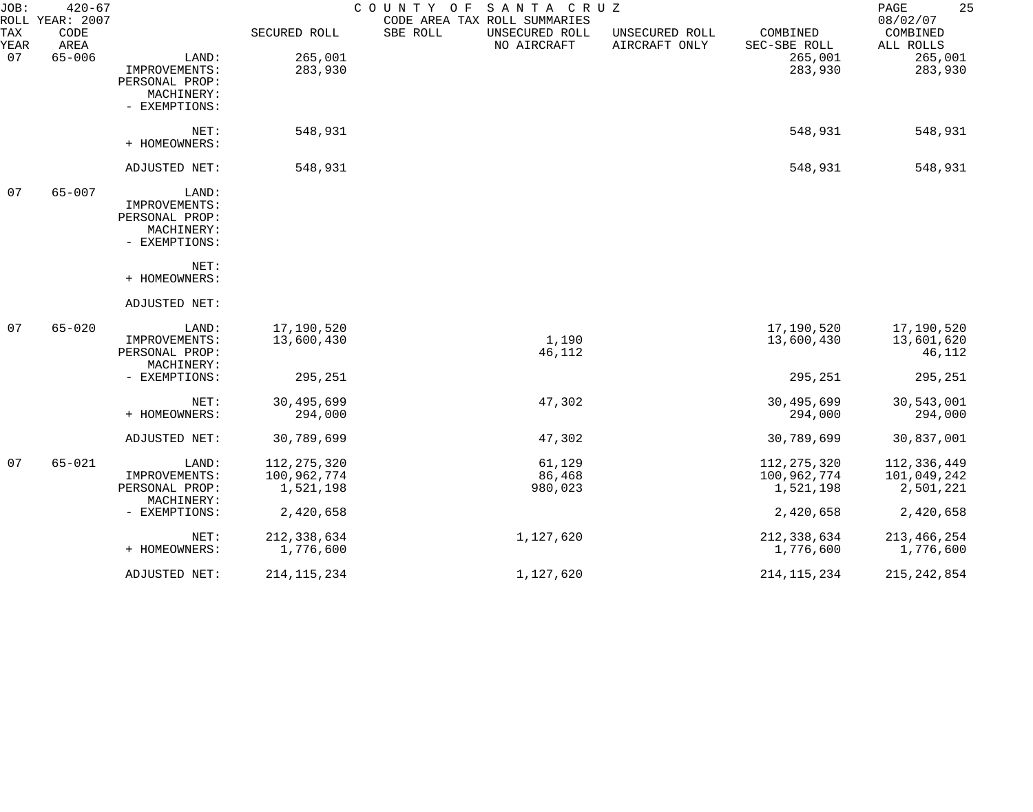| JOB:        | $420 - 67$<br>ROLL YEAR: 2007 |                |               | SANTA CRUZ<br>COUNTY OF<br>CODE AREA TAX ROLL SUMMARIES |                                 |                          | 25<br>PAGE<br>08/02/07 |
|-------------|-------------------------------|----------------|---------------|---------------------------------------------------------|---------------------------------|--------------------------|------------------------|
| TAX<br>YEAR | CODE<br>AREA                  |                | SECURED ROLL  | SBE ROLL<br>UNSECURED ROLL<br>NO AIRCRAFT               | UNSECURED ROLL<br>AIRCRAFT ONLY | COMBINED<br>SEC-SBE ROLL | COMBINED<br>ALL ROLLS  |
| 07          | $65 - 006$                    | LAND:          | 265,001       |                                                         |                                 | 265,001                  | 265,001                |
|             |                               | IMPROVEMENTS:  | 283,930       |                                                         |                                 | 283,930                  | 283,930                |
|             |                               | PERSONAL PROP: |               |                                                         |                                 |                          |                        |
|             |                               | MACHINERY:     |               |                                                         |                                 |                          |                        |
|             |                               | - EXEMPTIONS:  |               |                                                         |                                 |                          |                        |
|             |                               | NET:           | 548,931       |                                                         |                                 | 548,931                  | 548,931                |
|             |                               | + HOMEOWNERS:  |               |                                                         |                                 |                          |                        |
|             |                               | ADJUSTED NET:  | 548,931       |                                                         |                                 | 548,931                  | 548,931                |
| 07          | $65 - 007$                    | LAND:          |               |                                                         |                                 |                          |                        |
|             |                               | IMPROVEMENTS:  |               |                                                         |                                 |                          |                        |
|             |                               | PERSONAL PROP: |               |                                                         |                                 |                          |                        |
|             |                               | MACHINERY:     |               |                                                         |                                 |                          |                        |
|             |                               | - EXEMPTIONS:  |               |                                                         |                                 |                          |                        |
|             |                               | NET:           |               |                                                         |                                 |                          |                        |
|             |                               | + HOMEOWNERS:  |               |                                                         |                                 |                          |                        |
|             |                               | ADJUSTED NET:  |               |                                                         |                                 |                          |                        |
| 07          | $65 - 020$                    | LAND:          | 17,190,520    |                                                         |                                 | 17,190,520               | 17,190,520             |
|             |                               | IMPROVEMENTS:  | 13,600,430    | 1,190                                                   |                                 | 13,600,430               | 13,601,620             |
|             |                               | PERSONAL PROP: |               | 46,112                                                  |                                 |                          | 46,112                 |
|             |                               | MACHINERY:     |               |                                                         |                                 |                          |                        |
|             |                               | - EXEMPTIONS:  | 295,251       |                                                         |                                 | 295,251                  | 295,251                |
|             |                               | NET:           | 30,495,699    | 47,302                                                  |                                 | 30,495,699               | 30,543,001             |
|             |                               | + HOMEOWNERS:  | 294,000       |                                                         |                                 | 294,000                  | 294,000                |
|             |                               | ADJUSTED NET:  | 30,789,699    | 47,302                                                  |                                 | 30,789,699               | 30,837,001             |
| 07          | $65 - 021$                    | LAND:          | 112, 275, 320 | 61,129                                                  |                                 | 112, 275, 320            | 112,336,449            |
|             |                               | IMPROVEMENTS:  | 100,962,774   | 86,468                                                  |                                 | 100,962,774              | 101,049,242            |
|             |                               | PERSONAL PROP: | 1,521,198     | 980,023                                                 |                                 | 1,521,198                | 2,501,221              |
|             |                               | MACHINERY:     |               |                                                         |                                 |                          |                        |
|             |                               | - EXEMPTIONS:  | 2,420,658     |                                                         |                                 | 2,420,658                | 2,420,658              |
|             |                               | NET:           | 212, 338, 634 | 1,127,620                                               |                                 | 212,338,634              | 213, 466, 254          |
|             |                               | + HOMEOWNERS:  | 1,776,600     |                                                         |                                 | 1,776,600                | 1,776,600              |
|             |                               | ADJUSTED NET:  | 214, 115, 234 | 1,127,620                                               |                                 | 214, 115, 234            | 215, 242, 854          |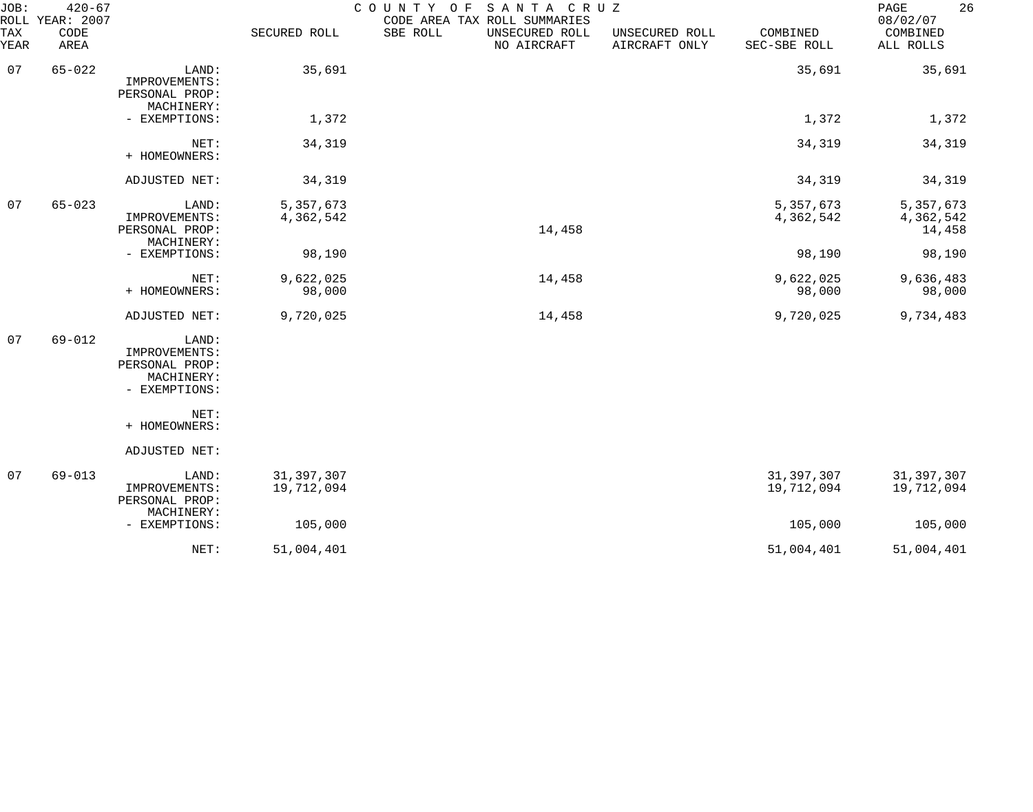| JOB:             | $420 - 67$<br>ROLL YEAR: 2007 |                                                                         |                            | COUNTY OF<br>SANTA CRUZ<br>CODE AREA TAX ROLL SUMMARIES |                                 |                            | 26<br>PAGE<br>08/02/07           |
|------------------|-------------------------------|-------------------------------------------------------------------------|----------------------------|---------------------------------------------------------|---------------------------------|----------------------------|----------------------------------|
| TAX<br>YEAR      | CODE<br>AREA                  |                                                                         | SECURED ROLL               | SBE ROLL<br>UNSECURED ROLL<br>NO AIRCRAFT               | UNSECURED ROLL<br>AIRCRAFT ONLY | COMBINED<br>SEC-SBE ROLL   | COMBINED<br>ALL ROLLS            |
| 07<br>$65 - 022$ |                               | LAND:<br>IMPROVEMENTS:<br>PERSONAL PROP:<br>MACHINERY:                  | 35,691                     |                                                         |                                 | 35,691                     | 35,691                           |
|                  |                               | - EXEMPTIONS:                                                           | 1,372                      |                                                         |                                 | 1,372                      | 1,372                            |
|                  |                               | NET:<br>+ HOMEOWNERS:                                                   | 34,319                     |                                                         |                                 | 34,319                     | 34,319                           |
|                  |                               | ADJUSTED NET:                                                           | 34,319                     |                                                         |                                 | 34,319                     | 34,319                           |
| 07               | $65 - 023$                    | LAND:<br>IMPROVEMENTS:<br>PERSONAL PROP:<br>MACHINERY:                  | 5,357,673<br>4,362,542     | 14,458                                                  |                                 | 5,357,673<br>4,362,542     | 5,357,673<br>4,362,542<br>14,458 |
|                  |                               | - EXEMPTIONS:                                                           | 98,190                     |                                                         |                                 | 98,190                     | 98,190                           |
|                  |                               | NET:<br>+ HOMEOWNERS:                                                   | 9,622,025<br>98,000        | 14,458                                                  |                                 | 9,622,025<br>98,000        | 9,636,483<br>98,000              |
|                  |                               | ADJUSTED NET:                                                           | 9,720,025                  | 14,458                                                  |                                 | 9,720,025                  | 9,734,483                        |
| 07               | $69 - 012$                    | LAND:<br>IMPROVEMENTS:<br>PERSONAL PROP:<br>MACHINERY:<br>- EXEMPTIONS: |                            |                                                         |                                 |                            |                                  |
|                  |                               | NET:<br>+ HOMEOWNERS:                                                   |                            |                                                         |                                 |                            |                                  |
|                  |                               | ADJUSTED NET:                                                           |                            |                                                         |                                 |                            |                                  |
| 07               | $69 - 013$                    | LAND:<br>IMPROVEMENTS:<br>PERSONAL PROP:                                | 31, 397, 307<br>19,712,094 |                                                         |                                 | 31, 397, 307<br>19,712,094 | 31, 397, 307<br>19,712,094       |
|                  |                               | MACHINERY:<br>- EXEMPTIONS:                                             | 105,000                    |                                                         |                                 | 105,000                    | 105,000                          |
|                  |                               | NET:                                                                    | 51,004,401                 |                                                         |                                 | 51,004,401                 | 51,004,401                       |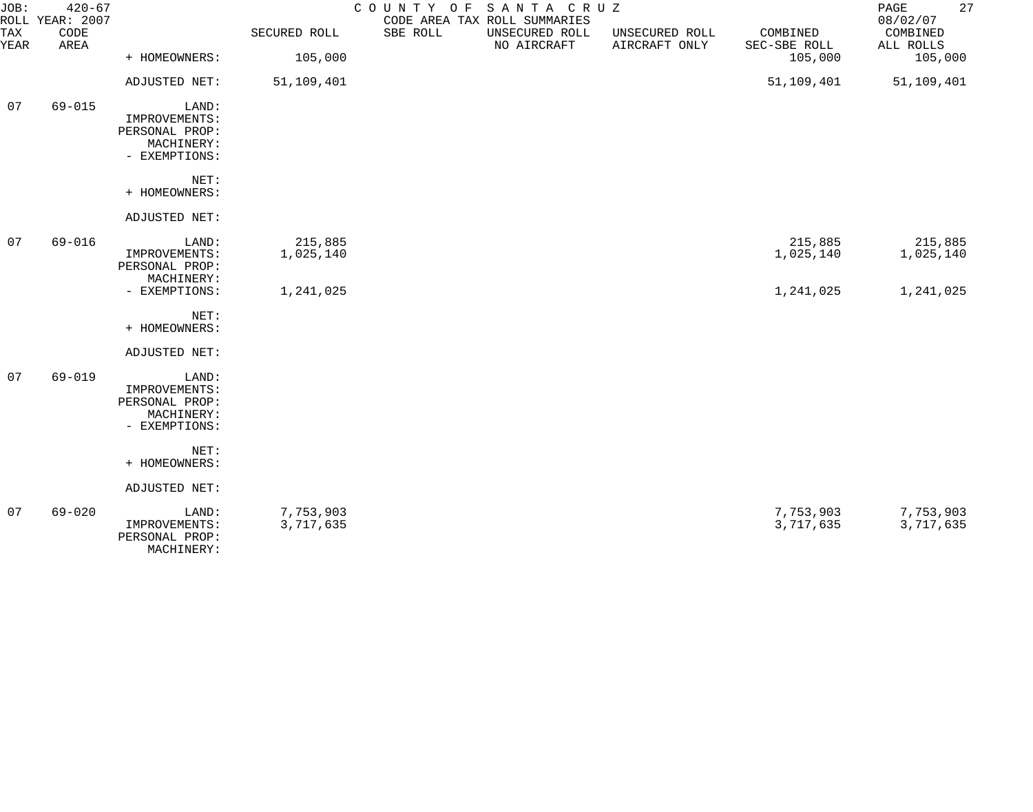| JOB:             | $420 - 67$<br>ROLL YEAR: 2007                                           |                                                                         |                        | COUNTY OF | SANTA CRUZ<br>CODE AREA TAX ROLL SUMMARIES |                                 |                          | 27<br>PAGE<br>08/02/07 |
|------------------|-------------------------------------------------------------------------|-------------------------------------------------------------------------|------------------------|-----------|--------------------------------------------|---------------------------------|--------------------------|------------------------|
| TAX<br>YEAR      | CODE<br>AREA                                                            |                                                                         | SECURED ROLL           | SBE ROLL  | UNSECURED ROLL<br>NO AIRCRAFT              | UNSECURED ROLL<br>AIRCRAFT ONLY | COMBINED<br>SEC-SBE ROLL | COMBINED<br>ALL ROLLS  |
|                  |                                                                         | + HOMEOWNERS:                                                           | 105,000                |           |                                            |                                 | 105,000                  | 105,000                |
|                  |                                                                         | ADJUSTED NET:                                                           | 51,109,401             |           |                                            |                                 | 51,109,401               | 51,109,401             |
| 07<br>$69 - 015$ | LAND:<br>IMPROVEMENTS:<br>PERSONAL PROP:<br>MACHINERY:<br>- EXEMPTIONS: |                                                                         |                        |           |                                            |                                 |                          |                        |
|                  |                                                                         | NET:<br>+ HOMEOWNERS:                                                   |                        |           |                                            |                                 |                          |                        |
|                  |                                                                         | ADJUSTED NET:                                                           |                        |           |                                            |                                 |                          |                        |
| 07               | $69 - 016$                                                              | LAND:<br>IMPROVEMENTS:<br>PERSONAL PROP:                                | 215,885<br>1,025,140   |           |                                            |                                 | 215,885<br>1,025,140     | 215,885<br>1,025,140   |
|                  |                                                                         | MACHINERY:<br>- EXEMPTIONS:                                             | 1,241,025              |           |                                            |                                 | 1,241,025                | 1,241,025              |
|                  |                                                                         | NET:<br>+ HOMEOWNERS:                                                   |                        |           |                                            |                                 |                          |                        |
|                  |                                                                         | ADJUSTED NET:                                                           |                        |           |                                            |                                 |                          |                        |
| 07               | $69 - 019$                                                              | LAND:<br>IMPROVEMENTS:<br>PERSONAL PROP:<br>MACHINERY:<br>- EXEMPTIONS: |                        |           |                                            |                                 |                          |                        |
|                  |                                                                         | NET:<br>+ HOMEOWNERS:                                                   |                        |           |                                            |                                 |                          |                        |
|                  |                                                                         | ADJUSTED NET:                                                           |                        |           |                                            |                                 |                          |                        |
| 07               | $69 - 020$                                                              | LAND:<br>IMPROVEMENTS:<br>PERSONAL PROP:                                | 7,753,903<br>3,717,635 |           |                                            |                                 | 7,753,903<br>3,717,635   | 7,753,903<br>3,717,635 |

MACHINERY: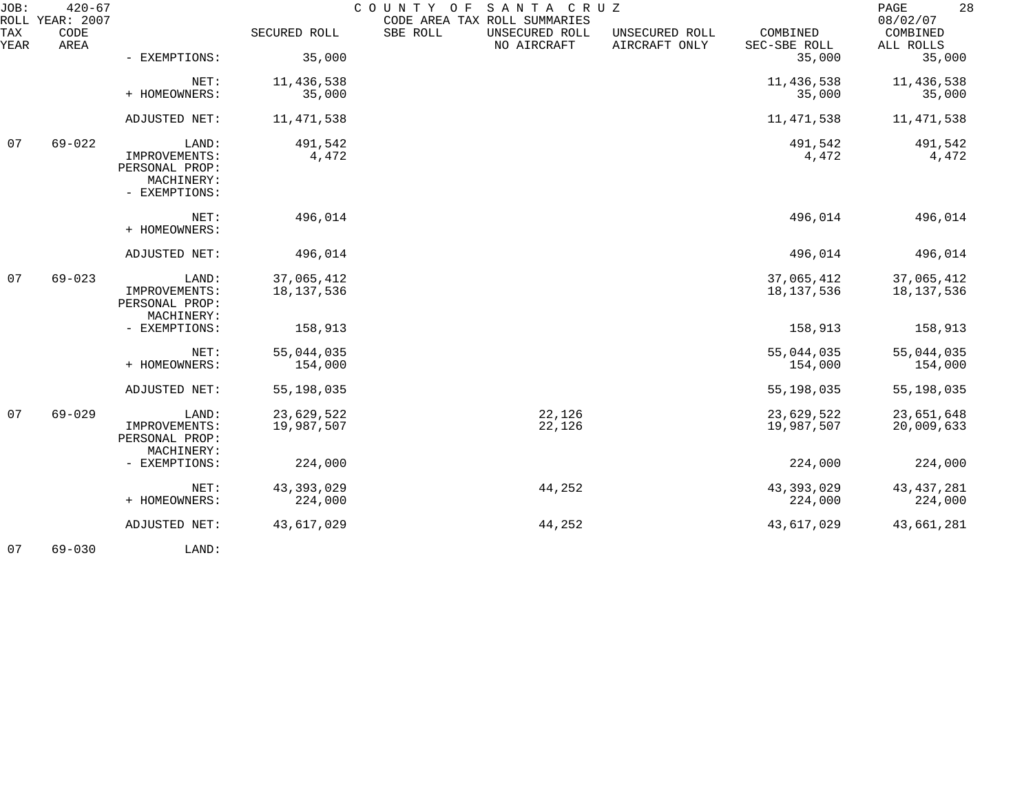| JOB:             | $420 - 67$<br>ROLL YEAR: 2007 |                                                                         |                          | SANTA CRUZ<br>COUNTY OF<br>CODE AREA TAX ROLL SUMMARIES |                                 |                            | 28<br>PAGE<br>08/02/07   |
|------------------|-------------------------------|-------------------------------------------------------------------------|--------------------------|---------------------------------------------------------|---------------------------------|----------------------------|--------------------------|
| TAX<br>YEAR      | CODE<br>AREA                  |                                                                         | SECURED ROLL             | SBE ROLL<br>UNSECURED ROLL<br>NO AIRCRAFT               | UNSECURED ROLL<br>AIRCRAFT ONLY | COMBINED<br>SEC-SBE ROLL   | COMBINED<br>ALL ROLLS    |
|                  |                               | - EXEMPTIONS:                                                           | 35,000                   |                                                         |                                 | 35,000                     | 35,000                   |
|                  |                               | NET:<br>+ HOMEOWNERS:                                                   | 11,436,538<br>35,000     |                                                         |                                 | 11,436,538<br>35,000       | 11,436,538<br>35,000     |
|                  |                               | ADJUSTED NET:                                                           | 11,471,538               |                                                         |                                 | 11, 471, 538               | 11,471,538               |
| $69 - 022$<br>07 |                               | LAND:<br>IMPROVEMENTS:<br>PERSONAL PROP:<br>MACHINERY:<br>- EXEMPTIONS: | 491,542<br>4,472         |                                                         |                                 | 491,542<br>4,472           | 491,542<br>4,472         |
|                  |                               | NET:<br>+ HOMEOWNERS:                                                   | 496,014                  |                                                         |                                 | 496,014                    | 496,014                  |
|                  |                               | ADJUSTED NET:                                                           | 496,014                  |                                                         |                                 | 496,014                    | 496,014                  |
| 07               | $69 - 023$                    | LAND:<br>IMPROVEMENTS:<br>PERSONAL PROP:<br>MACHINERY:                  | 37,065,412<br>18,137,536 |                                                         |                                 | 37,065,412<br>18, 137, 536 | 37,065,412<br>18,137,536 |
|                  |                               | - EXEMPTIONS:                                                           | 158,913                  |                                                         |                                 | 158,913                    | 158,913                  |
|                  |                               | NET:<br>+ HOMEOWNERS:                                                   | 55,044,035<br>154,000    |                                                         |                                 | 55,044,035<br>154,000      | 55,044,035<br>154,000    |
|                  |                               | ADJUSTED NET:                                                           | 55,198,035               |                                                         |                                 | 55,198,035                 | 55,198,035               |
| 07               | $69 - 029$                    | LAND:<br>IMPROVEMENTS:<br>PERSONAL PROP:<br>MACHINERY:                  | 23,629,522<br>19,987,507 | 22,126<br>22,126                                        |                                 | 23,629,522<br>19,987,507   | 23,651,648<br>20,009,633 |
|                  |                               | - EXEMPTIONS:                                                           | 224,000                  |                                                         |                                 | 224,000                    | 224,000                  |
|                  |                               | NET:<br>+ HOMEOWNERS:                                                   | 43, 393, 029<br>224,000  | 44,252                                                  |                                 | 43, 393, 029<br>224,000    | 43, 437, 281<br>224,000  |
|                  |                               | ADJUSTED NET:                                                           | 43,617,029               | 44,252                                                  |                                 | 43,617,029                 | 43,661,281               |
|                  |                               |                                                                         |                          |                                                         |                                 |                            |                          |

07 69-030 LAND: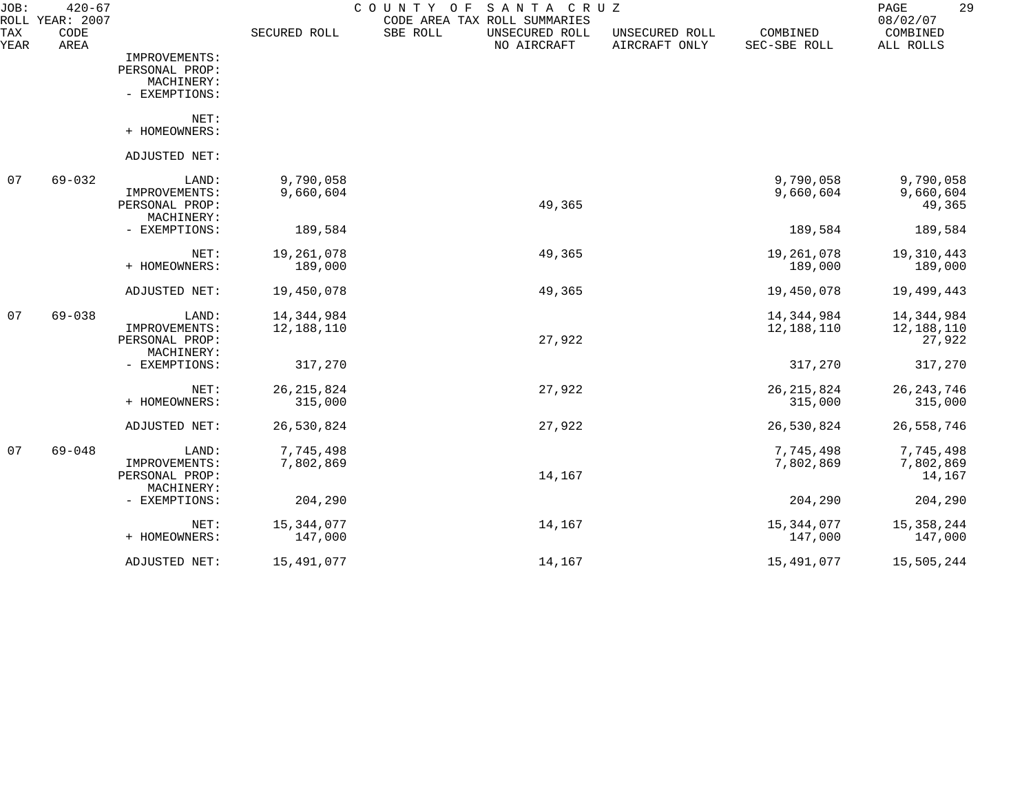| JOB:        | $420 - 67$<br>ROLL YEAR: 2007 |                              |                       | SANTA CRUZ<br>COUNTY<br>O F<br>CODE AREA TAX ROLL SUMMARIES |                                 |                          | 29<br>PAGE<br>08/02/07 |
|-------------|-------------------------------|------------------------------|-----------------------|-------------------------------------------------------------|---------------------------------|--------------------------|------------------------|
| TAX<br>YEAR | CODE<br>AREA                  |                              | SECURED ROLL          | SBE ROLL<br>UNSECURED ROLL<br>NO AIRCRAFT                   | UNSECURED ROLL<br>AIRCRAFT ONLY | COMBINED<br>SEC-SBE ROLL | COMBINED<br>ALL ROLLS  |
|             |                               | IMPROVEMENTS:                |                       |                                                             |                                 |                          |                        |
|             |                               | PERSONAL PROP:               |                       |                                                             |                                 |                          |                        |
|             |                               | MACHINERY:<br>- EXEMPTIONS:  |                       |                                                             |                                 |                          |                        |
|             |                               |                              |                       |                                                             |                                 |                          |                        |
|             |                               | NET:                         |                       |                                                             |                                 |                          |                        |
|             |                               | + HOMEOWNERS:                |                       |                                                             |                                 |                          |                        |
|             |                               | ADJUSTED NET:                |                       |                                                             |                                 |                          |                        |
| 07          | $69 - 032$                    | LAND:                        | 9,790,058             |                                                             |                                 | 9,790,058                | 9,790,058              |
|             |                               | IMPROVEMENTS:                | 9,660,604             |                                                             |                                 | 9,660,604                | 9,660,604              |
|             |                               | PERSONAL PROP:<br>MACHINERY: |                       | 49,365                                                      |                                 |                          | 49,365                 |
|             |                               | - EXEMPTIONS:                | 189,584               |                                                             |                                 | 189,584                  | 189,584                |
|             |                               |                              |                       |                                                             |                                 |                          |                        |
|             |                               | NET:<br>+ HOMEOWNERS:        | 19,261,078<br>189,000 | 49,365                                                      |                                 | 19,261,078<br>189,000    | 19,310,443<br>189,000  |
|             |                               |                              |                       |                                                             |                                 |                          |                        |
|             |                               | ADJUSTED NET:                | 19,450,078            | 49,365                                                      |                                 | 19,450,078               | 19,499,443             |
| 07          | $69 - 038$                    | LAND:                        | 14,344,984            |                                                             |                                 | 14,344,984               | 14, 344, 984           |
|             |                               | IMPROVEMENTS:                | 12,188,110            |                                                             |                                 | 12,188,110               | 12,188,110             |
|             |                               | PERSONAL PROP:               |                       | 27,922                                                      |                                 |                          | 27,922                 |
|             |                               | MACHINERY:<br>- EXEMPTIONS:  | 317,270               |                                                             |                                 | 317,270                  | 317,270                |
|             |                               |                              |                       |                                                             |                                 |                          |                        |
|             |                               | NET:                         | 26, 215, 824          | 27,922                                                      |                                 | 26, 215, 824             | 26, 243, 746           |
|             |                               | + HOMEOWNERS:                | 315,000               |                                                             |                                 | 315,000                  | 315,000                |
|             |                               | ADJUSTED NET:                | 26,530,824            | 27,922                                                      |                                 | 26,530,824               | 26,558,746             |
| 07          | $69 - 048$                    | LAND:                        | 7,745,498             |                                                             |                                 | 7,745,498                | 7,745,498              |
|             |                               | IMPROVEMENTS:                | 7,802,869             |                                                             |                                 | 7,802,869                | 7,802,869              |
|             |                               | PERSONAL PROP:               |                       | 14,167                                                      |                                 |                          | 14,167                 |
|             |                               | MACHINERY:<br>- EXEMPTIONS:  | 204,290               |                                                             |                                 | 204,290                  | 204,290                |
|             |                               |                              |                       |                                                             |                                 |                          |                        |
|             |                               | NET:                         | 15, 344, 077          | 14,167                                                      |                                 | 15,344,077               | 15, 358, 244           |
|             |                               | + HOMEOWNERS:                | 147,000               |                                                             |                                 | 147,000                  | 147,000                |
|             |                               | ADJUSTED NET:                | 15,491,077            | 14,167                                                      |                                 | 15,491,077               | 15,505,244             |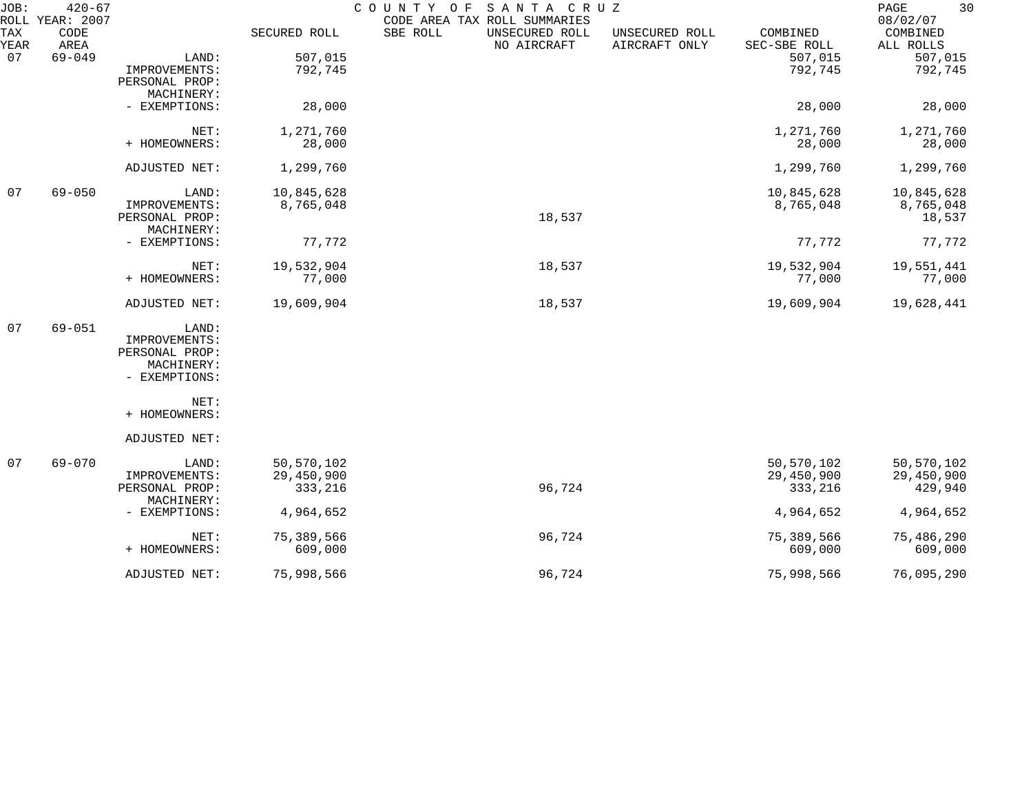| JOB:        | $420 - 67$<br>ROLL YEAR: 2007 |                              |              | COUNTY OF<br>SANTA CRUZ<br>CODE AREA TAX ROLL SUMMARIES |                                 |                          | 30<br>PAGE<br>08/02/07 |
|-------------|-------------------------------|------------------------------|--------------|---------------------------------------------------------|---------------------------------|--------------------------|------------------------|
| TAX<br>YEAR | CODE<br>AREA                  |                              | SECURED ROLL | SBE ROLL<br>UNSECURED ROLL<br>NO AIRCRAFT               | UNSECURED ROLL<br>AIRCRAFT ONLY | COMBINED<br>SEC-SBE ROLL | COMBINED<br>ALL ROLLS  |
| 07          | $69 - 049$                    | LAND:                        | 507,015      |                                                         |                                 | 507,015                  | 507,015                |
|             |                               | IMPROVEMENTS:                | 792,745      |                                                         |                                 | 792,745                  | 792,745                |
|             |                               | PERSONAL PROP:               |              |                                                         |                                 |                          |                        |
|             |                               | MACHINERY:                   |              |                                                         |                                 |                          |                        |
|             |                               | - EXEMPTIONS:                | 28,000       |                                                         |                                 | 28,000                   | 28,000                 |
|             |                               | NET:                         | 1,271,760    |                                                         |                                 | 1,271,760                | 1,271,760              |
|             |                               | + HOMEOWNERS:                | 28,000       |                                                         |                                 | 28,000                   | 28,000                 |
|             |                               | ADJUSTED NET:                | 1,299,760    |                                                         |                                 | 1,299,760                | 1,299,760              |
| 07          | $69 - 050$                    | LAND:                        | 10,845,628   |                                                         |                                 | 10,845,628               | 10,845,628             |
|             |                               | IMPROVEMENTS:                | 8,765,048    |                                                         |                                 | 8,765,048                | 8,765,048              |
|             |                               | PERSONAL PROP:               |              | 18,537                                                  |                                 |                          | 18,537                 |
|             |                               | MACHINERY:                   |              |                                                         |                                 |                          |                        |
|             |                               | - EXEMPTIONS:                | 77,772       |                                                         |                                 | 77,772                   | 77,772                 |
|             |                               | NET:                         | 19,532,904   | 18,537                                                  |                                 | 19,532,904               | 19,551,441             |
|             |                               | + HOMEOWNERS:                | 77,000       |                                                         |                                 | 77,000                   | 77,000                 |
|             |                               | ADJUSTED NET:                | 19,609,904   | 18,537                                                  |                                 | 19,609,904               | 19,628,441             |
| 07          | $69 - 051$                    | LAND:                        |              |                                                         |                                 |                          |                        |
|             |                               | IMPROVEMENTS:                |              |                                                         |                                 |                          |                        |
|             |                               | PERSONAL PROP:               |              |                                                         |                                 |                          |                        |
|             |                               | MACHINERY:                   |              |                                                         |                                 |                          |                        |
|             |                               | - EXEMPTIONS:                |              |                                                         |                                 |                          |                        |
|             |                               | NET:                         |              |                                                         |                                 |                          |                        |
|             |                               | + HOMEOWNERS:                |              |                                                         |                                 |                          |                        |
|             |                               | ADJUSTED NET:                |              |                                                         |                                 |                          |                        |
| 07          | $69 - 070$                    | LAND:                        | 50,570,102   |                                                         |                                 | 50,570,102               | 50,570,102             |
|             |                               | IMPROVEMENTS:                | 29,450,900   |                                                         |                                 | 29,450,900               | 29,450,900             |
|             |                               | PERSONAL PROP:<br>MACHINERY: | 333,216      | 96,724                                                  |                                 | 333,216                  | 429,940                |
|             |                               | - EXEMPTIONS:                | 4,964,652    |                                                         |                                 | 4,964,652                | 4,964,652              |
|             |                               | NET:                         | 75,389,566   | 96,724                                                  |                                 | 75,389,566               | 75,486,290             |
|             |                               | + HOMEOWNERS:                | 609,000      |                                                         |                                 | 609,000                  | 609,000                |
|             |                               | ADJUSTED NET:                | 75,998,566   | 96,724                                                  |                                 | 75,998,566               | 76,095,290             |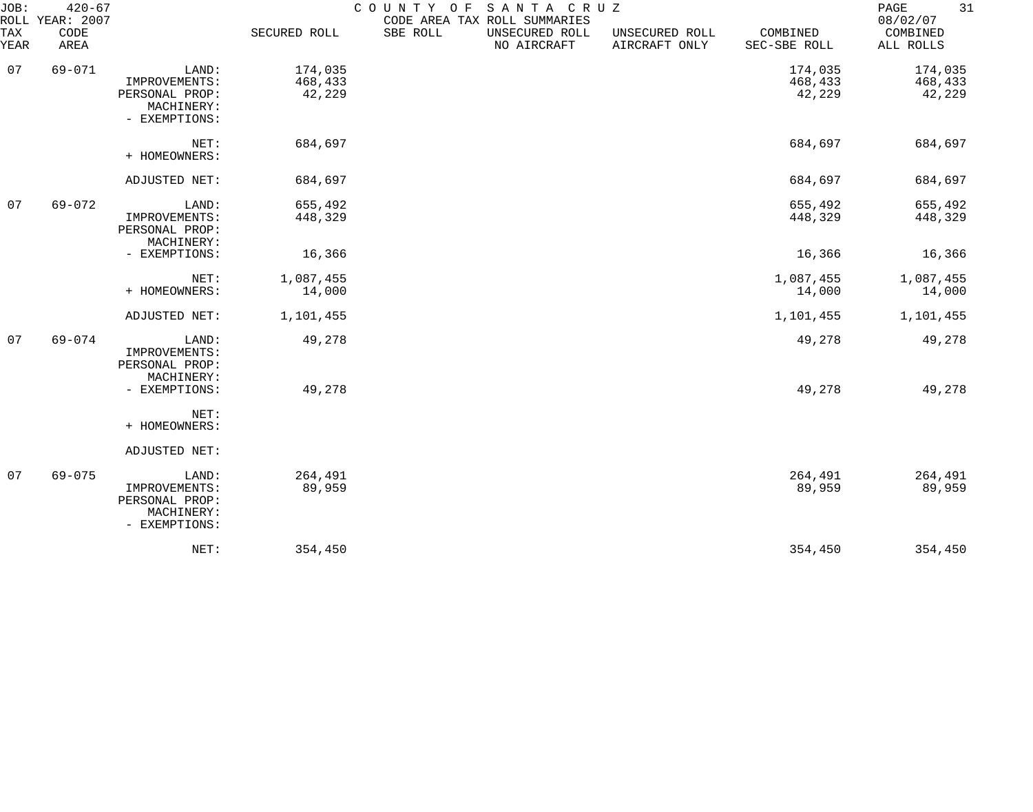| JOB:<br>TAX<br>YEAR | $420 - 67$<br>ROLL YEAR: 2007<br>CODE<br>AREA |                                                                         | SECURED ROLL                 | COUNTY OF<br>SBE ROLL | SANTA CRUZ<br>CODE AREA TAX ROLL SUMMARIES<br>UNSECURED ROLL<br>NO AIRCRAFT | UNSECURED ROLL<br>AIRCRAFT ONLY | COMBINED<br>SEC-SBE ROLL     | 31<br>PAGE<br>08/02/07<br>COMBINED<br>ALL ROLLS |
|---------------------|-----------------------------------------------|-------------------------------------------------------------------------|------------------------------|-----------------------|-----------------------------------------------------------------------------|---------------------------------|------------------------------|-------------------------------------------------|
| 07                  | $69 - 071$                                    | LAND:<br>IMPROVEMENTS:<br>PERSONAL PROP:<br>MACHINERY:<br>- EXEMPTIONS: | 174,035<br>468,433<br>42,229 |                       |                                                                             |                                 | 174,035<br>468,433<br>42,229 | 174,035<br>468,433<br>42,229                    |
|                     |                                               | NET:<br>+ HOMEOWNERS:                                                   | 684,697                      |                       |                                                                             |                                 | 684,697                      | 684,697                                         |
|                     |                                               | ADJUSTED NET:                                                           | 684,697                      |                       |                                                                             |                                 | 684,697                      | 684,697                                         |
| 07                  | $69 - 072$                                    | LAND:<br>IMPROVEMENTS:<br>PERSONAL PROP:<br>MACHINERY:                  | 655,492<br>448,329           |                       |                                                                             |                                 | 655,492<br>448,329           | 655,492<br>448,329                              |
|                     |                                               | - EXEMPTIONS:                                                           | 16,366                       |                       |                                                                             |                                 | 16,366                       | 16,366                                          |
|                     |                                               | NET:<br>+ HOMEOWNERS:                                                   | 1,087,455<br>14,000          |                       |                                                                             |                                 | 1,087,455<br>14,000          | 1,087,455<br>14,000                             |
|                     |                                               | ADJUSTED NET:                                                           | 1,101,455                    |                       |                                                                             |                                 | 1,101,455                    | 1,101,455                                       |
| 07                  | $69 - 074$                                    | LAND:<br>IMPROVEMENTS:<br>PERSONAL PROP:<br>MACHINERY:                  | 49,278                       |                       |                                                                             |                                 | 49,278                       | 49,278                                          |
|                     |                                               | - EXEMPTIONS:<br>NET:<br>+ HOMEOWNERS:                                  | 49,278                       |                       |                                                                             |                                 | 49,278                       | 49,278                                          |
|                     |                                               | ADJUSTED NET:                                                           |                              |                       |                                                                             |                                 |                              |                                                 |
| 07                  | $69 - 075$                                    | LAND:<br>IMPROVEMENTS:<br>PERSONAL PROP:<br>MACHINERY:<br>- EXEMPTIONS: | 264,491<br>89,959            |                       |                                                                             |                                 | 264,491<br>89,959            | 264,491<br>89,959                               |
|                     |                                               | NET:                                                                    | 354,450                      |                       |                                                                             |                                 | 354,450                      | 354,450                                         |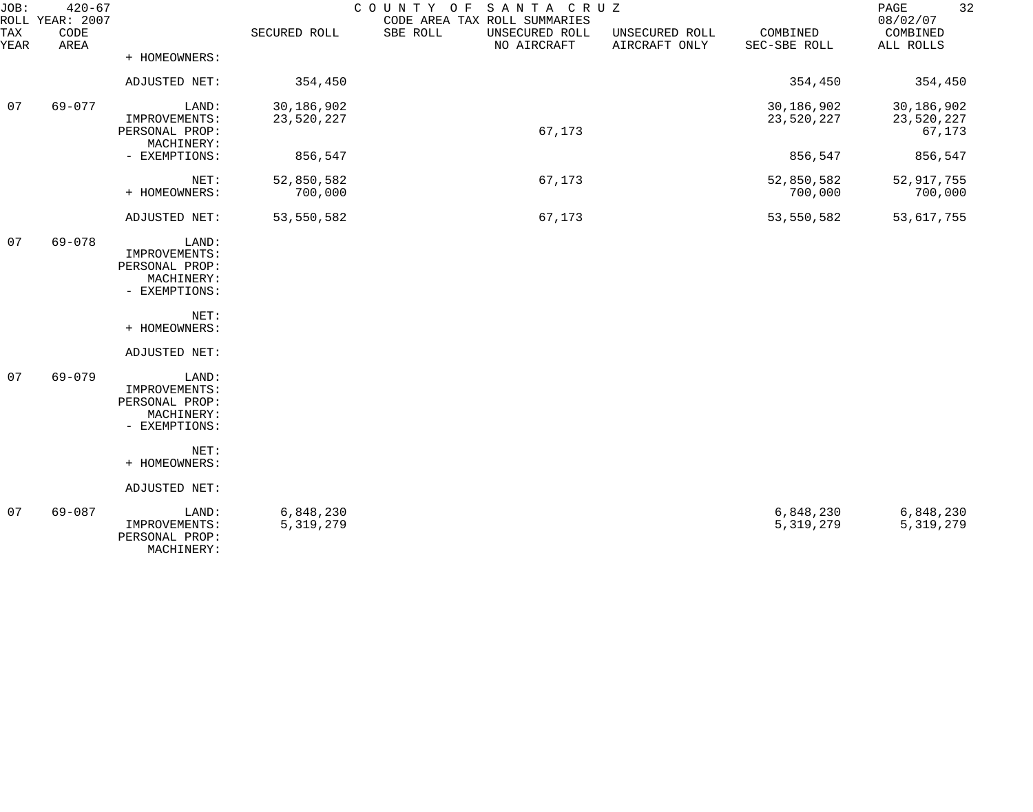| JOB:        | $420 - 67$<br>ROLL YEAR: 2007 |                                 |              | COUNTY OF SANTA CRUZ<br>CODE AREA TAX ROLL SUMMARIES |                                 |                          | 32<br>PAGE<br>08/02/07 |
|-------------|-------------------------------|---------------------------------|--------------|------------------------------------------------------|---------------------------------|--------------------------|------------------------|
| TAX<br>YEAR | CODE<br>AREA                  |                                 | SECURED ROLL | SBE ROLL<br>UNSECURED ROLL<br>NO AIRCRAFT            | UNSECURED ROLL<br>AIRCRAFT ONLY | COMBINED<br>SEC-SBE ROLL | COMBINED<br>ALL ROLLS  |
|             |                               | + HOMEOWNERS:                   |              |                                                      |                                 |                          |                        |
|             |                               | ADJUSTED NET:                   | 354,450      |                                                      |                                 | 354,450                  | 354,450                |
| 07          | 69-077                        | LAND:                           | 30,186,902   |                                                      |                                 | 30,186,902               | 30,186,902             |
|             |                               | IMPROVEMENTS:<br>PERSONAL PROP: | 23,520,227   | 67,173                                               |                                 | 23,520,227               | 23,520,227             |
|             |                               | MACHINERY:                      |              |                                                      |                                 |                          | 67,173                 |
|             |                               | - EXEMPTIONS:                   | 856,547      |                                                      |                                 | 856,547                  | 856,547                |
|             |                               | NET:                            | 52,850,582   | 67,173                                               |                                 | 52,850,582               | 52, 917, 755           |
|             |                               | + HOMEOWNERS:                   | 700,000      |                                                      |                                 | 700,000                  | 700,000                |
|             |                               | ADJUSTED NET:                   | 53,550,582   | 67,173                                               |                                 | 53,550,582               | 53,617,755             |
| 07          | 69-078                        | LAND:                           |              |                                                      |                                 |                          |                        |
|             |                               | IMPROVEMENTS:                   |              |                                                      |                                 |                          |                        |
|             |                               | PERSONAL PROP:<br>MACHINERY:    |              |                                                      |                                 |                          |                        |
|             |                               | - EXEMPTIONS:                   |              |                                                      |                                 |                          |                        |
|             |                               | NET:                            |              |                                                      |                                 |                          |                        |
|             |                               | + HOMEOWNERS:                   |              |                                                      |                                 |                          |                        |
|             |                               | ADJUSTED NET:                   |              |                                                      |                                 |                          |                        |
| 07          | $69 - 079$                    | LAND:                           |              |                                                      |                                 |                          |                        |
|             |                               | IMPROVEMENTS:<br>PERSONAL PROP: |              |                                                      |                                 |                          |                        |
|             |                               | MACHINERY:                      |              |                                                      |                                 |                          |                        |
|             |                               | - EXEMPTIONS:                   |              |                                                      |                                 |                          |                        |
|             |                               | NET:                            |              |                                                      |                                 |                          |                        |
|             |                               | + HOMEOWNERS:                   |              |                                                      |                                 |                          |                        |
|             |                               | ADJUSTED NET:                   |              |                                                      |                                 |                          |                        |
| 07          | $69 - 087$                    | LAND:                           | 6,848,230    |                                                      |                                 | 6,848,230                | 6,848,230              |
|             |                               | IMPROVEMENTS:<br>PERSONAL PROP: | 5, 319, 279  |                                                      |                                 | 5, 319, 279              | 5, 319, 279            |
|             |                               | MACHINERY:                      |              |                                                      |                                 |                          |                        |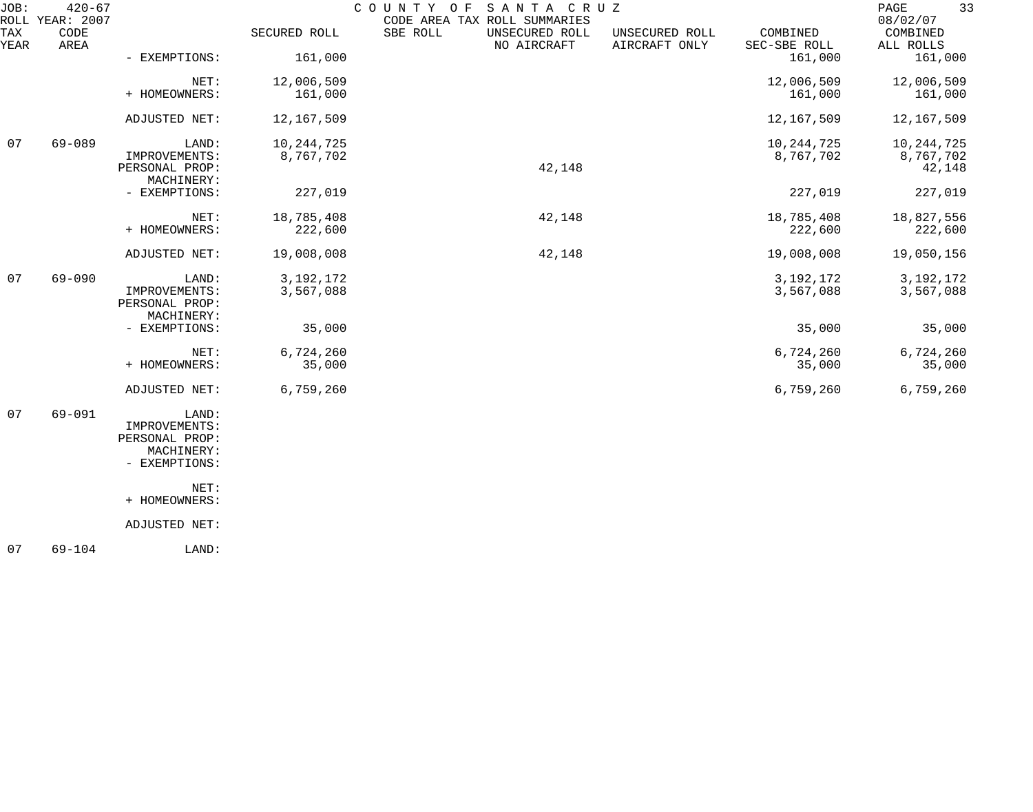| JOB:<br>ROLL | $420 - 67$<br>YEAR: 2007 |                                                                         |                           | COUNTY<br>SANTA CRUZ<br>O F<br>CODE AREA TAX ROLL SUMMARIES |                                 |                           | 33<br>$\mathop{\mathrm{PAGE}}$<br>08/02/07 |
|--------------|--------------------------|-------------------------------------------------------------------------|---------------------------|-------------------------------------------------------------|---------------------------------|---------------------------|--------------------------------------------|
| TAX<br>YEAR  | CODE<br>AREA             |                                                                         | SECURED ROLL              | SBE ROLL<br>UNSECURED ROLL<br>NO AIRCRAFT                   | UNSECURED ROLL<br>AIRCRAFT ONLY | COMBINED<br>SEC-SBE ROLL  | COMBINED<br>ALL ROLLS                      |
|              |                          | - EXEMPTIONS:                                                           | 161,000                   |                                                             |                                 | 161,000                   | 161,000                                    |
|              |                          | NET:<br>+ HOMEOWNERS:                                                   | 12,006,509<br>161,000     |                                                             |                                 | 12,006,509<br>161,000     | 12,006,509<br>161,000                      |
|              |                          | ADJUSTED NET:                                                           | 12,167,509                |                                                             |                                 | 12,167,509                | 12,167,509                                 |
| 07           | 69-089                   | LAND:<br>IMPROVEMENTS:<br>PERSONAL PROP:<br>MACHINERY:                  | 10, 244, 725<br>8,767,702 | 42,148                                                      |                                 | 10, 244, 725<br>8,767,702 | 10, 244, 725<br>8,767,702<br>42,148        |
|              |                          | - EXEMPTIONS:                                                           | 227,019                   |                                                             |                                 | 227,019                   | 227,019                                    |
|              |                          | NET:<br>+ HOMEOWNERS:                                                   | 18,785,408<br>222,600     | 42,148                                                      |                                 | 18,785,408<br>222,600     | 18,827,556<br>222,600                      |
|              |                          | ADJUSTED NET:                                                           | 19,008,008                | 42,148                                                      |                                 | 19,008,008                | 19,050,156                                 |
| 07           | $69 - 090$               | LAND:<br>IMPROVEMENTS:<br>PERSONAL PROP:<br>MACHINERY:                  | 3, 192, 172<br>3,567,088  |                                                             |                                 | 3, 192, 172<br>3,567,088  | 3, 192, 172<br>3,567,088                   |
|              |                          | - EXEMPTIONS:                                                           | 35,000                    |                                                             |                                 | 35,000                    | 35,000                                     |
|              |                          | NET:<br>+ HOMEOWNERS:                                                   | 6,724,260<br>35,000       |                                                             |                                 | 6,724,260<br>35,000       | 6,724,260<br>35,000                        |
|              |                          | ADJUSTED NET:                                                           | 6,759,260                 |                                                             |                                 | 6,759,260                 | 6,759,260                                  |
| 07           | $69 - 091$               | LAND:<br>IMPROVEMENTS:<br>PERSONAL PROP:<br>MACHINERY:<br>- EXEMPTIONS: |                           |                                                             |                                 |                           |                                            |
|              |                          | NET:<br>+ HOMEOWNERS:                                                   |                           |                                                             |                                 |                           |                                            |
|              |                          | ADJUSTED NET:                                                           |                           |                                                             |                                 |                           |                                            |

07 69-104 LAND: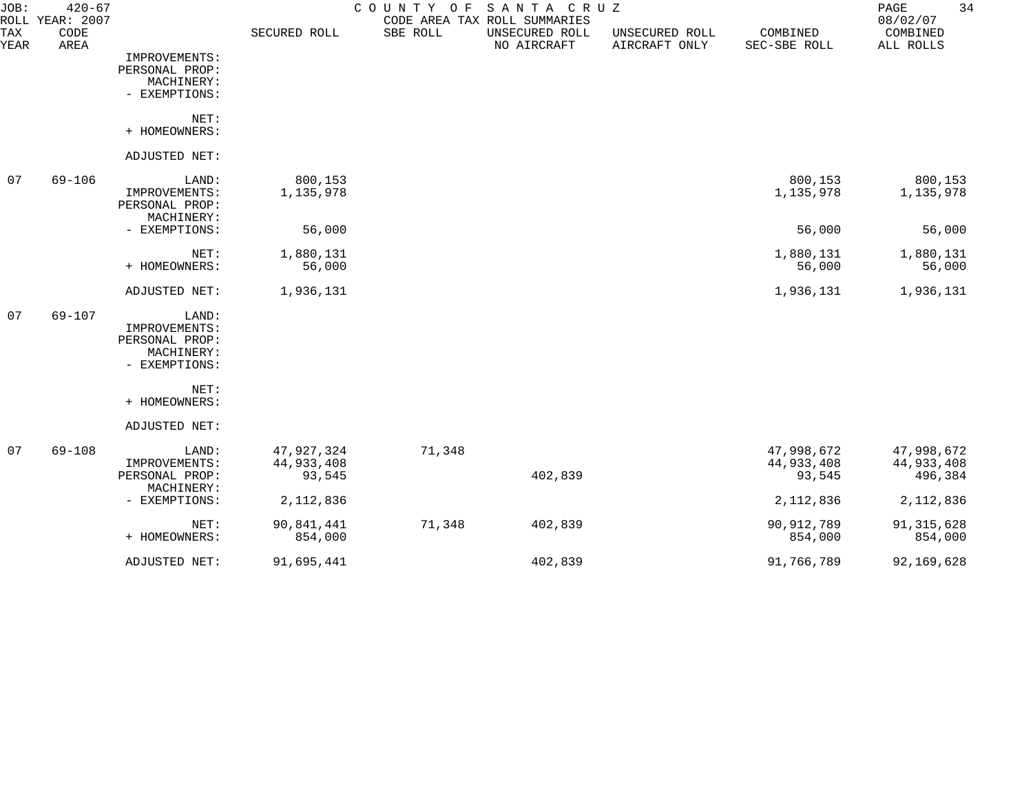| JOB:        | $420 - 67$<br>ROLL YEAR: 2007 |                                                                         |                                    | COUNTY<br>O F | SANTA CRUZ<br>CODE AREA TAX ROLL SUMMARIES |                                 |                                    | 34<br>PAGE<br>08/02/07              |
|-------------|-------------------------------|-------------------------------------------------------------------------|------------------------------------|---------------|--------------------------------------------|---------------------------------|------------------------------------|-------------------------------------|
| TAX<br>YEAR | CODE<br>AREA                  |                                                                         | SECURED ROLL                       | SBE ROLL      | UNSECURED ROLL<br>NO AIRCRAFT              | UNSECURED ROLL<br>AIRCRAFT ONLY | COMBINED<br>SEC-SBE ROLL           | COMBINED<br>ALL ROLLS               |
|             |                               | IMPROVEMENTS:<br>PERSONAL PROP:<br>MACHINERY:<br>- EXEMPTIONS:          |                                    |               |                                            |                                 |                                    |                                     |
|             |                               | NET:<br>+ HOMEOWNERS:                                                   |                                    |               |                                            |                                 |                                    |                                     |
|             |                               | ADJUSTED NET:                                                           |                                    |               |                                            |                                 |                                    |                                     |
| 07          | $69 - 106$                    | LAND:<br>IMPROVEMENTS:<br>PERSONAL PROP:<br>MACHINERY:                  | 800,153<br>1,135,978               |               |                                            |                                 | 800,153<br>1,135,978               | 800,153<br>1,135,978                |
|             |                               | - EXEMPTIONS:                                                           | 56,000                             |               |                                            |                                 | 56,000                             | 56,000                              |
|             |                               | NET:<br>+ HOMEOWNERS:                                                   | 1,880,131<br>56,000                |               |                                            |                                 | 1,880,131<br>56,000                | 1,880,131<br>56,000                 |
|             |                               | ADJUSTED NET:                                                           | 1,936,131                          |               |                                            |                                 | 1,936,131                          | 1,936,131                           |
| 07          | $69 - 107$                    | LAND:<br>IMPROVEMENTS:<br>PERSONAL PROP:<br>MACHINERY:<br>- EXEMPTIONS: |                                    |               |                                            |                                 |                                    |                                     |
|             |                               | NET:<br>+ HOMEOWNERS:                                                   |                                    |               |                                            |                                 |                                    |                                     |
|             |                               | ADJUSTED NET:                                                           |                                    |               |                                            |                                 |                                    |                                     |
| 07          | $69 - 108$                    | LAND:<br>IMPROVEMENTS:<br>PERSONAL PROP:<br>MACHINERY:                  | 47,927,324<br>44,933,408<br>93,545 | 71,348        | 402,839                                    |                                 | 47,998,672<br>44,933,408<br>93,545 | 47,998,672<br>44,933,408<br>496,384 |
|             |                               | - EXEMPTIONS:                                                           | 2, 112, 836                        |               |                                            |                                 | 2,112,836                          | 2,112,836                           |
|             |                               | NET:<br>+ HOMEOWNERS:                                                   | 90,841,441<br>854,000              | 71,348        | 402,839                                    |                                 | 90, 912, 789<br>854,000            | 91, 315, 628<br>854,000             |
|             |                               | ADJUSTED NET:                                                           | 91,695,441                         |               | 402,839                                    |                                 | 91,766,789                         | 92,169,628                          |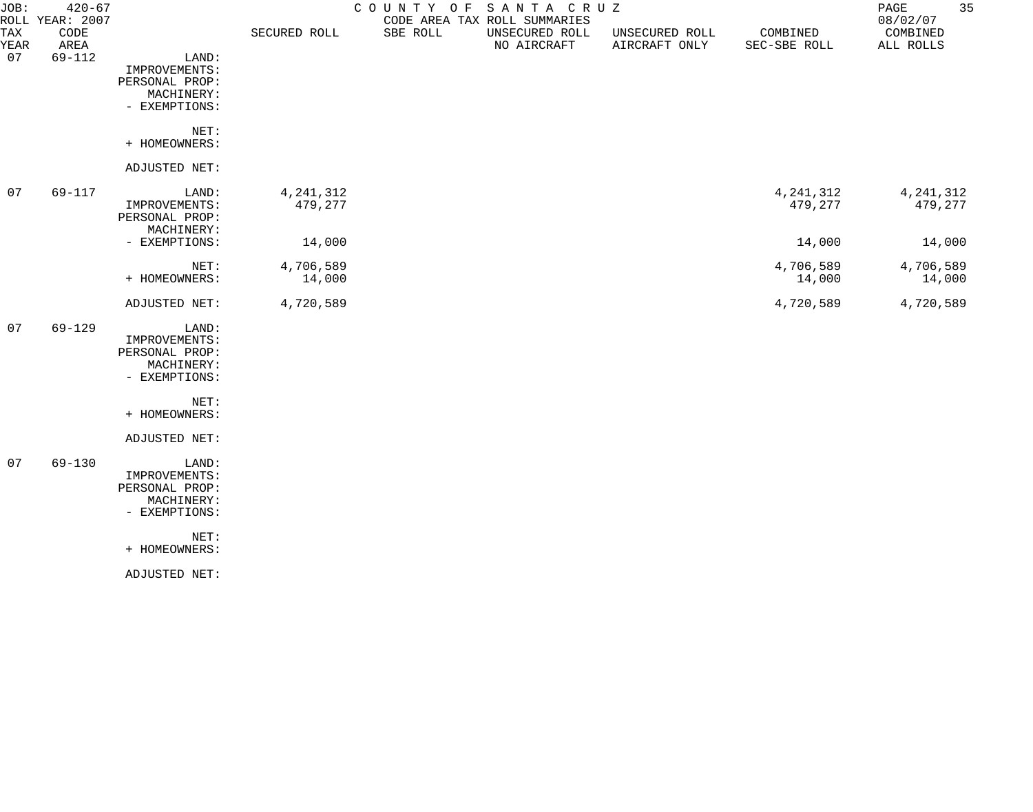| JOB:<br><b>TAX</b><br><b>YEAR</b><br>07 | $420 - 67$<br>ROLL YEAR: 2007<br>CODE<br>AREA<br>$69 - 112$ | LAND:                                                                   | SECURED ROLL           | COUNTY OF<br>SBE ROLL | SANTA CRUZ<br>CODE AREA TAX ROLL SUMMARIES<br>UNSECURED ROLL<br>NO AIRCRAFT | UNSECURED ROLL<br>AIRCRAFT ONLY | COMBINED<br>SEC-SBE ROLL | 35<br>$\mathop{\mathrm{PAGE}}$<br>08/02/07<br>COMBINED<br>ALL ROLLS |
|-----------------------------------------|-------------------------------------------------------------|-------------------------------------------------------------------------|------------------------|-----------------------|-----------------------------------------------------------------------------|---------------------------------|--------------------------|---------------------------------------------------------------------|
|                                         |                                                             | IMPROVEMENTS:<br>PERSONAL PROP:<br>MACHINERY:<br>- EXEMPTIONS:          |                        |                       |                                                                             |                                 |                          |                                                                     |
|                                         |                                                             | NET:<br>+ HOMEOWNERS:                                                   |                        |                       |                                                                             |                                 |                          |                                                                     |
|                                         |                                                             | ADJUSTED NET:                                                           |                        |                       |                                                                             |                                 |                          |                                                                     |
| 07                                      | 69-117                                                      | LAND:<br>IMPROVEMENTS:<br>PERSONAL PROP:<br>MACHINERY:                  | 4, 241, 312<br>479,277 |                       |                                                                             |                                 | 4, 241, 312<br>479,277   | 4, 241, 312<br>479,277                                              |
|                                         |                                                             | - EXEMPTIONS:                                                           | 14,000                 |                       |                                                                             |                                 | 14,000                   | 14,000                                                              |
|                                         |                                                             | NET:<br>+ HOMEOWNERS:                                                   | 4,706,589<br>14,000    |                       |                                                                             |                                 | 4,706,589<br>14,000      | 4,706,589<br>14,000                                                 |
|                                         |                                                             | ADJUSTED NET:                                                           | 4,720,589              |                       |                                                                             |                                 | 4,720,589                | 4,720,589                                                           |
| 07                                      | $69 - 129$                                                  | LAND:<br>IMPROVEMENTS:<br>PERSONAL PROP:<br>MACHINERY:<br>- EXEMPTIONS: |                        |                       |                                                                             |                                 |                          |                                                                     |
|                                         |                                                             | NET:<br>+ HOMEOWNERS:                                                   |                        |                       |                                                                             |                                 |                          |                                                                     |
|                                         |                                                             | ADJUSTED NET:                                                           |                        |                       |                                                                             |                                 |                          |                                                                     |
| 07                                      | $69 - 130$                                                  | LAND:<br>IMPROVEMENTS:<br>PERSONAL PROP:<br>MACHINERY:<br>- EXEMPTIONS: |                        |                       |                                                                             |                                 |                          |                                                                     |
|                                         |                                                             | NET:<br>+ HOMEOWNERS:                                                   |                        |                       |                                                                             |                                 |                          |                                                                     |

ADJUSTED NET: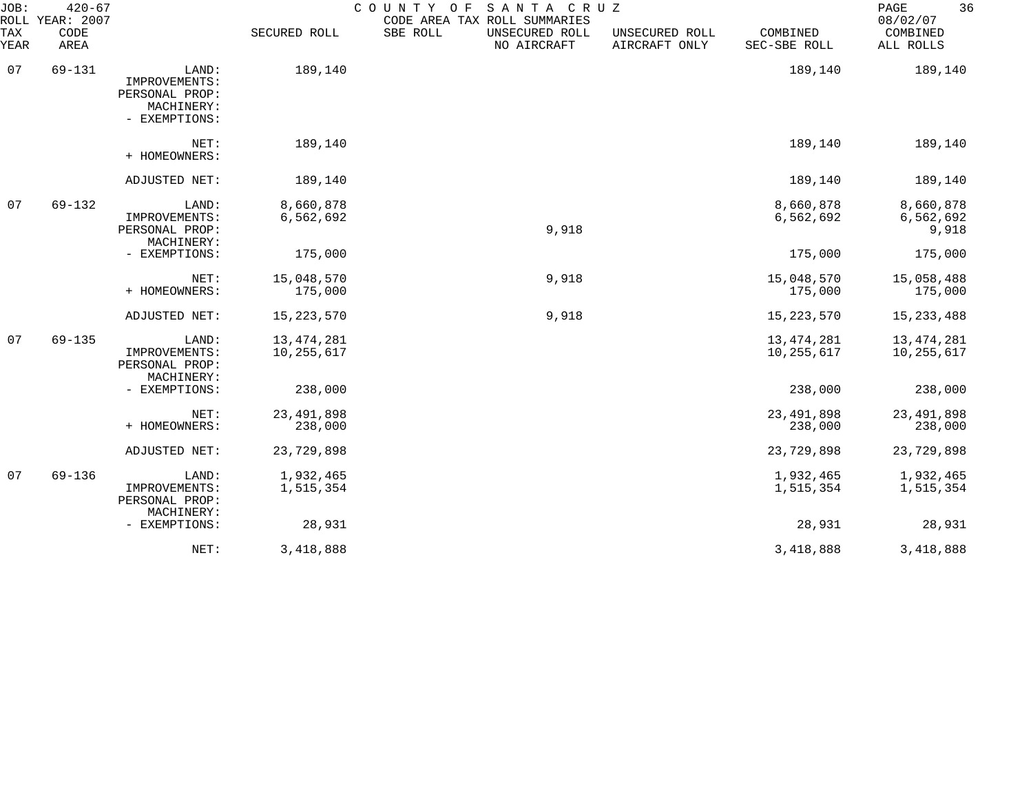| JOB:<br><b>ROLL</b> | $420 - 67$<br>YEAR: 2007 |                                                                         |                            | COUNTY OF<br>SANTA CRUZ<br>CODE AREA TAX ROLL SUMMARIES |                                 |                            | 36<br>PAGE<br>08/02/07          |
|---------------------|--------------------------|-------------------------------------------------------------------------|----------------------------|---------------------------------------------------------|---------------------------------|----------------------------|---------------------------------|
| <b>TAX</b><br>YEAR  | CODE<br>AREA             |                                                                         | SECURED ROLL               | SBE ROLL<br>UNSECURED ROLL<br>NO AIRCRAFT               | UNSECURED ROLL<br>AIRCRAFT ONLY | COMBINED<br>SEC-SBE ROLL   | COMBINED<br>ALL ROLLS           |
| 07                  | 69-131                   | LAND:<br>IMPROVEMENTS:<br>PERSONAL PROP:<br>MACHINERY:<br>- EXEMPTIONS: | 189,140                    |                                                         |                                 | 189,140                    | 189,140                         |
|                     |                          | NET:<br>+ HOMEOWNERS:                                                   | 189,140                    |                                                         |                                 | 189,140                    | 189,140                         |
|                     |                          | ADJUSTED NET:                                                           | 189,140                    |                                                         |                                 | 189,140                    | 189,140                         |
| 07                  | $69 - 132$               | LAND:<br>IMPROVEMENTS:<br>PERSONAL PROP:<br>MACHINERY:                  | 8,660,878<br>6,562,692     | 9,918                                                   |                                 | 8,660,878<br>6,562,692     | 8,660,878<br>6,562,692<br>9,918 |
|                     |                          | - EXEMPTIONS:                                                           | 175,000                    |                                                         |                                 | 175,000                    | 175,000                         |
|                     |                          | NET:<br>+ HOMEOWNERS:                                                   | 15,048,570<br>175,000      | 9,918                                                   |                                 | 15,048,570<br>175,000      | 15,058,488<br>175,000           |
|                     |                          | ADJUSTED NET:                                                           | 15, 223, 570               | 9,918                                                   |                                 | 15, 223, 570               | 15, 233, 488                    |
| 07                  | $69 - 135$               | LAND:<br>IMPROVEMENTS:<br>PERSONAL PROP:<br>MACHINERY:                  | 13, 474, 281<br>10,255,617 |                                                         |                                 | 13, 474, 281<br>10,255,617 | 13,474,281<br>10,255,617        |
|                     |                          | - EXEMPTIONS:                                                           | 238,000                    |                                                         |                                 | 238,000                    | 238,000                         |
|                     |                          | NET:<br>+ HOMEOWNERS:                                                   | 23, 491, 898<br>238,000    |                                                         |                                 | 23, 491, 898<br>238,000    | 23, 491, 898<br>238,000         |
|                     |                          | ADJUSTED NET:                                                           | 23,729,898                 |                                                         |                                 | 23,729,898                 | 23,729,898                      |
| 07                  | $69 - 136$               | LAND:<br>IMPROVEMENTS:<br>PERSONAL PROP:<br>MACHINERY:                  | 1,932,465<br>1,515,354     |                                                         |                                 | 1,932,465<br>1,515,354     | 1,932,465<br>1,515,354          |
|                     |                          | - EXEMPTIONS:                                                           | 28,931                     |                                                         |                                 | 28,931                     | 28,931                          |
|                     |                          | NET:                                                                    | 3,418,888                  |                                                         |                                 | 3,418,888                  | 3,418,888                       |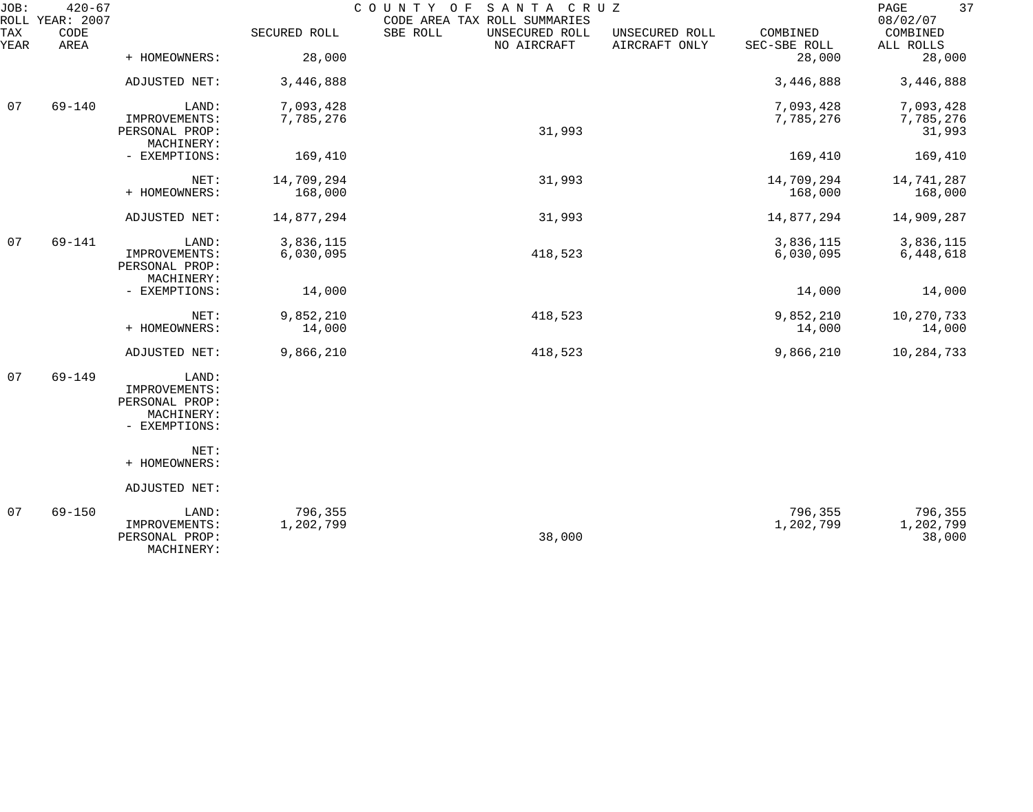| JOB:        | $420 - 67$<br>ROLL YEAR: 2007 |                                               |              | COUNTY OF<br>SANTA CRUZ<br>CODE AREA TAX ROLL SUMMARIES |                                 |                          | 37<br>PAGE<br>08/02/07 |
|-------------|-------------------------------|-----------------------------------------------|--------------|---------------------------------------------------------|---------------------------------|--------------------------|------------------------|
| TAX<br>YEAR | CODE<br>AREA                  |                                               | SECURED ROLL | SBE ROLL<br>UNSECURED ROLL<br>NO AIRCRAFT               | UNSECURED ROLL<br>AIRCRAFT ONLY | COMBINED<br>SEC-SBE ROLL | COMBINED<br>ALL ROLLS  |
|             |                               | + HOMEOWNERS:                                 | 28,000       |                                                         |                                 | 28,000                   | 28,000                 |
|             |                               | ADJUSTED NET:                                 | 3,446,888    |                                                         |                                 | 3,446,888                | 3,446,888              |
| 07          | $69 - 140$                    | LAND:                                         | 7,093,428    |                                                         |                                 | 7,093,428                | 7,093,428              |
|             |                               | IMPROVEMENTS:<br>PERSONAL PROP:<br>MACHINERY: | 7,785,276    | 31,993                                                  |                                 | 7,785,276                | 7,785,276<br>31,993    |
|             |                               | - EXEMPTIONS:                                 | 169,410      |                                                         |                                 | 169,410                  | 169,410                |
|             |                               | NET:                                          | 14,709,294   | 31,993                                                  |                                 | 14,709,294               | 14,741,287             |
|             |                               | + HOMEOWNERS:                                 | 168,000      |                                                         |                                 | 168,000                  | 168,000                |
|             |                               | ADJUSTED NET:                                 | 14,877,294   | 31,993                                                  |                                 | 14,877,294               | 14,909,287             |
| 07          | $69 - 141$                    | LAND:                                         | 3,836,115    |                                                         |                                 | 3,836,115                | 3,836,115              |
|             |                               | IMPROVEMENTS:<br>PERSONAL PROP:<br>MACHINERY: | 6,030,095    | 418,523                                                 |                                 | 6,030,095                | 6,448,618              |
|             |                               | - EXEMPTIONS:                                 | 14,000       |                                                         |                                 | 14,000                   | 14,000                 |
|             |                               | NET:                                          | 9,852,210    | 418,523                                                 |                                 | 9,852,210                | 10,270,733             |
|             |                               | + HOMEOWNERS:                                 | 14,000       |                                                         |                                 | 14,000                   | 14,000                 |
|             |                               | ADJUSTED NET:                                 | 9,866,210    | 418,523                                                 |                                 | 9,866,210                | 10,284,733             |
| 07          | $69 - 149$                    | LAND:                                         |              |                                                         |                                 |                          |                        |
|             |                               | IMPROVEMENTS:<br>PERSONAL PROP:               |              |                                                         |                                 |                          |                        |
|             |                               | MACHINERY:                                    |              |                                                         |                                 |                          |                        |
|             |                               | - EXEMPTIONS:                                 |              |                                                         |                                 |                          |                        |
|             |                               | NET:                                          |              |                                                         |                                 |                          |                        |
|             |                               | + HOMEOWNERS:                                 |              |                                                         |                                 |                          |                        |
|             |                               | ADJUSTED NET:                                 |              |                                                         |                                 |                          |                        |
| 07          | $69 - 150$                    | LAND:                                         | 796,355      |                                                         |                                 | 796,355                  | 796,355                |
|             |                               | IMPROVEMENTS:<br>PERSONAL PROP:               | 1,202,799    | 38,000                                                  |                                 | 1,202,799                | 1,202,799<br>38,000    |

MACHINERY: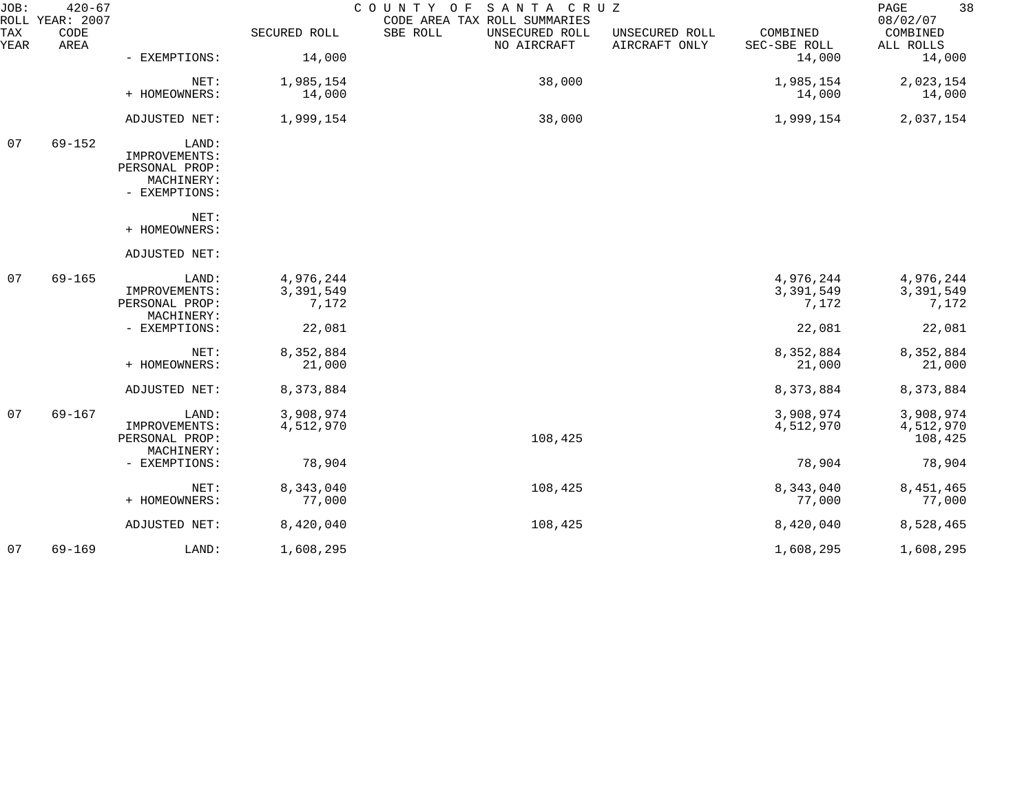| JOB:        | $420 - 67$<br>ROLL YEAR: 2007 |                                 |              | COUNTY OF SANTA CRUZ<br>CODE AREA TAX ROLL SUMMARIES |                                 |                          | 38<br>PAGE<br>08/02/07 |
|-------------|-------------------------------|---------------------------------|--------------|------------------------------------------------------|---------------------------------|--------------------------|------------------------|
| TAX<br>YEAR | CODE<br>AREA                  |                                 | SECURED ROLL | SBE ROLL<br>UNSECURED ROLL<br>NO AIRCRAFT            | UNSECURED ROLL<br>AIRCRAFT ONLY | COMBINED<br>SEC-SBE ROLL | COMBINED<br>ALL ROLLS  |
|             |                               | - EXEMPTIONS:                   | 14,000       |                                                      |                                 | 14,000                   | 14,000                 |
|             |                               | NET:                            | 1,985,154    | 38,000                                               |                                 | 1,985,154                | 2,023,154              |
|             |                               | + HOMEOWNERS:                   | 14,000       |                                                      |                                 | 14,000                   | 14,000                 |
|             |                               | ADJUSTED NET:                   | 1,999,154    | 38,000                                               |                                 | 1,999,154                | 2,037,154              |
| 07          | $69 - 152$                    | LAND:                           |              |                                                      |                                 |                          |                        |
|             |                               | IMPROVEMENTS:<br>PERSONAL PROP: |              |                                                      |                                 |                          |                        |
|             |                               | MACHINERY:                      |              |                                                      |                                 |                          |                        |
|             |                               | - EXEMPTIONS:                   |              |                                                      |                                 |                          |                        |
|             |                               | NET:                            |              |                                                      |                                 |                          |                        |
|             |                               | + HOMEOWNERS:                   |              |                                                      |                                 |                          |                        |
|             |                               | ADJUSTED NET:                   |              |                                                      |                                 |                          |                        |
| 07          | $69 - 165$                    | LAND:                           | 4,976,244    |                                                      |                                 | 4,976,244                | 4,976,244              |
|             |                               | IMPROVEMENTS:                   | 3,391,549    |                                                      |                                 | 3,391,549                | 3,391,549              |
|             |                               | PERSONAL PROP:<br>MACHINERY:    | 7,172        |                                                      |                                 | 7,172                    | 7,172                  |
|             |                               | - EXEMPTIONS:                   | 22,081       |                                                      |                                 | 22,081                   | 22,081                 |
|             |                               | NET:                            | 8,352,884    |                                                      |                                 | 8,352,884                | 8,352,884              |
|             |                               | + HOMEOWNERS:                   | 21,000       |                                                      |                                 | 21,000                   | 21,000                 |
|             |                               | ADJUSTED NET:                   | 8,373,884    |                                                      |                                 | 8,373,884                | 8,373,884              |
| 07          | $69 - 167$                    | LAND:                           | 3,908,974    |                                                      |                                 | 3,908,974                | 3,908,974              |
|             |                               | IMPROVEMENTS:                   | 4,512,970    |                                                      |                                 | 4,512,970                | 4,512,970              |
|             |                               | PERSONAL PROP:                  |              | 108,425                                              |                                 |                          | 108,425                |
|             |                               | MACHINERY:                      |              |                                                      |                                 |                          |                        |
|             |                               | - EXEMPTIONS:                   | 78,904       |                                                      |                                 | 78,904                   | 78,904                 |
|             |                               | NET:                            | 8,343,040    | 108,425                                              |                                 | 8,343,040                | 8,451,465              |
|             |                               | + HOMEOWNERS:                   | 77,000       |                                                      |                                 | 77,000                   | 77,000                 |
|             |                               | ADJUSTED NET:                   | 8,420,040    | 108,425                                              |                                 | 8,420,040                | 8,528,465              |
| 07          | $69 - 169$                    | LAND:                           | 1,608,295    |                                                      |                                 | 1,608,295                | 1,608,295              |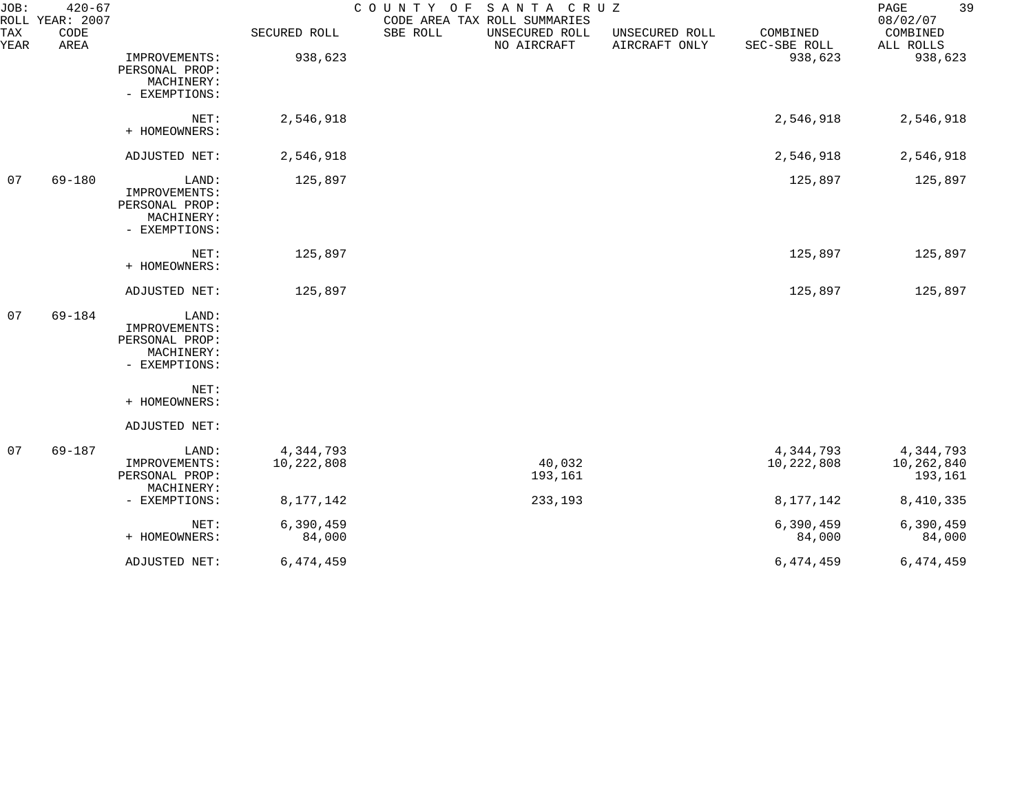| JOB:        | $420 - 67$<br>ROLL YEAR: 2007 |                                                                         |                         | COUNTY OF SANTA CRUZ<br>CODE AREA TAX ROLL SUMMARIES |                                 |                          | 39<br>PAGE<br>08/02/07             |
|-------------|-------------------------------|-------------------------------------------------------------------------|-------------------------|------------------------------------------------------|---------------------------------|--------------------------|------------------------------------|
| TAX<br>YEAR | CODE<br>AREA                  |                                                                         | SECURED ROLL            | SBE ROLL<br>UNSECURED ROLL<br>NO AIRCRAFT            | UNSECURED ROLL<br>AIRCRAFT ONLY | COMBINED<br>SEC-SBE ROLL | COMBINED<br>ALL ROLLS              |
|             |                               | IMPROVEMENTS:<br>PERSONAL PROP:<br>MACHINERY:<br>- EXEMPTIONS:          | 938,623                 |                                                      |                                 | 938,623                  | 938,623                            |
|             |                               | NET:<br>+ HOMEOWNERS:                                                   | 2,546,918               |                                                      |                                 | 2,546,918                | 2,546,918                          |
|             |                               | ADJUSTED NET:                                                           | 2,546,918               |                                                      |                                 | 2,546,918                | 2,546,918                          |
| 07          | 69-180                        | LAND:<br>IMPROVEMENTS:<br>PERSONAL PROP:<br>MACHINERY:<br>- EXEMPTIONS: | 125,897                 |                                                      |                                 | 125,897                  | 125,897                            |
|             |                               | NET:<br>+ HOMEOWNERS:                                                   | 125,897                 |                                                      |                                 | 125,897                  | 125,897                            |
|             |                               | ADJUSTED NET:                                                           | 125,897                 |                                                      |                                 | 125,897                  | 125,897                            |
| 07          | $69 - 184$                    | LAND:<br>IMPROVEMENTS:<br>PERSONAL PROP:<br>MACHINERY:<br>- EXEMPTIONS: |                         |                                                      |                                 |                          |                                    |
|             |                               | NET:<br>+ HOMEOWNERS:                                                   |                         |                                                      |                                 |                          |                                    |
|             |                               | ADJUSTED NET:                                                           |                         |                                                      |                                 |                          |                                    |
| 07          | 69-187                        | LAND:<br>IMPROVEMENTS:<br>PERSONAL PROP:<br>MACHINERY:                  | 4,344,793<br>10,222,808 | 40,032<br>193,161                                    |                                 | 4,344,793<br>10,222,808  | 4,344,793<br>10,262,840<br>193,161 |
|             |                               | - EXEMPTIONS:                                                           | 8, 177, 142             | 233,193                                              |                                 | 8, 177, 142              | 8,410,335                          |
|             |                               | NET:<br>+ HOMEOWNERS:                                                   | 6,390,459<br>84,000     |                                                      |                                 | 6,390,459<br>84,000      | 6,390,459<br>84,000                |
|             |                               | ADJUSTED NET:                                                           | 6,474,459               |                                                      |                                 | 6,474,459                | 6,474,459                          |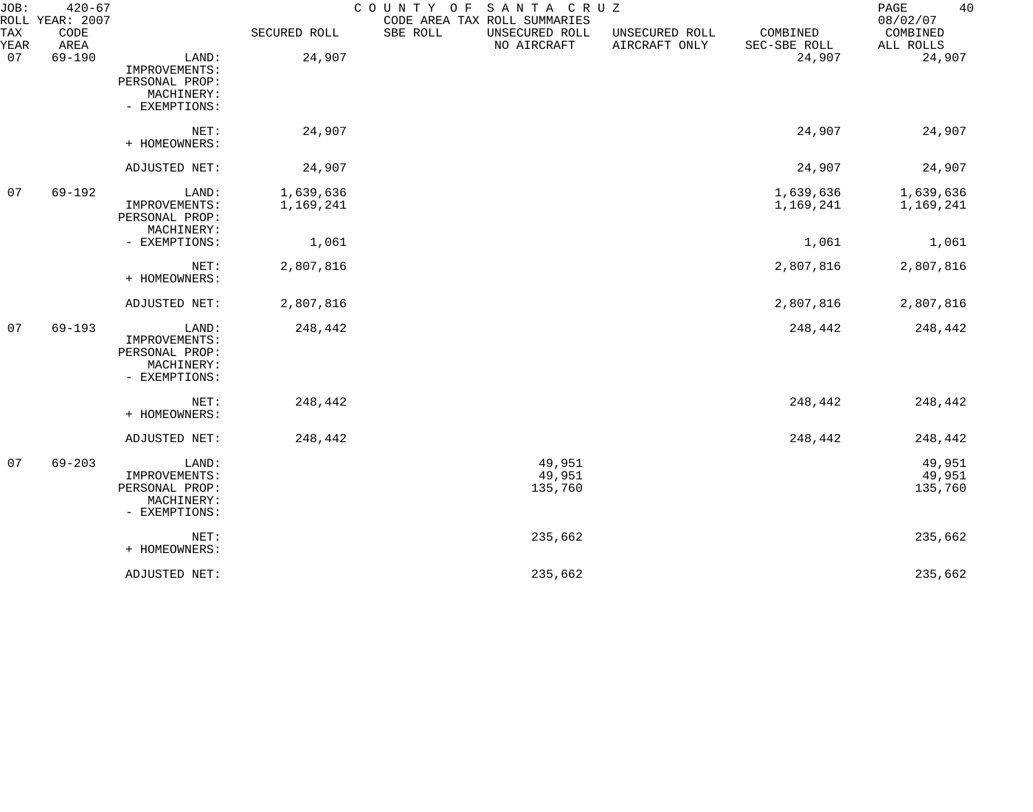| JOB:        | $420 - 67$<br>ROLL YEAR: 2007 |                                                                         |                        | COUNTY OF | SANTA CRUZ<br>CODE AREA TAX ROLL SUMMARIES |                                 |                          | 40<br>PAGE<br>08/02/07      |
|-------------|-------------------------------|-------------------------------------------------------------------------|------------------------|-----------|--------------------------------------------|---------------------------------|--------------------------|-----------------------------|
| TAX<br>YEAR | CODE<br>AREA                  |                                                                         | SECURED ROLL           | SBE ROLL  | UNSECURED ROLL<br>NO AIRCRAFT              | UNSECURED ROLL<br>AIRCRAFT ONLY | COMBINED<br>SEC-SBE ROLL | COMBINED<br>ALL ROLLS       |
| 07          | $69 - 190$                    | LAND:<br>IMPROVEMENTS:<br>PERSONAL PROP:<br>MACHINERY:<br>- EXEMPTIONS: | 24,907                 |           |                                            |                                 | 24,907                   | 24,907                      |
|             |                               | NET:<br>+ HOMEOWNERS:                                                   | 24,907                 |           |                                            |                                 | 24,907                   | 24,907                      |
|             |                               | ADJUSTED NET:                                                           | 24,907                 |           |                                            |                                 | 24,907                   | 24,907                      |
| 07          | $69 - 192$                    | LAND:<br>IMPROVEMENTS:<br>PERSONAL PROP:<br>MACHINERY:                  | 1,639,636<br>1,169,241 |           |                                            |                                 | 1,639,636<br>1,169,241   | 1,639,636<br>1,169,241      |
|             |                               | - EXEMPTIONS:                                                           | 1,061                  |           |                                            |                                 | 1,061                    | 1,061                       |
|             |                               | NET:<br>+ HOMEOWNERS:                                                   | 2,807,816              |           |                                            |                                 | 2,807,816                | 2,807,816                   |
|             |                               | ADJUSTED NET:                                                           | 2,807,816              |           |                                            |                                 | 2,807,816                | 2,807,816                   |
| 07          | $69 - 193$                    | LAND:<br>IMPROVEMENTS:<br>PERSONAL PROP:<br>MACHINERY:<br>- EXEMPTIONS: | 248,442                |           |                                            |                                 | 248,442                  | 248,442                     |
|             |                               | NET:<br>+ HOMEOWNERS:                                                   | 248,442                |           |                                            |                                 | 248,442                  | 248,442                     |
|             |                               | ADJUSTED NET:                                                           | 248,442                |           |                                            |                                 | 248,442                  | 248,442                     |
| 07          | $69 - 203$                    | LAND:<br>IMPROVEMENTS:<br>PERSONAL PROP:<br>MACHINERY:<br>- EXEMPTIONS: |                        |           | 49,951<br>49,951<br>135,760                |                                 |                          | 49,951<br>49,951<br>135,760 |
|             |                               | NET:<br>+ HOMEOWNERS:                                                   |                        |           | 235,662                                    |                                 |                          | 235,662                     |
|             |                               | ADJUSTED NET:                                                           |                        |           | 235,662                                    |                                 |                          | 235,662                     |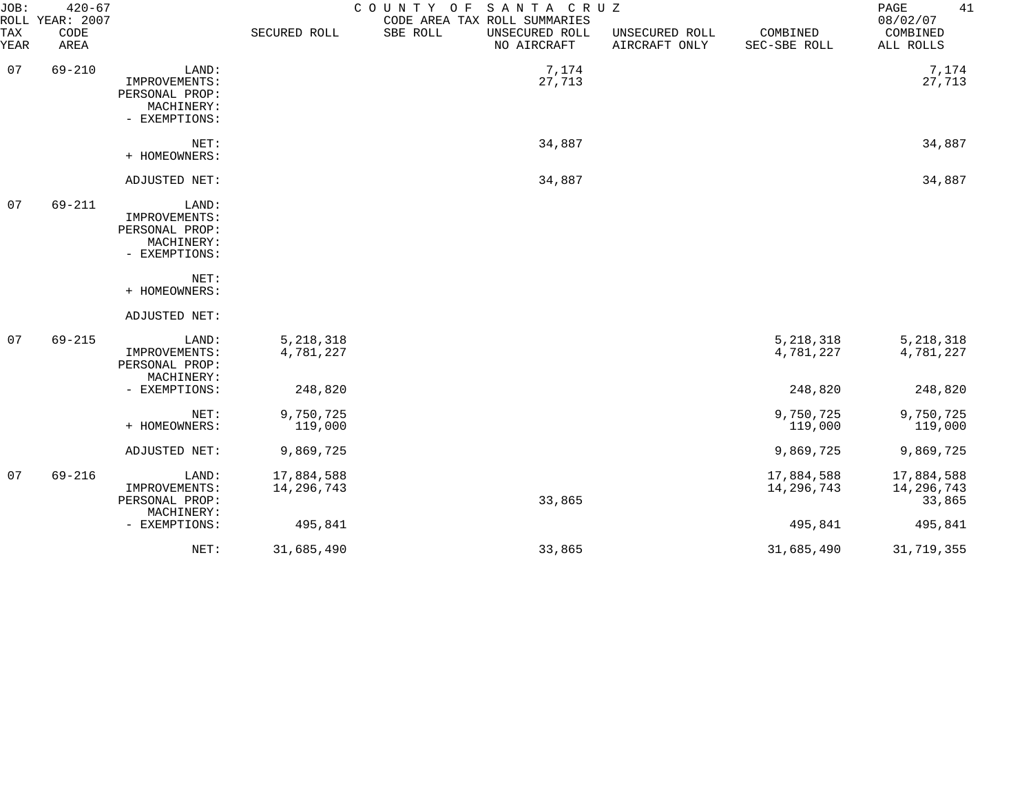| JOB:        | $420 - 67$<br>ROLL YEAR: 2007 |                                                                         |                          | COUNTY OF<br>SANTA CRUZ<br>CODE AREA TAX ROLL SUMMARIES |                                 |                          | 41<br>PAGE<br>08/02/07             |
|-------------|-------------------------------|-------------------------------------------------------------------------|--------------------------|---------------------------------------------------------|---------------------------------|--------------------------|------------------------------------|
| TAX<br>YEAR | CODE<br>AREA                  |                                                                         | SECURED ROLL             | SBE ROLL<br>UNSECURED ROLL<br>NO AIRCRAFT               | UNSECURED ROLL<br>AIRCRAFT ONLY | COMBINED<br>SEC-SBE ROLL | COMBINED<br>ALL ROLLS              |
| 07          | $69 - 210$                    | LAND:<br>IMPROVEMENTS:<br>PERSONAL PROP:<br>MACHINERY:<br>- EXEMPTIONS: |                          | 7,174<br>27,713                                         |                                 |                          | 7,174<br>27,713                    |
|             |                               | NET:<br>+ HOMEOWNERS:                                                   |                          | 34,887                                                  |                                 |                          | 34,887                             |
|             |                               | ADJUSTED NET:                                                           |                          | 34,887                                                  |                                 |                          | 34,887                             |
| 07          | 69-211                        | LAND:<br>IMPROVEMENTS:<br>PERSONAL PROP:<br>MACHINERY:<br>- EXEMPTIONS: |                          |                                                         |                                 |                          |                                    |
|             |                               | NET:<br>+ HOMEOWNERS:                                                   |                          |                                                         |                                 |                          |                                    |
|             |                               | ADJUSTED NET:                                                           |                          |                                                         |                                 |                          |                                    |
| 07          | $69 - 215$                    | LAND:<br>IMPROVEMENTS:<br>PERSONAL PROP:<br>MACHINERY:                  | 5, 218, 318<br>4,781,227 |                                                         |                                 | 5, 218, 318<br>4,781,227 | 5, 218, 318<br>4,781,227           |
|             |                               | - EXEMPTIONS:                                                           | 248,820                  |                                                         |                                 | 248,820                  | 248,820                            |
|             |                               | NET:<br>+ HOMEOWNERS:                                                   | 9,750,725<br>119,000     |                                                         |                                 | 9,750,725<br>119,000     | 9,750,725<br>119,000               |
|             |                               | ADJUSTED NET:                                                           | 9,869,725                |                                                         |                                 | 9,869,725                | 9,869,725                          |
| 07          | 69-216                        | LAND:<br>IMPROVEMENTS:<br>PERSONAL PROP:                                | 17,884,588<br>14,296,743 | 33,865                                                  |                                 | 17,884,588<br>14,296,743 | 17,884,588<br>14,296,743<br>33,865 |
|             |                               | MACHINERY:<br>- EXEMPTIONS:                                             | 495,841                  |                                                         |                                 | 495,841                  | 495,841                            |
|             |                               | NET:                                                                    | 31,685,490               | 33,865                                                  |                                 | 31,685,490               | 31,719,355                         |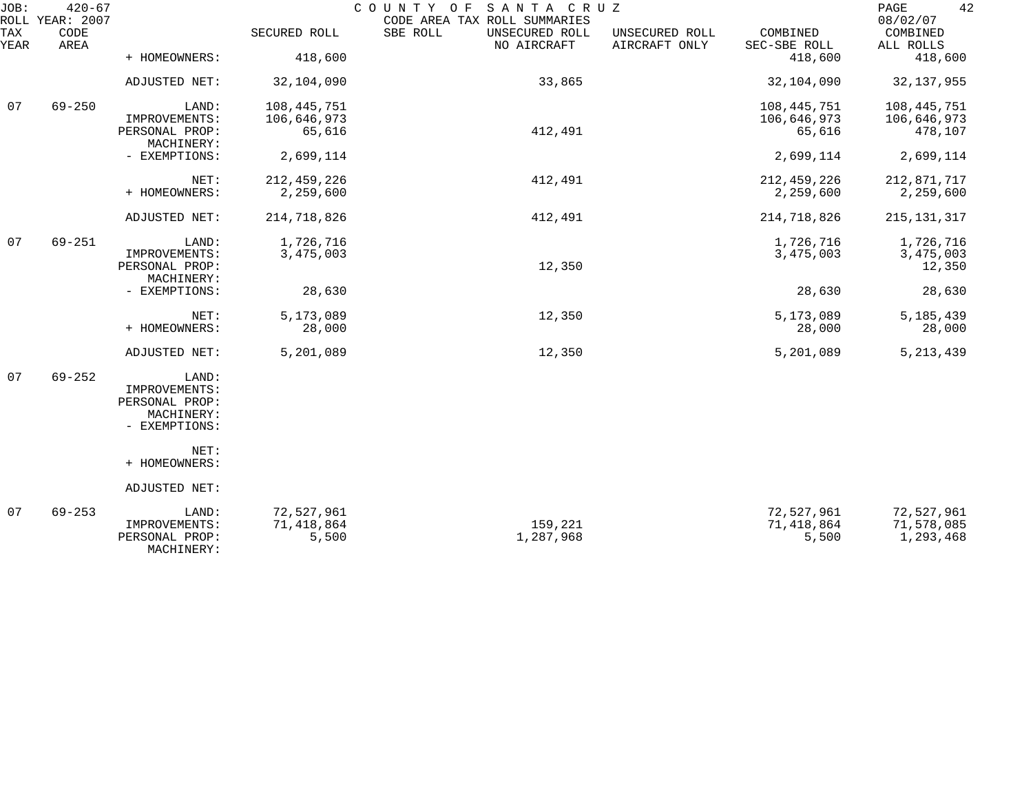| JOB:        | $420 - 67$<br>ROLL YEAR: 2007 |                              |               | COUNTY OF SANTA CRUZ<br>CODE AREA TAX ROLL SUMMARIES |                                 |                          | 42<br>PAGE<br>08/02/07 |
|-------------|-------------------------------|------------------------------|---------------|------------------------------------------------------|---------------------------------|--------------------------|------------------------|
| TAX<br>YEAR | CODE<br>AREA                  |                              | SECURED ROLL  | SBE ROLL<br>UNSECURED ROLL<br>NO AIRCRAFT            | UNSECURED ROLL<br>AIRCRAFT ONLY | COMBINED<br>SEC-SBE ROLL | COMBINED<br>ALL ROLLS  |
|             |                               | + HOMEOWNERS:                | 418,600       |                                                      |                                 | 418,600                  | 418,600                |
|             |                               | ADJUSTED NET:                | 32,104,090    | 33,865                                               |                                 | 32,104,090               | 32, 137, 955           |
| 07          | $69 - 250$                    | LAND:                        | 108,445,751   |                                                      |                                 | 108,445,751              | 108,445,751            |
|             |                               | IMPROVEMENTS:                | 106,646,973   |                                                      |                                 | 106,646,973              | 106,646,973            |
|             |                               | PERSONAL PROP:<br>MACHINERY: | 65,616        | 412,491                                              |                                 | 65,616                   | 478,107                |
|             |                               | - EXEMPTIONS:                | 2,699,114     |                                                      |                                 | 2,699,114                | 2,699,114              |
|             |                               | NET:                         | 212, 459, 226 | 412,491                                              |                                 | 212, 459, 226            | 212,871,717            |
|             |                               | + HOMEOWNERS:                | 2,259,600     |                                                      |                                 | 2,259,600                | 2,259,600              |
|             |                               | ADJUSTED NET:                | 214,718,826   | 412,491                                              |                                 | 214,718,826              | 215, 131, 317          |
| 07          | $69 - 251$                    | LAND:                        | 1,726,716     |                                                      |                                 | 1,726,716                | 1,726,716              |
|             |                               | IMPROVEMENTS:                | 3,475,003     |                                                      |                                 | 3,475,003                | 3,475,003              |
|             |                               | PERSONAL PROP:<br>MACHINERY: |               | 12,350                                               |                                 |                          | 12,350                 |
|             |                               | - EXEMPTIONS:                | 28,630        |                                                      |                                 | 28,630                   | 28,630                 |
|             |                               | NET:                         | 5,173,089     | 12,350                                               |                                 | 5,173,089                | 5, 185, 439            |
|             |                               | + HOMEOWNERS:                | 28,000        |                                                      |                                 | 28,000                   | 28,000                 |
|             |                               | ADJUSTED NET:                | 5,201,089     | 12,350                                               |                                 | 5,201,089                | 5, 213, 439            |
| 07          | $69 - 252$                    | LAND:                        |               |                                                      |                                 |                          |                        |
|             |                               | IMPROVEMENTS:                |               |                                                      |                                 |                          |                        |
|             |                               | PERSONAL PROP:               |               |                                                      |                                 |                          |                        |
|             |                               | MACHINERY:                   |               |                                                      |                                 |                          |                        |
|             |                               | - EXEMPTIONS:                |               |                                                      |                                 |                          |                        |
|             |                               | NET:<br>+ HOMEOWNERS:        |               |                                                      |                                 |                          |                        |
|             |                               | ADJUSTED NET:                |               |                                                      |                                 |                          |                        |
|             |                               |                              |               |                                                      |                                 |                          |                        |
| 07          | $69 - 253$                    | LAND:                        | 72,527,961    |                                                      |                                 | 72,527,961               | 72,527,961             |
|             |                               | IMPROVEMENTS:                | 71,418,864    | 159,221                                              |                                 | 71,418,864               | 71,578,085             |
|             |                               | PERSONAL PROP:<br>MACHINERY: | 5,500         | 1,287,968                                            |                                 | 5,500                    | 1,293,468              |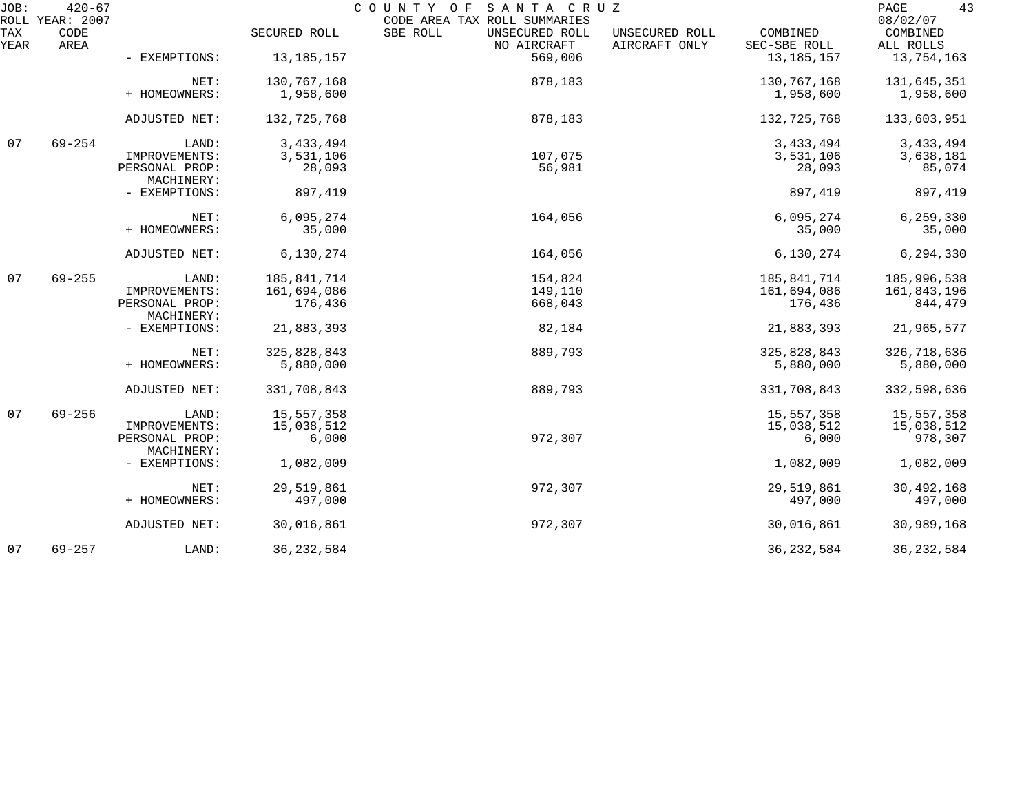| JOB:        | $420 - 67$<br>ROLL YEAR: 2007 |                              |              | COUNTY OF<br>SANTA CRUZ<br>CODE AREA TAX ROLL SUMMARIES |                                 |                          | 43<br>PAGE<br>08/02/07 |
|-------------|-------------------------------|------------------------------|--------------|---------------------------------------------------------|---------------------------------|--------------------------|------------------------|
| TAX<br>YEAR | CODE<br>AREA                  |                              | SECURED ROLL | SBE ROLL<br>UNSECURED ROLL<br>NO AIRCRAFT               | UNSECURED ROLL<br>AIRCRAFT ONLY | COMBINED<br>SEC-SBE ROLL | COMBINED<br>ALL ROLLS  |
|             |                               | - EXEMPTIONS:                | 13,185,157   | 569,006                                                 |                                 | 13, 185, 157             | 13,754,163             |
|             |                               | NET:                         | 130,767,168  | 878,183                                                 |                                 | 130,767,168              | 131,645,351            |
|             |                               | + HOMEOWNERS:                | 1,958,600    |                                                         |                                 | 1,958,600                | 1,958,600              |
|             |                               | ADJUSTED NET:                | 132,725,768  | 878,183                                                 |                                 | 132,725,768              | 133,603,951            |
| 07          | $69 - 254$                    | LAND:                        | 3, 433, 494  |                                                         |                                 | 3, 433, 494              | 3, 433, 494            |
|             |                               | IMPROVEMENTS:                | 3,531,106    | 107,075                                                 |                                 | 3,531,106                | 3,638,181              |
|             |                               | PERSONAL PROP:<br>MACHINERY: | 28,093       | 56,981                                                  |                                 | 28,093                   | 85,074                 |
|             |                               | - EXEMPTIONS:                | 897,419      |                                                         |                                 | 897,419                  | 897,419                |
|             |                               | NET:                         | 6,095,274    | 164,056                                                 |                                 | 6,095,274                | 6,259,330              |
|             |                               | + HOMEOWNERS:                | 35,000       |                                                         |                                 | 35,000                   | 35,000                 |
|             |                               | ADJUSTED NET:                | 6,130,274    | 164,056                                                 |                                 | 6,130,274                | 6,294,330              |
| 07          | $69 - 255$                    | LAND:                        | 185,841,714  | 154,824                                                 |                                 | 185,841,714              | 185,996,538            |
|             |                               | IMPROVEMENTS:                | 161,694,086  | 149,110                                                 |                                 | 161,694,086              | 161,843,196            |
|             |                               | PERSONAL PROP:<br>MACHINERY: | 176,436      | 668,043                                                 |                                 | 176,436                  | 844,479                |
|             |                               | - EXEMPTIONS:                | 21,883,393   | 82,184                                                  |                                 | 21,883,393               | 21,965,577             |
|             |                               | NET:                         | 325,828,843  | 889,793                                                 |                                 | 325,828,843              | 326,718,636            |
|             |                               | + HOMEOWNERS:                | 5,880,000    |                                                         |                                 | 5,880,000                | 5,880,000              |
|             |                               | ADJUSTED NET:                | 331,708,843  | 889,793                                                 |                                 | 331,708,843              | 332,598,636            |
| 07          | $69 - 256$                    | LAND:                        | 15,557,358   |                                                         |                                 | 15,557,358               | 15,557,358             |
|             |                               | IMPROVEMENTS:                | 15,038,512   |                                                         |                                 | 15,038,512               | 15,038,512             |
|             |                               | PERSONAL PROP:<br>MACHINERY: | 6,000        | 972,307                                                 |                                 | 6,000                    | 978,307                |
|             |                               | - EXEMPTIONS:                | 1,082,009    |                                                         |                                 | 1,082,009                | 1,082,009              |
|             |                               | NET:                         | 29,519,861   | 972,307                                                 |                                 | 29,519,861               | 30, 492, 168           |
|             |                               | + HOMEOWNERS:                | 497,000      |                                                         |                                 | 497,000                  | 497,000                |
|             |                               | ADJUSTED NET:                | 30,016,861   | 972,307                                                 |                                 | 30,016,861               | 30,989,168             |
| 07          | $69 - 257$                    | LAND:                        | 36, 232, 584 |                                                         |                                 | 36, 232, 584             | 36, 232, 584           |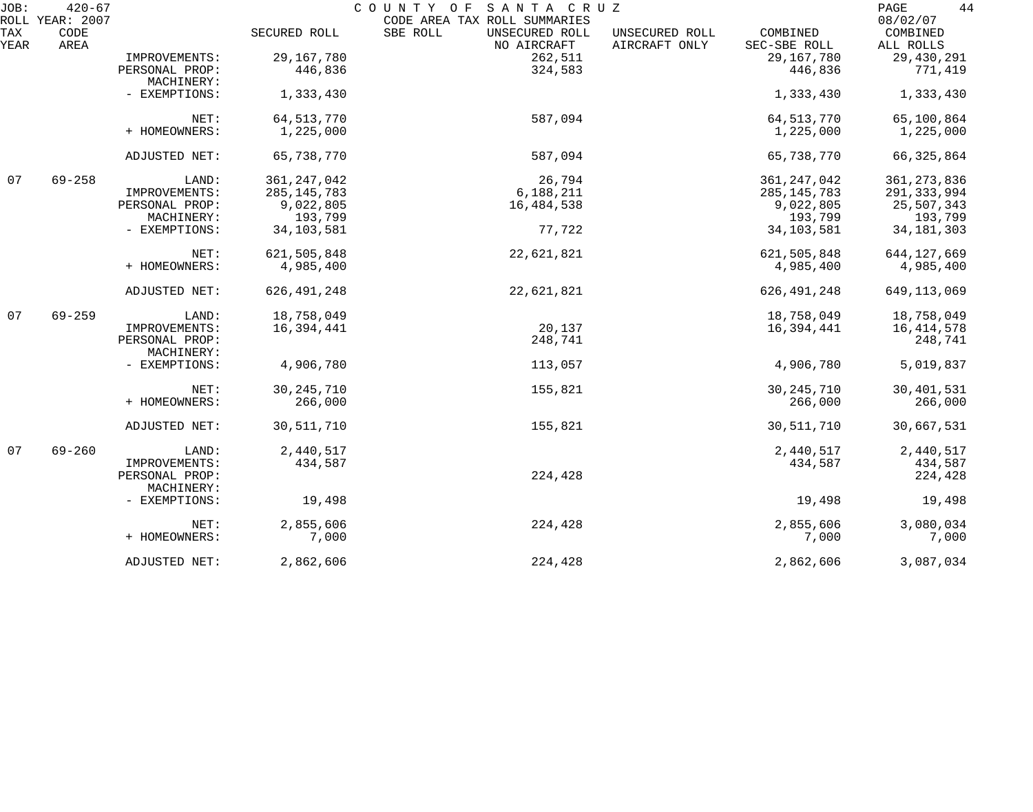| JOB:        | $420 - 67$<br>ROLL YEAR: 2007 |                              |               | SANTA CRUZ<br>COUNTY OF<br>CODE AREA TAX ROLL SUMMARIES |                                 |                          | 44<br>PAGE<br>08/02/07     |
|-------------|-------------------------------|------------------------------|---------------|---------------------------------------------------------|---------------------------------|--------------------------|----------------------------|
| TAX<br>YEAR | CODE<br>AREA                  |                              | SECURED ROLL  | SBE ROLL<br>UNSECURED ROLL<br>NO AIRCRAFT               | UNSECURED ROLL<br>AIRCRAFT ONLY | COMBINED<br>SEC-SBE ROLL | COMBINED<br>ALL ROLLS      |
|             |                               | IMPROVEMENTS:                | 29, 167, 780  | 262,511                                                 |                                 | 29, 167, 780             | 29,430,291                 |
|             |                               | PERSONAL PROP:               | 446,836       | 324,583                                                 |                                 | 446,836                  | 771,419                    |
|             |                               |                              |               |                                                         |                                 |                          |                            |
|             |                               | MACHINERY:<br>- EXEMPTIONS:  |               |                                                         |                                 | 1,333,430                |                            |
|             |                               |                              | 1,333,430     |                                                         |                                 |                          | 1,333,430                  |
|             |                               | NET:                         | 64, 513, 770  | 587,094                                                 |                                 | 64, 513, 770             | 65,100,864                 |
|             |                               | + HOMEOWNERS:                | 1,225,000     |                                                         |                                 | 1,225,000                | 1,225,000                  |
|             |                               | ADJUSTED NET:                | 65,738,770    | 587,094                                                 |                                 | 65,738,770               | 66, 325, 864               |
| 07          | $69 - 258$                    | LAND:                        | 361, 247, 042 | 26,794                                                  |                                 | 361, 247, 042            | 361, 273, 836              |
|             |                               | IMPROVEMENTS:                | 285, 145, 783 | 6,188,211                                               |                                 | 285, 145, 783            | 291, 333, 994              |
|             |                               | PERSONAL PROP:               | 9,022,805     | 16,484,538                                              |                                 | 9,022,805                | 25,507,343                 |
|             |                               | MACHINERY:                   | 193,799       |                                                         |                                 | 193,799                  | 193,799                    |
|             |                               | - EXEMPTIONS:                | 34, 103, 581  | 77,722                                                  |                                 | 34, 103, 581             | 34, 181, 303               |
|             |                               | NET:                         | 621,505,848   | 22,621,821                                              |                                 | 621,505,848              |                            |
|             |                               | + HOMEOWNERS:                | 4,985,400     |                                                         |                                 | 4,985,400                | 644, 127, 669<br>4,985,400 |
|             |                               | ADJUSTED NET:                | 626, 491, 248 | 22,621,821                                              |                                 | 626, 491, 248            | 649, 113, 069              |
| 07          | $69 - 259$                    | LAND:                        | 18,758,049    |                                                         |                                 | 18,758,049               | 18,758,049                 |
|             |                               | IMPROVEMENTS:                | 16,394,441    | 20,137                                                  |                                 | 16,394,441               | 16, 414, 578               |
|             |                               | PERSONAL PROP:<br>MACHINERY: |               | 248,741                                                 |                                 |                          | 248,741                    |
|             |                               | - EXEMPTIONS:                | 4,906,780     | 113,057                                                 |                                 | 4,906,780                | 5,019,837                  |
|             |                               | NET:                         | 30, 245, 710  | 155,821                                                 |                                 | 30, 245, 710             | 30,401,531                 |
|             |                               | + HOMEOWNERS:                | 266,000       |                                                         |                                 | 266,000                  | 266,000                    |
|             |                               | ADJUSTED NET:                | 30,511,710    | 155,821                                                 |                                 | 30,511,710               | 30,667,531                 |
| 07          | $69 - 260$                    | LAND:                        | 2,440,517     |                                                         |                                 | 2,440,517                | 2,440,517                  |
|             |                               | IMPROVEMENTS:                | 434,587       |                                                         |                                 | 434,587                  | 434,587                    |
|             |                               | PERSONAL PROP:               |               | 224,428                                                 |                                 |                          | 224,428                    |
|             |                               | MACHINERY:                   |               |                                                         |                                 |                          |                            |
|             |                               | - EXEMPTIONS:                | 19,498        |                                                         |                                 | 19,498                   | 19,498                     |
|             |                               | NET:                         | 2,855,606     | 224,428                                                 |                                 | 2,855,606                | 3,080,034                  |
|             |                               | + HOMEOWNERS:                | 7,000         |                                                         |                                 | 7,000                    | 7,000                      |
|             |                               | ADJUSTED NET:                | 2,862,606     | 224,428                                                 |                                 | 2,862,606                | 3,087,034                  |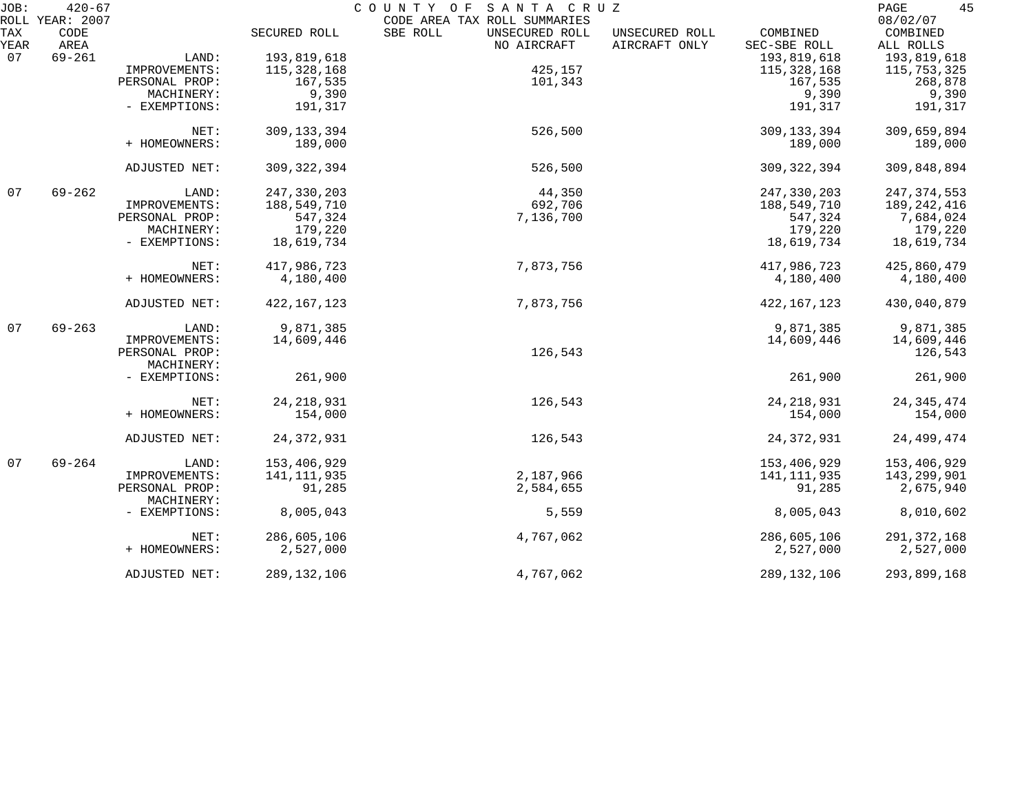| JOB:        | $420 - 67$<br>ROLL YEAR: 2007 |                              |               | COUNTY OF<br>SANTA CRUZ<br>CODE AREA TAX ROLL SUMMARIES |                                 |                          | 45<br>PAGE<br>08/02/07 |
|-------------|-------------------------------|------------------------------|---------------|---------------------------------------------------------|---------------------------------|--------------------------|------------------------|
| TAX<br>YEAR | CODE<br>AREA                  |                              | SECURED ROLL  | SBE ROLL<br>UNSECURED ROLL<br>NO AIRCRAFT               | UNSECURED ROLL<br>AIRCRAFT ONLY | COMBINED<br>SEC-SBE ROLL | COMBINED<br>ALL ROLLS  |
| 07          | $69 - 261$                    | LAND:                        | 193,819,618   |                                                         |                                 | 193,819,618              | 193,819,618            |
|             |                               | IMPROVEMENTS:                | 115, 328, 168 | 425,157                                                 |                                 | 115, 328, 168            | 115,753,325            |
|             |                               | PERSONAL PROP:               | 167,535       | 101,343                                                 |                                 | 167,535                  | 268,878                |
|             |                               | MACHINERY:                   | 9,390         |                                                         |                                 | 9,390                    | 9,390                  |
|             |                               | - EXEMPTIONS:                | 191,317       |                                                         |                                 | 191,317                  | 191,317                |
|             |                               | NET:                         | 309, 133, 394 | 526,500                                                 |                                 | 309, 133, 394            | 309,659,894            |
|             |                               | + HOMEOWNERS:                | 189,000       |                                                         |                                 | 189,000                  | 189,000                |
|             |                               | ADJUSTED NET:                | 309, 322, 394 | 526,500                                                 |                                 | 309, 322, 394            | 309,848,894            |
| 07          | $69 - 262$                    | LAND:                        | 247, 330, 203 | 44,350                                                  |                                 | 247,330,203              | 247, 374, 553          |
|             |                               | IMPROVEMENTS:                | 188,549,710   | 692,706                                                 |                                 | 188,549,710              | 189, 242, 416          |
|             |                               | PERSONAL PROP:               | 547,324       | 7,136,700                                               |                                 | 547,324                  | 7,684,024              |
|             |                               | MACHINERY:                   | 179,220       |                                                         |                                 | 179,220                  | 179,220                |
|             |                               | - EXEMPTIONS:                | 18,619,734    |                                                         |                                 | 18,619,734               | 18,619,734             |
|             |                               | NET:                         | 417,986,723   | 7,873,756                                               |                                 | 417,986,723              | 425,860,479            |
|             |                               | + HOMEOWNERS:                | 4,180,400     |                                                         |                                 | 4,180,400                | 4,180,400              |
|             |                               | ADJUSTED NET:                | 422, 167, 123 | 7,873,756                                               |                                 | 422, 167, 123            | 430,040,879            |
| 07          | $69 - 263$                    | LAND:                        | 9,871,385     |                                                         |                                 | 9,871,385                | 9,871,385              |
|             |                               | IMPROVEMENTS:                | 14,609,446    |                                                         |                                 | 14,609,446               | 14,609,446             |
|             |                               | PERSONAL PROP:<br>MACHINERY: |               | 126,543                                                 |                                 |                          | 126,543                |
|             |                               | - EXEMPTIONS:                | 261,900       |                                                         |                                 | 261,900                  | 261,900                |
|             |                               | NET:                         | 24, 218, 931  | 126,543                                                 |                                 | 24, 218, 931             | 24, 345, 474           |
|             |                               | + HOMEOWNERS:                | 154,000       |                                                         |                                 | 154,000                  | 154,000                |
|             |                               | ADJUSTED NET:                | 24, 372, 931  | 126,543                                                 |                                 | 24, 372, 931             | 24, 499, 474           |
| 07          | $69 - 264$                    | LAND:                        | 153,406,929   |                                                         |                                 | 153,406,929              | 153,406,929            |
|             |                               | IMPROVEMENTS:                | 141,111,935   | 2,187,966                                               |                                 | 141, 111, 935            | 143,299,901            |
|             |                               | PERSONAL PROP:<br>MACHINERY: | 91,285        | 2,584,655                                               |                                 | 91,285                   | 2,675,940              |
|             |                               | - EXEMPTIONS:                | 8,005,043     | 5,559                                                   |                                 | 8,005,043                | 8,010,602              |
|             |                               | NET:                         | 286,605,106   | 4,767,062                                               |                                 | 286,605,106              | 291, 372, 168          |
|             |                               | + HOMEOWNERS:                | 2,527,000     |                                                         |                                 | 2,527,000                | 2,527,000              |
|             |                               | ADJUSTED NET:                | 289, 132, 106 | 4,767,062                                               |                                 | 289, 132, 106            | 293,899,168            |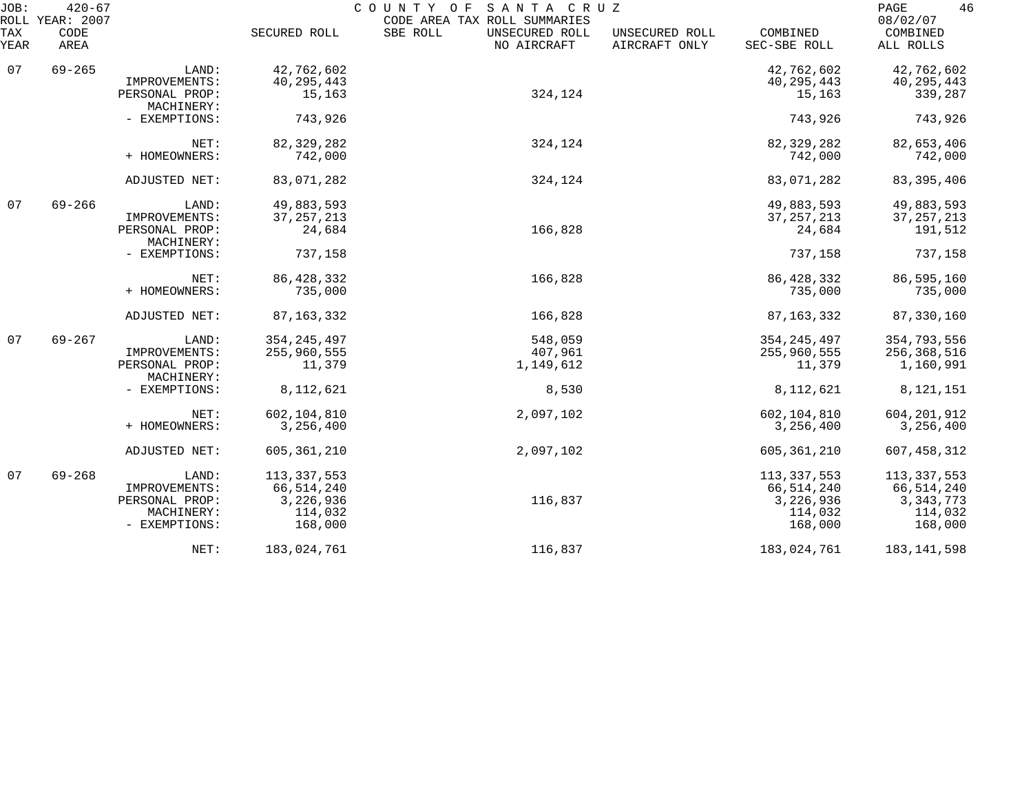| JOB:<br>ROLL | $420 - 67$<br>YEAR: 2007 |                              |               | COUNTY OF<br>SANTA CRUZ<br>CODE AREA TAX ROLL SUMMARIES |                                 |                          | 46<br>PAGE<br>08/02/07 |
|--------------|--------------------------|------------------------------|---------------|---------------------------------------------------------|---------------------------------|--------------------------|------------------------|
| TAX<br>YEAR  | CODE<br>AREA             |                              | SECURED ROLL  | SBE ROLL<br>UNSECURED ROLL<br>NO AIRCRAFT               | UNSECURED ROLL<br>AIRCRAFT ONLY | COMBINED<br>SEC-SBE ROLL | COMBINED<br>ALL ROLLS  |
| 07           | $69 - 265$               | LAND:                        | 42,762,602    |                                                         |                                 | 42,762,602               | 42,762,602             |
|              |                          | IMPROVEMENTS:                | 40, 295, 443  |                                                         |                                 | 40, 295, 443             | 40, 295, 443           |
|              |                          | PERSONAL PROP:<br>MACHINERY: | 15,163        | 324,124                                                 |                                 | 15,163                   | 339,287                |
|              |                          | - EXEMPTIONS:                | 743,926       |                                                         |                                 | 743,926                  | 743,926                |
|              |                          | NET:                         | 82, 329, 282  | 324,124                                                 |                                 | 82, 329, 282             | 82,653,406             |
|              |                          | + HOMEOWNERS:                | 742,000       |                                                         |                                 | 742,000                  | 742,000                |
|              |                          | ADJUSTED NET:                | 83,071,282    | 324,124                                                 |                                 | 83,071,282               | 83, 395, 406           |
| 07           | $69 - 266$               | LAND:                        | 49,883,593    |                                                         |                                 | 49,883,593               | 49,883,593             |
|              |                          | IMPROVEMENTS:                | 37, 257, 213  |                                                         |                                 | 37, 257, 213             | 37, 257, 213           |
|              |                          | PERSONAL PROP:<br>MACHINERY: | 24,684        | 166,828                                                 |                                 | 24,684                   | 191,512                |
|              |                          | - EXEMPTIONS:                | 737,158       |                                                         |                                 | 737,158                  | 737,158                |
|              |                          | NET:                         | 86, 428, 332  | 166,828                                                 |                                 | 86, 428, 332             | 86,595,160             |
|              |                          | + HOMEOWNERS:                | 735,000       |                                                         |                                 | 735,000                  | 735,000                |
|              |                          | ADJUSTED NET:                | 87, 163, 332  | 166,828                                                 |                                 | 87, 163, 332             | 87,330,160             |
| 07           | $69 - 267$               | LAND:                        | 354, 245, 497 | 548,059                                                 |                                 | 354, 245, 497            | 354,793,556            |
|              |                          | IMPROVEMENTS:                | 255,960,555   | 407,961                                                 |                                 | 255,960,555              | 256,368,516            |
|              |                          | PERSONAL PROP:<br>MACHINERY: | 11,379        | 1,149,612                                               |                                 | 11,379                   | 1,160,991              |
|              |                          | - EXEMPTIONS:                | 8,112,621     | 8,530                                                   |                                 | 8,112,621                | 8, 121, 151            |
|              |                          | NET:                         | 602,104,810   | 2,097,102                                               |                                 | 602,104,810              | 604, 201, 912          |
|              |                          | + HOMEOWNERS:                | 3,256,400     |                                                         |                                 | 3,256,400                | 3,256,400              |
|              |                          | ADJUSTED NET:                | 605, 361, 210 | 2,097,102                                               |                                 | 605, 361, 210            | 607, 458, 312          |
| 07           | $69 - 268$               | LAND:                        | 113, 337, 553 |                                                         |                                 | 113, 337, 553            | 113, 337, 553          |
|              |                          | IMPROVEMENTS:                | 66, 514, 240  |                                                         |                                 | 66,514,240               | 66,514,240             |
|              |                          | PERSONAL PROP:               | 3,226,936     | 116,837                                                 |                                 | 3,226,936                | 3, 343, 773            |
|              |                          | MACHINERY:                   | 114,032       |                                                         |                                 | 114,032                  | 114,032                |
|              |                          | - EXEMPTIONS:                | 168,000       |                                                         |                                 | 168,000                  | 168,000                |
|              |                          | NET:                         | 183,024,761   | 116,837                                                 |                                 | 183,024,761              | 183, 141, 598          |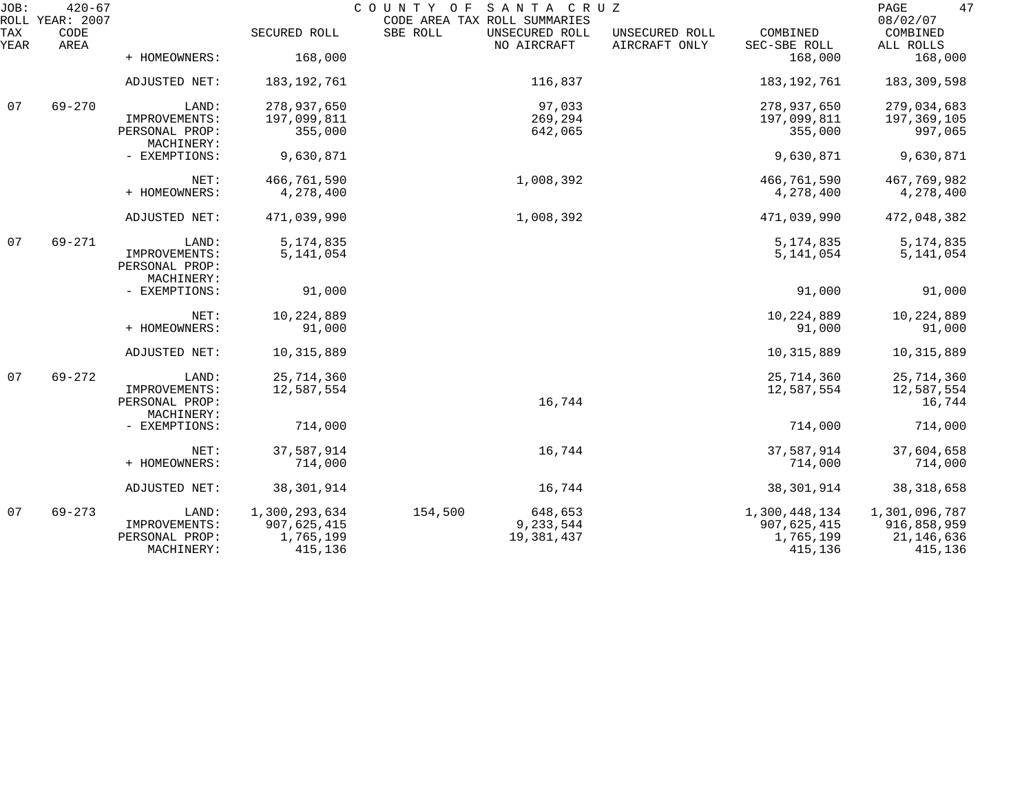| JOB:        | $420 - 67$<br>ROLL YEAR: 2007 |                                 |               | COUNTY OF<br>SANTA CRUZ<br>CODE AREA TAX ROLL SUMMARIES |                                 |                          | 47<br>PAGE<br>08/02/07 |
|-------------|-------------------------------|---------------------------------|---------------|---------------------------------------------------------|---------------------------------|--------------------------|------------------------|
| TAX<br>YEAR | CODE<br>AREA                  |                                 | SECURED ROLL  | SBE ROLL<br>UNSECURED ROLL<br>NO AIRCRAFT               | UNSECURED ROLL<br>AIRCRAFT ONLY | COMBINED<br>SEC-SBE ROLL | COMBINED<br>ALL ROLLS  |
|             |                               | + HOMEOWNERS:                   | 168,000       |                                                         |                                 | 168,000                  | 168,000                |
|             |                               | ADJUSTED NET:                   | 183,192,761   | 116,837                                                 |                                 | 183, 192, 761            | 183,309,598            |
| 07          | $69 - 270$                    | LAND:                           | 278,937,650   | 97,033                                                  |                                 | 278,937,650              | 279,034,683            |
|             |                               | IMPROVEMENTS:                   | 197,099,811   | 269,294                                                 |                                 | 197,099,811              | 197,369,105            |
|             |                               | PERSONAL PROP:<br>MACHINERY:    | 355,000       | 642,065                                                 |                                 | 355,000                  | 997,065                |
|             |                               | - EXEMPTIONS:                   | 9,630,871     |                                                         |                                 | 9,630,871                | 9,630,871              |
|             |                               | NET:                            | 466,761,590   | 1,008,392                                               |                                 | 466,761,590              | 467,769,982            |
|             |                               | + HOMEOWNERS:                   | 4,278,400     |                                                         |                                 | 4,278,400                | 4,278,400              |
|             |                               | ADJUSTED NET:                   | 471,039,990   | 1,008,392                                               |                                 | 471,039,990              | 472,048,382            |
| 07          | $69 - 271$                    | LAND:                           | 5, 174, 835   |                                                         |                                 | 5, 174, 835              | 5, 174, 835            |
|             |                               | IMPROVEMENTS:<br>PERSONAL PROP: | 5,141,054     |                                                         |                                 | 5,141,054                | 5, 141, 054            |
|             |                               | MACHINERY:                      |               |                                                         |                                 |                          |                        |
|             |                               | - EXEMPTIONS:                   | 91,000        |                                                         |                                 | 91,000                   | 91,000                 |
|             |                               | NET:                            | 10,224,889    |                                                         |                                 | 10, 224, 889             | 10,224,889             |
|             |                               | + HOMEOWNERS:                   | 91,000        |                                                         |                                 | 91,000                   | 91,000                 |
|             |                               | ADJUSTED NET:                   | 10,315,889    |                                                         |                                 | 10, 315, 889             | 10, 315, 889           |
| 07          | $69 - 272$                    | LAND:                           | 25,714,360    |                                                         |                                 | 25,714,360               | 25,714,360             |
|             |                               | IMPROVEMENTS:                   | 12,587,554    |                                                         |                                 | 12,587,554               | 12,587,554             |
|             |                               | PERSONAL PROP:<br>MACHINERY:    |               | 16,744                                                  |                                 |                          | 16,744                 |
|             |                               | - EXEMPTIONS:                   | 714,000       |                                                         |                                 | 714,000                  | 714,000                |
|             |                               | NET:                            | 37,587,914    | 16,744                                                  |                                 | 37,587,914               | 37,604,658             |
|             |                               | + HOMEOWNERS:                   | 714,000       |                                                         |                                 | 714,000                  | 714,000                |
|             |                               | ADJUSTED NET:                   | 38, 301, 914  | 16,744                                                  |                                 | 38, 301, 914             | 38, 318, 658           |
| 07          | $69 - 273$                    | LAND:                           | 1,300,293,634 | 154,500<br>648,653                                      |                                 | 1,300,448,134            | 1,301,096,787          |
|             |                               | IMPROVEMENTS:                   | 907,625,415   | 9,233,544                                               |                                 | 907,625,415              | 916,858,959            |
|             |                               | PERSONAL PROP:                  | 1,765,199     | 19,381,437                                              |                                 | 1,765,199                | 21, 146, 636           |
|             |                               | MACHINERY:                      | 415,136       |                                                         |                                 | 415,136                  | 415,136                |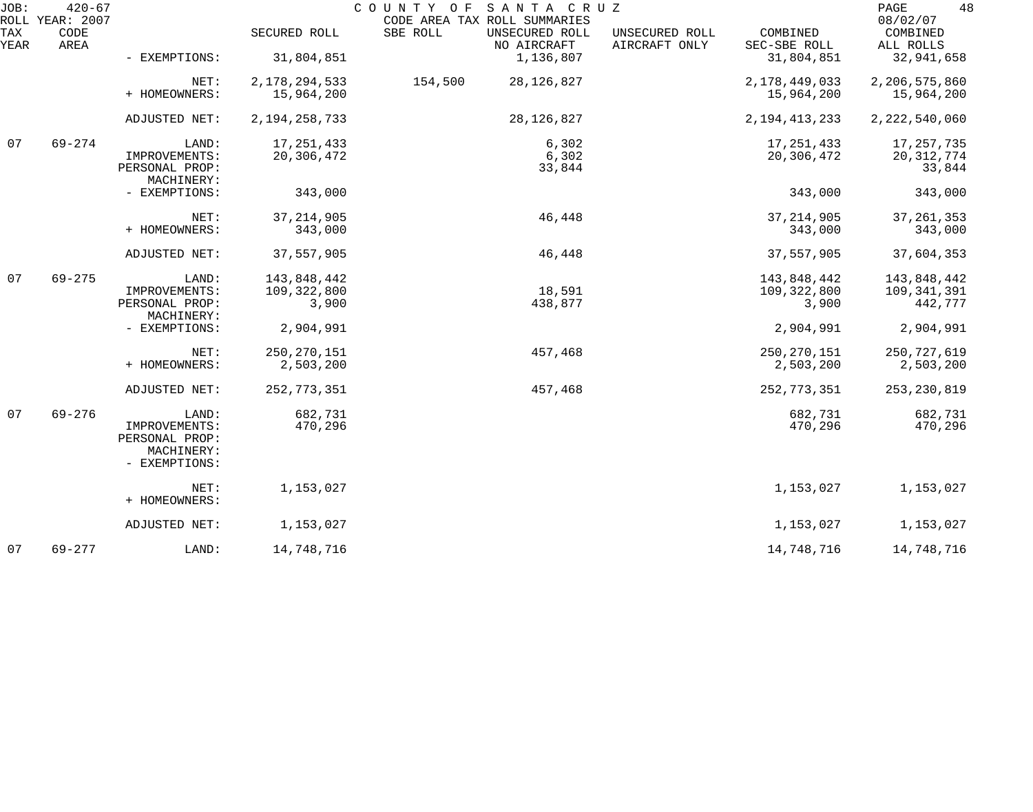| JOB:        | $420 - 67$<br>ROLL YEAR: 2007 |                                 |                  | SANTA CRUZ<br>COUNTY OF<br>CODE AREA TAX ROLL SUMMARIES |                                 |                          | 48<br>PAGE<br>08/02/07 |
|-------------|-------------------------------|---------------------------------|------------------|---------------------------------------------------------|---------------------------------|--------------------------|------------------------|
| TAX<br>YEAR | CODE<br>AREA                  |                                 | SECURED ROLL     | SBE ROLL<br>UNSECURED ROLL<br>NO AIRCRAFT               | UNSECURED ROLL<br>AIRCRAFT ONLY | COMBINED<br>SEC-SBE ROLL | COMBINED<br>ALL ROLLS  |
|             |                               | - EXEMPTIONS:                   | 31,804,851       | 1,136,807                                               |                                 | 31,804,851               | 32,941,658             |
|             |                               | NET:                            | 2, 178, 294, 533 | 154,500<br>28, 126, 827                                 |                                 | 2, 178, 449, 033         | 2,206,575,860          |
|             |                               | + HOMEOWNERS:                   | 15,964,200       |                                                         |                                 | 15,964,200               | 15,964,200             |
|             |                               | ADJUSTED NET:                   | 2, 194, 258, 733 | 28, 126, 827                                            |                                 | 2, 194, 413, 233         | 2, 222, 540, 060       |
| 07          | $69 - 274$                    | LAND:                           | 17, 251, 433     | 6,302                                                   |                                 | 17, 251, 433             | 17, 257, 735           |
|             |                               | IMPROVEMENTS:<br>PERSONAL PROP: | 20,306,472       | 6,302<br>33,844                                         |                                 | 20,306,472               | 20, 312, 774<br>33,844 |
|             |                               | MACHINERY:                      |                  |                                                         |                                 |                          |                        |
|             |                               | - EXEMPTIONS:                   | 343,000          |                                                         |                                 | 343,000                  | 343,000                |
|             |                               | NET:                            | 37, 214, 905     | 46,448                                                  |                                 | 37, 214, 905             | 37, 261, 353           |
|             |                               | + HOMEOWNERS:                   | 343,000          |                                                         |                                 | 343,000                  | 343,000                |
|             |                               | ADJUSTED NET:                   | 37,557,905       | 46,448                                                  |                                 | 37,557,905               | 37,604,353             |
| 07          | $69 - 275$                    | LAND:                           | 143,848,442      |                                                         |                                 | 143,848,442              | 143,848,442            |
|             |                               | IMPROVEMENTS:                   | 109,322,800      | 18,591                                                  |                                 | 109,322,800              | 109, 341, 391          |
|             |                               | PERSONAL PROP:<br>MACHINERY:    | 3,900            | 438,877                                                 |                                 | 3,900                    | 442,777                |
|             |                               | - EXEMPTIONS:                   | 2,904,991        |                                                         |                                 | 2,904,991                | 2,904,991              |
|             |                               | NET:                            | 250, 270, 151    | 457,468                                                 |                                 | 250, 270, 151            | 250,727,619            |
|             |                               | + HOMEOWNERS:                   | 2,503,200        |                                                         |                                 | 2,503,200                | 2,503,200              |
|             |                               | ADJUSTED NET:                   | 252, 773, 351    | 457,468                                                 |                                 | 252, 773, 351            | 253, 230, 819          |
| 07          | $69 - 276$                    | LAND:                           | 682,731          |                                                         |                                 | 682,731                  | 682,731                |
|             |                               | IMPROVEMENTS:                   | 470,296          |                                                         |                                 | 470,296                  | 470,296                |
|             |                               | PERSONAL PROP:                  |                  |                                                         |                                 |                          |                        |
|             |                               | MACHINERY:<br>- EXEMPTIONS:     |                  |                                                         |                                 |                          |                        |
|             |                               |                                 |                  |                                                         |                                 |                          |                        |
|             |                               | NET:<br>+ HOMEOWNERS:           | 1,153,027        |                                                         |                                 | 1,153,027                | 1,153,027              |
|             |                               | ADJUSTED NET:                   | 1,153,027        |                                                         |                                 | 1,153,027                | 1,153,027              |
| 07          | $69 - 277$                    | LAND:                           | 14,748,716       |                                                         |                                 | 14,748,716               | 14,748,716             |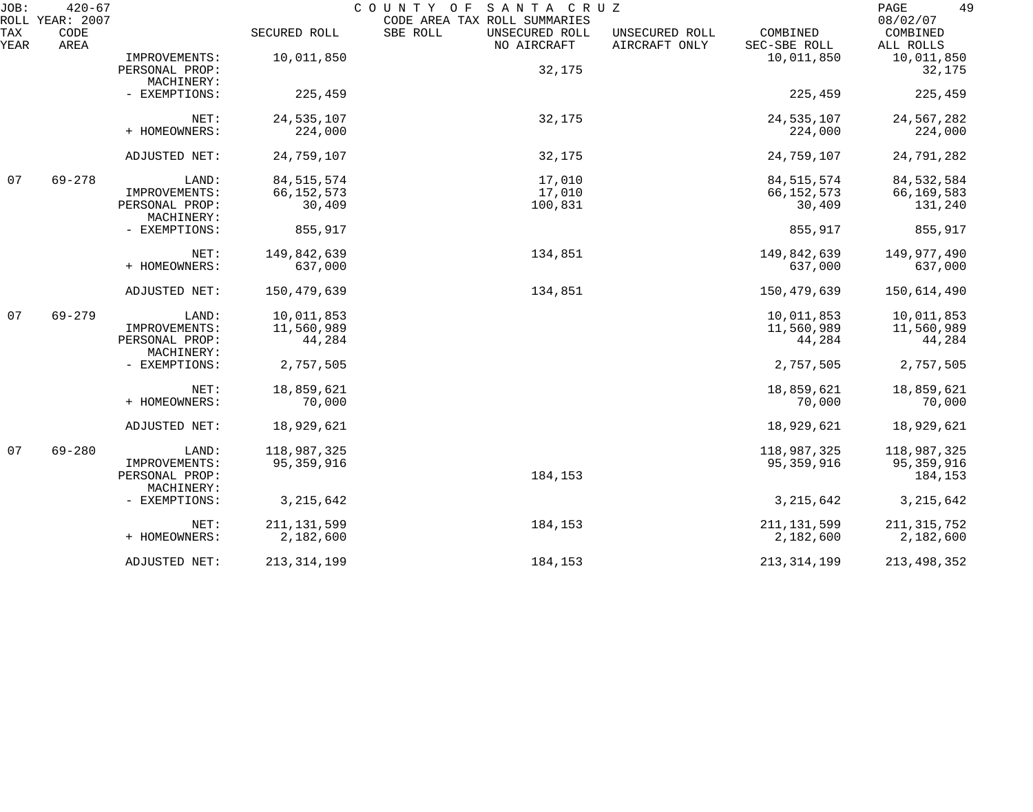| JOB:        | $420 - 67$<br>ROLL YEAR: 2007 |                              | COUNTY OF<br>SANTA CRUZ<br>CODE AREA TAX ROLL SUMMARIES |                                           |                                                             |                                   |  |
|-------------|-------------------------------|------------------------------|---------------------------------------------------------|-------------------------------------------|-------------------------------------------------------------|-----------------------------------|--|
| TAX<br>YEAR | CODE<br>AREA                  |                              | SECURED ROLL                                            | SBE ROLL<br>UNSECURED ROLL<br>NO AIRCRAFT | COMBINED<br>UNSECURED ROLL<br>AIRCRAFT ONLY<br>SEC-SBE ROLL | 08/02/07<br>COMBINED<br>ALL ROLLS |  |
|             |                               | IMPROVEMENTS:                | 10,011,850                                              |                                           | 10,011,850                                                  | 10,011,850                        |  |
|             |                               | PERSONAL PROP:               |                                                         | 32,175                                    |                                                             | 32,175                            |  |
|             |                               | MACHINERY:                   |                                                         |                                           |                                                             |                                   |  |
|             |                               | - EXEMPTIONS:                | 225,459                                                 |                                           | 225,459                                                     | 225,459                           |  |
|             |                               | NET:                         | 24, 535, 107                                            | 32,175                                    | 24, 535, 107                                                | 24,567,282                        |  |
|             |                               | + HOMEOWNERS:                | 224,000                                                 |                                           | 224,000                                                     | 224,000                           |  |
|             |                               | ADJUSTED NET:                | 24,759,107                                              | 32,175                                    | 24,759,107                                                  | 24,791,282                        |  |
| 07          | $69 - 278$                    | LAND:                        | 84, 515, 574                                            | 17,010                                    | 84, 515, 574                                                | 84,532,584                        |  |
|             |                               | IMPROVEMENTS:                | 66, 152, 573                                            | 17,010                                    | 66, 152, 573                                                | 66,169,583                        |  |
|             |                               | PERSONAL PROP:<br>MACHINERY: | 30,409                                                  | 100,831                                   | 30,409                                                      | 131,240                           |  |
|             |                               | - EXEMPTIONS:                | 855,917                                                 |                                           | 855,917                                                     | 855,917                           |  |
|             |                               | NET:                         | 149,842,639                                             | 134,851                                   | 149,842,639                                                 | 149,977,490                       |  |
|             |                               | + HOMEOWNERS:                | 637,000                                                 |                                           | 637,000                                                     | 637,000                           |  |
|             |                               | ADJUSTED NET:                | 150,479,639                                             | 134,851                                   | 150,479,639                                                 | 150,614,490                       |  |
| 07          | $69 - 279$                    | LAND:                        | 10,011,853                                              |                                           | 10,011,853                                                  | 10,011,853                        |  |
|             |                               | IMPROVEMENTS:                | 11,560,989                                              |                                           | 11,560,989                                                  | 11,560,989                        |  |
|             |                               | PERSONAL PROP:<br>MACHINERY: | 44,284                                                  |                                           | 44,284                                                      | 44,284                            |  |
|             |                               | - EXEMPTIONS:                | 2,757,505                                               |                                           | 2,757,505                                                   | 2,757,505                         |  |
|             |                               | NET:                         | 18,859,621                                              |                                           | 18,859,621                                                  | 18,859,621                        |  |
|             |                               | + HOMEOWNERS:                | 70,000                                                  |                                           | 70,000                                                      | 70,000                            |  |
|             |                               | ADJUSTED NET:                | 18,929,621                                              |                                           | 18,929,621                                                  | 18,929,621                        |  |
| 07          | $69 - 280$                    | LAND:                        | 118,987,325                                             |                                           | 118,987,325                                                 | 118,987,325                       |  |
|             |                               | IMPROVEMENTS:                | 95, 359, 916                                            |                                           | 95, 359, 916                                                | 95, 359, 916                      |  |
|             |                               | PERSONAL PROP:               |                                                         | 184,153                                   |                                                             | 184,153                           |  |
|             |                               | MACHINERY:                   |                                                         |                                           |                                                             |                                   |  |
|             |                               | - EXEMPTIONS:                | 3, 215, 642                                             |                                           | 3, 215, 642                                                 | 3, 215, 642                       |  |
|             |                               | NET:                         | 211, 131, 599                                           | 184,153                                   | 211, 131, 599                                               | 211, 315, 752                     |  |
|             |                               | + HOMEOWNERS:                | 2,182,600                                               |                                           | 2,182,600                                                   | 2,182,600                         |  |
|             |                               | ADJUSTED NET:                | 213, 314, 199                                           | 184,153                                   | 213, 314, 199                                               | 213,498,352                       |  |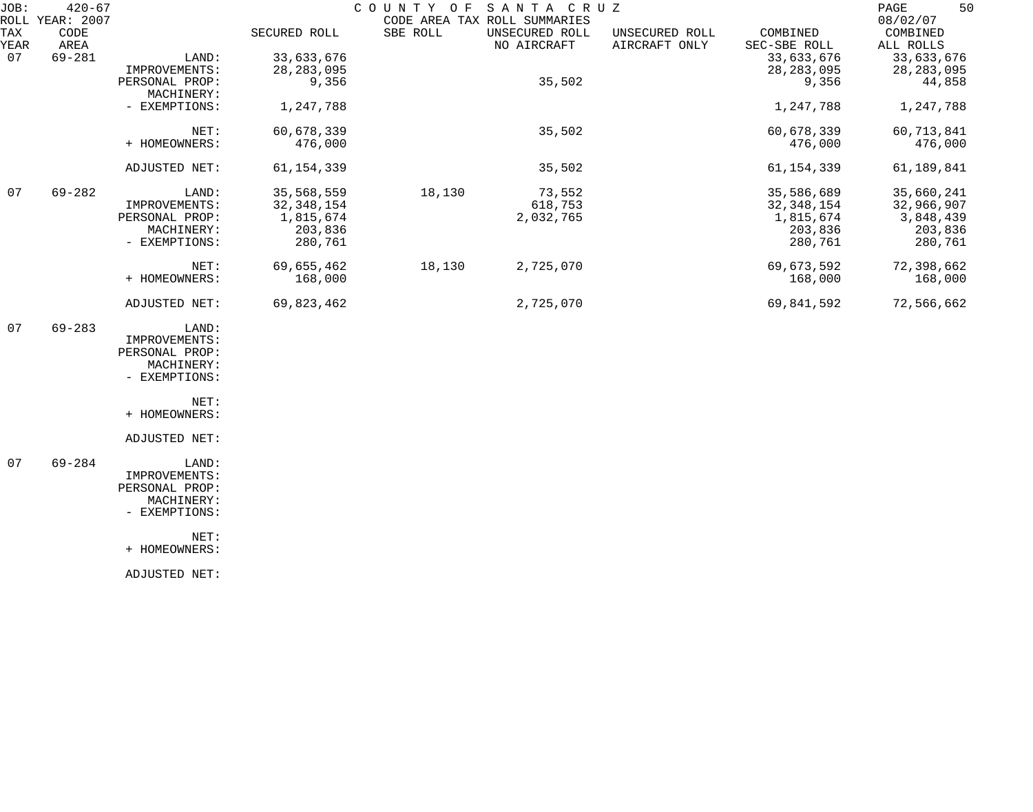| JOB:        | $420 - 67$<br>ROLL YEAR: 2007 |                              |              | COUNTY OF | SANTA CRUZ<br>CODE AREA TAX ROLL SUMMARIES |                                 |                          | 50<br>PAGE<br>08/02/07 |
|-------------|-------------------------------|------------------------------|--------------|-----------|--------------------------------------------|---------------------------------|--------------------------|------------------------|
| TAX<br>YEAR | CODE<br>AREA                  |                              | SECURED ROLL | SBE ROLL  | UNSECURED ROLL<br>NO AIRCRAFT              | UNSECURED ROLL<br>AIRCRAFT ONLY | COMBINED<br>SEC-SBE ROLL | COMBINED<br>ALL ROLLS  |
| 07          | $69 - 281$                    | LAND:                        | 33,633,676   |           |                                            |                                 | 33,633,676               | 33,633,676             |
|             |                               | IMPROVEMENTS:                | 28, 283, 095 |           |                                            |                                 | 28, 283, 095             | 28, 283, 095           |
|             |                               | PERSONAL PROP:<br>MACHINERY: | 9,356        |           | 35,502                                     |                                 | 9,356                    | 44,858                 |
|             |                               | - EXEMPTIONS:                | 1,247,788    |           |                                            |                                 | 1,247,788                | 1,247,788              |
|             |                               | NET:                         | 60,678,339   |           | 35,502                                     |                                 | 60,678,339               | 60,713,841             |
|             |                               | + HOMEOWNERS:                | 476,000      |           |                                            |                                 | 476,000                  | 476,000                |
|             |                               | ADJUSTED NET:                | 61, 154, 339 |           | 35,502                                     |                                 | 61, 154, 339             | 61,189,841             |
| 07          | $69 - 282$                    | LAND:                        | 35,568,559   | 18,130    | 73,552                                     |                                 | 35,586,689               | 35,660,241             |
|             |                               | IMPROVEMENTS:                | 32, 348, 154 |           | 618,753                                    |                                 | 32, 348, 154             | 32,966,907             |
|             |                               | PERSONAL PROP:               | 1,815,674    |           | 2,032,765                                  |                                 | 1,815,674                | 3,848,439              |
|             |                               | MACHINERY:                   | 203,836      |           |                                            |                                 | 203,836                  | 203,836                |
|             |                               | - EXEMPTIONS:                | 280,761      |           |                                            |                                 | 280,761                  | 280,761                |
|             |                               | NET:                         | 69,655,462   | 18,130    | 2,725,070                                  |                                 | 69,673,592               | 72,398,662             |
|             |                               | + HOMEOWNERS:                | 168,000      |           |                                            |                                 | 168,000                  | 168,000                |
|             |                               | ADJUSTED NET:                | 69,823,462   |           | 2,725,070                                  |                                 | 69,841,592               | 72,566,662             |
| 07          | $69 - 283$                    | LAND:                        |              |           |                                            |                                 |                          |                        |
|             |                               | IMPROVEMENTS:                |              |           |                                            |                                 |                          |                        |
|             |                               | PERSONAL PROP:               |              |           |                                            |                                 |                          |                        |
|             |                               | MACHINERY:                   |              |           |                                            |                                 |                          |                        |
|             |                               | - EXEMPTIONS:                |              |           |                                            |                                 |                          |                        |
|             |                               | NET:                         |              |           |                                            |                                 |                          |                        |
|             |                               | + HOMEOWNERS:                |              |           |                                            |                                 |                          |                        |
|             |                               | ADJUSTED NET:                |              |           |                                            |                                 |                          |                        |
| 07          | $69 - 284$                    | LAND:                        |              |           |                                            |                                 |                          |                        |
|             |                               | IMPROVEMENTS:                |              |           |                                            |                                 |                          |                        |
|             |                               | PERSONAL PROP:               |              |           |                                            |                                 |                          |                        |
|             |                               | MACHINERY:                   |              |           |                                            |                                 |                          |                        |
|             |                               | - EXEMPTIONS:                |              |           |                                            |                                 |                          |                        |
|             |                               | NET:                         |              |           |                                            |                                 |                          |                        |
|             |                               | + HOMEOWNERS:                |              |           |                                            |                                 |                          |                        |

ADJUSTED NET: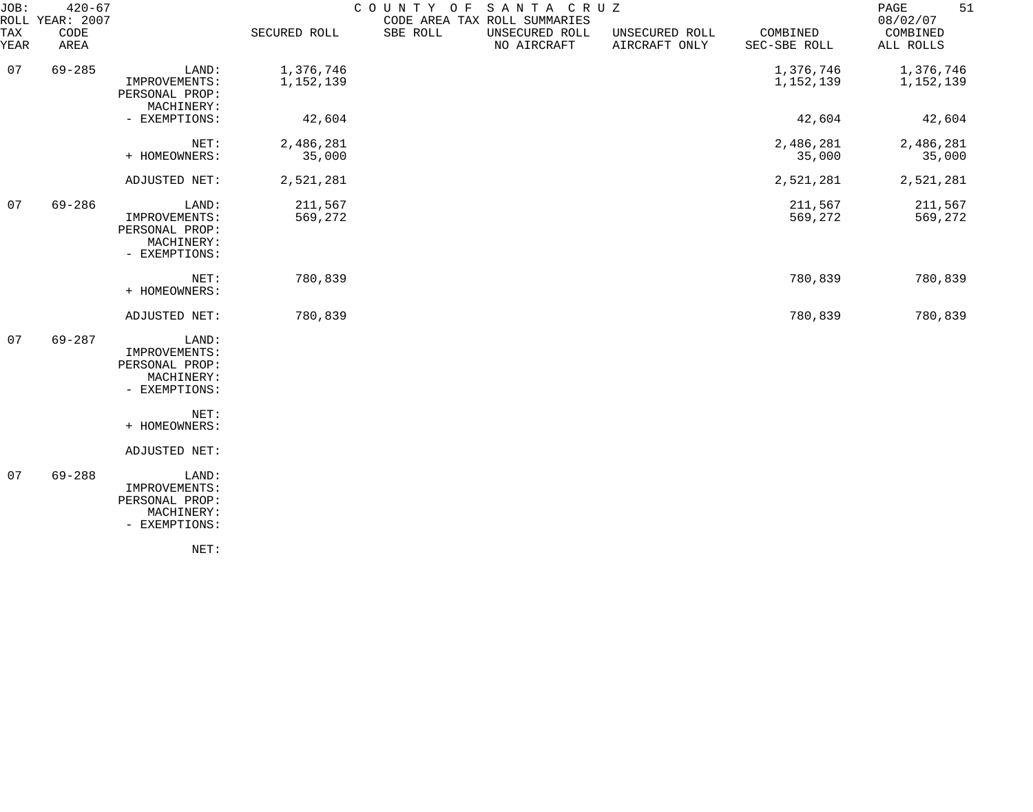| JOB:        | $420 - 67$<br>ROLL YEAR: 2007 |                                                                         |                        | COUNTY OF | SANTA CRUZ<br>CODE AREA TAX ROLL SUMMARIES |                                 |                          | 51<br>PAGE<br>08/02/07 |
|-------------|-------------------------------|-------------------------------------------------------------------------|------------------------|-----------|--------------------------------------------|---------------------------------|--------------------------|------------------------|
| TAX<br>YEAR | CODE<br>AREA                  |                                                                         | SECURED ROLL           | SBE ROLL  | UNSECURED ROLL<br>NO AIRCRAFT              | UNSECURED ROLL<br>AIRCRAFT ONLY | COMBINED<br>SEC-SBE ROLL | COMBINED<br>ALL ROLLS  |
| 07          | $69 - 285$                    | LAND:<br>IMPROVEMENTS:<br>PERSONAL PROP:                                | 1,376,746<br>1,152,139 |           |                                            |                                 | 1,376,746<br>1,152,139   | 1,376,746<br>1,152,139 |
|             |                               | MACHINERY:<br>- EXEMPTIONS:                                             | 42,604                 |           |                                            |                                 | 42,604                   | 42,604                 |
|             |                               | NET:<br>+ HOMEOWNERS:                                                   | 2,486,281<br>35,000    |           |                                            |                                 | 2,486,281<br>35,000      | 2,486,281<br>35,000    |
|             |                               | ADJUSTED NET:                                                           | 2,521,281              |           |                                            |                                 | 2,521,281                | 2,521,281              |
| 07          | $69 - 286$                    | LAND:<br>IMPROVEMENTS:<br>PERSONAL PROP:<br>MACHINERY:<br>- EXEMPTIONS: | 211,567<br>569,272     |           |                                            |                                 | 211,567<br>569,272       | 211,567<br>569,272     |
|             |                               | NET:<br>+ HOMEOWNERS:                                                   | 780,839                |           |                                            |                                 | 780,839                  | 780,839                |
|             |                               | ADJUSTED NET:                                                           | 780,839                |           |                                            |                                 | 780,839                  | 780,839                |
| 07          | $69 - 287$                    | LAND:<br>IMPROVEMENTS:<br>PERSONAL PROP:<br>MACHINERY:<br>- EXEMPTIONS: |                        |           |                                            |                                 |                          |                        |
|             |                               | NET:<br>+ HOMEOWNERS:                                                   |                        |           |                                            |                                 |                          |                        |
|             |                               | ADJUSTED NET:                                                           |                        |           |                                            |                                 |                          |                        |
| 07          | $69 - 288$                    | LAND:<br>IMPROVEMENTS:<br>PERSONAL PROP:<br>MACHINERY:<br>- EXEMPTIONS: |                        |           |                                            |                                 |                          |                        |
|             |                               | NET:                                                                    |                        |           |                                            |                                 |                          |                        |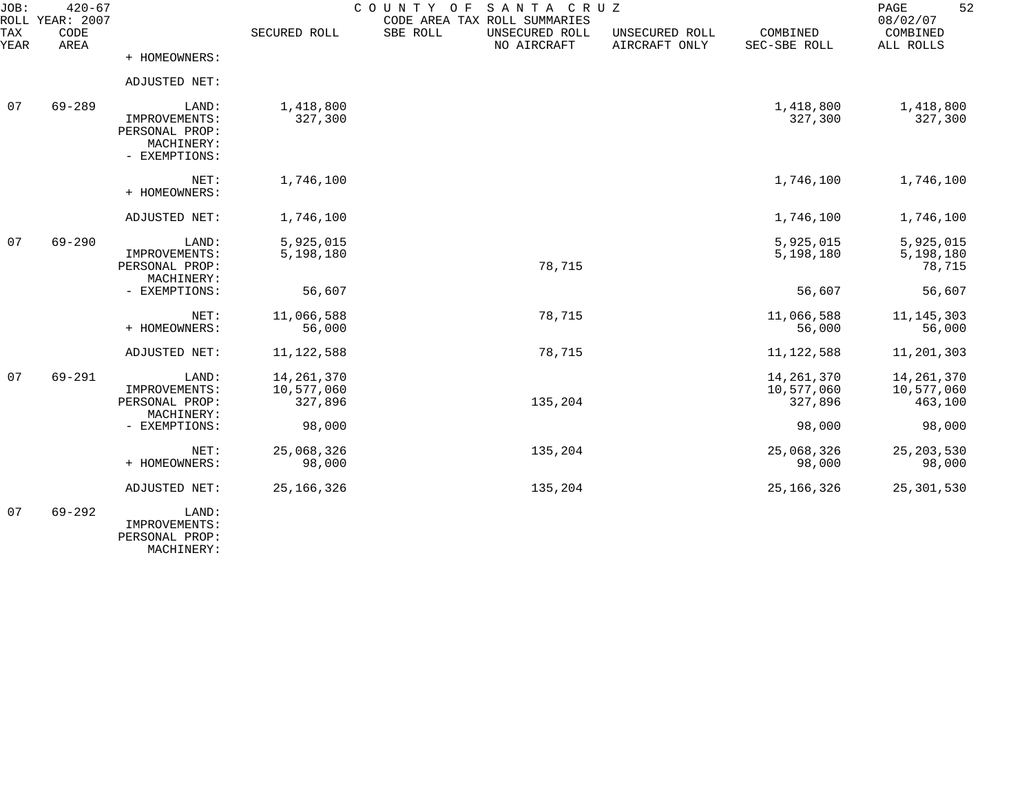| JOB:        | $420 - 67$<br>ROLL YEAR: 2007 |                                                                         |                                       | SANTA CRUZ<br>COUNTY OF<br>CODE AREA TAX ROLL SUMMARIES |                                 |                                       | 52<br>PAGE<br>08/02/07                |
|-------------|-------------------------------|-------------------------------------------------------------------------|---------------------------------------|---------------------------------------------------------|---------------------------------|---------------------------------------|---------------------------------------|
| TAX<br>YEAR | CODE<br>AREA                  |                                                                         | SECURED ROLL                          | SBE ROLL<br>UNSECURED ROLL<br>NO AIRCRAFT               | UNSECURED ROLL<br>AIRCRAFT ONLY | COMBINED<br>SEC-SBE ROLL              | COMBINED<br>ALL ROLLS                 |
|             |                               | + HOMEOWNERS:                                                           |                                       |                                                         |                                 |                                       |                                       |
|             |                               | ADJUSTED NET:                                                           |                                       |                                                         |                                 |                                       |                                       |
| 07          | $69 - 289$                    | LAND:<br>IMPROVEMENTS:<br>PERSONAL PROP:<br>MACHINERY:<br>- EXEMPTIONS: | 1,418,800<br>327,300                  |                                                         |                                 | 1,418,800<br>327,300                  | 1,418,800<br>327,300                  |
|             |                               | NET:<br>+ HOMEOWNERS:                                                   | 1,746,100                             |                                                         |                                 | 1,746,100                             | 1,746,100                             |
|             |                               | ADJUSTED NET:                                                           | 1,746,100                             |                                                         |                                 | 1,746,100                             | 1,746,100                             |
| 07          | $69 - 290$                    | LAND:<br>IMPROVEMENTS:<br>PERSONAL PROP:<br>MACHINERY:                  | 5,925,015<br>5,198,180                | 78,715                                                  |                                 | 5,925,015<br>5,198,180                | 5,925,015<br>5,198,180<br>78,715      |
|             |                               | - EXEMPTIONS:                                                           | 56,607                                |                                                         |                                 | 56,607                                | 56,607                                |
|             |                               | NET:<br>+ HOMEOWNERS:                                                   | 11,066,588<br>56,000                  | 78,715                                                  |                                 | 11,066,588<br>56,000                  | 11, 145, 303<br>56,000                |
|             |                               | ADJUSTED NET:                                                           | 11, 122, 588                          | 78,715                                                  |                                 | 11, 122, 588                          | 11,201,303                            |
| 07          | $69 - 291$                    | LAND:<br>IMPROVEMENTS:<br>PERSONAL PROP:<br>MACHINERY:                  | 14, 261, 370<br>10,577,060<br>327,896 | 135,204                                                 |                                 | 14, 261, 370<br>10,577,060<br>327,896 | 14, 261, 370<br>10,577,060<br>463,100 |
|             |                               | - EXEMPTIONS:                                                           | 98,000                                |                                                         |                                 | 98,000                                | 98,000                                |
|             |                               | NET:<br>+ HOMEOWNERS:                                                   | 25,068,326<br>98,000                  | 135,204                                                 |                                 | 25,068,326<br>98,000                  | 25, 203, 530<br>98,000                |
|             |                               | ADJUSTED NET:                                                           | 25, 166, 326                          | 135,204                                                 |                                 | 25, 166, 326                          | 25, 301, 530                          |
| 07          | $69 - 292$                    | LAND:<br>IMPROVEMENTS:                                                  |                                       |                                                         |                                 |                                       |                                       |

PERSONAL PROP:

MACHINERY: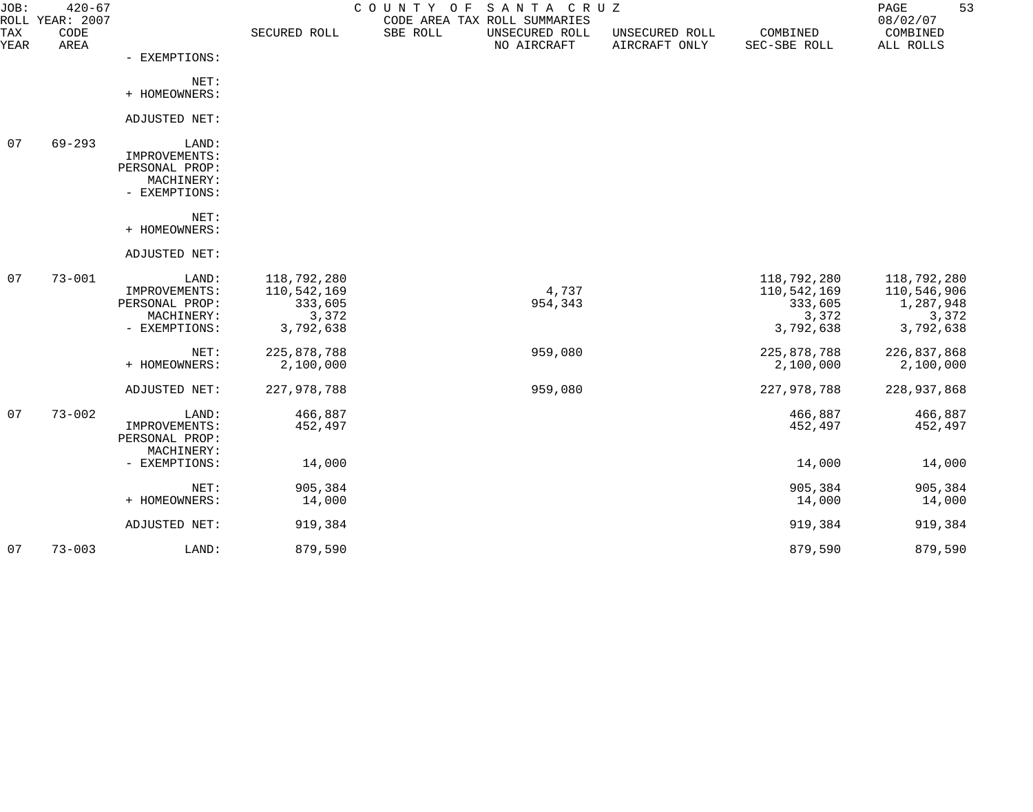| JOB:        | $420 - 67$<br>ROLL YEAR: 2007 |                                                                         |                                                             | SANTA CRUZ<br>COUNTY OF<br>CODE AREA TAX ROLL SUMMARIES |                                 |                                                             | 53<br>PAGE<br>08/02/07                                        |
|-------------|-------------------------------|-------------------------------------------------------------------------|-------------------------------------------------------------|---------------------------------------------------------|---------------------------------|-------------------------------------------------------------|---------------------------------------------------------------|
| TAX<br>YEAR | CODE<br>AREA                  |                                                                         | SECURED ROLL                                                | SBE ROLL<br>UNSECURED ROLL<br>NO AIRCRAFT               | UNSECURED ROLL<br>AIRCRAFT ONLY | COMBINED<br>SEC-SBE ROLL                                    | COMBINED<br>ALL ROLLS                                         |
|             |                               | - EXEMPTIONS:                                                           |                                                             |                                                         |                                 |                                                             |                                                               |
|             |                               | NET:<br>+ HOMEOWNERS:                                                   |                                                             |                                                         |                                 |                                                             |                                                               |
|             |                               | ADJUSTED NET:                                                           |                                                             |                                                         |                                 |                                                             |                                                               |
| 07          | $69 - 293$                    | LAND:<br>IMPROVEMENTS:<br>PERSONAL PROP:<br>MACHINERY:<br>- EXEMPTIONS: |                                                             |                                                         |                                 |                                                             |                                                               |
|             |                               | NET:<br>+ HOMEOWNERS:                                                   |                                                             |                                                         |                                 |                                                             |                                                               |
|             |                               | ADJUSTED NET:                                                           |                                                             |                                                         |                                 |                                                             |                                                               |
| 07          | $73 - 001$                    | LAND:<br>IMPROVEMENTS:<br>PERSONAL PROP:<br>MACHINERY:<br>- EXEMPTIONS: | 118,792,280<br>110,542,169<br>333,605<br>3,372<br>3,792,638 | 4,737<br>954,343                                        |                                 | 118,792,280<br>110,542,169<br>333,605<br>3,372<br>3,792,638 | 118,792,280<br>110,546,906<br>1,287,948<br>3,372<br>3,792,638 |
|             |                               | NET:<br>+ HOMEOWNERS:                                                   | 225,878,788<br>2,100,000                                    | 959,080                                                 |                                 | 225,878,788<br>2,100,000                                    | 226,837,868<br>2,100,000                                      |
|             |                               | ADJUSTED NET:                                                           | 227,978,788                                                 | 959,080                                                 |                                 | 227,978,788                                                 | 228,937,868                                                   |
| 07          | $73 - 002$                    | LAND:<br>IMPROVEMENTS:<br>PERSONAL PROP:<br>MACHINERY:                  | 466,887<br>452,497                                          |                                                         |                                 | 466,887<br>452,497                                          | 466,887<br>452,497                                            |
|             |                               | - EXEMPTIONS:                                                           | 14,000                                                      |                                                         |                                 | 14,000                                                      | 14,000                                                        |
|             |                               | NET:<br>+ HOMEOWNERS:                                                   | 905,384<br>14,000                                           |                                                         |                                 | 905,384<br>14,000                                           | 905,384<br>14,000                                             |
|             |                               | ADJUSTED NET:                                                           | 919,384                                                     |                                                         |                                 | 919,384                                                     | 919,384                                                       |
| 07          | $73 - 003$                    | LAND:                                                                   | 879,590                                                     |                                                         |                                 | 879,590                                                     | 879,590                                                       |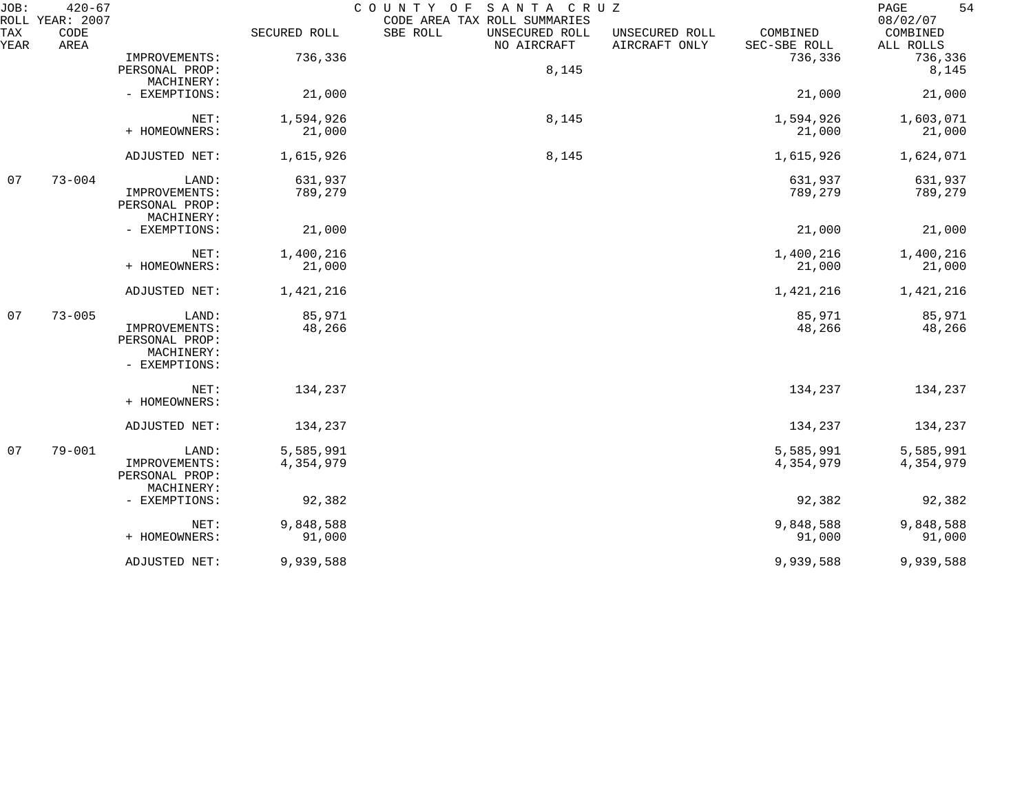| JOB:        | $420 - 67$<br>ROLL YEAR: 2007 |                                                                         |                        | COUNTY OF<br>SANTA CRUZ<br>CODE AREA TAX ROLL SUMMARIES |                                 |                          | 54<br>PAGE<br>08/02/07 |
|-------------|-------------------------------|-------------------------------------------------------------------------|------------------------|---------------------------------------------------------|---------------------------------|--------------------------|------------------------|
| TAX<br>YEAR | CODE<br>AREA                  |                                                                         | SECURED ROLL           | SBE ROLL<br>UNSECURED ROLL<br>NO AIRCRAFT               | UNSECURED ROLL<br>AIRCRAFT ONLY | COMBINED<br>SEC-SBE ROLL | COMBINED<br>ALL ROLLS  |
|             |                               | IMPROVEMENTS:<br>PERSONAL PROP:                                         | 736,336                | 8,145                                                   |                                 | 736,336                  | 736,336<br>8,145       |
|             |                               | MACHINERY:<br>- EXEMPTIONS:                                             | 21,000                 |                                                         |                                 | 21,000                   | 21,000                 |
|             |                               | NET:<br>+ HOMEOWNERS:                                                   | 1,594,926<br>21,000    | 8,145                                                   |                                 | 1,594,926<br>21,000      | 1,603,071<br>21,000    |
|             |                               | ADJUSTED NET:                                                           | 1,615,926              | 8,145                                                   |                                 | 1,615,926                | 1,624,071              |
| 07          | $73 - 004$                    | LAND:<br>IMPROVEMENTS:<br>PERSONAL PROP:<br>MACHINERY:                  | 631,937<br>789,279     |                                                         |                                 | 631,937<br>789,279       | 631,937<br>789,279     |
|             |                               | - EXEMPTIONS:                                                           | 21,000                 |                                                         |                                 | 21,000                   | 21,000                 |
|             |                               | NET:<br>+ HOMEOWNERS:                                                   | 1,400,216<br>21,000    |                                                         |                                 | 1,400,216<br>21,000      | 1,400,216<br>21,000    |
|             |                               | ADJUSTED NET:                                                           | 1,421,216              |                                                         |                                 | 1,421,216                | 1,421,216              |
| 07          | $73 - 005$                    | LAND:<br>IMPROVEMENTS:<br>PERSONAL PROP:<br>MACHINERY:<br>- EXEMPTIONS: | 85,971<br>48,266       |                                                         |                                 | 85,971<br>48,266         | 85,971<br>48,266       |
|             |                               | NET:<br>+ HOMEOWNERS:                                                   | 134,237                |                                                         |                                 | 134,237                  | 134,237                |
|             |                               | ADJUSTED NET:                                                           | 134,237                |                                                         |                                 | 134,237                  | 134,237                |
| 07          | $79 - 001$                    | LAND:<br>IMPROVEMENTS:<br>PERSONAL PROP:<br>MACHINERY:                  | 5,585,991<br>4,354,979 |                                                         |                                 | 5,585,991<br>4,354,979   | 5,585,991<br>4,354,979 |
|             |                               | - EXEMPTIONS:                                                           | 92,382                 |                                                         |                                 | 92,382                   | 92,382                 |
|             |                               | NET:<br>+ HOMEOWNERS:                                                   | 9,848,588<br>91,000    |                                                         |                                 | 9,848,588<br>91,000      | 9,848,588<br>91,000    |
|             |                               | ADJUSTED NET:                                                           | 9,939,588              |                                                         |                                 | 9,939,588                | 9,939,588              |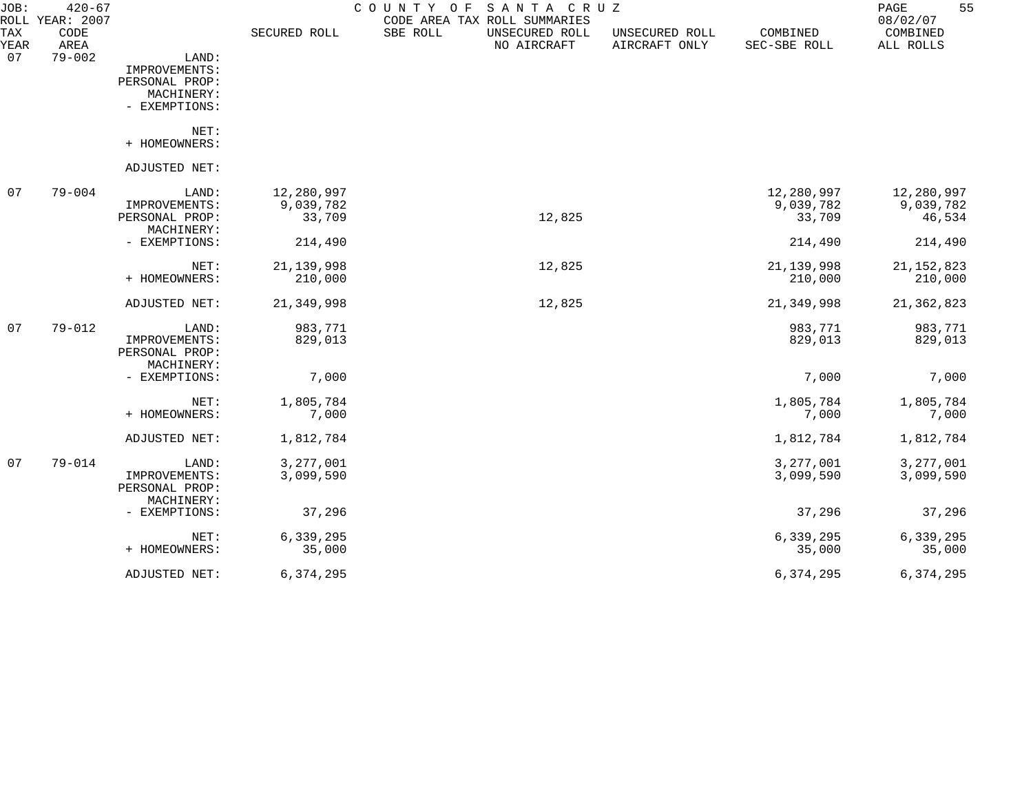| JOB:<br><b>TAX</b> | $420 - 67$<br>ROLL YEAR: 2007<br>CODE |                | SECURED ROLL | COUNTY OF<br>SBE ROLL | SANTA CRUZ<br>CODE AREA TAX ROLL SUMMARIES<br>UNSECURED ROLL | UNSECURED ROLL | COMBINED     | 55<br>PAGE<br>08/02/07<br>COMBINED |
|--------------------|---------------------------------------|----------------|--------------|-----------------------|--------------------------------------------------------------|----------------|--------------|------------------------------------|
| YEAR               | AREA                                  |                |              |                       | NO AIRCRAFT                                                  | AIRCRAFT ONLY  | SEC-SBE ROLL | ALL ROLLS                          |
| 07                 | $79 - 002$                            | LAND:          |              |                       |                                                              |                |              |                                    |
|                    |                                       | IMPROVEMENTS:  |              |                       |                                                              |                |              |                                    |
|                    |                                       | PERSONAL PROP: |              |                       |                                                              |                |              |                                    |
|                    |                                       | MACHINERY:     |              |                       |                                                              |                |              |                                    |
|                    |                                       | - EXEMPTIONS:  |              |                       |                                                              |                |              |                                    |
|                    |                                       | NET:           |              |                       |                                                              |                |              |                                    |
|                    |                                       | + HOMEOWNERS:  |              |                       |                                                              |                |              |                                    |
|                    |                                       | ADJUSTED NET:  |              |                       |                                                              |                |              |                                    |
| 07                 | $79 - 004$                            | LAND:          | 12,280,997   |                       |                                                              |                | 12,280,997   | 12,280,997                         |
|                    |                                       | IMPROVEMENTS:  | 9,039,782    |                       |                                                              |                | 9,039,782    | 9,039,782                          |
|                    |                                       | PERSONAL PROP: | 33,709       |                       | 12,825                                                       |                | 33,709       | 46,534                             |
|                    |                                       | MACHINERY:     |              |                       |                                                              |                |              |                                    |
|                    |                                       | - EXEMPTIONS:  | 214,490      |                       |                                                              |                | 214,490      | 214,490                            |
|                    |                                       | NET:           | 21, 139, 998 |                       | 12,825                                                       |                | 21, 139, 998 | 21, 152, 823                       |
|                    |                                       | + HOMEOWNERS:  | 210,000      |                       |                                                              |                | 210,000      | 210,000                            |
|                    |                                       | ADJUSTED NET:  | 21,349,998   |                       | 12,825                                                       |                | 21,349,998   | 21,362,823                         |
| 07                 | $79 - 012$                            | LAND:          | 983,771      |                       |                                                              |                | 983,771      | 983,771                            |
|                    |                                       | IMPROVEMENTS:  | 829,013      |                       |                                                              |                | 829,013      | 829,013                            |
|                    |                                       | PERSONAL PROP: |              |                       |                                                              |                |              |                                    |
|                    |                                       | MACHINERY:     |              |                       |                                                              |                |              |                                    |
|                    |                                       | - EXEMPTIONS:  | 7,000        |                       |                                                              |                | 7,000        | 7,000                              |
|                    |                                       | NET:           | 1,805,784    |                       |                                                              |                | 1,805,784    | 1,805,784                          |
|                    |                                       | + HOMEOWNERS:  | 7,000        |                       |                                                              |                | 7,000        | 7,000                              |
|                    |                                       | ADJUSTED NET:  | 1,812,784    |                       |                                                              |                | 1,812,784    | 1,812,784                          |
| -07                | $79 - 014$                            | LAND:          | 3, 277, 001  |                       |                                                              |                | 3,277,001    | 3, 277, 001                        |
|                    |                                       | IMPROVEMENTS:  | 3,099,590    |                       |                                                              |                | 3,099,590    | 3,099,590                          |
|                    |                                       | PERSONAL PROP: |              |                       |                                                              |                |              |                                    |
|                    |                                       | MACHINERY:     |              |                       |                                                              |                |              |                                    |
|                    |                                       | - EXEMPTIONS:  | 37,296       |                       |                                                              |                | 37,296       | 37,296                             |
|                    |                                       | NET:           | 6,339,295    |                       |                                                              |                | 6,339,295    | 6,339,295                          |
|                    |                                       | + HOMEOWNERS:  | 35,000       |                       |                                                              |                | 35,000       | 35,000                             |
|                    |                                       | ADJUSTED NET:  | 6,374,295    |                       |                                                              |                | 6,374,295    | 6,374,295                          |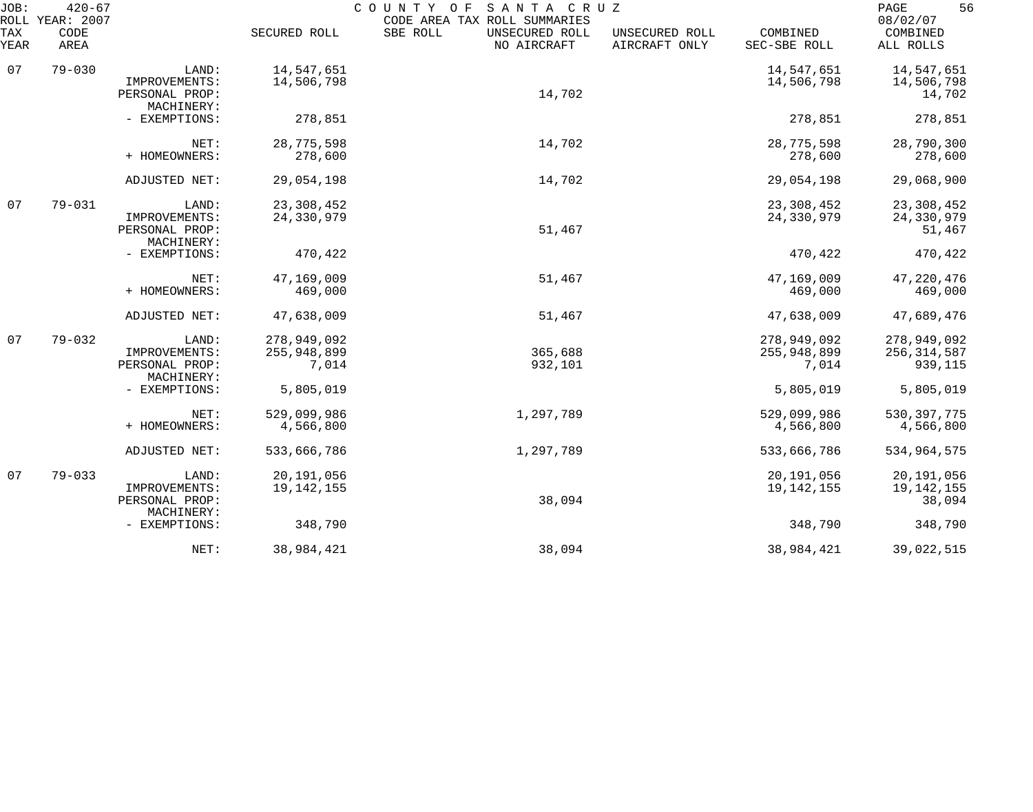| JOB:        | $420 - 67$<br>SANTA CRUZ<br>COUNTY OF<br>ROLL YEAR: 2007<br>CODE AREA TAX ROLL SUMMARIES |                                                        |                                     |                                           |                                 |                                     |                                         |
|-------------|------------------------------------------------------------------------------------------|--------------------------------------------------------|-------------------------------------|-------------------------------------------|---------------------------------|-------------------------------------|-----------------------------------------|
| TAX<br>YEAR | CODE<br>AREA                                                                             |                                                        | SECURED ROLL                        | SBE ROLL<br>UNSECURED ROLL<br>NO AIRCRAFT | UNSECURED ROLL<br>AIRCRAFT ONLY | COMBINED<br>SEC-SBE ROLL            | 08/02/07<br>COMBINED<br>ALL ROLLS       |
| 07          | $79 - 030$                                                                               | LAND:<br>IMPROVEMENTS:<br>PERSONAL PROP:<br>MACHINERY: | 14,547,651<br>14,506,798            | 14,702                                    |                                 | 14,547,651<br>14,506,798            | 14,547,651<br>14,506,798<br>14,702      |
|             |                                                                                          | - EXEMPTIONS:                                          | 278,851                             |                                           |                                 | 278,851                             | 278,851                                 |
|             |                                                                                          | NET:<br>+ HOMEOWNERS:                                  | 28,775,598<br>278,600               | 14,702                                    |                                 | 28,775,598<br>278,600               | 28,790,300<br>278,600                   |
|             |                                                                                          | ADJUSTED NET:                                          | 29,054,198                          | 14,702                                    |                                 | 29,054,198                          | 29,068,900                              |
| 07          | $79 - 031$                                                                               | LAND:<br>IMPROVEMENTS:<br>PERSONAL PROP:<br>MACHINERY: | 23, 308, 452<br>24,330,979          | 51,467                                    |                                 | 23, 308, 452<br>24,330,979          | 23, 308, 452<br>24,330,979<br>51,467    |
|             |                                                                                          | - EXEMPTIONS:                                          | 470,422                             |                                           |                                 | 470,422                             | 470,422                                 |
|             |                                                                                          | NET:<br>+ HOMEOWNERS:                                  | 47,169,009<br>469,000               | 51,467                                    |                                 | 47,169,009<br>469,000               | 47, 220, 476<br>469,000                 |
|             |                                                                                          | ADJUSTED NET:                                          | 47,638,009                          | 51,467                                    |                                 | 47,638,009                          | 47,689,476                              |
| 07          | $79 - 032$                                                                               | LAND:<br>IMPROVEMENTS:<br>PERSONAL PROP:<br>MACHINERY: | 278,949,092<br>255,948,899<br>7,014 | 365,688<br>932,101                        |                                 | 278,949,092<br>255,948,899<br>7,014 | 278,949,092<br>256, 314, 587<br>939,115 |
|             |                                                                                          | - EXEMPTIONS:                                          | 5,805,019                           |                                           |                                 | 5,805,019                           | 5,805,019                               |
|             |                                                                                          | NET:<br>+ HOMEOWNERS:                                  | 529,099,986<br>4,566,800            | 1,297,789                                 |                                 | 529,099,986<br>4,566,800            | 530, 397, 775<br>4,566,800              |
|             |                                                                                          | ADJUSTED NET:                                          | 533,666,786                         | 1,297,789                                 |                                 | 533,666,786                         | 534,964,575                             |
| 07          | $79 - 033$                                                                               | LAND:<br>IMPROVEMENTS:<br>PERSONAL PROP:               | 20,191,056<br>19, 142, 155          | 38,094                                    |                                 | 20,191,056<br>19, 142, 155          | 20,191,056<br>19, 142, 155<br>38,094    |
|             |                                                                                          | MACHINERY:<br>- EXEMPTIONS:                            | 348,790                             |                                           |                                 | 348,790                             | 348,790                                 |
|             |                                                                                          | NET:                                                   | 38,984,421                          | 38,094                                    |                                 | 38,984,421                          | 39,022,515                              |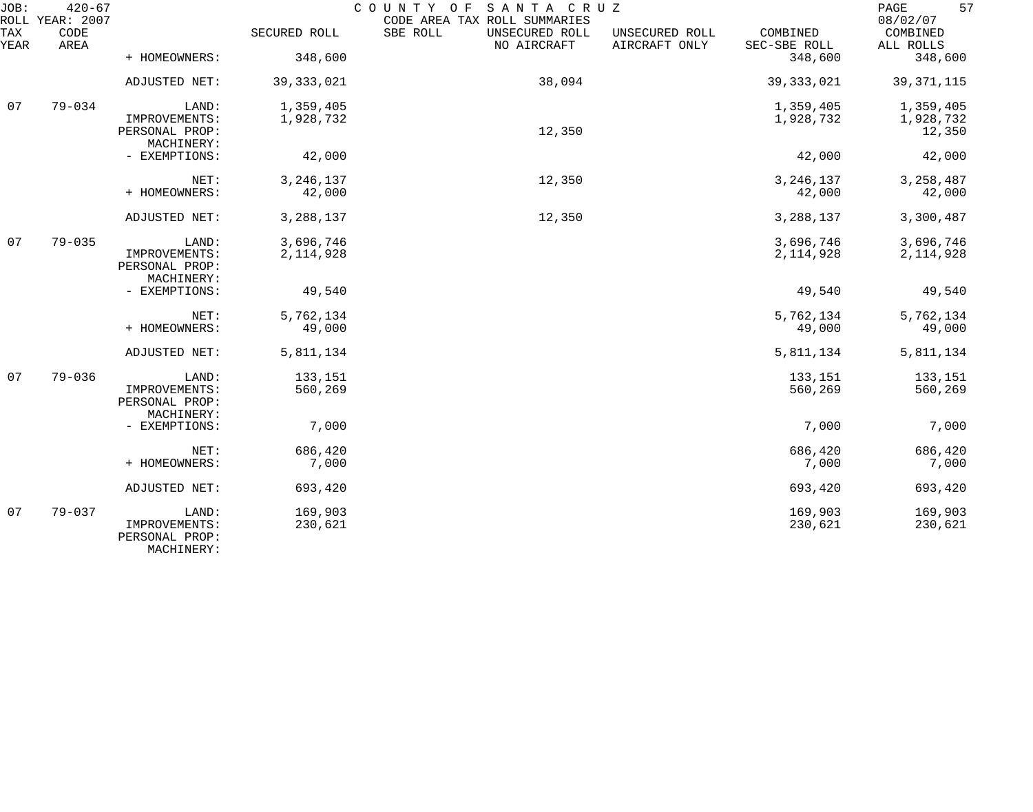| JOB:        | $420 - 67$<br>ROLL YEAR: 2007 |                                                        |                    | COUNTY OF<br>SANTA CRUZ<br>CODE AREA TAX ROLL SUMMARIES |                                 |                          | 57<br>$\mathop{\mathrm{PAGE}}$<br>08/02/07 |
|-------------|-------------------------------|--------------------------------------------------------|--------------------|---------------------------------------------------------|---------------------------------|--------------------------|--------------------------------------------|
| TAX<br>YEAR | CODE<br>AREA                  |                                                        | SECURED ROLL       | SBE ROLL<br>UNSECURED ROLL<br>NO AIRCRAFT               | UNSECURED ROLL<br>AIRCRAFT ONLY | COMBINED<br>SEC-SBE ROLL | COMBINED<br>ALL ROLLS                      |
|             |                               | + HOMEOWNERS:                                          | 348,600            |                                                         |                                 | 348,600                  | 348,600                                    |
|             |                               | ADJUSTED NET:                                          | 39, 333, 021       | 38,094                                                  |                                 | 39, 333, 021             | 39, 371, 115                               |
| 07          | $79 - 034$                    | LAND:                                                  | 1,359,405          |                                                         |                                 | 1,359,405                | 1,359,405                                  |
|             |                               | IMPROVEMENTS:<br>PERSONAL PROP:<br>MACHINERY:          | 1,928,732          | 12,350                                                  |                                 | 1,928,732                | 1,928,732<br>12,350                        |
|             |                               | - EXEMPTIONS:                                          | 42,000             |                                                         |                                 | 42,000                   | 42,000                                     |
|             |                               | NET:                                                   | 3, 246, 137        | 12,350                                                  |                                 | 3, 246, 137              | 3, 258, 487                                |
|             |                               | + HOMEOWNERS:                                          | 42,000             |                                                         |                                 | 42,000                   | 42,000                                     |
|             |                               | ADJUSTED NET:                                          | 3,288,137          | 12,350                                                  |                                 | 3,288,137                | 3,300,487                                  |
| 07          | $79 - 035$                    | LAND:                                                  | 3,696,746          |                                                         |                                 | 3,696,746                | 3,696,746                                  |
|             |                               | IMPROVEMENTS:<br>PERSONAL PROP:<br>MACHINERY:          | 2, 114, 928        |                                                         |                                 | 2, 114, 928              | 2, 114, 928                                |
|             |                               | - EXEMPTIONS:                                          | 49,540             |                                                         |                                 | 49,540                   | 49,540                                     |
|             |                               | NET:                                                   | 5,762,134          |                                                         |                                 | 5,762,134                | 5,762,134                                  |
|             |                               | + HOMEOWNERS:                                          | 49,000             |                                                         |                                 | 49,000                   | 49,000                                     |
|             |                               | ADJUSTED NET:                                          | 5,811,134          |                                                         |                                 | 5,811,134                | 5,811,134                                  |
| 07          | $79 - 036$                    | LAND:                                                  | 133,151            |                                                         |                                 | 133,151                  | 133,151                                    |
|             |                               | IMPROVEMENTS:<br>PERSONAL PROP:<br>MACHINERY:          | 560,269            |                                                         |                                 | 560,269                  | 560,269                                    |
|             |                               | - EXEMPTIONS:                                          | 7,000              |                                                         |                                 | 7,000                    | 7,000                                      |
|             |                               | NET:                                                   | 686,420            |                                                         |                                 | 686,420                  | 686,420                                    |
|             |                               | + HOMEOWNERS:                                          | 7,000              |                                                         |                                 | 7,000                    | 7,000                                      |
|             |                               | ADJUSTED NET:                                          | 693,420            |                                                         |                                 | 693,420                  | 693,420                                    |
| 07          | $79 - 037$                    | LAND:<br>IMPROVEMENTS:<br>PERSONAL PROP:<br>MACHINERY: | 169,903<br>230,621 |                                                         |                                 | 169,903<br>230,621       | 169,903<br>230,621                         |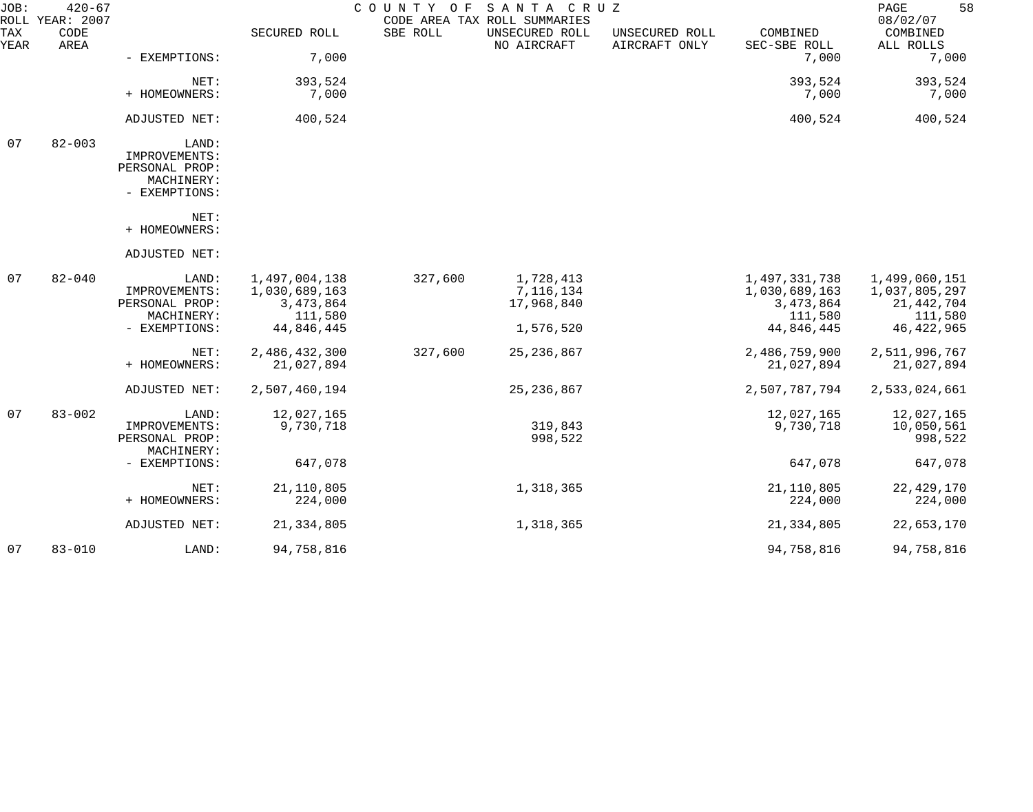| JOB:        | $420 - 67$<br>ROLL YEAR: 2007 |                                                                         |                                                                        | COUNTY OF | SANTA CRUZ<br>CODE AREA TAX ROLL SUMMARIES        |                                 |                                                                        | 58<br>PAGE<br>08/02/07                                                    |
|-------------|-------------------------------|-------------------------------------------------------------------------|------------------------------------------------------------------------|-----------|---------------------------------------------------|---------------------------------|------------------------------------------------------------------------|---------------------------------------------------------------------------|
| TAX<br>YEAR | CODE<br>AREA                  |                                                                         | SECURED ROLL                                                           | SBE ROLL  | UNSECURED ROLL<br>NO AIRCRAFT                     | UNSECURED ROLL<br>AIRCRAFT ONLY | COMBINED<br>SEC-SBE ROLL                                               | COMBINED<br>ALL ROLLS                                                     |
|             |                               | - EXEMPTIONS:                                                           | 7,000                                                                  |           |                                                   |                                 | 7,000                                                                  | 7,000                                                                     |
|             |                               | NET:                                                                    | 393,524                                                                |           |                                                   |                                 | 393,524                                                                | 393,524                                                                   |
|             |                               | + HOMEOWNERS:                                                           | 7,000                                                                  |           |                                                   |                                 | 7,000                                                                  | 7,000                                                                     |
|             |                               | ADJUSTED NET:                                                           | 400,524                                                                |           |                                                   |                                 | 400,524                                                                | 400,524                                                                   |
| 07          | $82 - 003$                    | LAND:<br>IMPROVEMENTS:<br>PERSONAL PROP:<br>MACHINERY:<br>- EXEMPTIONS: |                                                                        |           |                                                   |                                 |                                                                        |                                                                           |
|             |                               | NET:<br>+ HOMEOWNERS:                                                   |                                                                        |           |                                                   |                                 |                                                                        |                                                                           |
|             |                               | ADJUSTED NET:                                                           |                                                                        |           |                                                   |                                 |                                                                        |                                                                           |
| 07          | $82 - 040$                    | LAND:<br>IMPROVEMENTS:<br>PERSONAL PROP:<br>MACHINERY:<br>- EXEMPTIONS: | 1,497,004,138<br>1,030,689,163<br>3, 473, 864<br>111,580<br>44,846,445 | 327,600   | 1,728,413<br>7,116,134<br>17,968,840<br>1,576,520 |                                 | 1,497,331,738<br>1,030,689,163<br>3, 473, 864<br>111,580<br>44,846,445 | 1,499,060,151<br>1,037,805,297<br>21, 442, 704<br>111,580<br>46, 422, 965 |
|             |                               | NET:<br>+ HOMEOWNERS:                                                   | 2,486,432,300<br>21,027,894                                            | 327,600   | 25, 236, 867                                      |                                 | 2,486,759,900<br>21,027,894                                            | 2,511,996,767<br>21,027,894                                               |
|             |                               | ADJUSTED NET:                                                           | 2,507,460,194                                                          |           | 25, 236, 867                                      |                                 | 2,507,787,794                                                          | 2,533,024,661                                                             |
| 07          | $83 - 002$                    | LAND:<br>IMPROVEMENTS:<br>PERSONAL PROP:<br>MACHINERY:                  | 12,027,165<br>9,730,718                                                |           | 319,843<br>998,522                                |                                 | 12,027,165<br>9,730,718                                                | 12,027,165<br>10,050,561<br>998,522                                       |
|             |                               | - EXEMPTIONS:                                                           | 647,078                                                                |           |                                                   |                                 | 647,078                                                                | 647,078                                                                   |
|             |                               | NET:<br>+ HOMEOWNERS:                                                   | 21, 110, 805<br>224,000                                                |           | 1,318,365                                         |                                 | 21, 110, 805<br>224,000                                                | 22, 429, 170<br>224,000                                                   |
|             |                               | ADJUSTED NET:                                                           | 21, 334, 805                                                           |           | 1,318,365                                         |                                 | 21, 334, 805                                                           | 22,653,170                                                                |
| 07          | $83 - 010$                    | LAND:                                                                   | 94,758,816                                                             |           |                                                   |                                 | 94,758,816                                                             | 94,758,816                                                                |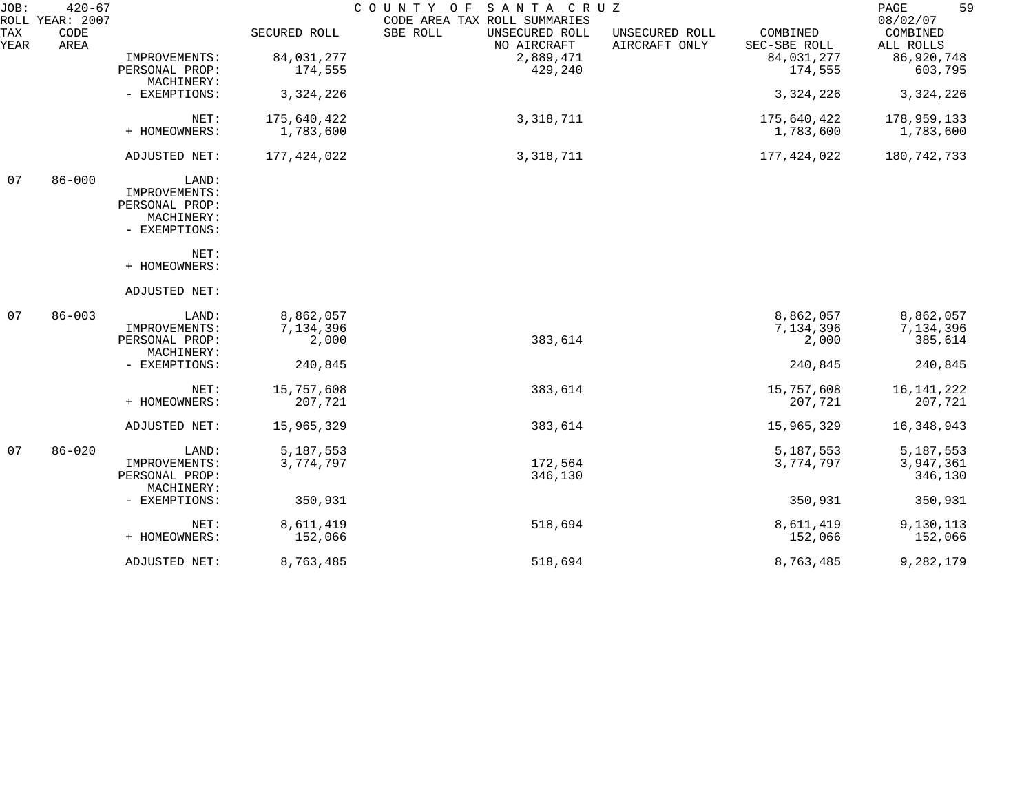| JOB:        | $420 - 67$<br>ROLL YEAR: 2007 |                              |              | COUNTY OF SANTA CRUZ<br>CODE AREA TAX ROLL SUMMARIES |                                 |                          | 59<br>PAGE<br>08/02/07 |
|-------------|-------------------------------|------------------------------|--------------|------------------------------------------------------|---------------------------------|--------------------------|------------------------|
| TAX<br>YEAR | CODE<br>AREA                  |                              | SECURED ROLL | SBE ROLL<br>UNSECURED ROLL<br>NO AIRCRAFT            | UNSECURED ROLL<br>AIRCRAFT ONLY | COMBINED<br>SEC-SBE ROLL | COMBINED<br>ALL ROLLS  |
|             |                               | IMPROVEMENTS:                | 84,031,277   | 2,889,471                                            |                                 | 84,031,277               | 86,920,748             |
|             |                               | PERSONAL PROP:<br>MACHINERY: | 174,555      | 429,240                                              |                                 | 174,555                  | 603,795                |
|             |                               | - EXEMPTIONS:                | 3, 324, 226  |                                                      |                                 | 3, 324, 226              | 3, 324, 226            |
|             |                               | NET:                         | 175,640,422  | 3, 318, 711                                          |                                 | 175,640,422              | 178,959,133            |
|             |                               | + HOMEOWNERS:                | 1,783,600    |                                                      |                                 | 1,783,600                | 1,783,600              |
|             |                               | ADJUSTED NET:                | 177,424,022  | 3, 318, 711                                          |                                 | 177,424,022              | 180,742,733            |
| 07          | $86 - 000$                    | LAND:                        |              |                                                      |                                 |                          |                        |
|             |                               | IMPROVEMENTS:                |              |                                                      |                                 |                          |                        |
|             |                               | PERSONAL PROP:               |              |                                                      |                                 |                          |                        |
|             |                               | MACHINERY:                   |              |                                                      |                                 |                          |                        |
|             |                               | - EXEMPTIONS:                |              |                                                      |                                 |                          |                        |
|             |                               | NET:                         |              |                                                      |                                 |                          |                        |
|             |                               | + HOMEOWNERS:                |              |                                                      |                                 |                          |                        |
|             |                               | ADJUSTED NET:                |              |                                                      |                                 |                          |                        |
| 07          | $86 - 003$                    | LAND:                        | 8,862,057    |                                                      |                                 | 8,862,057                | 8,862,057              |
|             |                               | IMPROVEMENTS:                | 7,134,396    |                                                      |                                 | 7,134,396                | 7,134,396              |
|             |                               | PERSONAL PROP:<br>MACHINERY: | 2,000        | 383,614                                              |                                 | 2,000                    | 385,614                |
|             |                               | - EXEMPTIONS:                | 240,845      |                                                      |                                 | 240,845                  | 240,845                |
|             |                               | NET:                         | 15,757,608   | 383,614                                              |                                 | 15,757,608               | 16, 141, 222           |
|             |                               | + HOMEOWNERS:                | 207,721      |                                                      |                                 | 207,721                  | 207,721                |
|             |                               | ADJUSTED NET:                | 15,965,329   | 383,614                                              |                                 | 15,965,329               | 16,348,943             |
| 07          | $86 - 020$                    | LAND:                        | 5,187,553    |                                                      |                                 | 5,187,553                | 5,187,553              |
|             |                               | IMPROVEMENTS:                | 3,774,797    | 172,564                                              |                                 | 3,774,797                | 3,947,361              |
|             |                               | PERSONAL PROP:               |              | 346,130                                              |                                 |                          | 346,130                |
|             |                               | MACHINERY:                   |              |                                                      |                                 |                          |                        |
|             |                               | - EXEMPTIONS:                | 350,931      |                                                      |                                 | 350,931                  | 350,931                |
|             |                               | NET:                         | 8,611,419    | 518,694                                              |                                 | 8,611,419                | 9,130,113              |
|             |                               | + HOMEOWNERS:                | 152,066      |                                                      |                                 | 152,066                  | 152,066                |
|             |                               | ADJUSTED NET:                | 8,763,485    | 518,694                                              |                                 | 8,763,485                | 9,282,179              |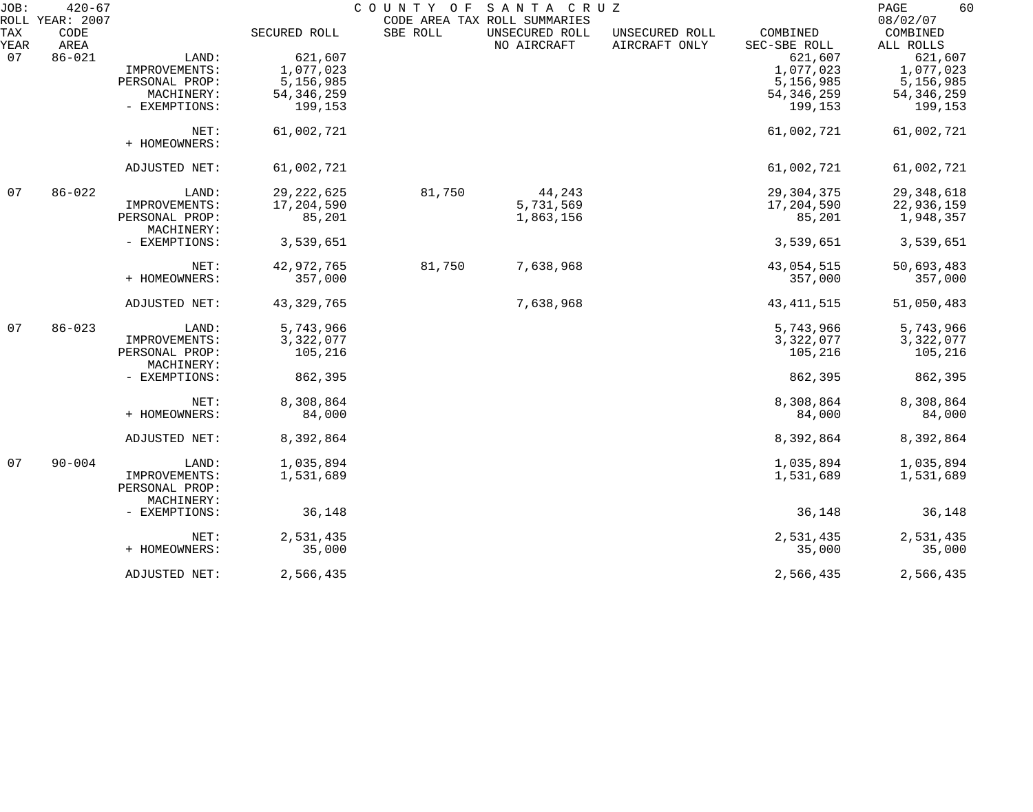| JOB:        | $420 - 67$<br>ROLL YEAR: 2007 |                              |              | COUNTY OF | SANTA CRUZ<br>CODE AREA TAX ROLL SUMMARIES |                                 |                          | PAGE<br>60<br>08/02/07 |
|-------------|-------------------------------|------------------------------|--------------|-----------|--------------------------------------------|---------------------------------|--------------------------|------------------------|
| TAX<br>YEAR | CODE<br>AREA                  |                              | SECURED ROLL | SBE ROLL  | UNSECURED ROLL<br>NO AIRCRAFT              | UNSECURED ROLL<br>AIRCRAFT ONLY | COMBINED<br>SEC-SBE ROLL | COMBINED<br>ALL ROLLS  |
| 07          | $86 - 021$                    | LAND:                        | 621,607      |           |                                            |                                 | 621,607                  | 621,607                |
|             |                               | IMPROVEMENTS:                | 1,077,023    |           |                                            |                                 | 1,077,023                | 1,077,023              |
|             |                               | PERSONAL PROP:               | 5,156,985    |           |                                            |                                 | 5,156,985                | 5,156,985              |
|             |                               | MACHINERY:                   | 54, 346, 259 |           |                                            |                                 | 54, 346, 259             | 54, 346, 259           |
|             |                               | - EXEMPTIONS:                | 199,153      |           |                                            |                                 | 199,153                  | 199,153                |
|             |                               | NET:                         | 61,002,721   |           |                                            |                                 | 61,002,721               | 61,002,721             |
|             |                               | + HOMEOWNERS:                |              |           |                                            |                                 |                          |                        |
|             |                               | ADJUSTED NET:                | 61,002,721   |           |                                            |                                 | 61,002,721               | 61,002,721             |
| 07          | $86 - 022$                    | LAND:                        | 29, 222, 625 | 81,750    | 44,243                                     |                                 | 29, 304, 375             | 29, 348, 618           |
|             |                               | IMPROVEMENTS:                | 17,204,590   |           | 5,731,569                                  |                                 | 17,204,590               | 22,936,159             |
|             |                               | PERSONAL PROP:<br>MACHINERY: | 85,201       |           | 1,863,156                                  |                                 | 85,201                   | 1,948,357              |
|             |                               | - EXEMPTIONS:                | 3,539,651    |           |                                            |                                 | 3,539,651                | 3,539,651              |
|             |                               | NET:                         | 42,972,765   | 81,750    | 7,638,968                                  |                                 | 43,054,515               | 50,693,483             |
|             |                               | + HOMEOWNERS:                | 357,000      |           |                                            |                                 | 357,000                  | 357,000                |
|             |                               | ADJUSTED NET:                | 43, 329, 765 |           | 7,638,968                                  |                                 | 43, 411, 515             | 51,050,483             |
| 07          | $86 - 023$                    | LAND:                        | 5,743,966    |           |                                            |                                 | 5,743,966                | 5,743,966              |
|             |                               | IMPROVEMENTS:                | 3,322,077    |           |                                            |                                 | 3,322,077                | 3,322,077              |
|             |                               | PERSONAL PROP:               | 105,216      |           |                                            |                                 | 105,216                  | 105,216                |
|             |                               | MACHINERY:                   |              |           |                                            |                                 |                          |                        |
|             |                               | - EXEMPTIONS:                | 862,395      |           |                                            |                                 | 862,395                  | 862,395                |
|             |                               | NET:                         | 8,308,864    |           |                                            |                                 | 8,308,864                | 8,308,864              |
|             |                               | + HOMEOWNERS:                | 84,000       |           |                                            |                                 | 84,000                   | 84,000                 |
|             |                               | ADJUSTED NET:                | 8,392,864    |           |                                            |                                 | 8,392,864                | 8,392,864              |
| 07          | $90 - 004$                    | LAND:                        | 1,035,894    |           |                                            |                                 | 1,035,894                | 1,035,894              |
|             |                               | IMPROVEMENTS:                | 1,531,689    |           |                                            |                                 | 1,531,689                | 1,531,689              |
|             |                               | PERSONAL PROP:<br>MACHINERY: |              |           |                                            |                                 |                          |                        |
|             |                               | - EXEMPTIONS:                | 36,148       |           |                                            |                                 | 36,148                   | 36,148                 |
|             |                               | NET:                         | 2,531,435    |           |                                            |                                 | 2,531,435                | 2,531,435              |
|             |                               | + HOMEOWNERS:                | 35,000       |           |                                            |                                 | 35,000                   | 35,000                 |
|             |                               | ADJUSTED NET:                | 2,566,435    |           |                                            |                                 | 2,566,435                | 2,566,435              |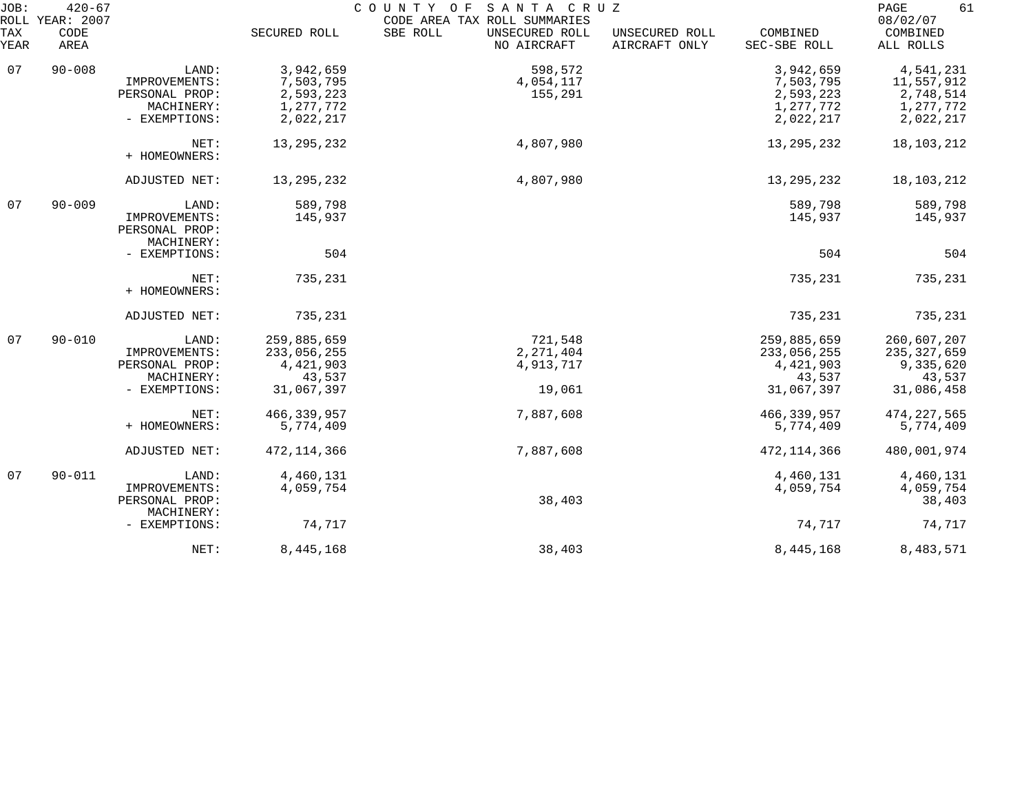| JOB:<br>ROLL | $420 - 67$<br>YEAR: 2007 |                                               |               | COUNTY OF SANTA CRUZ<br>CODE AREA TAX ROLL SUMMARIES |                                 |                          | 61<br>PAGE<br>08/02/07 |
|--------------|--------------------------|-----------------------------------------------|---------------|------------------------------------------------------|---------------------------------|--------------------------|------------------------|
| TAX<br>YEAR  | CODE<br>AREA             |                                               | SECURED ROLL  | SBE ROLL<br>UNSECURED ROLL<br>NO AIRCRAFT            | UNSECURED ROLL<br>AIRCRAFT ONLY | COMBINED<br>SEC-SBE ROLL | COMBINED<br>ALL ROLLS  |
| 07           | $90 - 008$               | LAND:                                         | 3,942,659     | 598,572                                              |                                 | 3,942,659                | 4,541,231              |
|              |                          | IMPROVEMENTS:                                 | 7,503,795     | 4,054,117                                            |                                 | 7,503,795                | 11,557,912             |
|              |                          | PERSONAL PROP:                                | 2,593,223     | 155,291                                              |                                 | 2,593,223                | 2,748,514              |
|              |                          | MACHINERY:                                    | 1,277,772     |                                                      |                                 | 1,277,772                | 1,277,772              |
|              |                          | - EXEMPTIONS:                                 | 2,022,217     |                                                      |                                 | 2,022,217                | 2,022,217              |
|              |                          | NET:<br>+ HOMEOWNERS:                         | 13, 295, 232  | 4,807,980                                            |                                 | 13, 295, 232             | 18,103,212             |
|              |                          | ADJUSTED NET:                                 | 13, 295, 232  | 4,807,980                                            |                                 | 13, 295, 232             | 18,103,212             |
| 07           | $90 - 009$               | LAND:                                         | 589,798       |                                                      |                                 | 589,798                  | 589,798                |
|              |                          | IMPROVEMENTS:<br>PERSONAL PROP:<br>MACHINERY: | 145,937       |                                                      |                                 | 145,937                  | 145,937                |
|              |                          | - EXEMPTIONS:                                 | 504           |                                                      |                                 | 504                      | 504                    |
|              |                          | NET:<br>+ HOMEOWNERS:                         | 735,231       |                                                      |                                 | 735,231                  | 735,231                |
|              |                          | ADJUSTED NET:                                 | 735,231       |                                                      |                                 | 735,231                  | 735,231                |
| 07           | $90 - 010$               | LAND:                                         | 259,885,659   | 721,548                                              |                                 | 259,885,659              | 260,607,207            |
|              |                          | IMPROVEMENTS:                                 | 233,056,255   | 2, 271, 404                                          |                                 | 233,056,255              | 235, 327, 659          |
|              |                          | PERSONAL PROP:                                | 4,421,903     | 4,913,717                                            |                                 | 4,421,903                | 9,335,620              |
|              |                          | MACHINERY:                                    | 43,537        |                                                      |                                 | 43,537                   | 43,537                 |
|              |                          | - EXEMPTIONS:                                 | 31,067,397    | 19,061                                               |                                 | 31,067,397               | 31,086,458             |
|              |                          | NET:                                          | 466, 339, 957 | 7,887,608                                            |                                 | 466, 339, 957            | 474, 227, 565          |
|              |                          | + HOMEOWNERS:                                 | 5,774,409     |                                                      |                                 | 5,774,409                | 5,774,409              |
|              |                          | ADJUSTED NET:                                 | 472, 114, 366 | 7,887,608                                            |                                 | 472, 114, 366            | 480,001,974            |
| 07           | $90 - 011$               | LAND:                                         | 4,460,131     |                                                      |                                 | 4,460,131                | 4,460,131              |
|              |                          | IMPROVEMENTS:                                 | 4,059,754     |                                                      |                                 | 4,059,754                | 4,059,754              |
|              |                          | PERSONAL PROP:                                |               | 38,403                                               |                                 |                          | 38,403                 |
|              |                          | MACHINERY:<br>- EXEMPTIONS:                   | 74,717        |                                                      |                                 | 74,717                   | 74,717                 |
|              |                          | NET:                                          | 8,445,168     | 38,403                                               |                                 | 8,445,168                | 8,483,571              |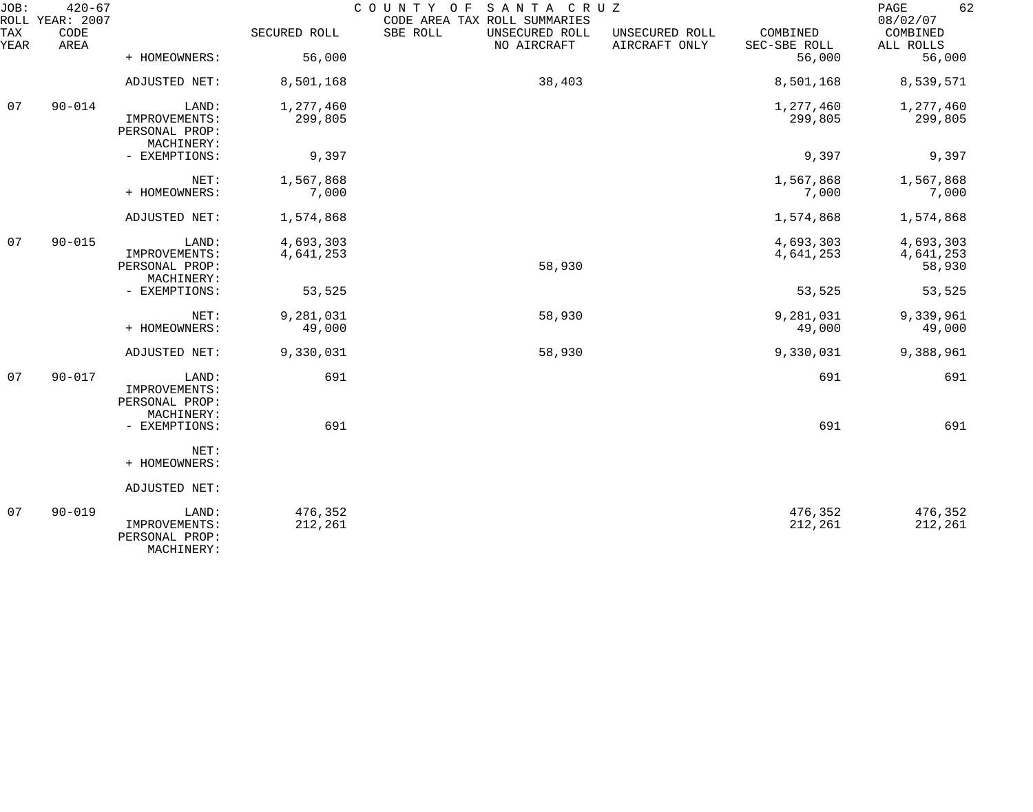| JOB:        | $420 - 67$<br>ROLL YEAR: 2007 |                                               |                     | SANTA CRUZ<br>COUNTY OF<br>CODE AREA TAX ROLL SUMMARIES |                                 |                          | 62<br>PAGE<br>08/02/07 |
|-------------|-------------------------------|-----------------------------------------------|---------------------|---------------------------------------------------------|---------------------------------|--------------------------|------------------------|
| TAX<br>YEAR | CODE<br>AREA                  |                                               | SECURED ROLL        | SBE ROLL<br>UNSECURED ROLL<br>NO AIRCRAFT               | UNSECURED ROLL<br>AIRCRAFT ONLY | COMBINED<br>SEC-SBE ROLL | COMBINED<br>ALL ROLLS  |
|             |                               | + HOMEOWNERS:                                 | 56,000              |                                                         |                                 | 56,000                   | 56,000                 |
|             |                               | ADJUSTED NET:                                 | 8,501,168           | 38,403                                                  |                                 | 8,501,168                | 8,539,571              |
| 07          | $90 - 014$                    | LAND:                                         | 1,277,460           |                                                         |                                 | 1,277,460                | 1,277,460              |
|             |                               | IMPROVEMENTS:<br>PERSONAL PROP:<br>MACHINERY: | 299,805             |                                                         |                                 | 299,805                  | 299,805                |
|             |                               | - EXEMPTIONS:                                 | 9,397               |                                                         |                                 | 9,397                    | 9,397                  |
|             |                               | NET:                                          | 1,567,868           |                                                         |                                 | 1,567,868                | 1,567,868              |
|             |                               | + HOMEOWNERS:                                 | 7,000               |                                                         |                                 | 7,000                    | 7,000                  |
|             |                               | ADJUSTED NET:                                 | 1,574,868           |                                                         |                                 | 1,574,868                | 1,574,868              |
| 07          | $90 - 015$                    | LAND:                                         | 4,693,303           |                                                         |                                 | 4,693,303                | 4,693,303              |
|             |                               | IMPROVEMENTS:<br>PERSONAL PROP:<br>MACHINERY: | 4,641,253           | 58,930                                                  |                                 | 4,641,253                | 4,641,253<br>58,930    |
|             |                               | - EXEMPTIONS:                                 | 53,525              |                                                         |                                 | 53,525                   | 53,525                 |
|             |                               | NET:<br>+ HOMEOWNERS:                         | 9,281,031<br>49,000 | 58,930                                                  |                                 | 9,281,031<br>49,000      | 9,339,961<br>49,000    |
|             |                               |                                               |                     |                                                         |                                 |                          |                        |
|             |                               | ADJUSTED NET:                                 | 9,330,031           | 58,930                                                  |                                 | 9,330,031                | 9,388,961              |
| 07          | $90 - 017$                    | LAND:<br>IMPROVEMENTS:                        | 691                 |                                                         |                                 | 691                      | 691                    |
|             |                               | PERSONAL PROP:                                |                     |                                                         |                                 |                          |                        |
|             |                               | MACHINERY:<br>- EXEMPTIONS:                   | 691                 |                                                         |                                 | 691                      | 691                    |
|             |                               | NET:                                          |                     |                                                         |                                 |                          |                        |
|             |                               | + HOMEOWNERS:                                 |                     |                                                         |                                 |                          |                        |
|             |                               | ADJUSTED NET:                                 |                     |                                                         |                                 |                          |                        |
| 07          | $90 - 019$                    | LAND:<br>IMPROVEMENTS:                        | 476,352<br>212,261  |                                                         |                                 | 476,352<br>212,261       | 476,352<br>212,261     |
|             |                               | PERSONAL PROP:<br>MACHINERY:                  |                     |                                                         |                                 |                          |                        |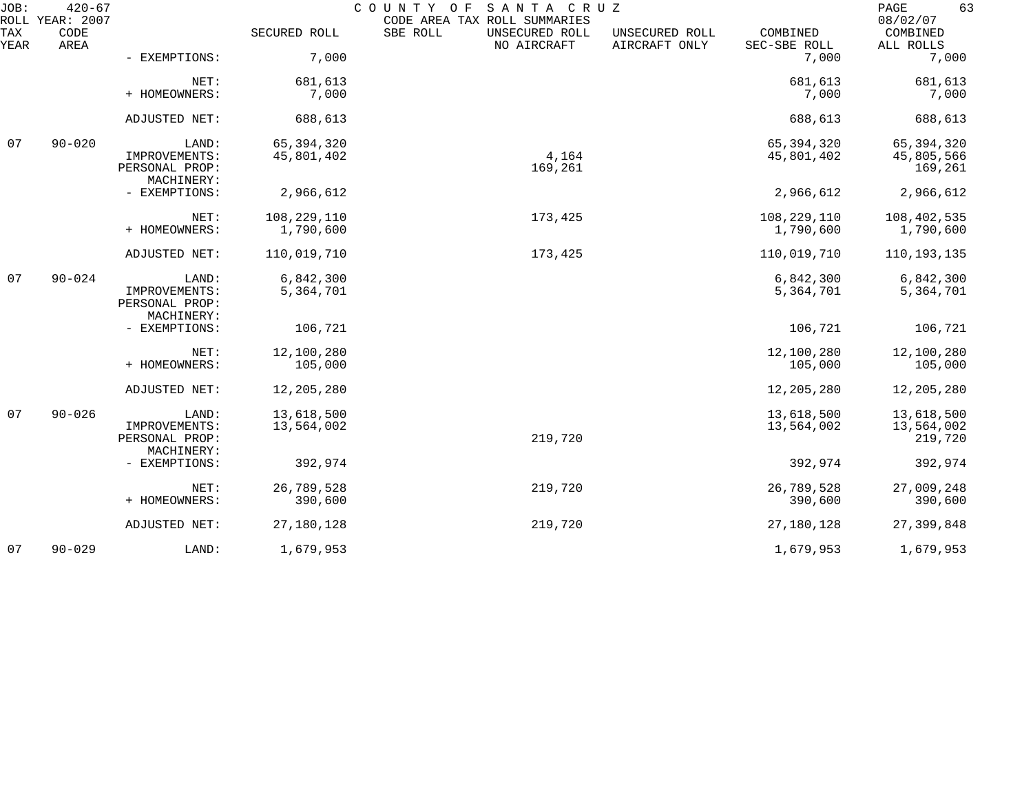| JOB:        | $420 - 67$<br>ROLL YEAR: 2007 |                                          |                            | COUNTY<br>SANTA CRUZ<br>O F<br>CODE AREA TAX ROLL SUMMARIES |                                 |                            | PAGE<br>63<br>08/02/07              |
|-------------|-------------------------------|------------------------------------------|----------------------------|-------------------------------------------------------------|---------------------------------|----------------------------|-------------------------------------|
| TAX<br>YEAR | CODE<br>AREA                  |                                          | SECURED ROLL               | SBE ROLL<br>UNSECURED ROLL<br>NO AIRCRAFT                   | UNSECURED ROLL<br>AIRCRAFT ONLY | COMBINED<br>SEC-SBE ROLL   | COMBINED<br>ALL ROLLS               |
|             |                               | - EXEMPTIONS:                            | 7,000                      |                                                             |                                 | 7,000                      | 7,000                               |
|             |                               | NET:<br>+ HOMEOWNERS:                    | 681,613<br>7,000           |                                                             |                                 | 681,613<br>7,000           | 681,613<br>7,000                    |
|             |                               | ADJUSTED NET:                            | 688,613                    |                                                             |                                 | 688,613                    | 688,613                             |
| 07          | $90 - 020$                    | LAND:<br>IMPROVEMENTS:<br>PERSONAL PROP: | 65, 394, 320<br>45,801,402 | 4,164<br>169,261                                            |                                 | 65, 394, 320<br>45,801,402 | 65,394,320<br>45,805,566<br>169,261 |
|             |                               | MACHINERY:<br>- EXEMPTIONS:              | 2,966,612                  |                                                             |                                 | 2,966,612                  | 2,966,612                           |
|             |                               | NET:<br>+ HOMEOWNERS:                    | 108,229,110<br>1,790,600   | 173,425                                                     |                                 | 108,229,110<br>1,790,600   | 108,402,535<br>1,790,600            |
|             |                               | ADJUSTED NET:                            | 110,019,710                | 173,425                                                     |                                 | 110,019,710                | 110,193,135                         |
| 07          | $90 - 024$                    | LAND:<br>IMPROVEMENTS:<br>PERSONAL PROP: | 6,842,300<br>5,364,701     |                                                             |                                 | 6,842,300<br>5,364,701     | 6,842,300<br>5,364,701              |
|             |                               | MACHINERY:<br>- EXEMPTIONS:              | 106,721                    |                                                             |                                 | 106,721                    | 106,721                             |
|             |                               | NET:<br>+ HOMEOWNERS:                    | 12,100,280<br>105,000      |                                                             |                                 | 12,100,280<br>105,000      | 12,100,280<br>105,000               |
|             |                               | ADJUSTED NET:                            | 12,205,280                 |                                                             |                                 | 12,205,280                 | 12,205,280                          |
| 07          | $90 - 026$                    | LAND:<br>IMPROVEMENTS:<br>PERSONAL PROP: | 13,618,500<br>13,564,002   | 219,720                                                     |                                 | 13,618,500<br>13,564,002   | 13,618,500<br>13,564,002<br>219,720 |
|             |                               | MACHINERY:<br>- EXEMPTIONS:              | 392,974                    |                                                             |                                 | 392,974                    | 392,974                             |
|             |                               | NET:<br>+ HOMEOWNERS:                    | 26,789,528<br>390,600      | 219,720                                                     |                                 | 26,789,528<br>390,600      | 27,009,248<br>390,600               |
|             |                               | ADJUSTED NET:                            | 27,180,128                 | 219,720                                                     |                                 | 27,180,128                 | 27,399,848                          |
| 07          | $90 - 029$                    | LAND:                                    | 1,679,953                  |                                                             |                                 | 1,679,953                  | 1,679,953                           |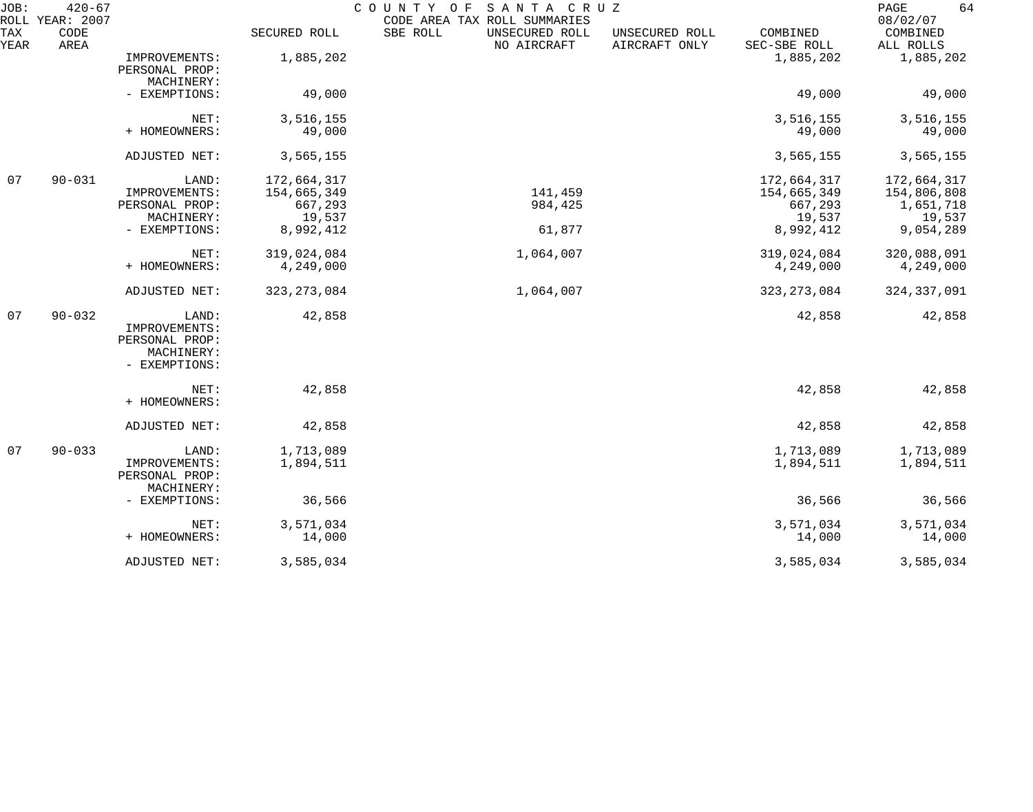| JOB:        | $420 - 67$<br>ROLL YEAR: 2007 |                                                                         |                                                              | COUNTY OF<br>SANTA CRUZ<br>CODE AREA TAX ROLL SUMMARIES |                                 |                                                              | 64<br>PAGE<br>08/02/07                                         |
|-------------|-------------------------------|-------------------------------------------------------------------------|--------------------------------------------------------------|---------------------------------------------------------|---------------------------------|--------------------------------------------------------------|----------------------------------------------------------------|
| TAX<br>YEAR | CODE<br>AREA                  |                                                                         | SECURED ROLL                                                 | SBE ROLL<br>UNSECURED ROLL<br>NO AIRCRAFT               | UNSECURED ROLL<br>AIRCRAFT ONLY | COMBINED<br>SEC-SBE ROLL                                     | COMBINED<br>ALL ROLLS                                          |
|             |                               | IMPROVEMENTS:<br>PERSONAL PROP:<br>MACHINERY:                           | 1,885,202                                                    |                                                         |                                 | 1,885,202                                                    | 1,885,202                                                      |
|             |                               | - EXEMPTIONS:                                                           | 49,000                                                       |                                                         |                                 | 49,000                                                       | 49,000                                                         |
|             |                               | NET:<br>+ HOMEOWNERS:                                                   | 3,516,155<br>49,000                                          |                                                         |                                 | 3,516,155<br>49,000                                          | 3,516,155<br>49,000                                            |
|             |                               | ADJUSTED NET:                                                           | 3,565,155                                                    |                                                         |                                 | 3,565,155                                                    | 3,565,155                                                      |
| 07          | $90 - 031$                    | LAND:<br>IMPROVEMENTS:<br>PERSONAL PROP:<br>MACHINERY:<br>- EXEMPTIONS: | 172,664,317<br>154,665,349<br>667,293<br>19,537<br>8,992,412 | 141,459<br>984,425<br>61,877                            |                                 | 172,664,317<br>154,665,349<br>667,293<br>19,537<br>8,992,412 | 172,664,317<br>154,806,808<br>1,651,718<br>19,537<br>9,054,289 |
|             |                               | NET:<br>+ HOMEOWNERS:                                                   | 319,024,084<br>4,249,000                                     | 1,064,007                                               |                                 | 319,024,084<br>4,249,000                                     | 320,088,091<br>4,249,000                                       |
|             |                               | ADJUSTED NET:                                                           | 323, 273, 084                                                | 1,064,007                                               |                                 | 323, 273, 084                                                | 324, 337, 091                                                  |
| 07          | $90 - 032$                    | LAND:<br>IMPROVEMENTS:<br>PERSONAL PROP:<br>MACHINERY:<br>- EXEMPTIONS: | 42,858                                                       |                                                         |                                 | 42,858                                                       | 42,858                                                         |
|             |                               | NET:<br>+ HOMEOWNERS:                                                   | 42,858                                                       |                                                         |                                 | 42,858                                                       | 42,858                                                         |
|             |                               | ADJUSTED NET:                                                           | 42,858                                                       |                                                         |                                 | 42,858                                                       | 42,858                                                         |
| 07          | $90 - 033$                    | LAND:<br>IMPROVEMENTS:<br>PERSONAL PROP:<br>MACHINERY:                  | 1,713,089<br>1,894,511                                       |                                                         |                                 | 1,713,089<br>1,894,511                                       | 1,713,089<br>1,894,511                                         |
|             |                               | - EXEMPTIONS:                                                           | 36,566                                                       |                                                         |                                 | 36,566                                                       | 36,566                                                         |
|             |                               | NET:<br>+ HOMEOWNERS:                                                   | 3,571,034<br>14,000                                          |                                                         |                                 | 3,571,034<br>14,000                                          | 3,571,034<br>14,000                                            |
|             |                               | ADJUSTED NET:                                                           | 3,585,034                                                    |                                                         |                                 | 3,585,034                                                    | 3,585,034                                                      |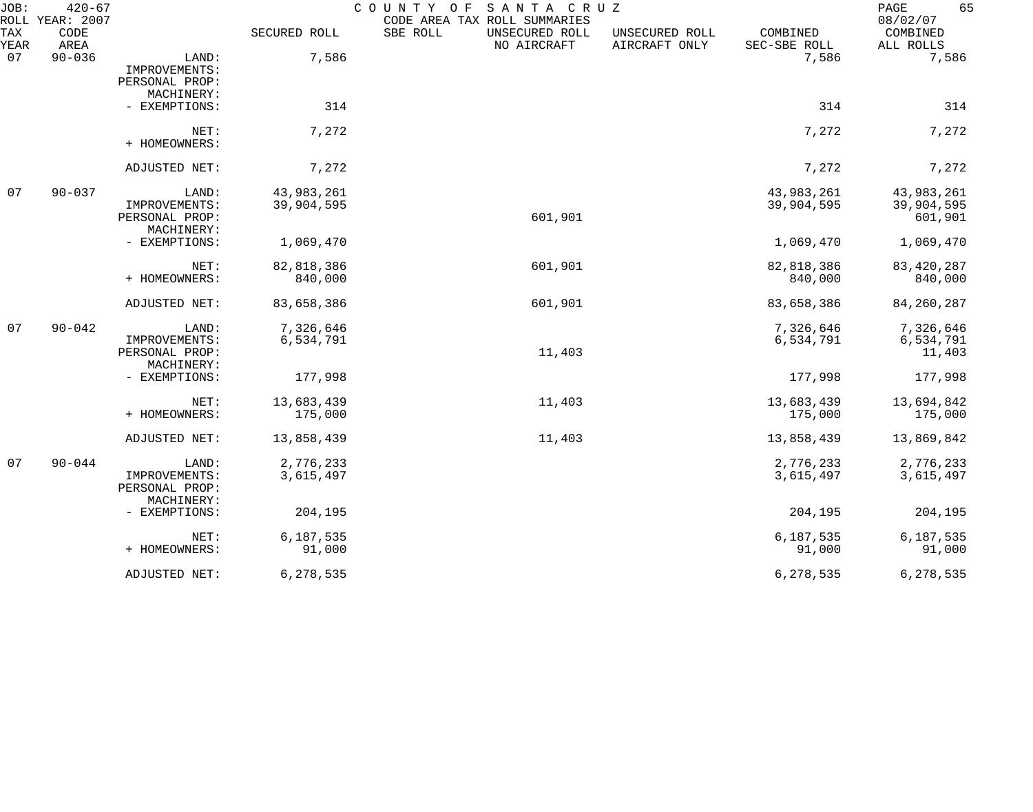| JOB:        | $420 - 67$<br>ROLL YEAR: 2007 |                                          |              | COUNTY OF<br>SANTA CRUZ<br>CODE AREA TAX ROLL SUMMARIES |                                 |                          | 65<br>PAGE<br>08/02/07 |
|-------------|-------------------------------|------------------------------------------|--------------|---------------------------------------------------------|---------------------------------|--------------------------|------------------------|
| TAX<br>YEAR | CODE<br>AREA                  |                                          | SECURED ROLL | SBE ROLL<br>UNSECURED ROLL<br>NO AIRCRAFT               | UNSECURED ROLL<br>AIRCRAFT ONLY | COMBINED<br>SEC-SBE ROLL | COMBINED<br>ALL ROLLS  |
| 07          | $90 - 036$                    | LAND:<br>IMPROVEMENTS:<br>PERSONAL PROP: | 7,586        |                                                         |                                 | 7,586                    | 7,586                  |
|             |                               | MACHINERY:                               |              |                                                         |                                 |                          |                        |
|             |                               | - EXEMPTIONS:                            | 314          |                                                         |                                 | 314                      | 314                    |
|             |                               | NET:<br>+ HOMEOWNERS:                    | 7,272        |                                                         |                                 | 7,272                    | 7,272                  |
|             |                               | ADJUSTED NET:                            | 7,272        |                                                         |                                 | 7,272                    | 7,272                  |
| 07          | $90 - 037$                    | LAND:                                    | 43,983,261   |                                                         |                                 | 43,983,261               | 43,983,261             |
|             |                               | IMPROVEMENTS:                            | 39,904,595   |                                                         |                                 | 39,904,595               | 39,904,595             |
|             |                               | PERSONAL PROP:                           |              | 601,901                                                 |                                 |                          | 601,901                |
|             |                               | MACHINERY:                               |              |                                                         |                                 |                          |                        |
|             |                               | - EXEMPTIONS:                            | 1,069,470    |                                                         |                                 | 1,069,470                | 1,069,470              |
|             |                               | NET:                                     | 82,818,386   | 601,901                                                 |                                 | 82,818,386               | 83, 420, 287           |
|             |                               | + HOMEOWNERS:                            | 840,000      |                                                         |                                 | 840,000                  | 840,000                |
|             |                               | ADJUSTED NET:                            | 83,658,386   | 601,901                                                 |                                 | 83,658,386               | 84, 260, 287           |
| 07          | $90 - 042$                    | LAND:                                    | 7,326,646    |                                                         |                                 | 7,326,646                | 7,326,646              |
|             |                               | IMPROVEMENTS:                            | 6,534,791    |                                                         |                                 | 6,534,791                | 6,534,791              |
|             |                               | PERSONAL PROP:                           |              | 11,403                                                  |                                 |                          | 11,403                 |
|             |                               | MACHINERY:                               |              |                                                         |                                 |                          |                        |
|             |                               | - EXEMPTIONS:                            | 177,998      |                                                         |                                 | 177,998                  | 177,998                |
|             |                               | NET:                                     | 13,683,439   | 11,403                                                  |                                 | 13,683,439               | 13,694,842             |
|             |                               | + HOMEOWNERS:                            | 175,000      |                                                         |                                 | 175,000                  | 175,000                |
|             |                               | ADJUSTED NET:                            | 13,858,439   | 11,403                                                  |                                 | 13,858,439               | 13,869,842             |
| 07          | $90 - 044$                    | LAND:                                    | 2,776,233    |                                                         |                                 | 2,776,233                | 2,776,233              |
|             |                               | IMPROVEMENTS:                            | 3,615,497    |                                                         |                                 | 3,615,497                | 3,615,497              |
|             |                               | PERSONAL PROP:                           |              |                                                         |                                 |                          |                        |
|             |                               | MACHINERY:                               |              |                                                         |                                 |                          |                        |
|             |                               | - EXEMPTIONS:                            | 204,195      |                                                         |                                 | 204,195                  | 204,195                |
|             |                               | NET:                                     | 6,187,535    |                                                         |                                 | 6,187,535                | 6,187,535              |
|             |                               | + HOMEOWNERS:                            | 91,000       |                                                         |                                 | 91,000                   | 91,000                 |
|             |                               | ADJUSTED NET:                            | 6,278,535    |                                                         |                                 | 6,278,535                | 6,278,535              |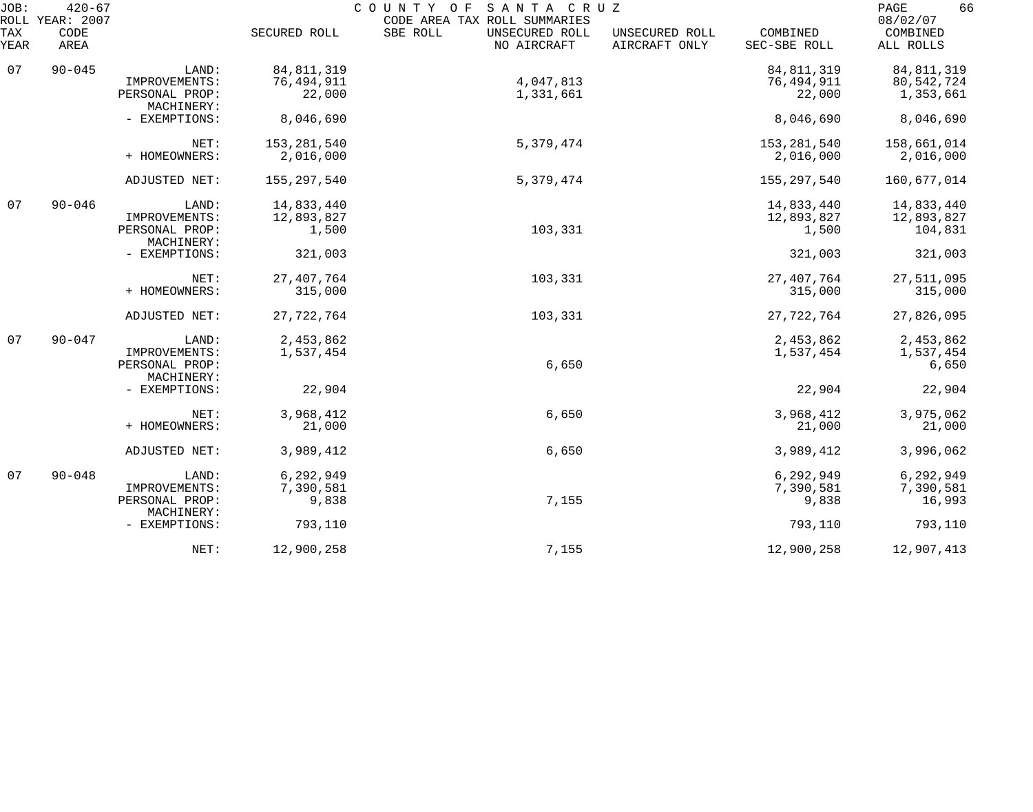| JOB:<br>ROLL | $420 - 67$<br>YEAR: 2007 |                              |               | SANTA CRUZ<br>COUNTY OF<br>CODE AREA TAX ROLL SUMMARIES |                                 |                          | 66<br>PAGE<br>08/02/07 |
|--------------|--------------------------|------------------------------|---------------|---------------------------------------------------------|---------------------------------|--------------------------|------------------------|
| TAX<br>YEAR  | CODE<br>AREA             |                              | SECURED ROLL  | SBE ROLL<br>UNSECURED ROLL<br>NO AIRCRAFT               | UNSECURED ROLL<br>AIRCRAFT ONLY | COMBINED<br>SEC-SBE ROLL | COMBINED<br>ALL ROLLS  |
| 07           | $90 - 045$               | LAND:                        | 84, 811, 319  |                                                         |                                 | 84, 811, 319             | 84, 811, 319           |
|              |                          | IMPROVEMENTS:                | 76,494,911    | 4,047,813                                               |                                 | 76,494,911               | 80, 542, 724           |
|              |                          | PERSONAL PROP:<br>MACHINERY: | 22,000        | 1,331,661                                               |                                 | 22,000                   | 1,353,661              |
|              |                          | - EXEMPTIONS:                | 8,046,690     |                                                         |                                 | 8,046,690                | 8,046,690              |
|              |                          | NET:                         | 153,281,540   | 5,379,474                                               |                                 | 153, 281, 540            | 158,661,014            |
|              |                          | + HOMEOWNERS:                | 2,016,000     |                                                         |                                 | 2,016,000                | 2,016,000              |
|              |                          | ADJUSTED NET:                | 155, 297, 540 | 5,379,474                                               |                                 | 155,297,540              | 160,677,014            |
| 07           | $90 - 046$               | LAND:                        | 14,833,440    |                                                         |                                 | 14,833,440               | 14,833,440             |
|              |                          | IMPROVEMENTS:                | 12,893,827    |                                                         |                                 | 12,893,827               | 12,893,827             |
|              |                          | PERSONAL PROP:<br>MACHINERY: | 1,500         | 103,331                                                 |                                 | 1,500                    | 104,831                |
|              |                          | - EXEMPTIONS:                | 321,003       |                                                         |                                 | 321,003                  | 321,003                |
|              |                          | NET:                         | 27, 407, 764  | 103,331                                                 |                                 | 27, 407, 764             | 27,511,095             |
|              |                          | + HOMEOWNERS:                | 315,000       |                                                         |                                 | 315,000                  | 315,000                |
|              |                          | ADJUSTED NET:                | 27, 722, 764  | 103,331                                                 |                                 | 27, 722, 764             | 27,826,095             |
| 07           | $90 - 047$               | LAND:                        | 2,453,862     |                                                         |                                 | 2,453,862                | 2,453,862              |
|              |                          | IMPROVEMENTS:                | 1,537,454     |                                                         |                                 | 1,537,454                | 1,537,454              |
|              |                          | PERSONAL PROP:<br>MACHINERY: |               | 6,650                                                   |                                 |                          | 6,650                  |
|              |                          | - EXEMPTIONS:                | 22,904        |                                                         |                                 | 22,904                   | 22,904                 |
|              |                          | NET:                         | 3,968,412     | 6,650                                                   |                                 | 3,968,412                | 3,975,062              |
|              |                          | + HOMEOWNERS:                | 21,000        |                                                         |                                 | 21,000                   | 21,000                 |
|              |                          | ADJUSTED NET:                | 3,989,412     | 6,650                                                   |                                 | 3,989,412                | 3,996,062              |
| 07           | $90 - 048$               | LAND:                        | 6,292,949     |                                                         |                                 | 6,292,949                | 6,292,949              |
|              |                          | IMPROVEMENTS:                | 7,390,581     |                                                         |                                 | 7,390,581                | 7,390,581              |
|              |                          | PERSONAL PROP:<br>MACHINERY: | 9,838         | 7,155                                                   |                                 | 9,838                    | 16,993                 |
|              |                          | - EXEMPTIONS:                | 793,110       |                                                         |                                 | 793,110                  | 793,110                |
|              |                          | NET:                         | 12,900,258    | 7,155                                                   |                                 | 12,900,258               | 12,907,413             |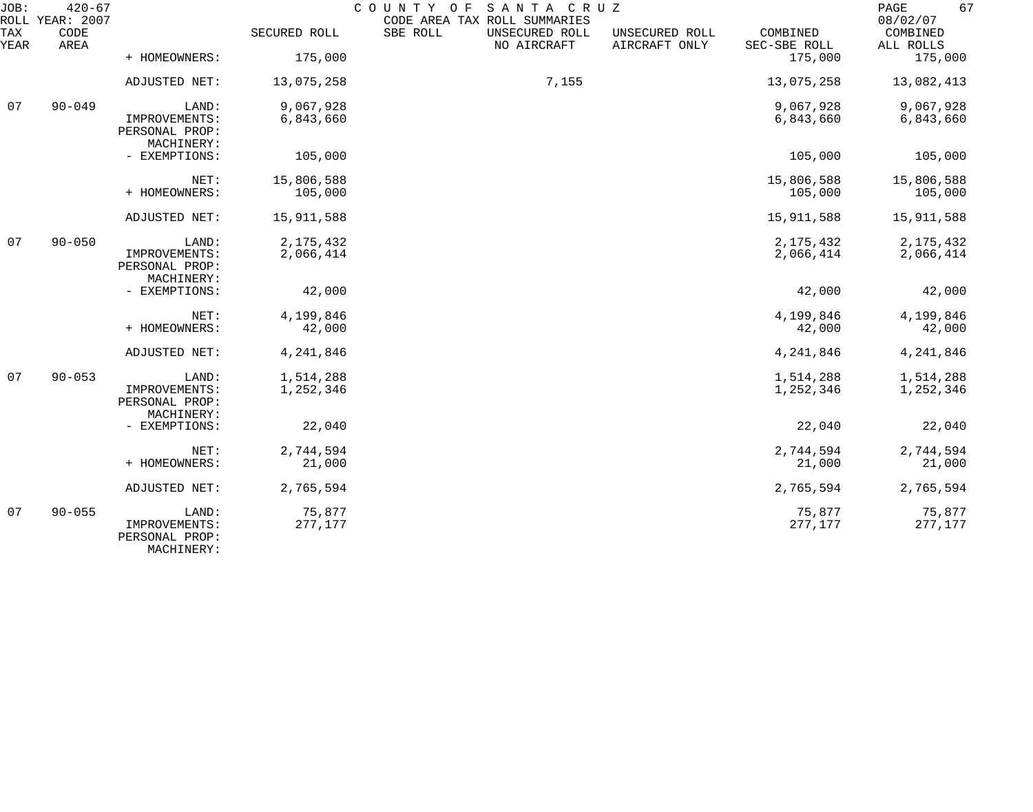| JOB:        | $420 - 67$<br>ROLL YEAR: 2007 |                                                        |                   | COUNTY OF<br>SANTA CRUZ<br>CODE AREA TAX ROLL SUMMARIES |                                 |                          | 67<br>PAGE<br>08/02/07 |
|-------------|-------------------------------|--------------------------------------------------------|-------------------|---------------------------------------------------------|---------------------------------|--------------------------|------------------------|
| TAX<br>YEAR | CODE<br>AREA                  |                                                        | SECURED ROLL      | SBE ROLL<br>UNSECURED ROLL<br>NO AIRCRAFT               | UNSECURED ROLL<br>AIRCRAFT ONLY | COMBINED<br>SEC-SBE ROLL | COMBINED<br>ALL ROLLS  |
|             |                               | + HOMEOWNERS:                                          | 175,000           |                                                         |                                 | 175,000                  | 175,000                |
|             |                               | ADJUSTED NET:                                          | 13,075,258        | 7,155                                                   |                                 | 13,075,258               | 13,082,413             |
| 07          | $90 - 049$                    | LAND:                                                  | 9,067,928         |                                                         |                                 | 9,067,928                | 9,067,928              |
|             |                               | IMPROVEMENTS:<br>PERSONAL PROP:<br>MACHINERY:          | 6,843,660         |                                                         |                                 | 6,843,660                | 6,843,660              |
|             |                               | - EXEMPTIONS:                                          | 105,000           |                                                         |                                 | 105,000                  | 105,000                |
|             |                               | NET:                                                   | 15,806,588        |                                                         |                                 | 15,806,588               | 15,806,588             |
|             |                               | + HOMEOWNERS:                                          | 105,000           |                                                         |                                 | 105,000                  | 105,000                |
|             |                               | ADJUSTED NET:                                          | 15,911,588        |                                                         |                                 | 15,911,588               | 15,911,588             |
| 07          | $90 - 050$                    | LAND:                                                  | 2, 175, 432       |                                                         |                                 | 2, 175, 432              | 2, 175, 432            |
|             |                               | IMPROVEMENTS:<br>PERSONAL PROP:<br>MACHINERY:          | 2,066,414         |                                                         |                                 | 2,066,414                | 2,066,414              |
|             |                               | - EXEMPTIONS:                                          | 42,000            |                                                         |                                 | 42,000                   | 42,000                 |
|             |                               | NET:                                                   | 4,199,846         |                                                         |                                 | 4,199,846                | 4,199,846              |
|             |                               | + HOMEOWNERS:                                          | 42,000            |                                                         |                                 | 42,000                   | 42,000                 |
|             |                               | ADJUSTED NET:                                          | 4,241,846         |                                                         |                                 | 4,241,846                | 4, 241, 846            |
| 07          | $90 - 053$                    | LAND:                                                  | 1,514,288         |                                                         |                                 | 1,514,288                | 1,514,288              |
|             |                               | IMPROVEMENTS:<br>PERSONAL PROP:<br>MACHINERY:          | 1,252,346         |                                                         |                                 | 1,252,346                | 1,252,346              |
|             |                               | - EXEMPTIONS:                                          | 22,040            |                                                         |                                 | 22,040                   | 22,040                 |
|             |                               | NET:                                                   | 2,744,594         |                                                         |                                 | 2,744,594                | 2,744,594              |
|             |                               | + HOMEOWNERS:                                          | 21,000            |                                                         |                                 | 21,000                   | 21,000                 |
|             |                               | ADJUSTED NET:                                          | 2,765,594         |                                                         |                                 | 2,765,594                | 2,765,594              |
| 07          | $90 - 055$                    | LAND:<br>IMPROVEMENTS:<br>PERSONAL PROP:<br>MACHINERY: | 75,877<br>277,177 |                                                         |                                 | 75,877<br>277,177        | 75,877<br>277,177      |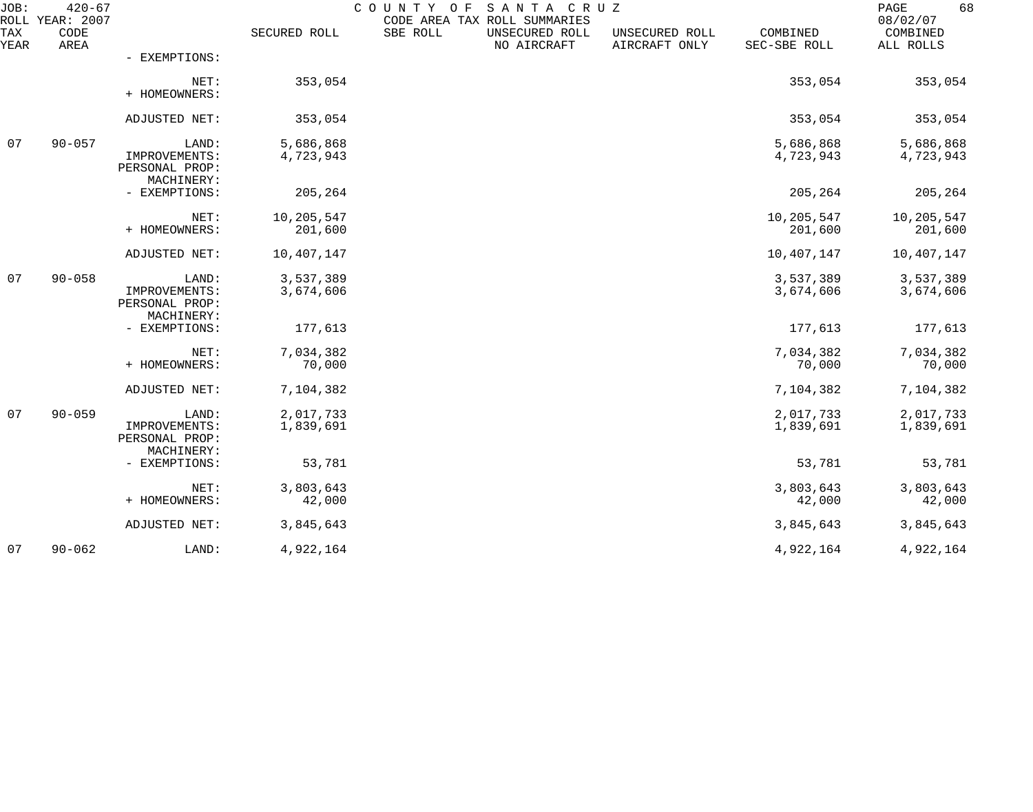| JOB:        | $420 - 67$<br>ROLL YEAR: 2007 |                                                        |                        | COUNTY OF | SANTA CRUZ<br>CODE AREA TAX ROLL SUMMARIES |                                 |                          | 68<br>PAGE<br>08/02/07 |
|-------------|-------------------------------|--------------------------------------------------------|------------------------|-----------|--------------------------------------------|---------------------------------|--------------------------|------------------------|
| TAX<br>YEAR | CODE<br>AREA                  |                                                        | SECURED ROLL           | SBE ROLL  | UNSECURED ROLL<br>NO AIRCRAFT              | UNSECURED ROLL<br>AIRCRAFT ONLY | COMBINED<br>SEC-SBE ROLL | COMBINED<br>ALL ROLLS  |
|             |                               | - EXEMPTIONS:                                          |                        |           |                                            |                                 |                          |                        |
|             |                               | NET:<br>+ HOMEOWNERS:                                  | 353,054                |           |                                            |                                 | 353,054                  | 353,054                |
|             |                               | ADJUSTED NET:                                          | 353,054                |           |                                            |                                 | 353,054                  | 353,054                |
| 07          | $90 - 057$                    | LAND:<br>IMPROVEMENTS:<br>PERSONAL PROP:<br>MACHINERY: | 5,686,868<br>4,723,943 |           |                                            |                                 | 5,686,868<br>4,723,943   | 5,686,868<br>4,723,943 |
|             |                               | - EXEMPTIONS:                                          | 205,264                |           |                                            |                                 | 205,264                  | 205,264                |
|             |                               | NET:<br>+ HOMEOWNERS:                                  | 10,205,547<br>201,600  |           |                                            |                                 | 10,205,547<br>201,600    | 10,205,547<br>201,600  |
|             |                               | ADJUSTED NET:                                          | 10,407,147             |           |                                            |                                 | 10,407,147               | 10,407,147             |
| 07          | $90 - 058$                    | LAND:<br>IMPROVEMENTS:<br>PERSONAL PROP:<br>MACHINERY: | 3,537,389<br>3,674,606 |           |                                            |                                 | 3,537,389<br>3,674,606   | 3,537,389<br>3,674,606 |
|             |                               | - EXEMPTIONS:                                          | 177,613                |           |                                            |                                 | 177,613                  | 177,613                |
|             |                               | NET:<br>+ HOMEOWNERS:                                  | 7,034,382<br>70,000    |           |                                            |                                 | 7,034,382<br>70,000      | 7,034,382<br>70,000    |
|             |                               | ADJUSTED NET:                                          | 7,104,382              |           |                                            |                                 | 7,104,382                | 7,104,382              |
| 07          | $90 - 059$                    | LAND:<br>IMPROVEMENTS:<br>PERSONAL PROP:               | 2,017,733<br>1,839,691 |           |                                            |                                 | 2,017,733<br>1,839,691   | 2,017,733<br>1,839,691 |
|             |                               | MACHINERY:<br>- EXEMPTIONS:                            | 53,781                 |           |                                            |                                 | 53,781                   | 53,781                 |
|             |                               | NET:<br>+ HOMEOWNERS:                                  | 3,803,643<br>42,000    |           |                                            |                                 | 3,803,643<br>42,000      | 3,803,643<br>42,000    |
|             |                               | ADJUSTED NET:                                          | 3,845,643              |           |                                            |                                 | 3,845,643                | 3,845,643              |
| 07          | $90 - 062$                    | LAND:                                                  | 4,922,164              |           |                                            |                                 | 4,922,164                | 4,922,164              |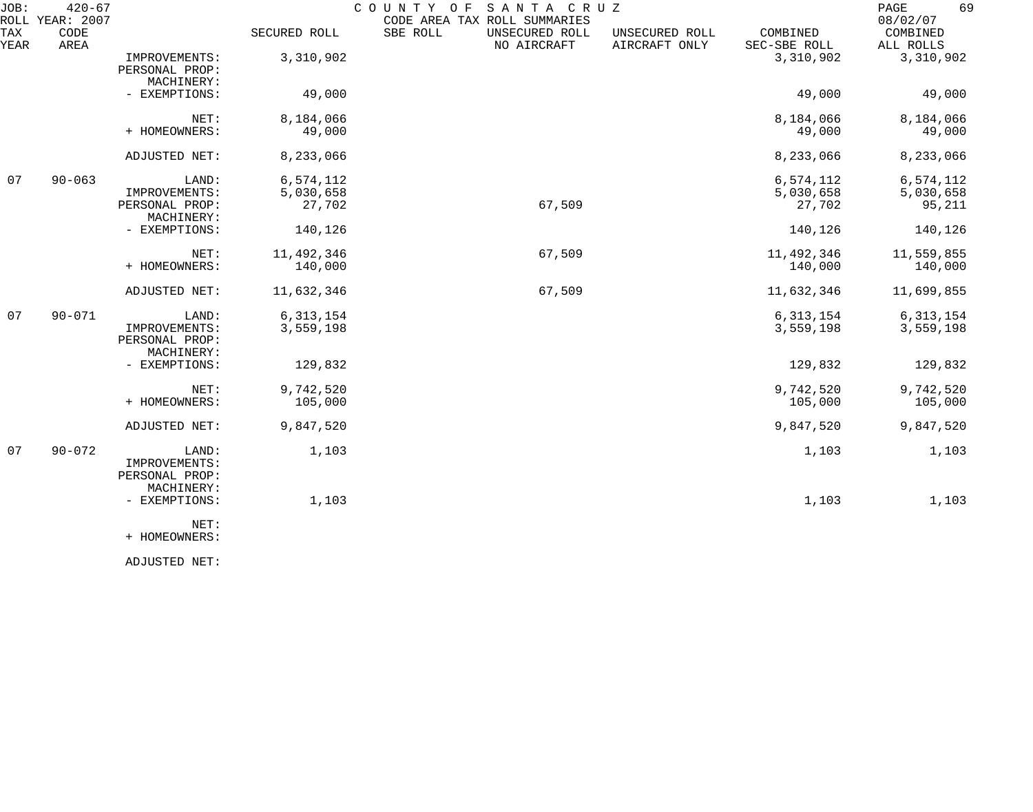| JOB:        | $420 - 67$<br>ROLL YEAR: 2007 |                                                        |                                  | SANTA CRUZ<br>COUNTY OF<br>CODE AREA TAX ROLL SUMMARIES |                                 |                                  | 69<br>PAGE<br>08/02/07           |
|-------------|-------------------------------|--------------------------------------------------------|----------------------------------|---------------------------------------------------------|---------------------------------|----------------------------------|----------------------------------|
| TAX<br>YEAR | CODE<br>AREA                  |                                                        | SECURED ROLL                     | SBE ROLL<br>UNSECURED ROLL<br>NO AIRCRAFT               | UNSECURED ROLL<br>AIRCRAFT ONLY | COMBINED<br>SEC-SBE ROLL         | COMBINED<br>ALL ROLLS            |
|             |                               | IMPROVEMENTS:<br>PERSONAL PROP:<br>MACHINERY:          | 3,310,902                        |                                                         |                                 | 3,310,902                        | 3,310,902                        |
|             |                               | - EXEMPTIONS:                                          | 49,000                           |                                                         |                                 | 49,000                           | 49,000                           |
|             |                               | NET:<br>+ HOMEOWNERS:                                  | 8,184,066<br>49,000              |                                                         |                                 | 8,184,066<br>49,000              | 8,184,066<br>49,000              |
|             |                               | ADJUSTED NET:                                          | 8,233,066                        |                                                         |                                 | 8,233,066                        | 8,233,066                        |
| 07          | $90 - 063$                    | LAND:<br>IMPROVEMENTS:<br>PERSONAL PROP:<br>MACHINERY: | 6,574,112<br>5,030,658<br>27,702 | 67,509                                                  |                                 | 6,574,112<br>5,030,658<br>27,702 | 6,574,112<br>5,030,658<br>95,211 |
|             |                               | - EXEMPTIONS:                                          | 140,126                          |                                                         |                                 | 140,126                          | 140,126                          |
|             |                               | NET:<br>+ HOMEOWNERS:                                  | 11,492,346<br>140,000            | 67,509                                                  |                                 | 11,492,346<br>140,000            | 11,559,855<br>140,000            |
|             |                               | ADJUSTED NET:                                          | 11,632,346                       | 67,509                                                  |                                 | 11,632,346                       | 11,699,855                       |
| 07          | $90 - 071$                    | LAND:<br>IMPROVEMENTS:<br>PERSONAL PROP:<br>MACHINERY: | 6, 313, 154<br>3,559,198         |                                                         |                                 | 6, 313, 154<br>3,559,198         | 6, 313, 154<br>3,559,198         |
|             |                               | - EXEMPTIONS:                                          | 129,832                          |                                                         |                                 | 129,832                          | 129,832                          |
|             |                               | NET:<br>+ HOMEOWNERS:                                  | 9,742,520<br>105,000             |                                                         |                                 | 9,742,520<br>105,000             | 9,742,520<br>105,000             |
|             |                               | ADJUSTED NET:                                          | 9,847,520                        |                                                         |                                 | 9,847,520                        | 9,847,520                        |
| 07          | $90 - 072$                    | LAND:<br>IMPROVEMENTS:<br>PERSONAL PROP:               | 1,103                            |                                                         |                                 | 1,103                            | 1,103                            |
|             |                               | MACHINERY:<br>- EXEMPTIONS:                            | 1,103                            |                                                         |                                 | 1,103                            | 1,103                            |
|             |                               | NET:<br>+ HOMEOWNERS:                                  |                                  |                                                         |                                 |                                  |                                  |

ADJUSTED NET: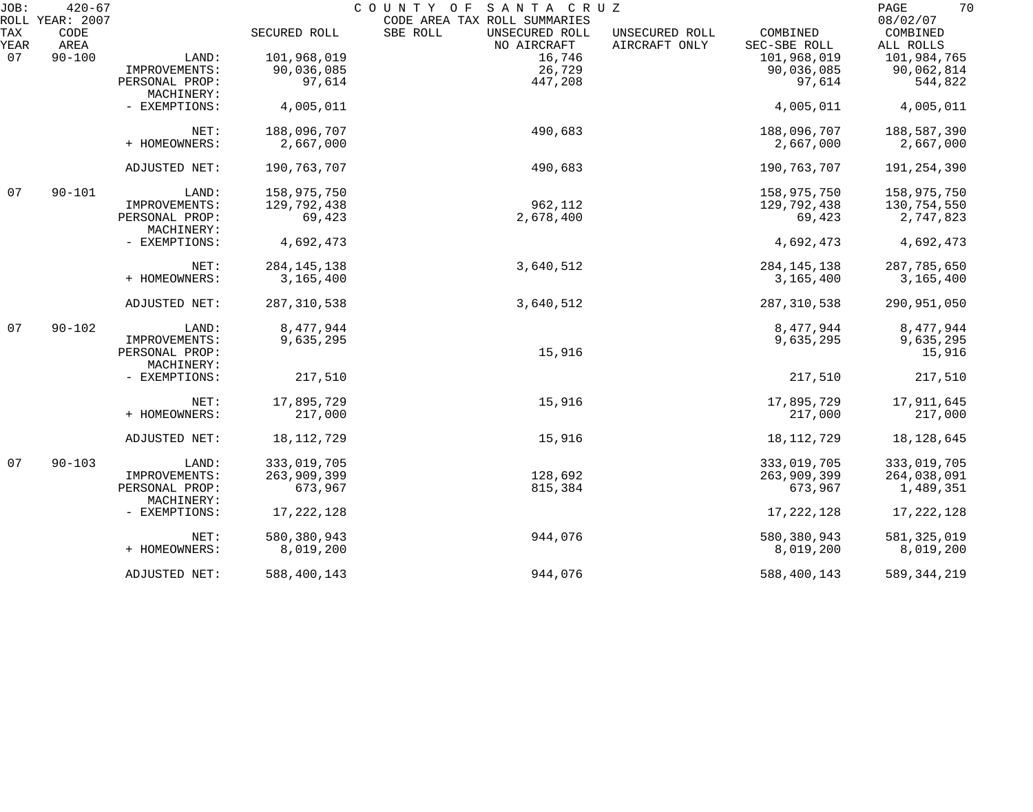| JOB:       | $420 - 67$<br>ROLL YEAR: 2007 |                              |               | COUNTY OF<br>SANTA CRUZ<br>CODE AREA TAX ROLL SUMMARIES |                                 |                          | 70<br>PAGE<br>08/02/07   |
|------------|-------------------------------|------------------------------|---------------|---------------------------------------------------------|---------------------------------|--------------------------|--------------------------|
| TAX        | CODE<br>AREA                  |                              | SECURED ROLL  | SBE ROLL<br>UNSECURED ROLL<br>NO AIRCRAFT               | UNSECURED ROLL<br>AIRCRAFT ONLY | COMBINED<br>SEC-SBE ROLL | COMBINED                 |
| YEAR<br>07 | $90 - 100$                    | LAND:                        | 101,968,019   | 16,746                                                  |                                 | 101,968,019              | ALL ROLLS<br>101,984,765 |
|            |                               | IMPROVEMENTS:                | 90,036,085    | 26,729                                                  |                                 | 90,036,085               | 90,062,814               |
|            |                               | PERSONAL PROP:               | 97,614        | 447,208                                                 |                                 | 97,614                   | 544,822                  |
|            |                               | MACHINERY:                   |               |                                                         |                                 |                          |                          |
|            |                               | - EXEMPTIONS:                | 4,005,011     |                                                         |                                 | 4,005,011                | 4,005,011                |
|            |                               | NET:                         | 188,096,707   | 490,683                                                 |                                 | 188,096,707              | 188,587,390              |
|            |                               | + HOMEOWNERS:                | 2,667,000     |                                                         |                                 | 2,667,000                | 2,667,000                |
|            |                               | ADJUSTED NET:                | 190,763,707   | 490,683                                                 |                                 | 190,763,707              | 191, 254, 390            |
| 07         | $90 - 101$                    | LAND:                        | 158,975,750   |                                                         |                                 | 158,975,750              | 158,975,750              |
|            |                               | IMPROVEMENTS:                | 129,792,438   | 962,112                                                 |                                 | 129,792,438              | 130,754,550              |
|            |                               | PERSONAL PROP:               | 69,423        | 2,678,400                                               |                                 | 69,423                   | 2,747,823                |
|            |                               | MACHINERY:                   |               |                                                         |                                 |                          |                          |
|            |                               | - EXEMPTIONS:                | 4,692,473     |                                                         |                                 | 4,692,473                | 4,692,473                |
|            |                               | NET:                         | 284, 145, 138 | 3,640,512                                               |                                 | 284, 145, 138            | 287,785,650              |
|            |                               | + HOMEOWNERS:                | 3,165,400     |                                                         |                                 | 3,165,400                | 3,165,400                |
|            |                               | ADJUSTED NET:                | 287, 310, 538 | 3,640,512                                               |                                 | 287, 310, 538            | 290,951,050              |
| 07         | $90 - 102$                    | LAND:                        | 8,477,944     |                                                         |                                 | 8,477,944                | 8,477,944                |
|            |                               | IMPROVEMENTS:                | 9,635,295     |                                                         |                                 | 9,635,295                | 9,635,295                |
|            |                               | PERSONAL PROP:               |               | 15,916                                                  |                                 |                          | 15,916                   |
|            |                               | MACHINERY:                   |               |                                                         |                                 |                          |                          |
|            |                               | - EXEMPTIONS:                | 217,510       |                                                         |                                 | 217,510                  | 217,510                  |
|            |                               | NET:                         | 17,895,729    | 15,916                                                  |                                 | 17,895,729               | 17,911,645               |
|            |                               | + HOMEOWNERS:                | 217,000       |                                                         |                                 | 217,000                  | 217,000                  |
|            |                               | ADJUSTED NET:                | 18,112,729    | 15,916                                                  |                                 | 18, 112, 729             | 18, 128, 645             |
| 07         | $90 - 103$                    | LAND:                        | 333,019,705   |                                                         |                                 | 333,019,705              | 333,019,705              |
|            |                               | IMPROVEMENTS:                | 263,909,399   | 128,692                                                 |                                 | 263,909,399              | 264,038,091              |
|            |                               | PERSONAL PROP:<br>MACHINERY: | 673,967       | 815,384                                                 |                                 | 673,967                  | 1,489,351                |
|            |                               | - EXEMPTIONS:                | 17, 222, 128  |                                                         |                                 | 17,222,128               | 17, 222, 128             |
|            |                               | NET:                         | 580,380,943   | 944,076                                                 |                                 | 580,380,943              | 581, 325, 019            |
|            |                               | + HOMEOWNERS:                | 8,019,200     |                                                         |                                 | 8,019,200                | 8,019,200                |
|            |                               | ADJUSTED NET:                | 588,400,143   | 944,076                                                 |                                 | 588,400,143              | 589, 344, 219            |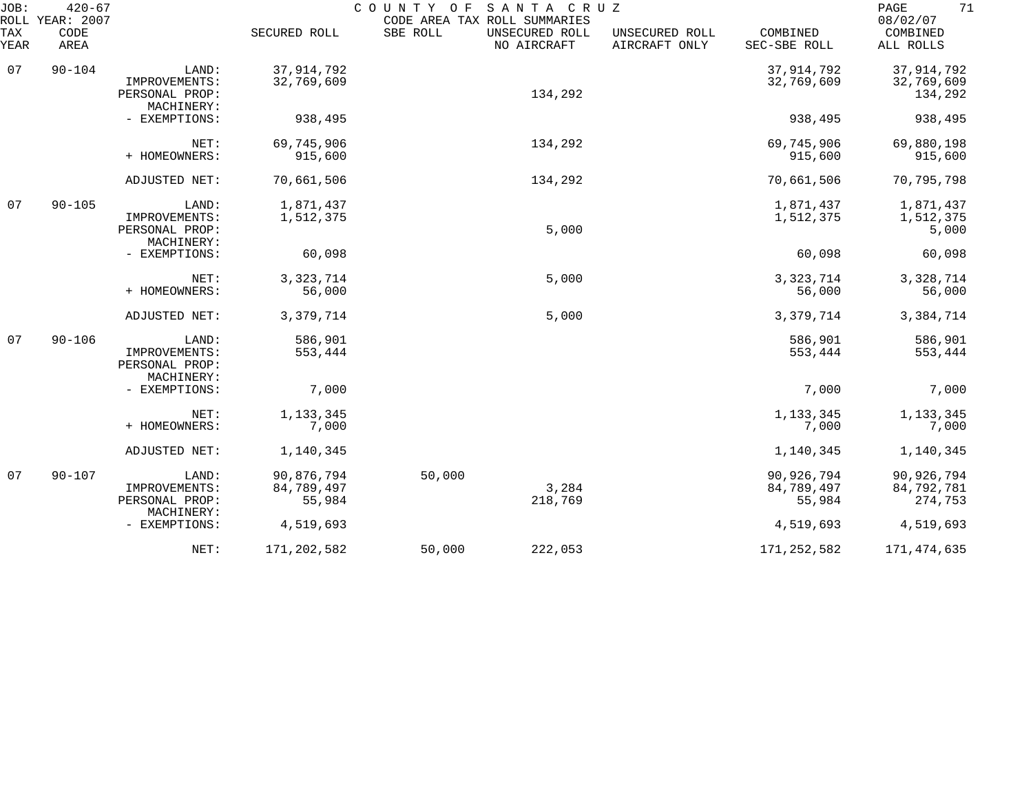| $420 - 67$<br>JOB:<br>ROLL YEAR: 2007 |              |                                                        |                                    | COUNTY OF<br>SANTA CRUZ<br>CODE AREA TAX ROLL SUMMARIES |                               |                                 |                                    | 71<br>PAGE<br>08/02/07                |  |
|---------------------------------------|--------------|--------------------------------------------------------|------------------------------------|---------------------------------------------------------|-------------------------------|---------------------------------|------------------------------------|---------------------------------------|--|
| TAX<br>YEAR                           | CODE<br>AREA |                                                        | SECURED ROLL                       | SBE ROLL                                                | UNSECURED ROLL<br>NO AIRCRAFT | UNSECURED ROLL<br>AIRCRAFT ONLY | COMBINED<br>SEC-SBE ROLL           | COMBINED<br>ALL ROLLS                 |  |
| 07                                    | $90 - 104$   | LAND:<br>IMPROVEMENTS:<br>PERSONAL PROP:               | 37, 914, 792<br>32,769,609         |                                                         | 134,292                       |                                 | 37, 914, 792<br>32,769,609         | 37, 914, 792<br>32,769,609<br>134,292 |  |
|                                       |              | MACHINERY:<br>- EXEMPTIONS:                            | 938,495                            |                                                         |                               |                                 | 938,495                            | 938,495                               |  |
|                                       |              | NET:<br>+ HOMEOWNERS:                                  | 69,745,906<br>915,600              |                                                         | 134,292                       |                                 | 69,745,906<br>915,600              | 69,880,198<br>915,600                 |  |
|                                       |              | ADJUSTED NET:                                          | 70,661,506                         |                                                         | 134,292                       |                                 | 70,661,506                         | 70,795,798                            |  |
| 07                                    | $90 - 105$   | LAND:<br>IMPROVEMENTS:<br>PERSONAL PROP:               | 1,871,437<br>1,512,375             |                                                         | 5,000                         |                                 | 1,871,437<br>1,512,375             | 1,871,437<br>1,512,375<br>5,000       |  |
|                                       |              | MACHINERY:<br>- EXEMPTIONS:                            | 60,098                             |                                                         |                               |                                 | 60,098                             | 60,098                                |  |
|                                       |              | NET:<br>+ HOMEOWNERS:                                  | 3, 323, 714<br>56,000              |                                                         | 5,000                         |                                 | 3, 323, 714<br>56,000              | 3,328,714<br>56,000                   |  |
|                                       |              | ADJUSTED NET:                                          | 3,379,714                          |                                                         | 5,000                         |                                 | 3,379,714                          | 3,384,714                             |  |
| 07                                    | $90 - 106$   | LAND:<br>IMPROVEMENTS:<br>PERSONAL PROP:<br>MACHINERY: | 586,901<br>553,444                 |                                                         |                               |                                 | 586,901<br>553,444                 | 586,901<br>553,444                    |  |
|                                       |              | - EXEMPTIONS:                                          | 7,000                              |                                                         |                               |                                 | 7,000                              | 7,000                                 |  |
|                                       |              | NET:<br>+ HOMEOWNERS:                                  | 1, 133, 345<br>7,000               |                                                         |                               |                                 | 1, 133, 345<br>7,000               | 1, 133, 345<br>7,000                  |  |
|                                       |              | ADJUSTED NET:                                          | 1,140,345                          |                                                         |                               |                                 | 1,140,345                          | 1,140,345                             |  |
| 07                                    | $90 - 107$   | LAND:<br>IMPROVEMENTS:<br>PERSONAL PROP:               | 90,876,794<br>84,789,497<br>55,984 | 50,000                                                  | 3,284<br>218,769              |                                 | 90,926,794<br>84,789,497<br>55,984 | 90,926,794<br>84,792,781<br>274,753   |  |
|                                       |              | MACHINERY:<br>- EXEMPTIONS:                            | 4,519,693                          |                                                         |                               |                                 | 4,519,693                          | 4,519,693                             |  |
|                                       |              | NET:                                                   | 171, 202, 582                      | 50,000                                                  | 222,053                       |                                 | 171, 252, 582                      | 171,474,635                           |  |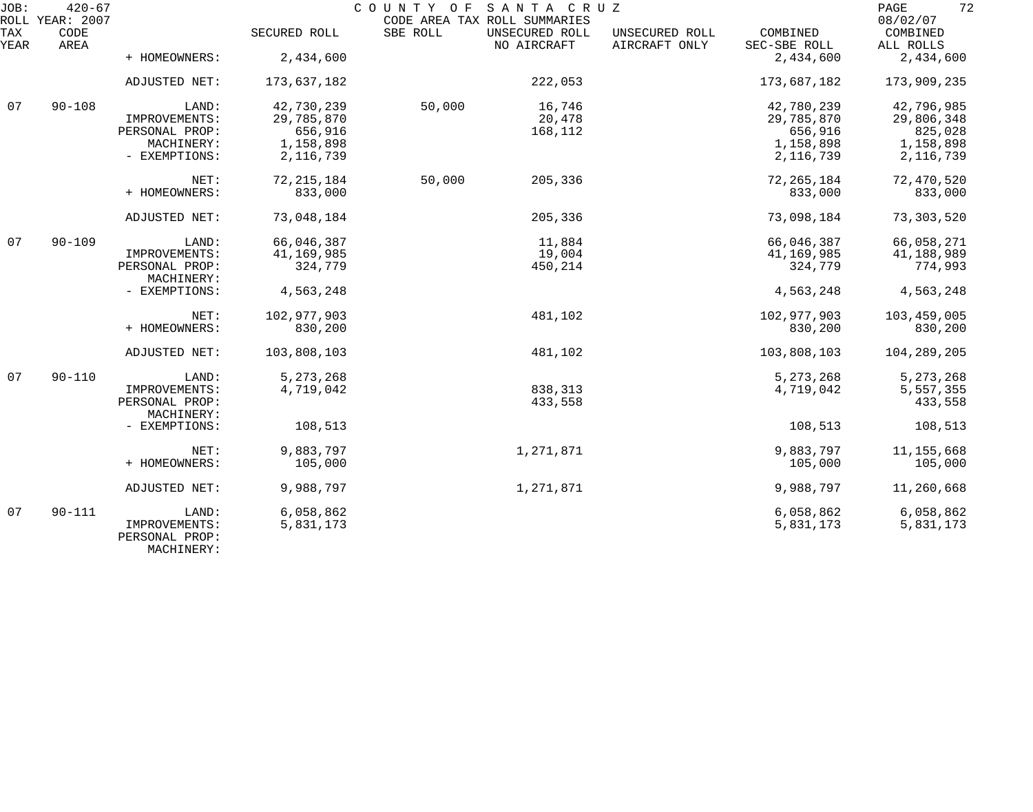| JOB:        | $420 - 67$<br>ROLL YEAR: 2007 |                                 |              |          | COUNTY OF SANTA CRUZ<br>CODE AREA TAX ROLL SUMMARIES |                                 |                          | 72<br>PAGE<br>08/02/07 |
|-------------|-------------------------------|---------------------------------|--------------|----------|------------------------------------------------------|---------------------------------|--------------------------|------------------------|
| TAX<br>YEAR | CODE<br>AREA                  |                                 | SECURED ROLL | SBE ROLL | UNSECURED ROLL<br>NO AIRCRAFT                        | UNSECURED ROLL<br>AIRCRAFT ONLY | COMBINED<br>SEC-SBE ROLL | COMBINED<br>ALL ROLLS  |
|             |                               | + HOMEOWNERS:                   | 2,434,600    |          |                                                      |                                 | 2,434,600                | 2,434,600              |
|             |                               | ADJUSTED NET:                   | 173,637,182  |          | 222,053                                              |                                 | 173,687,182              | 173,909,235            |
| 07          | $90 - 108$                    | LAND:                           | 42,730,239   | 50,000   | 16,746                                               |                                 | 42,780,239               | 42,796,985             |
|             |                               | IMPROVEMENTS:                   | 29,785,870   |          | 20,478                                               |                                 | 29,785,870               | 29,806,348             |
|             |                               | PERSONAL PROP:                  | 656,916      |          | 168,112                                              |                                 | 656,916                  | 825,028                |
|             |                               | MACHINERY:                      | 1,158,898    |          |                                                      |                                 | 1,158,898                | 1,158,898              |
|             |                               | - EXEMPTIONS:                   | 2,116,739    |          |                                                      |                                 | 2, 116, 739              | 2, 116, 739            |
|             |                               | NET:                            | 72, 215, 184 | 50,000   | 205,336                                              |                                 | 72, 265, 184             | 72,470,520             |
|             |                               | + HOMEOWNERS:                   | 833,000      |          |                                                      |                                 | 833,000                  | 833,000                |
|             |                               | ADJUSTED NET:                   | 73,048,184   |          | 205,336                                              |                                 | 73,098,184               | 73, 303, 520           |
| 07          | $90 - 109$                    | LAND:                           | 66,046,387   |          | 11,884                                               |                                 | 66,046,387               | 66,058,271             |
|             |                               | IMPROVEMENTS:                   | 41,169,985   |          | 19,004                                               |                                 | 41,169,985               | 41,188,989             |
|             |                               | PERSONAL PROP:<br>MACHINERY:    | 324,779      |          | 450,214                                              |                                 | 324,779                  | 774,993                |
|             |                               | - EXEMPTIONS:                   | 4,563,248    |          |                                                      |                                 | 4,563,248                | 4,563,248              |
|             |                               | NET:                            | 102,977,903  |          | 481,102                                              |                                 | 102,977,903              | 103,459,005            |
|             |                               | + HOMEOWNERS:                   | 830,200      |          |                                                      |                                 | 830,200                  | 830,200                |
|             |                               | ADJUSTED NET:                   | 103,808,103  |          | 481,102                                              |                                 | 103,808,103              | 104,289,205            |
| 07          | $90 - 110$                    | LAND:                           | 5, 273, 268  |          |                                                      |                                 | 5, 273, 268              | 5, 273, 268            |
|             |                               | IMPROVEMENTS:                   | 4,719,042    |          | 838,313                                              |                                 | 4,719,042                | 5,557,355              |
|             |                               | PERSONAL PROP:<br>MACHINERY:    |              |          | 433,558                                              |                                 |                          | 433,558                |
|             |                               | - EXEMPTIONS:                   | 108,513      |          |                                                      |                                 | 108,513                  | 108,513                |
|             |                               | NET:                            | 9,883,797    |          | 1,271,871                                            |                                 | 9,883,797                | 11, 155, 668           |
|             |                               | + HOMEOWNERS:                   | 105,000      |          |                                                      |                                 | 105,000                  | 105,000                |
|             |                               | ADJUSTED NET:                   | 9,988,797    |          | 1,271,871                                            |                                 | 9,988,797                | 11,260,668             |
| 07          | $90 - 111$                    | LAND:                           | 6,058,862    |          |                                                      |                                 | 6,058,862                | 6,058,862              |
|             |                               | IMPROVEMENTS:<br>PERSONAL PROP: | 5,831,173    |          |                                                      |                                 | 5,831,173                | 5,831,173              |

MACHINERY: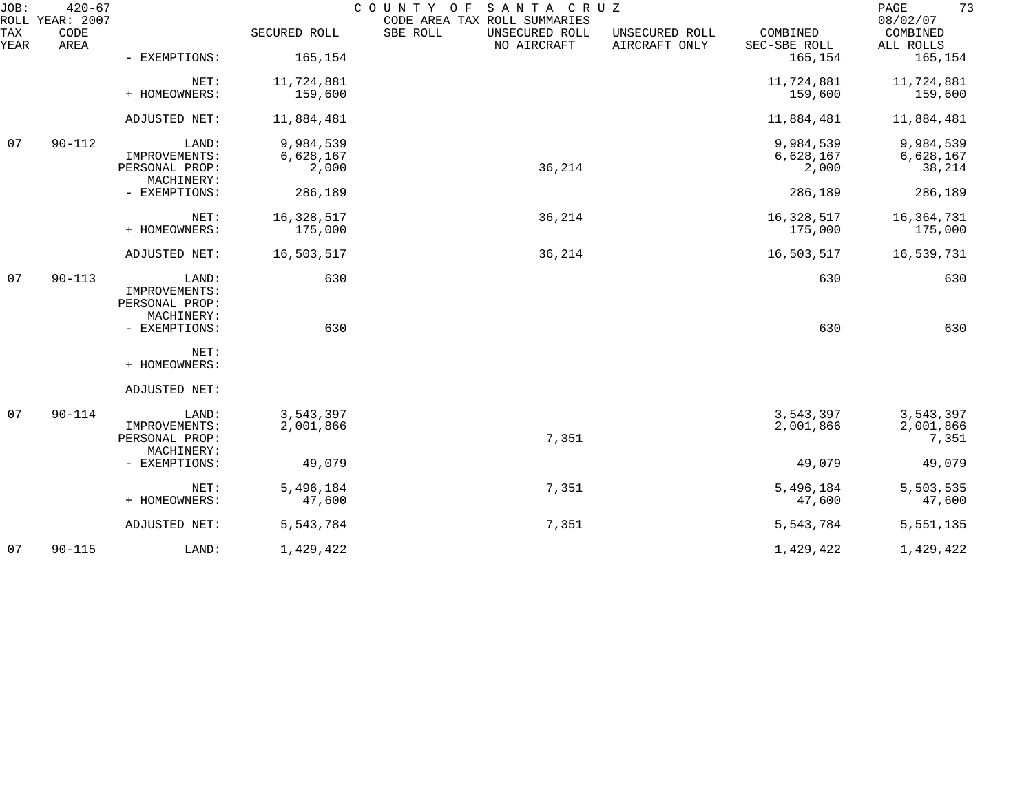| JOB:        | $420 - 67$<br>ROLL YEAR: 2007 |                              |              | COUNTY OF<br>SANTA CRUZ<br>CODE AREA TAX ROLL SUMMARIES |                                 |                          | 73<br>PAGE<br>08/02/07 |
|-------------|-------------------------------|------------------------------|--------------|---------------------------------------------------------|---------------------------------|--------------------------|------------------------|
| TAX<br>YEAR | CODE<br>AREA                  |                              | SECURED ROLL | SBE ROLL<br>UNSECURED ROLL<br>NO AIRCRAFT               | UNSECURED ROLL<br>AIRCRAFT ONLY | COMBINED<br>SEC-SBE ROLL | COMBINED<br>ALL ROLLS  |
|             |                               | - EXEMPTIONS:                | 165,154      |                                                         |                                 | 165,154                  | 165,154                |
|             |                               | NET:                         | 11,724,881   |                                                         |                                 | 11,724,881               | 11,724,881             |
|             |                               | + HOMEOWNERS:                | 159,600      |                                                         |                                 | 159,600                  | 159,600                |
|             |                               | ADJUSTED NET:                | 11,884,481   |                                                         |                                 | 11,884,481               | 11,884,481             |
| 07          | $90 - 112$                    | LAND:                        | 9,984,539    |                                                         |                                 | 9,984,539                | 9,984,539              |
|             |                               | IMPROVEMENTS:                | 6,628,167    |                                                         |                                 | 6,628,167                | 6,628,167              |
|             |                               | PERSONAL PROP:<br>MACHINERY: | 2,000        | 36,214                                                  |                                 | 2,000                    | 38,214                 |
|             |                               | - EXEMPTIONS:                | 286,189      |                                                         |                                 | 286,189                  | 286,189                |
|             |                               | NET:                         | 16,328,517   | 36,214                                                  |                                 | 16,328,517               | 16, 364, 731           |
|             |                               | + HOMEOWNERS:                | 175,000      |                                                         |                                 | 175,000                  | 175,000                |
|             |                               | ADJUSTED NET:                | 16,503,517   | 36,214                                                  |                                 | 16,503,517               | 16,539,731             |
| 07          | $90 - 113$                    | LAND:<br>IMPROVEMENTS:       | 630          |                                                         |                                 | 630                      | 630                    |
|             |                               | PERSONAL PROP:               |              |                                                         |                                 |                          |                        |
|             |                               | MACHINERY:                   |              |                                                         |                                 |                          |                        |
|             |                               | - EXEMPTIONS:                | 630          |                                                         |                                 | 630                      | 630                    |
|             |                               | NET:<br>+ HOMEOWNERS:        |              |                                                         |                                 |                          |                        |
|             |                               |                              |              |                                                         |                                 |                          |                        |
|             |                               | ADJUSTED NET:                |              |                                                         |                                 |                          |                        |
| 07          | $90 - 114$                    | LAND:                        | 3,543,397    |                                                         |                                 | 3,543,397                | 3,543,397              |
|             |                               | IMPROVEMENTS:                | 2,001,866    |                                                         |                                 | 2,001,866                | 2,001,866              |
|             |                               | PERSONAL PROP:               |              | 7,351                                                   |                                 |                          | 7,351                  |
|             |                               | MACHINERY:                   |              |                                                         |                                 |                          |                        |
|             |                               | - EXEMPTIONS:                | 49,079       |                                                         |                                 | 49,079                   | 49,079                 |
|             |                               | NET:                         | 5,496,184    | 7,351                                                   |                                 | 5,496,184                | 5,503,535              |
|             |                               | + HOMEOWNERS:                | 47,600       |                                                         |                                 | 47,600                   | 47,600                 |
|             |                               | ADJUSTED NET:                | 5,543,784    | 7,351                                                   |                                 | 5,543,784                | 5, 551, 135            |
| 07          | $90 - 115$                    | LAND:                        | 1,429,422    |                                                         |                                 | 1,429,422                | 1,429,422              |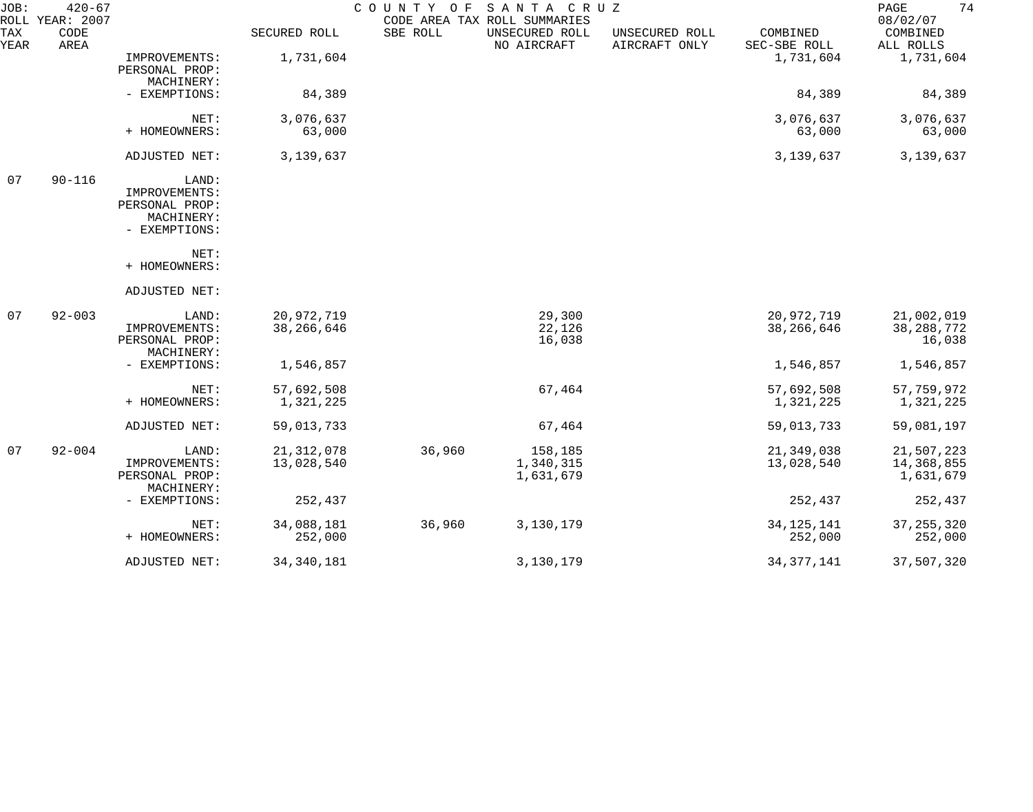| JOB:        | $420 - 67$<br>ROLL YEAR: 2007 |                                                                         |                            | COUNTY OF | SANTA CRUZ<br>CODE AREA TAX ROLL SUMMARIES |                                 |                            | 74<br>PAGE<br>08/02/07                |
|-------------|-------------------------------|-------------------------------------------------------------------------|----------------------------|-----------|--------------------------------------------|---------------------------------|----------------------------|---------------------------------------|
| TAX<br>YEAR | CODE<br>AREA                  |                                                                         | SECURED ROLL               | SBE ROLL  | UNSECURED ROLL<br>NO AIRCRAFT              | UNSECURED ROLL<br>AIRCRAFT ONLY | COMBINED<br>SEC-SBE ROLL   | COMBINED<br>ALL ROLLS                 |
|             |                               | IMPROVEMENTS:<br>PERSONAL PROP:<br>MACHINERY:                           | 1,731,604                  |           |                                            |                                 | 1,731,604                  | 1,731,604                             |
|             |                               | - EXEMPTIONS:                                                           | 84,389                     |           |                                            |                                 | 84,389                     | 84,389                                |
|             |                               | NET:<br>+ HOMEOWNERS:                                                   | 3,076,637<br>63,000        |           |                                            |                                 | 3,076,637<br>63,000        | 3,076,637<br>63,000                   |
|             |                               | ADJUSTED NET:                                                           | 3,139,637                  |           |                                            |                                 | 3,139,637                  | 3,139,637                             |
| 07          | $90 - 116$                    | LAND:<br>IMPROVEMENTS:<br>PERSONAL PROP:<br>MACHINERY:<br>- EXEMPTIONS: |                            |           |                                            |                                 |                            |                                       |
|             |                               | NET:<br>+ HOMEOWNERS:                                                   |                            |           |                                            |                                 |                            |                                       |
|             |                               | ADJUSTED NET:                                                           |                            |           |                                            |                                 |                            |                                       |
| 07          | $92 - 003$                    | LAND:<br>IMPROVEMENTS:<br>PERSONAL PROP:<br>MACHINERY:                  | 20,972,719<br>38, 266, 646 |           | 29,300<br>22,126<br>16,038                 |                                 | 20,972,719<br>38, 266, 646 | 21,002,019<br>38, 288, 772<br>16,038  |
|             |                               | - EXEMPTIONS:                                                           | 1,546,857                  |           |                                            |                                 | 1,546,857                  | 1,546,857                             |
|             |                               | NET:<br>+ HOMEOWNERS:                                                   | 57,692,508<br>1,321,225    |           | 67,464                                     |                                 | 57,692,508<br>1,321,225    | 57,759,972<br>1,321,225               |
|             |                               | ADJUSTED NET:                                                           | 59,013,733                 |           | 67,464                                     |                                 | 59,013,733                 | 59,081,197                            |
| 07          | $92 - 004$                    | LAND:<br>IMPROVEMENTS:<br>PERSONAL PROP:<br>MACHINERY:                  | 21, 312, 078<br>13,028,540 | 36,960    | 158,185<br>1,340,315<br>1,631,679          |                                 | 21,349,038<br>13,028,540   | 21,507,223<br>14,368,855<br>1,631,679 |
|             |                               | - EXEMPTIONS:                                                           | 252,437                    |           |                                            |                                 | 252,437                    | 252,437                               |
|             |                               | NET:<br>+ HOMEOWNERS:                                                   | 34,088,181<br>252,000      | 36,960    | 3,130,179                                  |                                 | 34, 125, 141<br>252,000    | 37, 255, 320<br>252,000               |
|             |                               | ADJUSTED NET:                                                           | 34, 340, 181               |           | 3,130,179                                  |                                 | 34, 377, 141               | 37,507,320                            |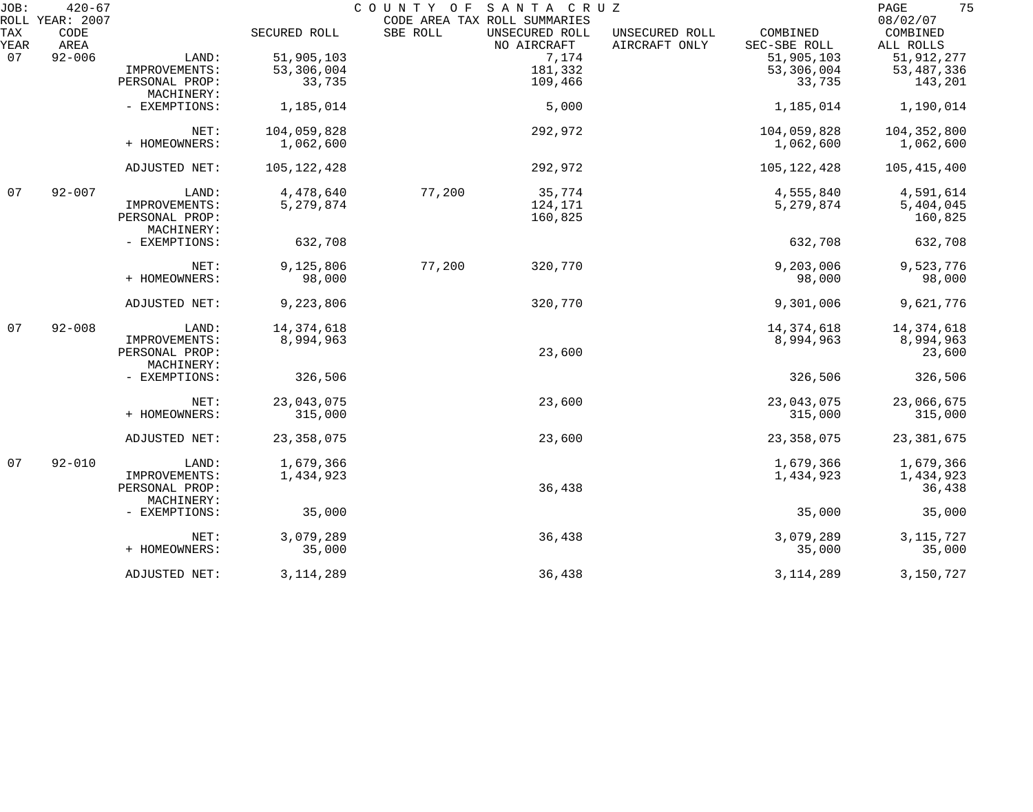| JOB:<br>ROLL | $420 - 67$<br>YEAR: 2007 |                              |               | COUNTY OF | SANTA CRUZ<br>CODE AREA TAX ROLL SUMMARIES |                                 |                          | 75<br>PAGE<br>08/02/07 |
|--------------|--------------------------|------------------------------|---------------|-----------|--------------------------------------------|---------------------------------|--------------------------|------------------------|
| TAX<br>YEAR  | CODE<br>AREA             |                              | SECURED ROLL  | SBE ROLL  | UNSECURED ROLL<br>NO AIRCRAFT              | UNSECURED ROLL<br>AIRCRAFT ONLY | COMBINED<br>SEC-SBE ROLL | COMBINED<br>ALL ROLLS  |
| 07           | $92 - 006$               | LAND:                        | 51,905,103    |           | 7,174                                      |                                 | 51,905,103               | 51, 912, 277           |
|              |                          |                              |               |           | 181,332                                    |                                 |                          |                        |
|              |                          | IMPROVEMENTS:                | 53,306,004    |           |                                            |                                 | 53,306,004               | 53, 487, 336           |
|              |                          | PERSONAL PROP:<br>MACHINERY: | 33,735        |           | 109,466                                    |                                 | 33,735                   | 143,201                |
|              |                          | - EXEMPTIONS:                | 1,185,014     |           | 5,000                                      |                                 | 1,185,014                | 1,190,014              |
|              |                          | NET:                         | 104,059,828   |           | 292,972                                    |                                 | 104,059,828              | 104,352,800            |
|              |                          | + HOMEOWNERS:                | 1,062,600     |           |                                            |                                 | 1,062,600                | 1,062,600              |
|              |                          | ADJUSTED NET:                | 105, 122, 428 |           | 292,972                                    |                                 | 105, 122, 428            | 105,415,400            |
| 07           | $92 - 007$               | LAND:                        | 4,478,640     | 77,200    | 35,774                                     |                                 | 4,555,840                | 4,591,614              |
|              |                          | IMPROVEMENTS:                | 5,279,874     |           | 124,171                                    |                                 | 5,279,874                | 5,404,045              |
|              |                          | PERSONAL PROP:               |               |           | 160,825                                    |                                 |                          | 160,825                |
|              |                          | MACHINERY:                   |               |           |                                            |                                 |                          |                        |
|              |                          | - EXEMPTIONS:                | 632,708       |           |                                            |                                 | 632,708                  | 632,708                |
|              |                          | NET:                         | 9,125,806     | 77,200    | 320,770                                    |                                 | 9,203,006                | 9,523,776              |
|              |                          | + HOMEOWNERS:                | 98,000        |           |                                            |                                 | 98,000                   | 98,000                 |
|              |                          | ADJUSTED NET:                | 9,223,806     |           | 320,770                                    |                                 | 9,301,006                | 9,621,776              |
| 07           | $92 - 008$               | LAND:                        | 14, 374, 618  |           |                                            |                                 | 14, 374, 618             | 14, 374, 618           |
|              |                          | IMPROVEMENTS:                | 8,994,963     |           |                                            |                                 | 8,994,963                | 8,994,963              |
|              |                          | PERSONAL PROP:<br>MACHINERY: |               |           | 23,600                                     |                                 |                          | 23,600                 |
|              |                          | - EXEMPTIONS:                | 326,506       |           |                                            |                                 | 326,506                  | 326,506                |
|              |                          | NET:                         | 23,043,075    |           | 23,600                                     |                                 | 23,043,075               | 23,066,675             |
|              |                          | + HOMEOWNERS:                | 315,000       |           |                                            |                                 | 315,000                  | 315,000                |
|              |                          | ADJUSTED NET:                | 23, 358, 075  |           | 23,600                                     |                                 | 23, 358, 075             | 23, 381, 675           |
| 07           | $92 - 010$               | LAND:                        | 1,679,366     |           |                                            |                                 | 1,679,366                | 1,679,366              |
|              |                          | IMPROVEMENTS:                | 1,434,923     |           |                                            |                                 | 1,434,923                | 1,434,923              |
|              |                          | PERSONAL PROP:<br>MACHINERY: |               |           | 36,438                                     |                                 |                          | 36,438                 |
|              |                          | - EXEMPTIONS:                | 35,000        |           |                                            |                                 | 35,000                   | 35,000                 |
|              |                          | NET:                         | 3,079,289     |           | 36,438                                     |                                 | 3,079,289                | 3, 115, 727            |
|              |                          | + HOMEOWNERS:                | 35,000        |           |                                            |                                 | 35,000                   | 35,000                 |
|              |                          | ADJUSTED NET:                | 3, 114, 289   |           | 36,438                                     |                                 | 3, 114, 289              | 3,150,727              |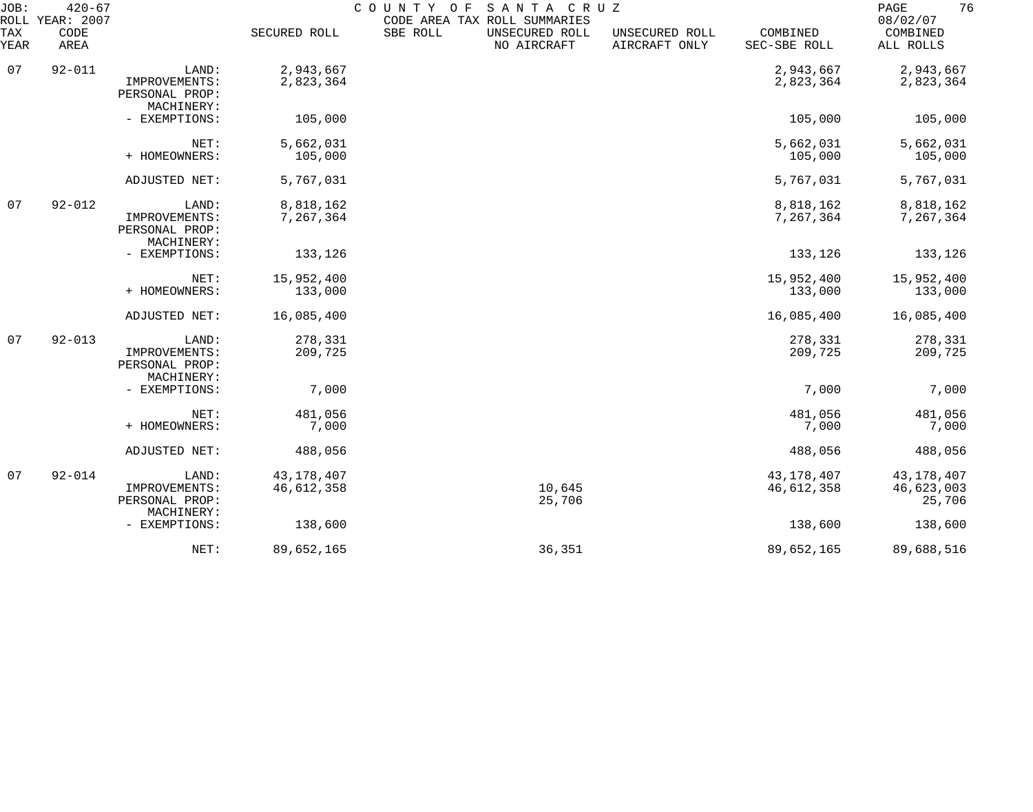| JOB:<br>ROLL       | $420 - 67$<br>YEAR: 2007 |                                                        |                            | COUNTY OF | SANTA CRUZ<br>CODE AREA TAX ROLL SUMMARIES |                                 |                          | 76<br>PAGE<br>08/02/07               |
|--------------------|--------------------------|--------------------------------------------------------|----------------------------|-----------|--------------------------------------------|---------------------------------|--------------------------|--------------------------------------|
| <b>TAX</b><br>YEAR | CODE<br>AREA             |                                                        | SECURED ROLL               | SBE ROLL  | UNSECURED ROLL<br>NO AIRCRAFT              | UNSECURED ROLL<br>AIRCRAFT ONLY | COMBINED<br>SEC-SBE ROLL | COMBINED<br>ALL ROLLS                |
| 07                 | $92 - 011$               | LAND:<br>IMPROVEMENTS:<br>PERSONAL PROP:<br>MACHINERY: | 2,943,667<br>2,823,364     |           |                                            |                                 | 2,943,667<br>2,823,364   | 2,943,667<br>2,823,364               |
|                    |                          | - EXEMPTIONS:                                          | 105,000                    |           |                                            |                                 | 105,000                  | 105,000                              |
|                    |                          | NET:<br>+ HOMEOWNERS:                                  | 5,662,031<br>105,000       |           |                                            |                                 | 5,662,031<br>105,000     | 5,662,031<br>105,000                 |
|                    |                          | ADJUSTED NET:                                          | 5,767,031                  |           |                                            |                                 | 5,767,031                | 5,767,031                            |
| 07                 | $92 - 012$               | LAND:<br>IMPROVEMENTS:<br>PERSONAL PROP:<br>MACHINERY: | 8,818,162<br>7,267,364     |           |                                            |                                 | 8,818,162<br>7,267,364   | 8,818,162<br>7,267,364               |
|                    |                          | - EXEMPTIONS:                                          | 133,126                    |           |                                            |                                 | 133,126                  | 133,126                              |
|                    |                          | NET:<br>+ HOMEOWNERS:                                  | 15,952,400<br>133,000      |           |                                            |                                 | 15,952,400<br>133,000    | 15,952,400<br>133,000                |
|                    |                          | ADJUSTED NET:                                          | 16,085,400                 |           |                                            |                                 | 16,085,400               | 16,085,400                           |
| 07                 | $92 - 013$               | LAND:<br>IMPROVEMENTS:<br>PERSONAL PROP:<br>MACHINERY: | 278,331<br>209,725         |           |                                            |                                 | 278,331<br>209,725       | 278,331<br>209,725                   |
|                    |                          | - EXEMPTIONS:                                          | 7,000                      |           |                                            |                                 | 7,000                    | 7,000                                |
|                    |                          | NET:<br>+ HOMEOWNERS:                                  | 481,056<br>7,000           |           |                                            |                                 | 481,056<br>7,000         | 481,056<br>7,000                     |
|                    |                          | ADJUSTED NET:                                          | 488,056                    |           |                                            |                                 | 488,056                  | 488,056                              |
| 07                 | $92 - 014$               | LAND:<br>IMPROVEMENTS:<br>PERSONAL PROP:               | 43, 178, 407<br>46,612,358 |           | 10,645<br>25,706                           |                                 | 43,178,407<br>46,612,358 | 43, 178, 407<br>46,623,003<br>25,706 |
|                    |                          | MACHINERY:<br>- EXEMPTIONS:                            | 138,600                    |           |                                            |                                 | 138,600                  | 138,600                              |
|                    |                          | NET:                                                   | 89,652,165                 |           | 36,351                                     |                                 | 89,652,165               | 89,688,516                           |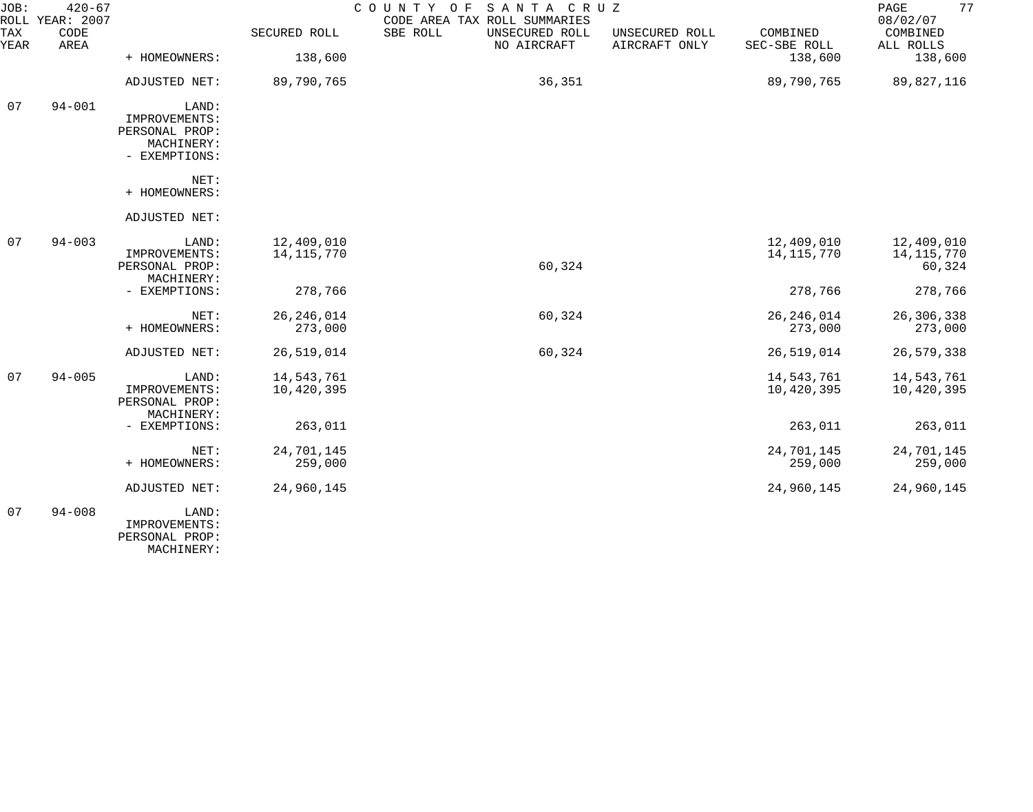| JOB:        | $420 - 67$<br>ROLL YEAR: 2007 |                              |              | COUNTY OF<br>SANTA CRUZ<br>CODE AREA TAX ROLL SUMMARIES |                                 |                          | 77<br>PAGE<br>08/02/07 |
|-------------|-------------------------------|------------------------------|--------------|---------------------------------------------------------|---------------------------------|--------------------------|------------------------|
| TAX<br>YEAR | CODE<br>AREA                  |                              | SECURED ROLL | SBE ROLL<br>UNSECURED ROLL<br>NO AIRCRAFT               | UNSECURED ROLL<br>AIRCRAFT ONLY | COMBINED<br>SEC-SBE ROLL | COMBINED<br>ALL ROLLS  |
|             |                               | + HOMEOWNERS:                | 138,600      |                                                         |                                 | 138,600                  | 138,600                |
|             |                               | ADJUSTED NET:                | 89,790,765   | 36,351                                                  |                                 | 89,790,765               | 89,827,116             |
| 07          | $94 - 001$                    | LAND:                        |              |                                                         |                                 |                          |                        |
|             |                               | IMPROVEMENTS:                |              |                                                         |                                 |                          |                        |
|             |                               | PERSONAL PROP:<br>MACHINERY: |              |                                                         |                                 |                          |                        |
|             |                               | - EXEMPTIONS:                |              |                                                         |                                 |                          |                        |
|             |                               | NET:                         |              |                                                         |                                 |                          |                        |
|             |                               | + HOMEOWNERS:                |              |                                                         |                                 |                          |                        |
|             |                               | ADJUSTED NET:                |              |                                                         |                                 |                          |                        |
| 07          | $94 - 003$                    | LAND:                        | 12,409,010   |                                                         |                                 | 12,409,010               | 12,409,010             |
|             |                               | IMPROVEMENTS:                | 14, 115, 770 |                                                         |                                 | 14, 115, 770             | 14,115,770             |
|             |                               | PERSONAL PROP:<br>MACHINERY: |              | 60,324                                                  |                                 |                          | 60,324                 |
|             |                               | - EXEMPTIONS:                | 278,766      |                                                         |                                 | 278,766                  | 278,766                |
|             |                               |                              |              |                                                         |                                 |                          |                        |
|             |                               | NET:                         | 26, 246, 014 | 60,324                                                  |                                 | 26, 246, 014             | 26,306,338             |
|             |                               | + HOMEOWNERS:                | 273,000      |                                                         |                                 | 273,000                  | 273,000                |
|             |                               | ADJUSTED NET:                | 26,519,014   | 60,324                                                  |                                 | 26,519,014               | 26,579,338             |
| 07          | $94 - 005$                    | LAND:                        | 14,543,761   |                                                         |                                 | 14,543,761               | 14,543,761             |
|             |                               | IMPROVEMENTS:                | 10,420,395   |                                                         |                                 | 10,420,395               | 10,420,395             |
|             |                               | PERSONAL PROP:               |              |                                                         |                                 |                          |                        |
|             |                               | MACHINERY:<br>- EXEMPTIONS:  | 263,011      |                                                         |                                 | 263,011                  | 263,011                |
|             |                               |                              |              |                                                         |                                 |                          |                        |
|             |                               | NET:                         | 24,701,145   |                                                         |                                 | 24,701,145               | 24,701,145             |
|             |                               | + HOMEOWNERS:                | 259,000      |                                                         |                                 | 259,000                  | 259,000                |
|             |                               | ADJUSTED NET:                | 24,960,145   |                                                         |                                 | 24,960,145               | 24,960,145             |
| 07          | $94 - 008$                    | LAND:                        |              |                                                         |                                 |                          |                        |
|             |                               | IMPROVEMENTS:                |              |                                                         |                                 |                          |                        |
|             |                               | PERSONAL PROP:               |              |                                                         |                                 |                          |                        |

MACHINERY: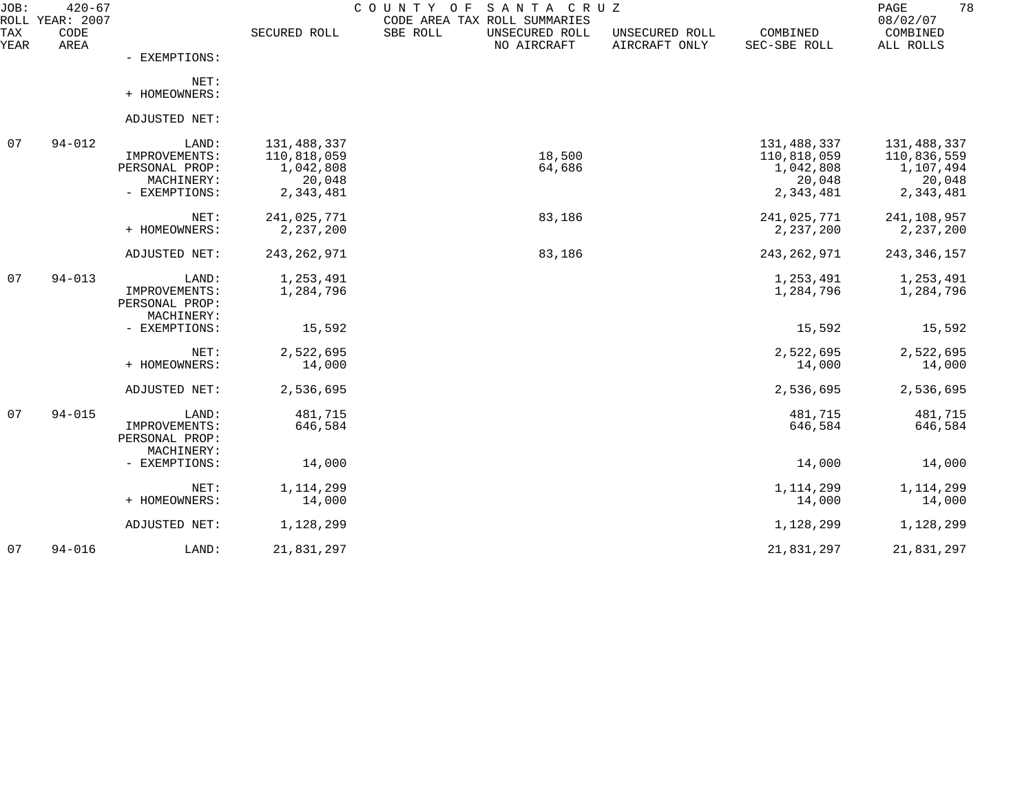| JOB:        | $420 - 67$<br>ROLL YEAR: 2007 |                                                                         |                                                                | COUNTY OF<br>SANTA CRUZ<br>CODE AREA TAX ROLL SUMMARIES |                                 |                                                                | 78<br>PAGE<br>08/02/07                                         |
|-------------|-------------------------------|-------------------------------------------------------------------------|----------------------------------------------------------------|---------------------------------------------------------|---------------------------------|----------------------------------------------------------------|----------------------------------------------------------------|
| TAX<br>YEAR | CODE<br>AREA                  |                                                                         | SECURED ROLL                                                   | SBE ROLL<br>UNSECURED ROLL<br>NO AIRCRAFT               | UNSECURED ROLL<br>AIRCRAFT ONLY | COMBINED<br>SEC-SBE ROLL                                       | COMBINED<br>ALL ROLLS                                          |
|             |                               | - EXEMPTIONS:                                                           |                                                                |                                                         |                                 |                                                                |                                                                |
|             |                               | NET:<br>+ HOMEOWNERS:                                                   |                                                                |                                                         |                                 |                                                                |                                                                |
|             |                               | ADJUSTED NET:                                                           |                                                                |                                                         |                                 |                                                                |                                                                |
| 07          | $94 - 012$                    | LAND:<br>IMPROVEMENTS:<br>PERSONAL PROP:<br>MACHINERY:<br>- EXEMPTIONS: | 131,488,337<br>110,818,059<br>1,042,808<br>20,048<br>2,343,481 | 18,500<br>64,686                                        |                                 | 131,488,337<br>110,818,059<br>1,042,808<br>20,048<br>2,343,481 | 131,488,337<br>110,836,559<br>1,107,494<br>20,048<br>2,343,481 |
|             |                               | NET:<br>+ HOMEOWNERS:                                                   | 241,025,771<br>2,237,200                                       | 83,186                                                  |                                 | 241,025,771<br>2,237,200                                       | 241,108,957<br>2, 237, 200                                     |
|             |                               | ADJUSTED NET:                                                           | 243, 262, 971                                                  | 83,186                                                  |                                 | 243, 262, 971                                                  | 243, 346, 157                                                  |
| 07          | $94 - 013$                    | LAND:<br>IMPROVEMENTS:<br>PERSONAL PROP:<br>MACHINERY:                  | 1,253,491<br>1,284,796                                         |                                                         |                                 | 1,253,491<br>1,284,796                                         | 1,253,491<br>1,284,796                                         |
|             |                               | - EXEMPTIONS:                                                           | 15,592                                                         |                                                         |                                 | 15,592                                                         | 15,592                                                         |
|             |                               | NET:<br>+ HOMEOWNERS:                                                   | 2,522,695<br>14,000                                            |                                                         |                                 | 2,522,695<br>14,000                                            | 2,522,695<br>14,000                                            |
|             |                               | ADJUSTED NET:                                                           | 2,536,695                                                      |                                                         |                                 | 2,536,695                                                      | 2,536,695                                                      |
| 07          | $94 - 015$                    | LAND:<br>IMPROVEMENTS:<br>PERSONAL PROP:<br>MACHINERY:                  | 481,715<br>646,584                                             |                                                         |                                 | 481,715<br>646,584                                             | 481,715<br>646,584                                             |
|             |                               | - EXEMPTIONS:                                                           | 14,000                                                         |                                                         |                                 | 14,000                                                         | 14,000                                                         |
|             |                               | NET:<br>+ HOMEOWNERS:                                                   | 1, 114, 299<br>14,000                                          |                                                         |                                 | 1, 114, 299<br>14,000                                          | 1, 114, 299<br>14,000                                          |
|             |                               | ADJUSTED NET:                                                           | 1,128,299                                                      |                                                         |                                 | 1,128,299                                                      | 1,128,299                                                      |
| 07          | $94 - 016$                    | LAND:                                                                   | 21,831,297                                                     |                                                         |                                 | 21,831,297                                                     | 21,831,297                                                     |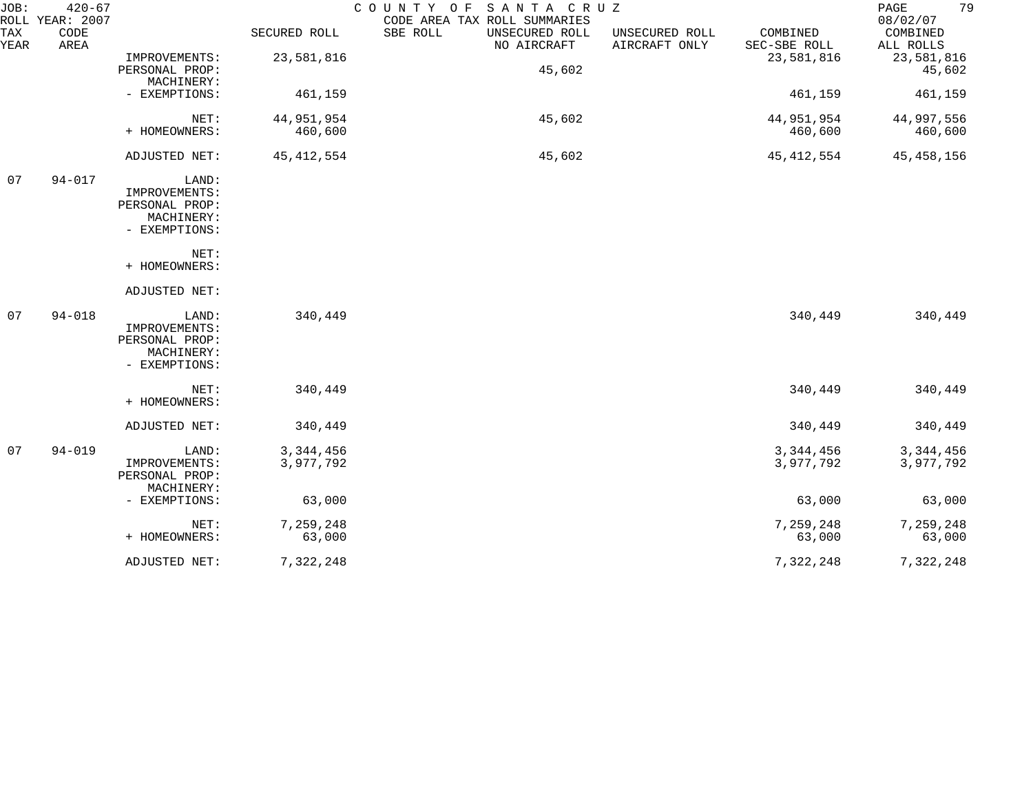| JOB:        | $420 - 67$<br>ROLL YEAR: 2007 |                                                                         |                        | SANTA CRUZ<br>COUNTY OF<br>CODE AREA TAX ROLL SUMMARIES |                                 |                          | 79<br>PAGE<br>08/02/07   |
|-------------|-------------------------------|-------------------------------------------------------------------------|------------------------|---------------------------------------------------------|---------------------------------|--------------------------|--------------------------|
| TAX<br>YEAR | CODE<br>AREA                  |                                                                         | SECURED ROLL           | SBE ROLL<br>UNSECURED ROLL<br>NO AIRCRAFT               | UNSECURED ROLL<br>AIRCRAFT ONLY | COMBINED<br>SEC-SBE ROLL | COMBINED<br>ALL ROLLS    |
|             |                               | IMPROVEMENTS:<br>PERSONAL PROP:                                         | 23,581,816             | 45,602                                                  |                                 | 23,581,816               | 23,581,816<br>45,602     |
|             |                               | MACHINERY:<br>- EXEMPTIONS:                                             | 461,159                |                                                         |                                 | 461,159                  | 461,159                  |
|             |                               | NET:<br>+ HOMEOWNERS:                                                   | 44,951,954<br>460,600  | 45,602                                                  |                                 | 44,951,954<br>460,600    | 44,997,556<br>460,600    |
|             |                               | ADJUSTED NET:                                                           | 45, 412, 554           | 45,602                                                  |                                 | 45, 412, 554             | 45,458,156               |
| 07          | $94 - 017$                    | LAND:<br>IMPROVEMENTS:<br>PERSONAL PROP:<br>MACHINERY:<br>- EXEMPTIONS: |                        |                                                         |                                 |                          |                          |
|             |                               | NET:<br>+ HOMEOWNERS:                                                   |                        |                                                         |                                 |                          |                          |
|             |                               | ADJUSTED NET:                                                           |                        |                                                         |                                 |                          |                          |
| 07          | $94 - 018$                    | LAND:<br>IMPROVEMENTS:<br>PERSONAL PROP:<br>MACHINERY:<br>- EXEMPTIONS: | 340,449                |                                                         |                                 | 340,449                  | 340,449                  |
|             |                               | NET:<br>+ HOMEOWNERS:                                                   | 340,449                |                                                         |                                 | 340,449                  | 340,449                  |
|             |                               | ADJUSTED NET:                                                           | 340,449                |                                                         |                                 | 340,449                  | 340,449                  |
| 07          | $94 - 019$                    | LAND:<br>IMPROVEMENTS:<br>PERSONAL PROP:<br>MACHINERY:                  | 3,344,456<br>3,977,792 |                                                         |                                 | 3, 344, 456<br>3,977,792 | 3, 344, 456<br>3,977,792 |
|             |                               | - EXEMPTIONS:                                                           | 63,000                 |                                                         |                                 | 63,000                   | 63,000                   |
|             |                               | NET:<br>+ HOMEOWNERS:                                                   | 7,259,248<br>63,000    |                                                         |                                 | 7,259,248<br>63,000      | 7,259,248<br>63,000      |
|             |                               | ADJUSTED NET:                                                           | 7,322,248              |                                                         |                                 | 7,322,248                | 7,322,248                |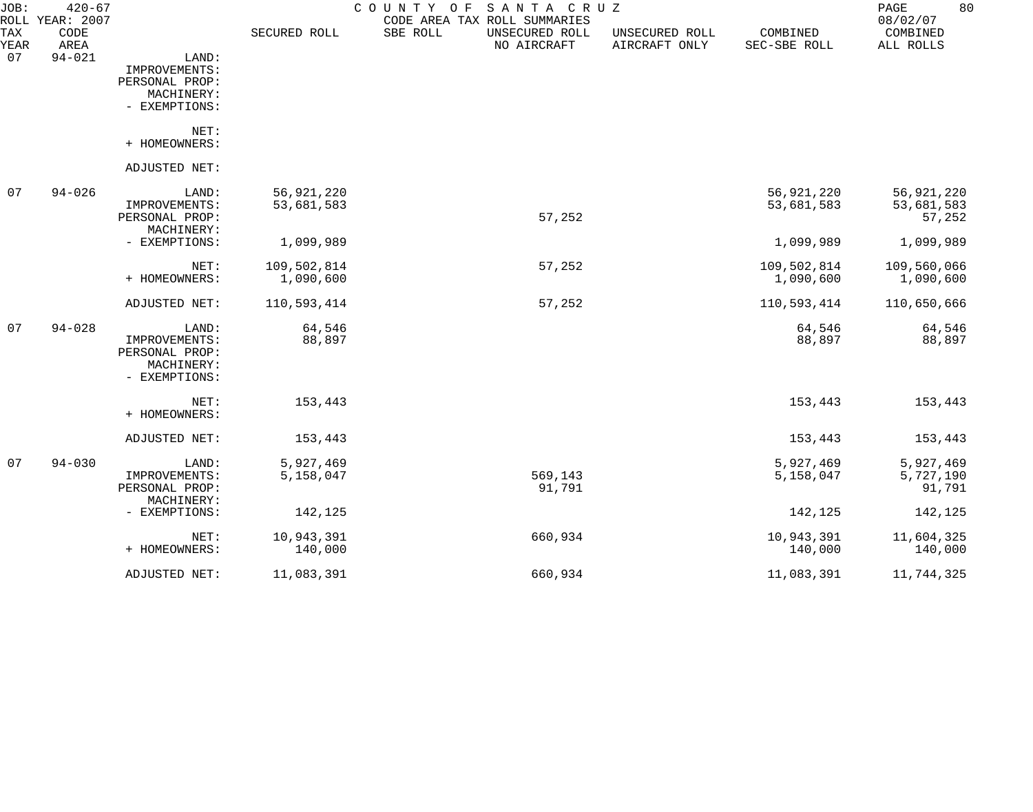| JOB:               | $420 - 67$<br>ROLL YEAR: 2007 |                |              | COUNTY OF<br>SANTA CRUZ<br>CODE AREA TAX ROLL SUMMARIES |                                 |                          | 80<br>PAGE<br>08/02/07 |
|--------------------|-------------------------------|----------------|--------------|---------------------------------------------------------|---------------------------------|--------------------------|------------------------|
| <b>TAX</b><br>YEAR | CODE<br>AREA                  |                | SECURED ROLL | SBE ROLL<br>UNSECURED ROLL<br>NO AIRCRAFT               | UNSECURED ROLL<br>AIRCRAFT ONLY | COMBINED<br>SEC-SBE ROLL | COMBINED<br>ALL ROLLS  |
| 07                 | $94 - 021$                    | LAND:          |              |                                                         |                                 |                          |                        |
|                    |                               | IMPROVEMENTS:  |              |                                                         |                                 |                          |                        |
|                    |                               | PERSONAL PROP: |              |                                                         |                                 |                          |                        |
|                    |                               | MACHINERY:     |              |                                                         |                                 |                          |                        |
|                    |                               | - EXEMPTIONS:  |              |                                                         |                                 |                          |                        |
|                    |                               | NET:           |              |                                                         |                                 |                          |                        |
|                    |                               | + HOMEOWNERS:  |              |                                                         |                                 |                          |                        |
|                    |                               | ADJUSTED NET:  |              |                                                         |                                 |                          |                        |
| 07                 | $94 - 026$                    | LAND:          | 56,921,220   |                                                         |                                 | 56,921,220               | 56,921,220             |
|                    |                               | IMPROVEMENTS:  | 53,681,583   |                                                         |                                 | 53,681,583               | 53,681,583             |
|                    |                               | PERSONAL PROP: |              | 57,252                                                  |                                 |                          | 57,252                 |
|                    |                               | MACHINERY:     |              |                                                         |                                 |                          |                        |
|                    |                               | - EXEMPTIONS:  | 1,099,989    |                                                         |                                 | 1,099,989                | 1,099,989              |
|                    |                               | NET:           | 109,502,814  | 57,252                                                  |                                 | 109,502,814              | 109,560,066            |
|                    |                               | + HOMEOWNERS:  | 1,090,600    |                                                         |                                 | 1,090,600                | 1,090,600              |
|                    |                               | ADJUSTED NET:  | 110,593,414  | 57,252                                                  |                                 | 110,593,414              | 110,650,666            |
| 07                 | $94 - 028$                    | LAND:          | 64,546       |                                                         |                                 | 64,546                   | 64,546                 |
|                    |                               | IMPROVEMENTS:  | 88,897       |                                                         |                                 | 88,897                   | 88,897                 |
|                    |                               | PERSONAL PROP: |              |                                                         |                                 |                          |                        |
|                    |                               | MACHINERY:     |              |                                                         |                                 |                          |                        |
|                    |                               | - EXEMPTIONS:  |              |                                                         |                                 |                          |                        |
|                    |                               | NET:           | 153,443      |                                                         |                                 | 153,443                  | 153,443                |
|                    |                               | + HOMEOWNERS:  |              |                                                         |                                 |                          |                        |
|                    |                               | ADJUSTED NET:  | 153,443      |                                                         |                                 | 153,443                  | 153,443                |
| -07                | $94 - 030$                    | LAND:          | 5,927,469    |                                                         |                                 | 5,927,469                | 5,927,469              |
|                    |                               | IMPROVEMENTS:  | 5,158,047    | 569,143                                                 |                                 | 5,158,047                | 5,727,190              |
|                    |                               | PERSONAL PROP: |              | 91,791                                                  |                                 |                          | 91,791                 |
|                    |                               | MACHINERY:     |              |                                                         |                                 |                          |                        |
|                    |                               | - EXEMPTIONS:  | 142,125      |                                                         |                                 | 142,125                  | 142,125                |
|                    |                               | NET:           | 10,943,391   | 660,934                                                 |                                 | 10,943,391               | 11,604,325             |
|                    |                               | + HOMEOWNERS:  | 140,000      |                                                         |                                 | 140,000                  | 140,000                |
|                    |                               | ADJUSTED NET:  | 11,083,391   | 660,934                                                 |                                 | 11,083,391               | 11,744,325             |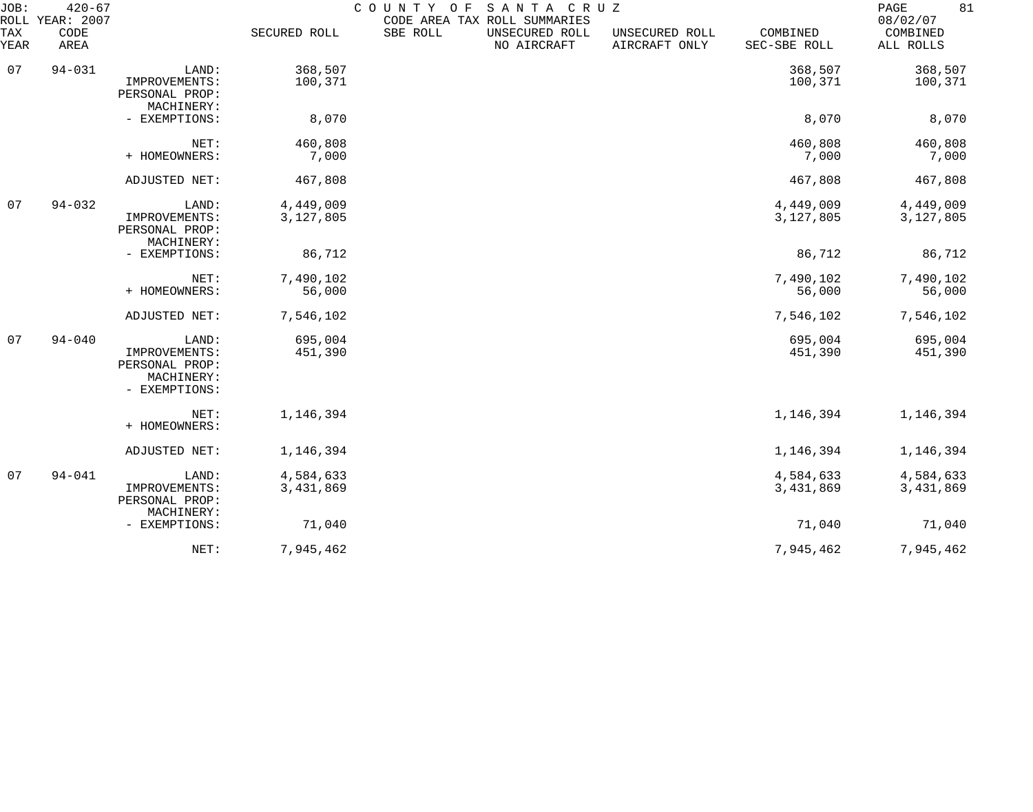| JOB:<br><b>ROLL</b> | $420 - 67$<br>YEAR: 2007 |                                                                         |                        | COUNTY OF<br>CODE AREA TAX ROLL SUMMARIES | SANTA CRUZ                    |                                 |                          | 81<br>PAGE<br>08/02/07 |
|---------------------|--------------------------|-------------------------------------------------------------------------|------------------------|-------------------------------------------|-------------------------------|---------------------------------|--------------------------|------------------------|
| TAX<br>YEAR         | CODE<br>AREA             |                                                                         | SECURED ROLL           | SBE ROLL                                  | UNSECURED ROLL<br>NO AIRCRAFT | UNSECURED ROLL<br>AIRCRAFT ONLY | COMBINED<br>SEC-SBE ROLL | COMBINED<br>ALL ROLLS  |
| 07                  | $94 - 031$               | LAND:<br>IMPROVEMENTS:<br>PERSONAL PROP:                                | 368,507<br>100,371     |                                           |                               |                                 | 368,507<br>100,371       | 368,507<br>100,371     |
|                     |                          | MACHINERY:<br>- EXEMPTIONS:                                             | 8,070                  |                                           |                               |                                 | 8,070                    | 8,070                  |
|                     |                          | NET:<br>+ HOMEOWNERS:                                                   | 460,808<br>7,000       |                                           |                               |                                 | 460,808<br>7,000         | 460,808<br>7,000       |
|                     |                          | ADJUSTED NET:                                                           | 467,808                |                                           |                               |                                 | 467,808                  | 467,808                |
| 07                  | $94 - 032$               | LAND:<br>IMPROVEMENTS:<br>PERSONAL PROP:<br>MACHINERY:                  | 4,449,009<br>3,127,805 |                                           |                               |                                 | 4,449,009<br>3,127,805   | 4,449,009<br>3,127,805 |
|                     |                          | - EXEMPTIONS:                                                           | 86,712                 |                                           |                               |                                 | 86,712                   | 86,712                 |
|                     |                          | NET:<br>+ HOMEOWNERS:                                                   | 7,490,102<br>56,000    |                                           |                               |                                 | 7,490,102<br>56,000      | 7,490,102<br>56,000    |
|                     |                          | ADJUSTED NET:                                                           | 7,546,102              |                                           |                               |                                 | 7,546,102                | 7,546,102              |
| 07                  | $94 - 040$               | LAND:<br>IMPROVEMENTS:<br>PERSONAL PROP:<br>MACHINERY:<br>- EXEMPTIONS: | 695,004<br>451,390     |                                           |                               |                                 | 695,004<br>451,390       | 695,004<br>451,390     |
|                     |                          | NET:<br>+ HOMEOWNERS:                                                   | 1,146,394              |                                           |                               |                                 | 1,146,394                | 1,146,394              |
|                     |                          | ADJUSTED NET:                                                           | 1,146,394              |                                           |                               |                                 | 1,146,394                | 1,146,394              |
| 07                  | $94 - 041$               | LAND:<br>IMPROVEMENTS:<br>PERSONAL PROP:<br>MACHINERY:                  | 4,584,633<br>3,431,869 |                                           |                               |                                 | 4,584,633<br>3,431,869   | 4,584,633<br>3,431,869 |
|                     |                          | - EXEMPTIONS:                                                           | 71,040                 |                                           |                               |                                 | 71,040                   | 71,040                 |
|                     |                          | NET:                                                                    | 7,945,462              |                                           |                               |                                 | 7,945,462                | 7,945,462              |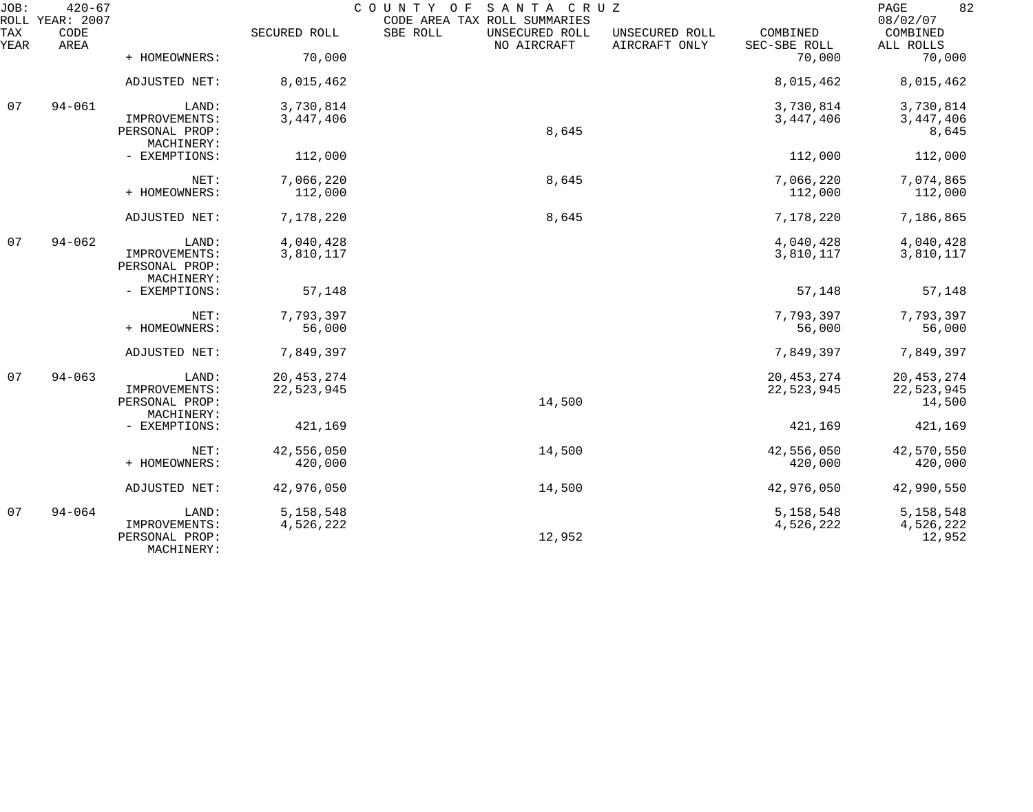| JOB:        | $420 - 67$<br>ROLL YEAR: 2007 |                                               |              | COUNTY<br>SANTA CRUZ<br>O F<br>CODE AREA TAX ROLL SUMMARIES |                                 |                          | 82<br>PAGE<br>08/02/07 |
|-------------|-------------------------------|-----------------------------------------------|--------------|-------------------------------------------------------------|---------------------------------|--------------------------|------------------------|
| TAX<br>YEAR | CODE<br>AREA                  |                                               | SECURED ROLL | SBE ROLL<br>UNSECURED ROLL<br>NO AIRCRAFT                   | UNSECURED ROLL<br>AIRCRAFT ONLY | COMBINED<br>SEC-SBE ROLL | COMBINED<br>ALL ROLLS  |
|             |                               | + HOMEOWNERS:                                 | 70,000       |                                                             |                                 | 70,000                   | 70,000                 |
|             |                               | ADJUSTED NET:                                 | 8,015,462    |                                                             |                                 | 8,015,462                | 8,015,462              |
| 07          | $94 - 061$                    | LAND:                                         | 3,730,814    |                                                             |                                 | 3,730,814                | 3,730,814              |
|             |                               | IMPROVEMENTS:<br>PERSONAL PROP:<br>MACHINERY: | 3,447,406    | 8,645                                                       |                                 | 3,447,406                | 3, 447, 406<br>8,645   |
|             |                               | - EXEMPTIONS:                                 | 112,000      |                                                             |                                 | 112,000                  | 112,000                |
|             |                               | NET:                                          | 7,066,220    | 8,645                                                       |                                 | 7,066,220                | 7,074,865              |
|             |                               | + HOMEOWNERS:                                 | 112,000      |                                                             |                                 | 112,000                  | 112,000                |
|             |                               | ADJUSTED NET:                                 | 7,178,220    | 8,645                                                       |                                 | 7,178,220                | 7,186,865              |
| 07          | $94 - 062$                    | LAND:                                         | 4,040,428    |                                                             |                                 | 4,040,428                | 4,040,428              |
|             |                               | IMPROVEMENTS:<br>PERSONAL PROP:<br>MACHINERY: | 3,810,117    |                                                             |                                 | 3,810,117                | 3,810,117              |
|             |                               | - EXEMPTIONS:                                 | 57,148       |                                                             |                                 | 57,148                   | 57,148                 |
|             |                               | NET:                                          | 7,793,397    |                                                             |                                 | 7,793,397                | 7,793,397              |
|             |                               | + HOMEOWNERS:                                 | 56,000       |                                                             |                                 | 56,000                   | 56,000                 |
|             |                               | ADJUSTED NET:                                 | 7,849,397    |                                                             |                                 | 7,849,397                | 7,849,397              |
| 07          | $94 - 063$                    | LAND:                                         | 20, 453, 274 |                                                             |                                 | 20, 453, 274             | 20, 453, 274           |
|             |                               | IMPROVEMENTS:<br>PERSONAL PROP:<br>MACHINERY: | 22,523,945   | 14,500                                                      |                                 | 22,523,945               | 22,523,945<br>14,500   |
|             |                               | - EXEMPTIONS:                                 | 421,169      |                                                             |                                 | 421,169                  | 421,169                |
|             |                               | NET:                                          | 42,556,050   | 14,500                                                      |                                 | 42,556,050               | 42,570,550             |
|             |                               | + HOMEOWNERS:                                 | 420,000      |                                                             |                                 | 420,000                  | 420,000                |
|             |                               | <b>ADJUSTED NET:</b>                          | 42,976,050   | 14,500                                                      |                                 | 42,976,050               | 42,990,550             |
| 07          | $94 - 064$                    | LAND:                                         | 5, 158, 548  |                                                             |                                 | 5, 158, 548              | 5, 158, 548            |
|             |                               | IMPROVEMENTS:<br>PERSONAL PROP:<br>MACHINERY: | 4,526,222    | 12,952                                                      |                                 | 4,526,222                | 4,526,222<br>12,952    |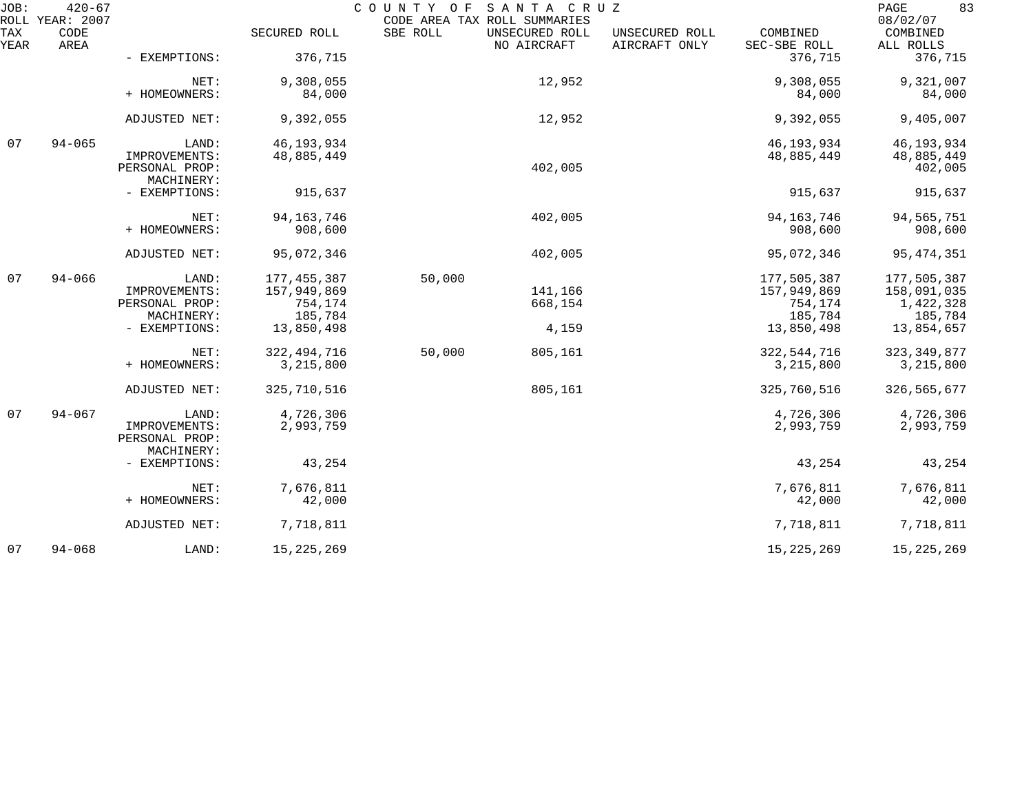| JOB:        | $420 - 67$<br>ROLL YEAR: 2007 |                                 |               | COUNTY OF | SANTA CRUZ<br>CODE AREA TAX ROLL SUMMARIES |                                 |                          | 83<br>PAGE<br>08/02/07 |
|-------------|-------------------------------|---------------------------------|---------------|-----------|--------------------------------------------|---------------------------------|--------------------------|------------------------|
| TAX<br>YEAR | CODE<br>AREA                  |                                 | SECURED ROLL  | SBE ROLL  | UNSECURED ROLL<br>NO AIRCRAFT              | UNSECURED ROLL<br>AIRCRAFT ONLY | COMBINED<br>SEC-SBE ROLL | COMBINED<br>ALL ROLLS  |
|             |                               | - EXEMPTIONS:                   | 376,715       |           |                                            |                                 | 376,715                  | 376,715                |
|             |                               | NET:                            | 9,308,055     |           | 12,952                                     |                                 | 9,308,055                | 9,321,007              |
|             |                               | + HOMEOWNERS:                   | 84,000        |           |                                            |                                 | 84,000                   | 84,000                 |
|             |                               | ADJUSTED NET:                   | 9,392,055     |           | 12,952                                     |                                 | 9,392,055                | 9,405,007              |
| 07          | $94 - 065$                    | LAND:                           | 46, 193, 934  |           |                                            |                                 | 46, 193, 934             | 46, 193, 934           |
|             |                               | IMPROVEMENTS:<br>PERSONAL PROP: | 48,885,449    |           | 402,005                                    |                                 | 48,885,449               | 48,885,449<br>402,005  |
|             |                               | MACHINERY:                      |               |           |                                            |                                 |                          |                        |
|             |                               | - EXEMPTIONS:                   | 915,637       |           |                                            |                                 | 915,637                  | 915,637                |
|             |                               | NET:                            | 94, 163, 746  |           | 402,005                                    |                                 | 94, 163, 746             | 94,565,751             |
|             |                               | + HOMEOWNERS:                   | 908,600       |           |                                            |                                 | 908,600                  | 908,600                |
|             |                               | ADJUSTED NET:                   | 95,072,346    |           | 402,005                                    |                                 | 95,072,346               | 95, 474, 351           |
| 07          | $94 - 066$                    | LAND:                           | 177, 455, 387 | 50,000    |                                            |                                 | 177,505,387              | 177,505,387            |
|             |                               | IMPROVEMENTS:                   | 157,949,869   |           | 141,166                                    |                                 | 157,949,869              | 158,091,035            |
|             |                               | PERSONAL PROP:                  | 754,174       |           | 668,154                                    |                                 | 754,174                  | 1,422,328              |
|             |                               | MACHINERY:                      | 185,784       |           |                                            |                                 | 185,784                  | 185,784                |
|             |                               | - EXEMPTIONS:                   | 13,850,498    |           | 4,159                                      |                                 | 13,850,498               | 13,854,657             |
|             |                               | NET:                            | 322, 494, 716 | 50,000    | 805,161                                    |                                 | 322, 544, 716            | 323, 349, 877          |
|             |                               | + HOMEOWNERS:                   | 3,215,800     |           |                                            |                                 | 3,215,800                | 3,215,800              |
|             |                               | ADJUSTED NET:                   | 325,710,516   |           | 805,161                                    |                                 | 325,760,516              | 326, 565, 677          |
| 07          | $94 - 067$                    | LAND:                           | 4,726,306     |           |                                            |                                 | 4,726,306                | 4,726,306              |
|             |                               | IMPROVEMENTS:<br>PERSONAL PROP: | 2,993,759     |           |                                            |                                 | 2,993,759                | 2,993,759              |
|             |                               | MACHINERY:                      |               |           |                                            |                                 |                          |                        |
|             |                               | - EXEMPTIONS:                   | 43,254        |           |                                            |                                 | 43,254                   | 43,254                 |
|             |                               | NET:                            | 7,676,811     |           |                                            |                                 | 7,676,811                | 7,676,811              |
|             |                               | + HOMEOWNERS:                   | 42,000        |           |                                            |                                 | 42,000                   | 42,000                 |
|             |                               | ADJUSTED NET:                   | 7,718,811     |           |                                            |                                 | 7,718,811                | 7,718,811              |
| 07          | $94 - 068$                    | LAND:                           | 15, 225, 269  |           |                                            |                                 | 15, 225, 269             | 15,225,269             |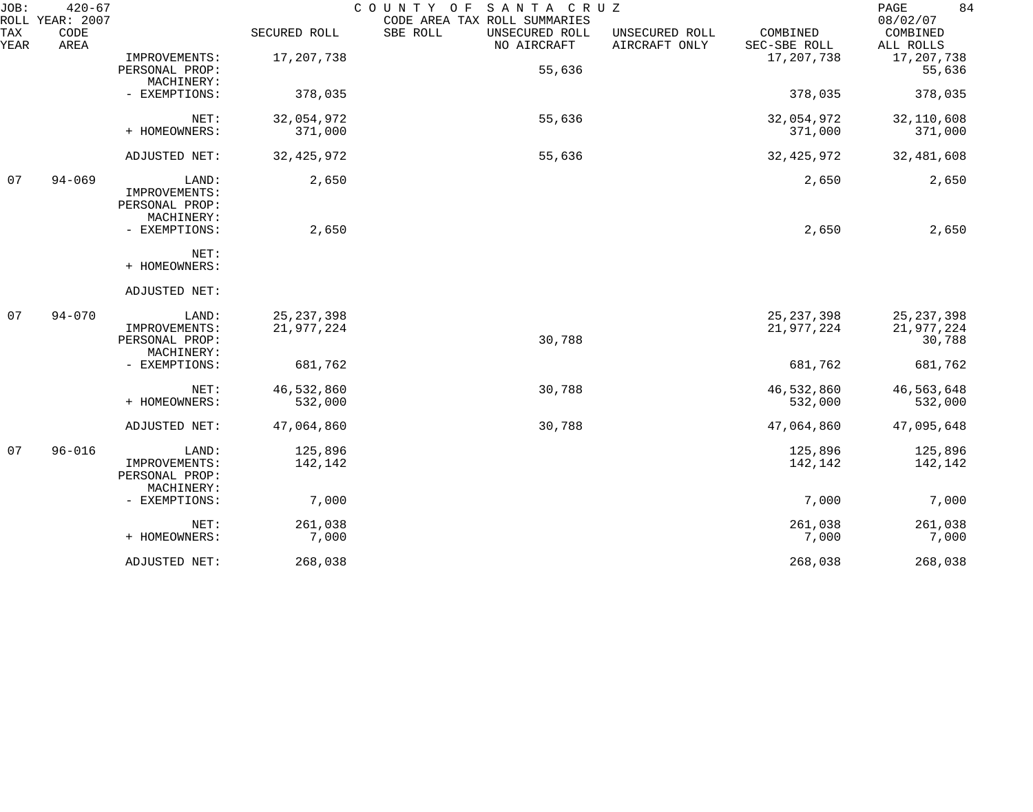| JOB:        | $420 - 67$<br>ROLL YEAR: 2007 |                |              | COUNTY OF SANTA CRUZ<br>CODE AREA TAX ROLL SUMMARIES                         |                          | PAGE<br>84<br>08/02/07 |
|-------------|-------------------------------|----------------|--------------|------------------------------------------------------------------------------|--------------------------|------------------------|
| TAX<br>YEAR | CODE<br>AREA                  |                | SECURED ROLL | SBE ROLL<br>UNSECURED ROLL<br>UNSECURED ROLL<br>AIRCRAFT ONLY<br>NO AIRCRAFT | COMBINED<br>SEC-SBE ROLL | COMBINED<br>ALL ROLLS  |
|             |                               | IMPROVEMENTS:  | 17,207,738   |                                                                              | 17, 207, 738             | 17,207,738             |
|             |                               | PERSONAL PROP: |              | 55,636                                                                       |                          | 55,636                 |
|             |                               | MACHINERY:     |              |                                                                              |                          |                        |
|             |                               | - EXEMPTIONS:  | 378,035      |                                                                              | 378,035                  | 378,035                |
|             |                               | NET:           | 32,054,972   | 55,636                                                                       | 32,054,972               | 32,110,608             |
|             |                               | + HOMEOWNERS:  | 371,000      |                                                                              | 371,000                  | 371,000                |
|             |                               | ADJUSTED NET:  | 32, 425, 972 | 55,636                                                                       | 32, 425, 972             | 32,481,608             |
| 07          | $94 - 069$                    | LAND:          | 2,650        |                                                                              | 2,650                    | 2,650                  |
|             |                               | IMPROVEMENTS:  |              |                                                                              |                          |                        |
|             |                               | PERSONAL PROP: |              |                                                                              |                          |                        |
|             |                               | MACHINERY:     |              |                                                                              |                          |                        |
|             |                               | - EXEMPTIONS:  | 2,650        |                                                                              | 2,650                    | 2,650                  |
|             |                               | NET:           |              |                                                                              |                          |                        |
|             |                               | + HOMEOWNERS:  |              |                                                                              |                          |                        |
|             |                               | ADJUSTED NET:  |              |                                                                              |                          |                        |
| 07          | $94 - 070$                    | LAND:          | 25, 237, 398 |                                                                              | 25, 237, 398             | 25, 237, 398           |
|             |                               | IMPROVEMENTS:  | 21,977,224   |                                                                              | 21,977,224               | 21,977,224             |
|             |                               | PERSONAL PROP: |              | 30,788                                                                       |                          | 30,788                 |
|             |                               | MACHINERY:     |              |                                                                              |                          |                        |
|             |                               | - EXEMPTIONS:  | 681,762      |                                                                              | 681,762                  | 681,762                |
|             |                               | NET:           | 46,532,860   | 30,788                                                                       | 46,532,860               | 46,563,648             |
|             |                               | + HOMEOWNERS:  | 532,000      |                                                                              | 532,000                  | 532,000                |
|             |                               | ADJUSTED NET:  | 47,064,860   | 30,788                                                                       | 47,064,860               | 47,095,648             |
| 07          | $96 - 016$                    | LAND:          | 125,896      |                                                                              | 125,896                  | 125,896                |
|             |                               | IMPROVEMENTS:  | 142,142      |                                                                              | 142,142                  | 142,142                |
|             |                               | PERSONAL PROP: |              |                                                                              |                          |                        |
|             |                               | MACHINERY:     |              |                                                                              |                          |                        |
|             |                               | - EXEMPTIONS:  | 7,000        |                                                                              | 7,000                    | 7,000                  |
|             |                               | NET:           | 261,038      |                                                                              | 261,038                  | 261,038                |
|             |                               | + HOMEOWNERS:  | 7,000        |                                                                              | 7,000                    | 7,000                  |
|             |                               | ADJUSTED NET:  | 268,038      |                                                                              | 268,038                  | 268,038                |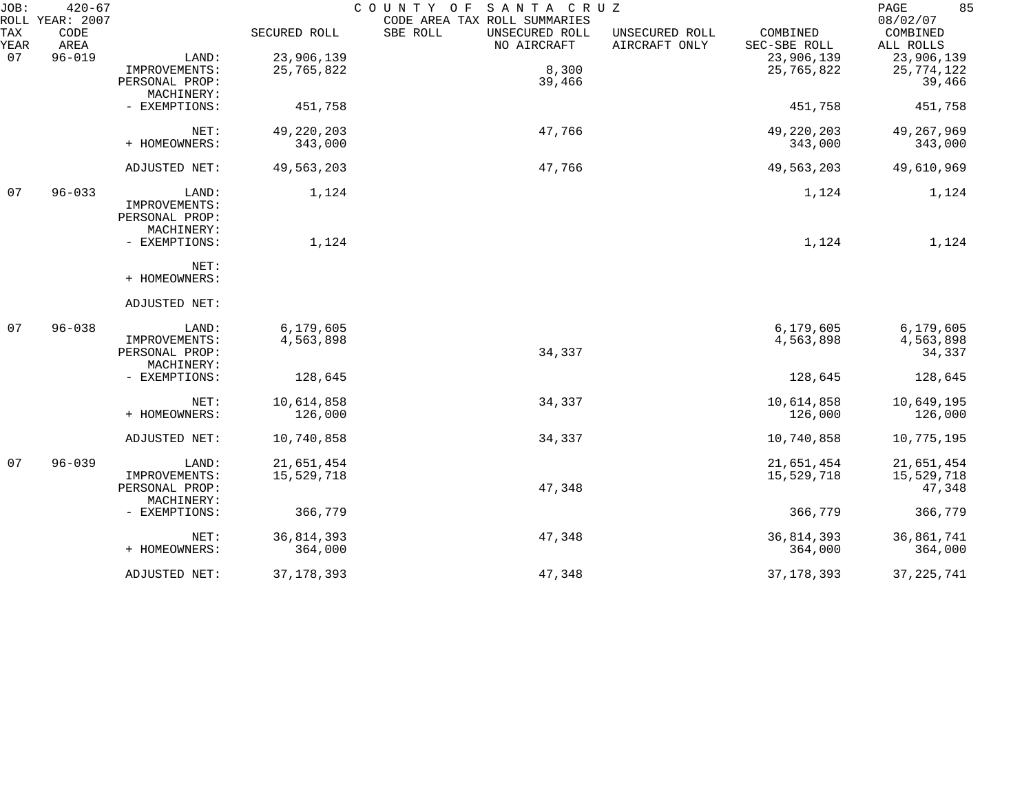| JOB:        | $420 - 67$<br>ROLL YEAR: 2007 |                              |              | COUNTY OF<br>SANTA CRUZ<br>CODE AREA TAX ROLL SUMMARIES                      |                          | 85<br>PAGE<br>08/02/07 |
|-------------|-------------------------------|------------------------------|--------------|------------------------------------------------------------------------------|--------------------------|------------------------|
| TAX<br>YEAR | CODE<br>AREA                  |                              | SECURED ROLL | SBE ROLL<br>UNSECURED ROLL<br>UNSECURED ROLL<br>NO AIRCRAFT<br>AIRCRAFT ONLY | COMBINED<br>SEC-SBE ROLL | COMBINED<br>ALL ROLLS  |
| 07          | $96 - 019$                    | LAND:                        | 23,906,139   |                                                                              | 23,906,139               | 23,906,139             |
|             |                               | IMPROVEMENTS:                | 25,765,822   | 8,300                                                                        | 25,765,822               | 25,774,122             |
|             |                               | PERSONAL PROP:               |              | 39,466                                                                       |                          | 39,466                 |
|             |                               | MACHINERY:                   |              |                                                                              |                          |                        |
|             |                               | - EXEMPTIONS:                | 451,758      |                                                                              | 451,758                  | 451,758                |
|             |                               | NET:                         | 49, 220, 203 | 47,766                                                                       | 49, 220, 203             | 49, 267, 969           |
|             |                               | + HOMEOWNERS:                | 343,000      |                                                                              | 343,000                  | 343,000                |
|             |                               | ADJUSTED NET:                | 49,563,203   | 47,766                                                                       | 49,563,203               | 49,610,969             |
| 07          | $96 - 033$                    | LAND:                        | 1,124        |                                                                              | 1,124                    | 1,124                  |
|             |                               | IMPROVEMENTS:                |              |                                                                              |                          |                        |
|             |                               | PERSONAL PROP:               |              |                                                                              |                          |                        |
|             |                               | MACHINERY:                   |              |                                                                              |                          |                        |
|             |                               | - EXEMPTIONS:                | 1,124        |                                                                              | 1,124                    | 1,124                  |
|             |                               | NET:                         |              |                                                                              |                          |                        |
|             |                               | + HOMEOWNERS:                |              |                                                                              |                          |                        |
|             |                               | ADJUSTED NET:                |              |                                                                              |                          |                        |
| 07          | $96 - 038$                    | LAND:                        | 6,179,605    |                                                                              | 6,179,605                | 6,179,605              |
|             |                               | IMPROVEMENTS:                | 4,563,898    |                                                                              | 4,563,898                | 4,563,898              |
|             |                               | PERSONAL PROP:               |              | 34,337                                                                       |                          | 34,337                 |
|             |                               | MACHINERY:                   |              |                                                                              |                          |                        |
|             |                               | - EXEMPTIONS:                | 128,645      |                                                                              | 128,645                  | 128,645                |
|             |                               | NET:                         | 10,614,858   | 34,337                                                                       | 10,614,858               | 10,649,195             |
|             |                               | + HOMEOWNERS:                | 126,000      |                                                                              | 126,000                  | 126,000                |
|             |                               | ADJUSTED NET:                | 10,740,858   | 34,337                                                                       | 10,740,858               | 10,775,195             |
| 07          | $96 - 039$                    | LAND:                        | 21,651,454   |                                                                              | 21,651,454               | 21,651,454             |
|             |                               | IMPROVEMENTS:                | 15,529,718   |                                                                              | 15,529,718               | 15,529,718             |
|             |                               | PERSONAL PROP:<br>MACHINERY: |              | 47,348                                                                       |                          | 47,348                 |
|             |                               | - EXEMPTIONS:                | 366,779      |                                                                              | 366,779                  | 366,779                |
|             |                               | NET:                         | 36,814,393   | 47,348                                                                       | 36,814,393               | 36,861,741             |
|             |                               | + HOMEOWNERS:                | 364,000      |                                                                              | 364,000                  | 364,000                |
|             |                               | ADJUSTED NET:                | 37, 178, 393 | 47,348                                                                       | 37, 178, 393             | 37, 225, 741           |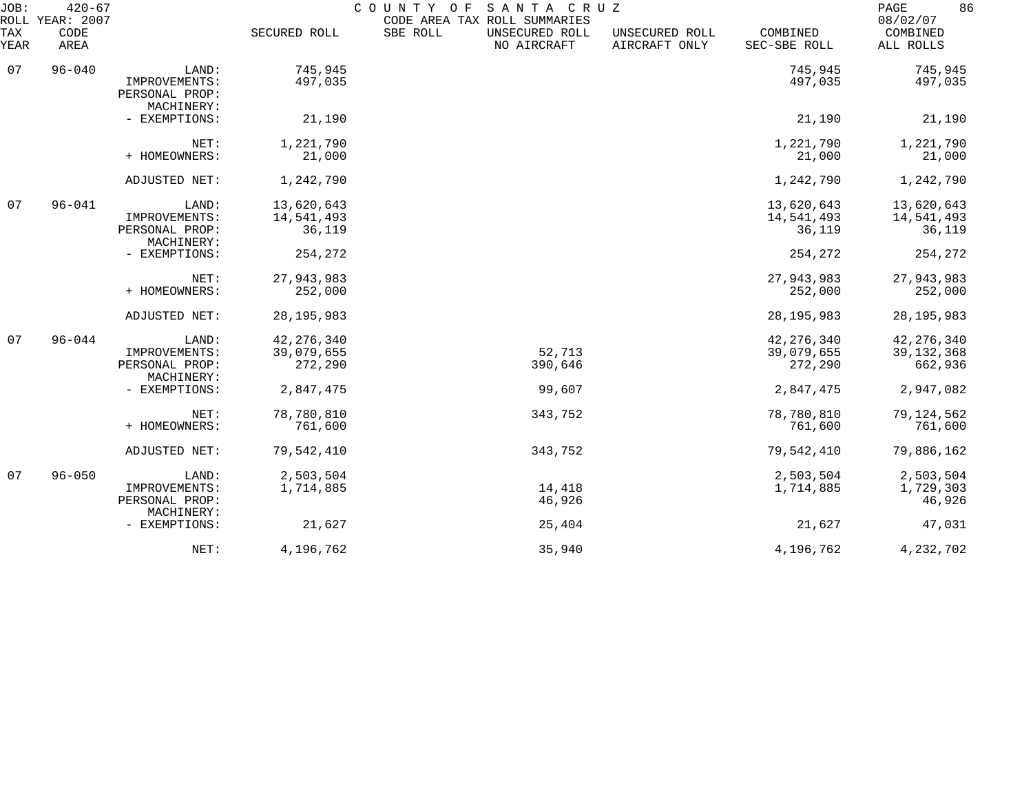| JOB:<br>ROLL | $420 - 67$<br>YEAR: 2007 |                                                        |                        | COUNTY<br>SANTA CRUZ<br>O F<br>CODE AREA TAX ROLL SUMMARIES |                                 |                          | 86<br>PAGE<br>08/02/07           |
|--------------|--------------------------|--------------------------------------------------------|------------------------|-------------------------------------------------------------|---------------------------------|--------------------------|----------------------------------|
| TAX<br>YEAR  | CODE<br>AREA             |                                                        | SECURED ROLL           | SBE ROLL<br>UNSECURED ROLL<br>NO AIRCRAFT                   | UNSECURED ROLL<br>AIRCRAFT ONLY | COMBINED<br>SEC-SBE ROLL | COMBINED<br>ALL ROLLS            |
| 07           | $96 - 040$               | LAND:                                                  | 745,945                |                                                             |                                 | 745,945                  | 745,945                          |
|              |                          | IMPROVEMENTS:<br>PERSONAL PROP:<br>MACHINERY:          | 497,035                |                                                             |                                 | 497,035                  | 497,035                          |
|              |                          | - EXEMPTIONS:                                          | 21,190                 |                                                             |                                 | 21,190                   | 21,190                           |
|              |                          | NET:                                                   | 1,221,790              |                                                             |                                 | 1,221,790                | 1,221,790                        |
|              |                          | + HOMEOWNERS:                                          | 21,000                 |                                                             |                                 | 21,000                   | 21,000                           |
|              |                          | ADJUSTED NET:                                          | 1,242,790              |                                                             |                                 | 1,242,790                | 1,242,790                        |
| 07           | $96 - 041$               | LAND:                                                  | 13,620,643             |                                                             |                                 | 13,620,643               | 13,620,643                       |
|              |                          | IMPROVEMENTS:<br>PERSONAL PROP:<br>MACHINERY:          | 14,541,493<br>36,119   |                                                             |                                 | 14,541,493<br>36,119     | 14,541,493<br>36,119             |
|              |                          | - EXEMPTIONS:                                          | 254,272                |                                                             |                                 | 254,272                  | 254,272                          |
|              |                          | NET:                                                   | 27,943,983             |                                                             |                                 | 27,943,983               | 27,943,983                       |
|              |                          | + HOMEOWNERS:                                          | 252,000                |                                                             |                                 | 252,000                  | 252,000                          |
|              |                          | ADJUSTED NET:                                          | 28, 195, 983           |                                                             |                                 | 28, 195, 983             | 28, 195, 983                     |
| 07           | $96 - 044$               | LAND:                                                  | 42, 276, 340           |                                                             |                                 | 42, 276, 340             | 42, 276, 340                     |
|              |                          | IMPROVEMENTS:<br>PERSONAL PROP:<br>MACHINERY:          | 39,079,655<br>272,290  | 52,713<br>390,646                                           |                                 | 39,079,655<br>272,290    | 39, 132, 368<br>662,936          |
|              |                          | - EXEMPTIONS:                                          | 2,847,475              | 99,607                                                      |                                 | 2,847,475                | 2,947,082                        |
|              |                          | NET:<br>+ HOMEOWNERS:                                  | 78,780,810<br>761,600  | 343,752                                                     |                                 | 78,780,810<br>761,600    | 79,124,562<br>761,600            |
|              |                          | ADJUSTED NET:                                          | 79,542,410             | 343,752                                                     |                                 | 79,542,410               | 79,886,162                       |
|              |                          |                                                        |                        |                                                             |                                 |                          |                                  |
| 07           | $96 - 050$               | LAND:<br>IMPROVEMENTS:<br>PERSONAL PROP:<br>MACHINERY: | 2,503,504<br>1,714,885 | 14,418<br>46,926                                            |                                 | 2,503,504<br>1,714,885   | 2,503,504<br>1,729,303<br>46,926 |
|              |                          | - EXEMPTIONS:                                          | 21,627                 | 25,404                                                      |                                 | 21,627                   | 47,031                           |
|              |                          | NET:                                                   | 4,196,762              | 35,940                                                      |                                 | 4,196,762                | 4,232,702                        |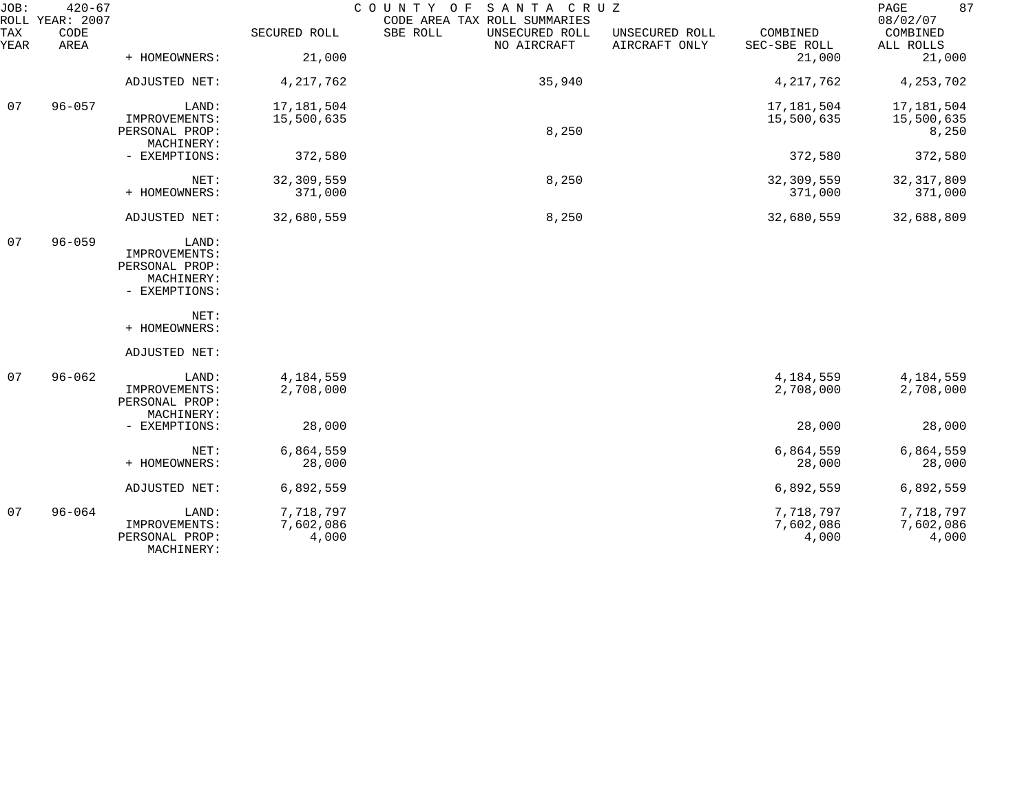| JOB:        | $420 - 67$<br>ROLL YEAR: 2007 |                                 |              | COUNTY OF<br>SANTA CRUZ<br>CODE AREA TAX ROLL SUMMARIES |                                 |                          | 87<br>PAGE<br>08/02/07 |
|-------------|-------------------------------|---------------------------------|--------------|---------------------------------------------------------|---------------------------------|--------------------------|------------------------|
| TAX<br>YEAR | CODE<br>AREA                  |                                 | SECURED ROLL | SBE ROLL<br>UNSECURED ROLL<br>NO AIRCRAFT               | UNSECURED ROLL<br>AIRCRAFT ONLY | COMBINED<br>SEC-SBE ROLL | COMBINED<br>ALL ROLLS  |
|             |                               | + HOMEOWNERS:                   | 21,000       |                                                         |                                 | 21,000                   | 21,000                 |
|             |                               | ADJUSTED NET:                   | 4, 217, 762  | 35,940                                                  |                                 | 4, 217, 762              | 4, 253, 702            |
| 07          | $96 - 057$                    | LAND:                           | 17, 181, 504 |                                                         |                                 | 17,181,504               | 17,181,504             |
|             |                               | IMPROVEMENTS:<br>PERSONAL PROP: | 15,500,635   | 8,250                                                   |                                 | 15,500,635               | 15,500,635             |
|             |                               | MACHINERY:                      |              |                                                         |                                 |                          | 8,250                  |
|             |                               | - EXEMPTIONS:                   | 372,580      |                                                         |                                 | 372,580                  | 372,580                |
|             |                               | NET:                            | 32,309,559   | 8,250                                                   |                                 | 32,309,559               | 32, 317, 809           |
|             |                               | + HOMEOWNERS:                   | 371,000      |                                                         |                                 | 371,000                  | 371,000                |
|             |                               | ADJUSTED NET:                   | 32,680,559   | 8,250                                                   |                                 | 32,680,559               | 32,688,809             |
| 07          | $96 - 059$                    | LAND:                           |              |                                                         |                                 |                          |                        |
|             |                               | IMPROVEMENTS:                   |              |                                                         |                                 |                          |                        |
|             |                               | PERSONAL PROP:<br>MACHINERY:    |              |                                                         |                                 |                          |                        |
|             |                               | - EXEMPTIONS:                   |              |                                                         |                                 |                          |                        |
|             |                               |                                 |              |                                                         |                                 |                          |                        |
|             |                               | NET:<br>+ HOMEOWNERS:           |              |                                                         |                                 |                          |                        |
|             |                               | ADJUSTED NET:                   |              |                                                         |                                 |                          |                        |
| 07          | $96 - 062$                    | LAND:                           | 4,184,559    |                                                         |                                 | 4,184,559                | 4,184,559              |
|             |                               | IMPROVEMENTS:                   | 2,708,000    |                                                         |                                 | 2,708,000                | 2,708,000              |
|             |                               | PERSONAL PROP:<br>MACHINERY:    |              |                                                         |                                 |                          |                        |
|             |                               | - EXEMPTIONS:                   | 28,000       |                                                         |                                 | 28,000                   | 28,000                 |
|             |                               | NET:                            | 6,864,559    |                                                         |                                 | 6,864,559                | 6,864,559              |
|             |                               | + HOMEOWNERS:                   | 28,000       |                                                         |                                 | 28,000                   | 28,000                 |
|             |                               | ADJUSTED NET:                   | 6,892,559    |                                                         |                                 | 6,892,559                | 6,892,559              |
| 07          | $96 - 064$                    | LAND:                           | 7,718,797    |                                                         |                                 | 7,718,797                | 7,718,797              |
|             |                               | IMPROVEMENTS:                   | 7,602,086    |                                                         |                                 | 7,602,086                | 7,602,086              |
|             |                               | PERSONAL PROP:<br>MACHINERY:    | 4,000        |                                                         |                                 | 4,000                    | 4,000                  |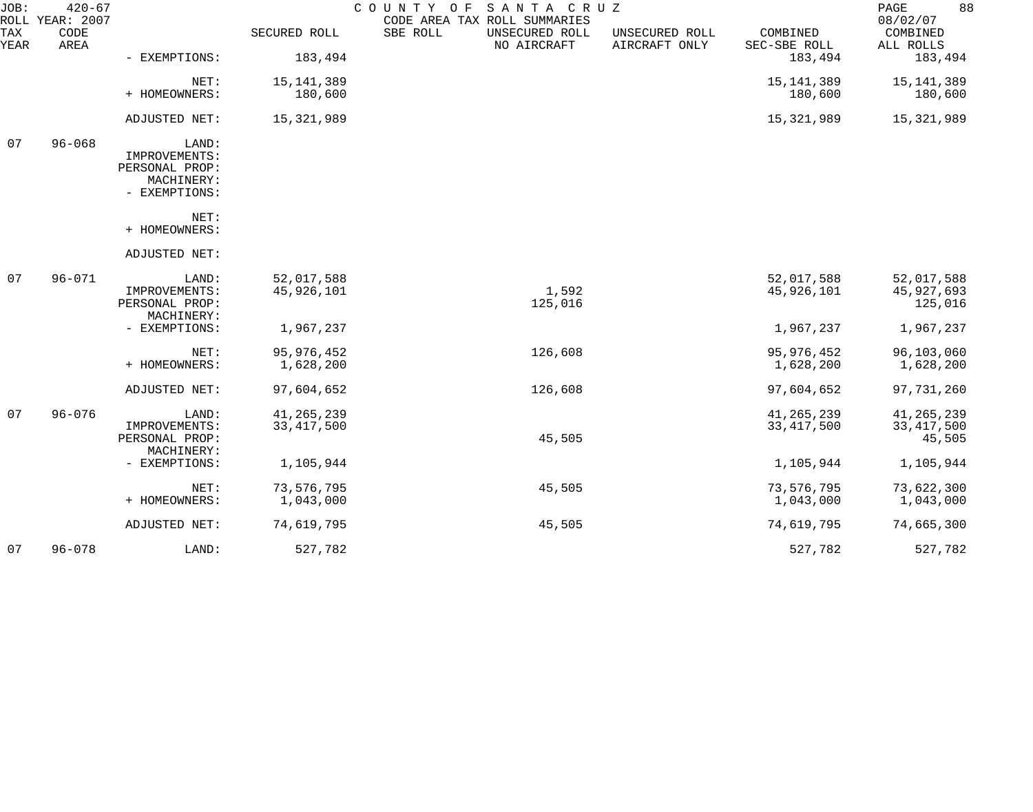| JOB:        | $420 - 67$<br>ROLL YEAR: 2007 |                                 |              | COUNTY OF<br>SANTA CRUZ<br>CODE AREA TAX ROLL SUMMARIES |                                 |                          | 88<br>PAGE<br>08/02/07 |
|-------------|-------------------------------|---------------------------------|--------------|---------------------------------------------------------|---------------------------------|--------------------------|------------------------|
| TAX<br>YEAR | CODE<br>AREA                  |                                 | SECURED ROLL | SBE ROLL<br>UNSECURED ROLL<br>NO AIRCRAFT               | UNSECURED ROLL<br>AIRCRAFT ONLY | COMBINED<br>SEC-SBE ROLL | COMBINED<br>ALL ROLLS  |
|             |                               | - EXEMPTIONS:                   | 183,494      |                                                         |                                 | 183,494                  | 183,494                |
|             |                               | NET:                            | 15, 141, 389 |                                                         |                                 | 15, 141, 389             | 15,141,389             |
|             |                               | + HOMEOWNERS:                   | 180,600      |                                                         |                                 | 180,600                  | 180,600                |
|             |                               | ADJUSTED NET:                   | 15,321,989   |                                                         |                                 | 15,321,989               | 15,321,989             |
| 07          | $96 - 068$                    | LAND:                           |              |                                                         |                                 |                          |                        |
|             |                               | IMPROVEMENTS:<br>PERSONAL PROP: |              |                                                         |                                 |                          |                        |
|             |                               | MACHINERY:                      |              |                                                         |                                 |                          |                        |
|             |                               | - EXEMPTIONS:                   |              |                                                         |                                 |                          |                        |
|             |                               | NET:                            |              |                                                         |                                 |                          |                        |
|             |                               | + HOMEOWNERS:                   |              |                                                         |                                 |                          |                        |
|             |                               | ADJUSTED NET:                   |              |                                                         |                                 |                          |                        |
| 07          | $96 - 071$                    | LAND:                           | 52,017,588   |                                                         |                                 | 52,017,588               | 52,017,588             |
|             |                               | IMPROVEMENTS:                   | 45,926,101   | 1,592                                                   |                                 | 45,926,101               | 45,927,693             |
|             |                               | PERSONAL PROP:                  |              | 125,016                                                 |                                 |                          | 125,016                |
|             |                               | MACHINERY:<br>- EXEMPTIONS:     | 1,967,237    |                                                         |                                 | 1,967,237                | 1,967,237              |
|             |                               |                                 |              |                                                         |                                 |                          |                        |
|             |                               | NET:                            | 95, 976, 452 | 126,608                                                 |                                 | 95, 976, 452             | 96,103,060             |
|             |                               | + HOMEOWNERS:                   | 1,628,200    |                                                         |                                 | 1,628,200                | 1,628,200              |
|             |                               | ADJUSTED NET:                   | 97,604,652   | 126,608                                                 |                                 | 97,604,652               | 97,731,260             |
| 07          | $96 - 076$                    | LAND:                           | 41, 265, 239 |                                                         |                                 | 41, 265, 239             | 41, 265, 239           |
|             |                               | IMPROVEMENTS:                   | 33, 417, 500 |                                                         |                                 | 33, 417, 500             | 33, 417, 500           |
|             |                               | PERSONAL PROP:                  |              | 45,505                                                  |                                 |                          | 45,505                 |
|             |                               | MACHINERY:                      |              |                                                         |                                 |                          |                        |
|             |                               | - EXEMPTIONS:                   | 1,105,944    |                                                         |                                 | 1,105,944                | 1,105,944              |
|             |                               | NET:                            | 73,576,795   | 45,505                                                  |                                 | 73,576,795               | 73,622,300             |
|             |                               | + HOMEOWNERS:                   | 1,043,000    |                                                         |                                 | 1,043,000                | 1,043,000              |
|             |                               | ADJUSTED NET:                   | 74,619,795   | 45,505                                                  |                                 | 74,619,795               | 74,665,300             |
| 07          | $96 - 078$                    | LAND:                           | 527,782      |                                                         |                                 | 527,782                  | 527,782                |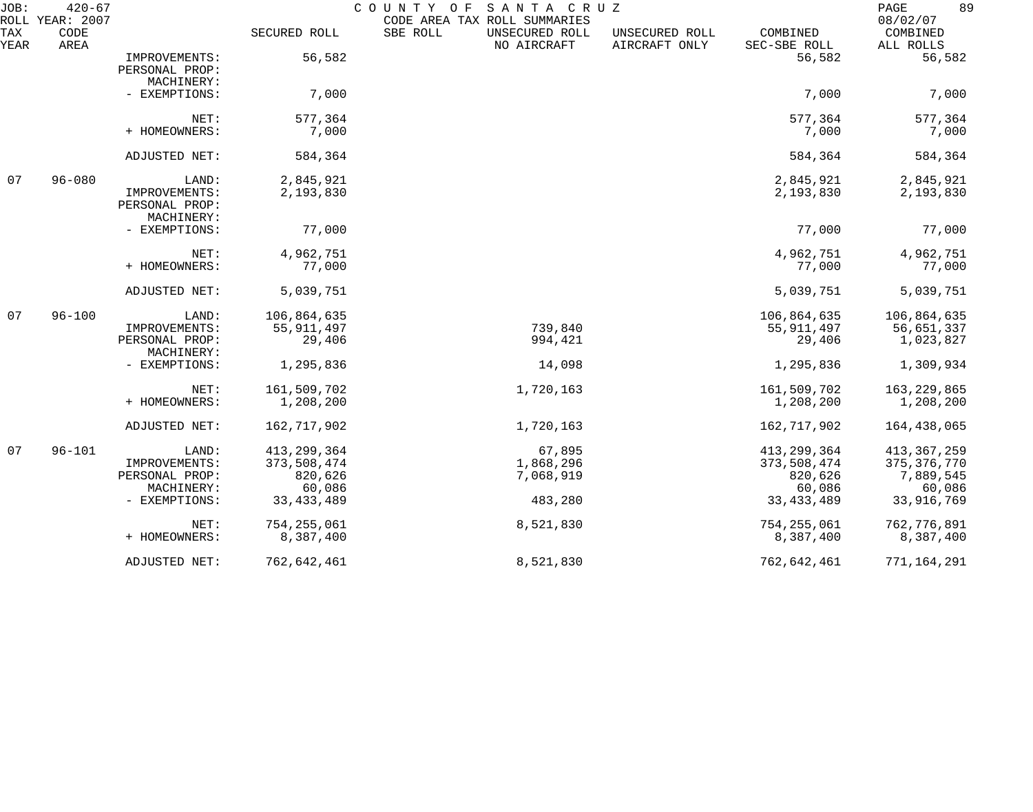| JOB:<br>ROLL | $420 - 67$<br>YEAR: 2007 |                                                                         |                                                                   | COUNTY OF<br>SANTA CRUZ<br>CODE AREA TAX ROLL SUMMARIES |                                 |                                                                   | 89<br>PAGE<br>08/02/07                                              |
|--------------|--------------------------|-------------------------------------------------------------------------|-------------------------------------------------------------------|---------------------------------------------------------|---------------------------------|-------------------------------------------------------------------|---------------------------------------------------------------------|
| TAX<br>YEAR  | CODE<br>AREA             |                                                                         | SECURED ROLL                                                      | SBE ROLL<br>UNSECURED ROLL<br>NO AIRCRAFT               | UNSECURED ROLL<br>AIRCRAFT ONLY | COMBINED<br>SEC-SBE ROLL                                          | COMBINED<br>ALL ROLLS                                               |
|              |                          | IMPROVEMENTS:<br>PERSONAL PROP:                                         | 56,582                                                            |                                                         |                                 | 56,582                                                            | 56,582                                                              |
|              |                          | MACHINERY:<br>- EXEMPTIONS:                                             | 7,000                                                             |                                                         |                                 | 7,000                                                             | 7,000                                                               |
|              |                          | NET:<br>+ HOMEOWNERS:                                                   | 577,364<br>7,000                                                  |                                                         |                                 | 577,364<br>7,000                                                  | 577,364<br>7,000                                                    |
|              |                          | ADJUSTED NET:                                                           | 584,364                                                           |                                                         |                                 | 584,364                                                           | 584,364                                                             |
|              |                          |                                                                         |                                                                   |                                                         |                                 |                                                                   |                                                                     |
| 07           | $96 - 080$               | LAND:<br>IMPROVEMENTS:<br>PERSONAL PROP:<br>MACHINERY:                  | 2,845,921<br>2,193,830                                            |                                                         |                                 | 2,845,921<br>2,193,830                                            | 2,845,921<br>2,193,830                                              |
|              |                          | - EXEMPTIONS:                                                           | 77,000                                                            |                                                         |                                 | 77,000                                                            | 77,000                                                              |
|              |                          | NET:<br>+ HOMEOWNERS:                                                   | 4,962,751<br>77,000                                               |                                                         |                                 | 4,962,751<br>77,000                                               | 4,962,751<br>77,000                                                 |
|              |                          | ADJUSTED NET:                                                           | 5,039,751                                                         |                                                         |                                 | 5,039,751                                                         | 5,039,751                                                           |
| 07           | $96 - 100$               | LAND:<br>IMPROVEMENTS:<br>PERSONAL PROP:                                | 106,864,635<br>55, 911, 497<br>29,406                             | 739,840<br>994,421                                      |                                 | 106,864,635<br>55, 911, 497<br>29,406                             | 106,864,635<br>56,651,337<br>1,023,827                              |
|              |                          | MACHINERY:                                                              |                                                                   |                                                         |                                 |                                                                   |                                                                     |
|              |                          | - EXEMPTIONS:                                                           | 1,295,836                                                         | 14,098                                                  |                                 | 1,295,836                                                         | 1,309,934                                                           |
|              |                          | NET:<br>+ HOMEOWNERS:                                                   | 161,509,702<br>1,208,200                                          | 1,720,163                                               |                                 | 161,509,702<br>1,208,200                                          | 163, 229, 865<br>1,208,200                                          |
|              |                          | ADJUSTED NET:                                                           | 162,717,902                                                       | 1,720,163                                               |                                 | 162,717,902                                                       | 164,438,065                                                         |
| 07           | $96 - 101$               | LAND:<br>IMPROVEMENTS:<br>PERSONAL PROP:<br>MACHINERY:<br>- EXEMPTIONS: | 413, 299, 364<br>373,508,474<br>820,626<br>60,086<br>33, 433, 489 | 67,895<br>1,868,296<br>7,068,919<br>483,280             |                                 | 413, 299, 364<br>373,508,474<br>820,626<br>60,086<br>33, 433, 489 | 413,367,259<br>375, 376, 770<br>7,889,545<br>60,086<br>33, 916, 769 |
|              |                          | NET:<br>+ HOMEOWNERS:                                                   | 754, 255, 061<br>8,387,400                                        | 8,521,830                                               |                                 | 754,255,061<br>8,387,400                                          | 762,776,891<br>8,387,400                                            |
|              |                          | ADJUSTED NET:                                                           | 762,642,461                                                       | 8,521,830                                               |                                 | 762,642,461                                                       | 771,164,291                                                         |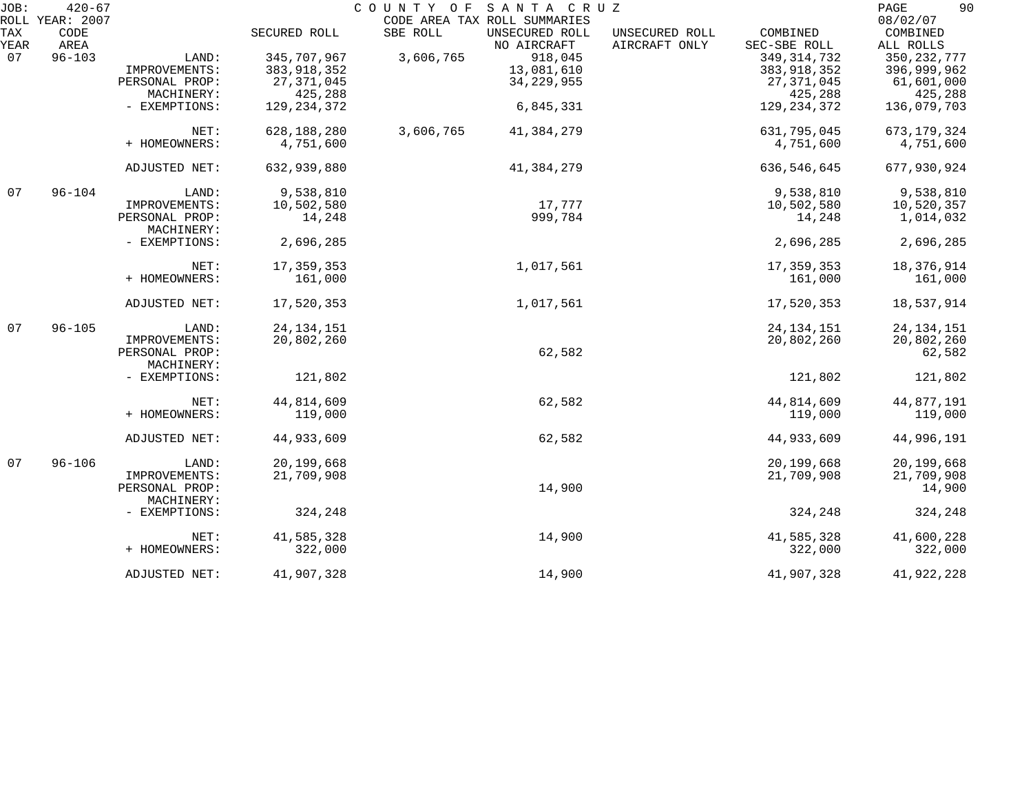| JOB: | $420 - 67$<br>ROLL YEAR: 2007 |                |               |           | COUNTY OF SANTA CRUZ<br>CODE AREA TAX ROLL SUMMARIES |                |               | 90<br>PAGE<br>08/02/07 |
|------|-------------------------------|----------------|---------------|-----------|------------------------------------------------------|----------------|---------------|------------------------|
| TAX  | CODE                          |                | SECURED ROLL  | SBE ROLL  | UNSECURED ROLL                                       | UNSECURED ROLL | COMBINED      | COMBINED               |
| YEAR | AREA                          |                |               |           | NO AIRCRAFT                                          | AIRCRAFT ONLY  | SEC-SBE ROLL  | ALL ROLLS              |
| 07   | $96 - 103$                    | LAND:          | 345,707,967   | 3,606,765 | 918,045                                              |                | 349, 314, 732 | 350, 232, 777          |
|      |                               | IMPROVEMENTS:  | 383, 918, 352 |           | 13,081,610                                           |                | 383,918,352   | 396,999,962            |
|      |                               | PERSONAL PROP: | 27, 371, 045  |           | 34, 229, 955                                         |                | 27, 371, 045  | 61,601,000             |
|      |                               | MACHINERY:     | 425,288       |           |                                                      |                | 425,288       | 425,288                |
|      |                               |                |               |           |                                                      |                |               |                        |
|      |                               | - EXEMPTIONS:  | 129, 234, 372 |           | 6,845,331                                            |                | 129, 234, 372 | 136,079,703            |
|      |                               | NET:           | 628,188,280   | 3,606,765 | 41,384,279                                           |                | 631,795,045   | 673, 179, 324          |
|      |                               | + HOMEOWNERS:  | 4,751,600     |           |                                                      |                | 4,751,600     | 4,751,600              |
|      |                               |                |               |           |                                                      |                |               |                        |
|      |                               | ADJUSTED NET:  | 632,939,880   |           | 41,384,279                                           |                | 636,546,645   | 677,930,924            |
| 07   | $96 - 104$                    | LAND:          | 9,538,810     |           |                                                      |                | 9,538,810     | 9,538,810              |
|      |                               | IMPROVEMENTS:  | 10,502,580    |           | 17,777                                               |                | 10,502,580    | 10,520,357             |
|      |                               | PERSONAL PROP: | 14,248        |           | 999,784                                              |                | 14,248        | 1,014,032              |
|      |                               | MACHINERY:     |               |           |                                                      |                |               |                        |
|      |                               | - EXEMPTIONS:  | 2,696,285     |           |                                                      |                | 2,696,285     | 2,696,285              |
|      |                               | NET:           | 17,359,353    |           | 1,017,561                                            |                | 17,359,353    | 18,376,914             |
|      |                               | + HOMEOWNERS:  | 161,000       |           |                                                      |                | 161,000       | 161,000                |
|      |                               |                |               |           |                                                      |                |               |                        |
|      |                               | ADJUSTED NET:  | 17,520,353    |           | 1,017,561                                            |                | 17,520,353    | 18,537,914             |
| 07   | $96 - 105$                    | LAND:          | 24, 134, 151  |           |                                                      |                | 24, 134, 151  | 24, 134, 151           |
|      |                               | IMPROVEMENTS:  | 20,802,260    |           |                                                      |                | 20,802,260    | 20,802,260             |
|      |                               | PERSONAL PROP: |               |           | 62,582                                               |                |               | 62,582                 |
|      |                               | MACHINERY:     |               |           |                                                      |                |               |                        |
|      |                               | - EXEMPTIONS:  | 121,802       |           |                                                      |                | 121,802       | 121,802                |
|      |                               | NET:           | 44,814,609    |           | 62,582                                               |                | 44,814,609    | 44,877,191             |
|      |                               |                |               |           |                                                      |                |               |                        |
|      |                               | + HOMEOWNERS:  | 119,000       |           |                                                      |                | 119,000       | 119,000                |
|      |                               | ADJUSTED NET:  | 44,933,609    |           | 62,582                                               |                | 44,933,609    | 44,996,191             |
| 07   | $96 - 106$                    | LAND:          | 20,199,668    |           |                                                      |                | 20,199,668    | 20,199,668             |
|      |                               | IMPROVEMENTS:  | 21,709,908    |           |                                                      |                | 21,709,908    | 21,709,908             |
|      |                               | PERSONAL PROP: |               |           | 14,900                                               |                |               | 14,900                 |
|      |                               | MACHINERY:     |               |           |                                                      |                |               |                        |
|      |                               |                | 324,248       |           |                                                      |                | 324,248       |                        |
|      |                               | - EXEMPTIONS:  |               |           |                                                      |                |               | 324,248                |
|      |                               | NET:           | 41,585,328    |           | 14,900                                               |                | 41,585,328    | 41,600,228             |
|      |                               | + HOMEOWNERS:  | 322,000       |           |                                                      |                | 322,000       | 322,000                |
|      |                               | ADJUSTED NET:  | 41,907,328    |           | 14,900                                               |                | 41,907,328    | 41,922,228             |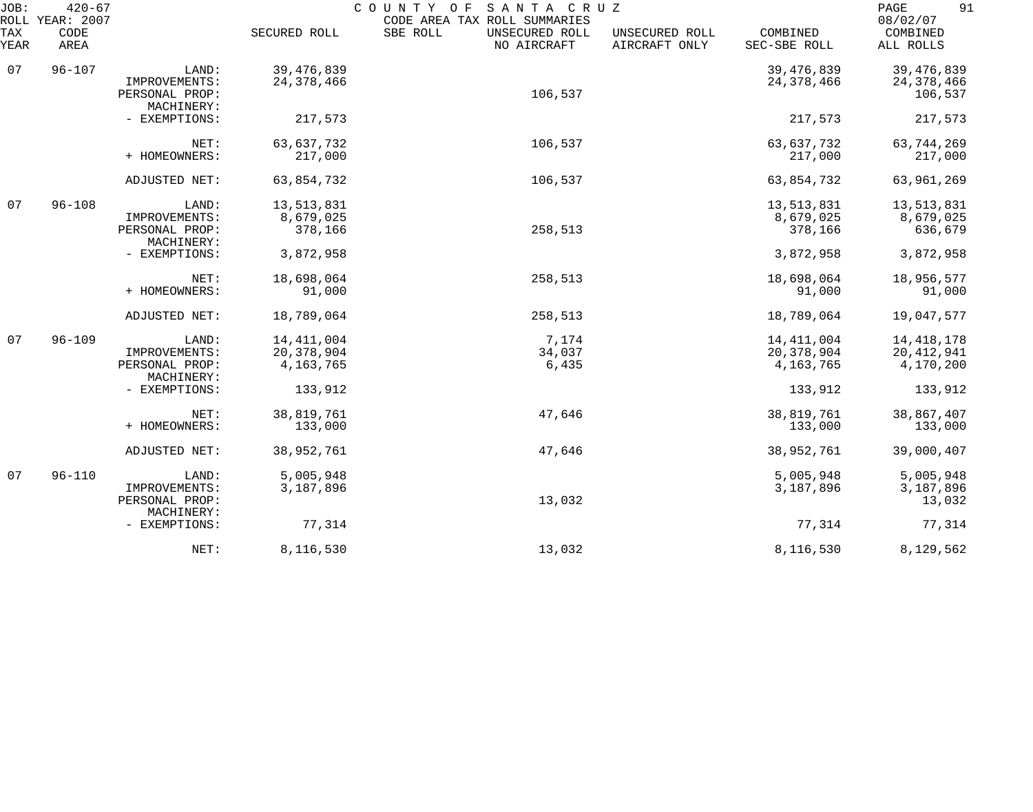| $420 - 67$<br>JOB:<br>COUNTY OF<br>SANTA CRUZ<br>ROLL YEAR: 2007<br>CODE AREA TAX ROLL SUMMARIES |              |                                                                         |                                                        |                                           |                                 |                                                      | 91<br>PAGE<br>08/02/07                               |
|--------------------------------------------------------------------------------------------------|--------------|-------------------------------------------------------------------------|--------------------------------------------------------|-------------------------------------------|---------------------------------|------------------------------------------------------|------------------------------------------------------|
| TAX<br>YEAR                                                                                      | CODE<br>AREA |                                                                         | SECURED ROLL                                           | SBE ROLL<br>UNSECURED ROLL<br>NO AIRCRAFT | UNSECURED ROLL<br>AIRCRAFT ONLY | COMBINED<br>SEC-SBE ROLL                             | COMBINED<br>ALL ROLLS                                |
| 07                                                                                               | $96 - 107$   | LAND:<br>IMPROVEMENTS:<br>PERSONAL PROP:<br>MACHINERY:                  | 39, 476, 839<br>24, 378, 466                           | 106,537                                   |                                 | 39, 476, 839<br>24, 378, 466                         | 39, 476, 839<br>24,378,466<br>106,537                |
|                                                                                                  |              | - EXEMPTIONS:                                                           | 217,573                                                |                                           |                                 | 217,573                                              | 217,573                                              |
|                                                                                                  |              | NET:<br>+ HOMEOWNERS:                                                   | 63,637,732<br>217,000                                  | 106,537                                   |                                 | 63,637,732<br>217,000                                | 63,744,269<br>217,000                                |
|                                                                                                  |              | ADJUSTED NET:                                                           | 63,854,732                                             | 106,537                                   |                                 | 63,854,732                                           | 63,961,269                                           |
| 07                                                                                               | $96 - 108$   | LAND:<br>IMPROVEMENTS:<br>PERSONAL PROP:<br>MACHINERY:                  | 13,513,831<br>8,679,025<br>378,166                     | 258,513                                   |                                 | 13,513,831<br>8,679,025<br>378,166                   | 13,513,831<br>8,679,025<br>636,679                   |
|                                                                                                  |              | - EXEMPTIONS:                                                           | 3,872,958                                              |                                           |                                 | 3,872,958                                            | 3,872,958                                            |
|                                                                                                  |              | NET:<br>+ HOMEOWNERS:                                                   | 18,698,064<br>91,000                                   | 258,513                                   |                                 | 18,698,064<br>91,000                                 | 18,956,577<br>91,000                                 |
|                                                                                                  |              | ADJUSTED NET:                                                           | 18,789,064                                             | 258,513                                   |                                 | 18,789,064                                           | 19,047,577                                           |
| 07                                                                                               | $96 - 109$   | LAND:<br>IMPROVEMENTS:<br>PERSONAL PROP:<br>MACHINERY:<br>- EXEMPTIONS: | 14, 411, 004<br>20, 378, 904<br>4, 163, 765<br>133,912 | 7,174<br>34,037<br>6,435                  |                                 | 14, 411, 004<br>20,378,904<br>4, 163, 765<br>133,912 | 14, 418, 178<br>20, 412, 941<br>4,170,200<br>133,912 |
|                                                                                                  |              | NET:<br>+ HOMEOWNERS:                                                   | 38,819,761<br>133,000                                  | 47,646                                    |                                 | 38,819,761<br>133,000                                | 38,867,407<br>133,000                                |
|                                                                                                  |              | ADJUSTED NET:                                                           | 38,952,761                                             | 47,646                                    |                                 | 38,952,761                                           | 39,000,407                                           |
| 07                                                                                               | $96 - 110$   | LAND:<br>IMPROVEMENTS:<br>PERSONAL PROP:<br>MACHINERY:                  | 5,005,948<br>3,187,896                                 | 13,032                                    |                                 | 5,005,948<br>3,187,896                               | 5,005,948<br>3,187,896<br>13,032                     |
|                                                                                                  |              | - EXEMPTIONS:                                                           | 77,314                                                 |                                           |                                 | 77,314                                               | 77,314                                               |
|                                                                                                  |              | NET:                                                                    | 8,116,530                                              | 13,032                                    |                                 | 8,116,530                                            | 8,129,562                                            |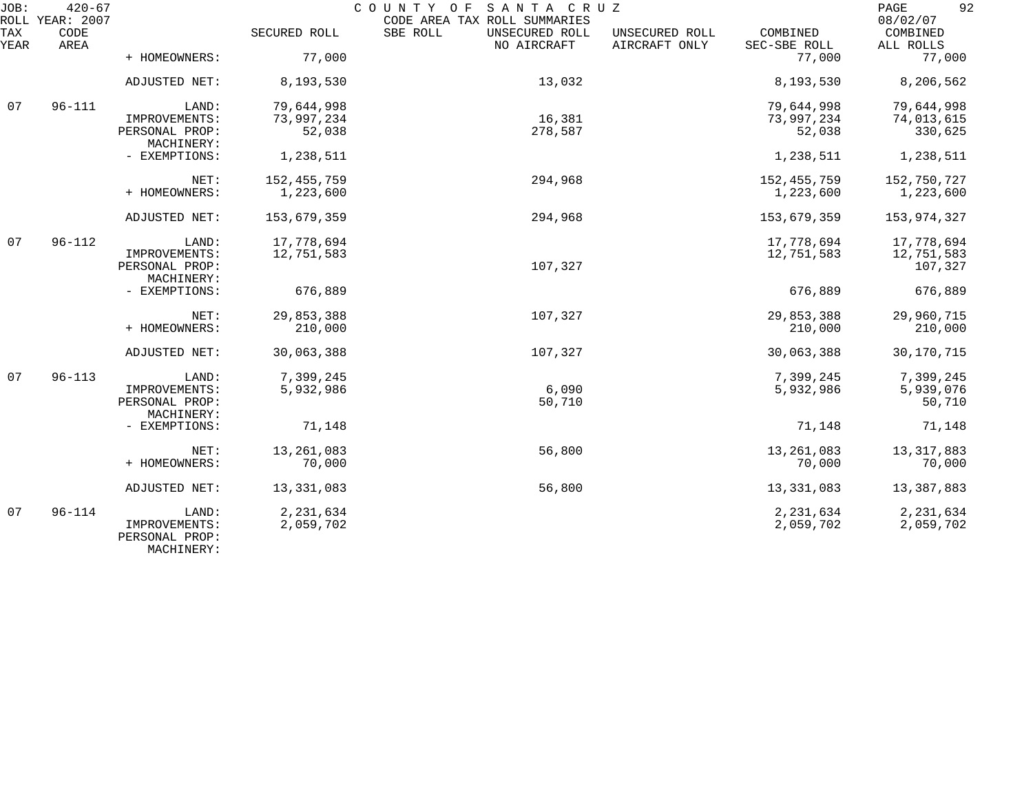| JOB:        | $420 - 67$<br>ROLL YEAR: 2007 |                                                        |                            | COUNTY OF SANTA CRUZ<br>CODE AREA TAX ROLL SUMMARIES |                                 |                            | 92<br>PAGE<br>08/02/07              |
|-------------|-------------------------------|--------------------------------------------------------|----------------------------|------------------------------------------------------|---------------------------------|----------------------------|-------------------------------------|
| TAX<br>YEAR | CODE<br>AREA                  |                                                        | SECURED ROLL               | SBE ROLL<br>UNSECURED ROLL<br>NO AIRCRAFT            | UNSECURED ROLL<br>AIRCRAFT ONLY | COMBINED<br>SEC-SBE ROLL   | COMBINED<br>ALL ROLLS               |
|             |                               | + HOMEOWNERS:                                          | 77,000                     |                                                      |                                 | 77,000                     | 77,000                              |
|             |                               | ADJUSTED NET:                                          | 8,193,530                  | 13,032                                               |                                 | 8,193,530                  | 8,206,562                           |
| 07          | $96 - 111$                    | LAND:                                                  | 79,644,998                 |                                                      |                                 | 79,644,998                 | 79,644,998                          |
|             |                               | IMPROVEMENTS:<br>PERSONAL PROP:<br>MACHINERY:          | 73,997,234<br>52,038       | 16,381<br>278,587                                    |                                 | 73,997,234<br>52,038       | 74,013,615<br>330,625               |
|             |                               | - EXEMPTIONS:                                          | 1,238,511                  |                                                      |                                 | 1,238,511                  | 1,238,511                           |
|             |                               | NET:<br>+ HOMEOWNERS:                                  | 152, 455, 759<br>1,223,600 | 294,968                                              |                                 | 152, 455, 759<br>1,223,600 | 152,750,727<br>1,223,600            |
|             |                               | ADJUSTED NET:                                          | 153,679,359                | 294,968                                              |                                 | 153,679,359                | 153,974,327                         |
| 07          | $96 - 112$                    | LAND:<br>IMPROVEMENTS:<br>PERSONAL PROP:<br>MACHINERY: | 17,778,694<br>12,751,583   | 107,327                                              |                                 | 17,778,694<br>12,751,583   | 17,778,694<br>12,751,583<br>107,327 |
|             |                               | - EXEMPTIONS:                                          | 676,889                    |                                                      |                                 | 676,889                    | 676,889                             |
|             |                               | NET:<br>+ HOMEOWNERS:                                  | 29,853,388<br>210,000      | 107,327                                              |                                 | 29,853,388<br>210,000      | 29,960,715<br>210,000               |
|             |                               | ADJUSTED NET:                                          | 30,063,388                 | 107,327                                              |                                 | 30,063,388                 | 30, 170, 715                        |
| 07          | $96 - 113$                    | LAND:<br>IMPROVEMENTS:<br>PERSONAL PROP:<br>MACHINERY: | 7,399,245<br>5,932,986     | 6,090<br>50,710                                      |                                 | 7,399,245<br>5,932,986     | 7,399,245<br>5,939,076<br>50,710    |
|             |                               | - EXEMPTIONS:                                          | 71,148                     |                                                      |                                 | 71,148                     | 71,148                              |
|             |                               | NET:<br>+ HOMEOWNERS:                                  | 13,261,083<br>70,000       | 56,800                                               |                                 | 13, 261, 083<br>70,000     | 13, 317, 883<br>70,000              |
|             |                               | ADJUSTED NET:                                          | 13, 331, 083               | 56,800                                               |                                 | 13, 331, 083               | 13,387,883                          |
| 07          | $96 - 114$                    | LAND:<br>IMPROVEMENTS:<br>PERSONAL PROP:               | 2,231,634<br>2,059,702     |                                                      |                                 | 2,231,634<br>2,059,702     | 2, 231, 634<br>2,059,702            |

MACHINERY: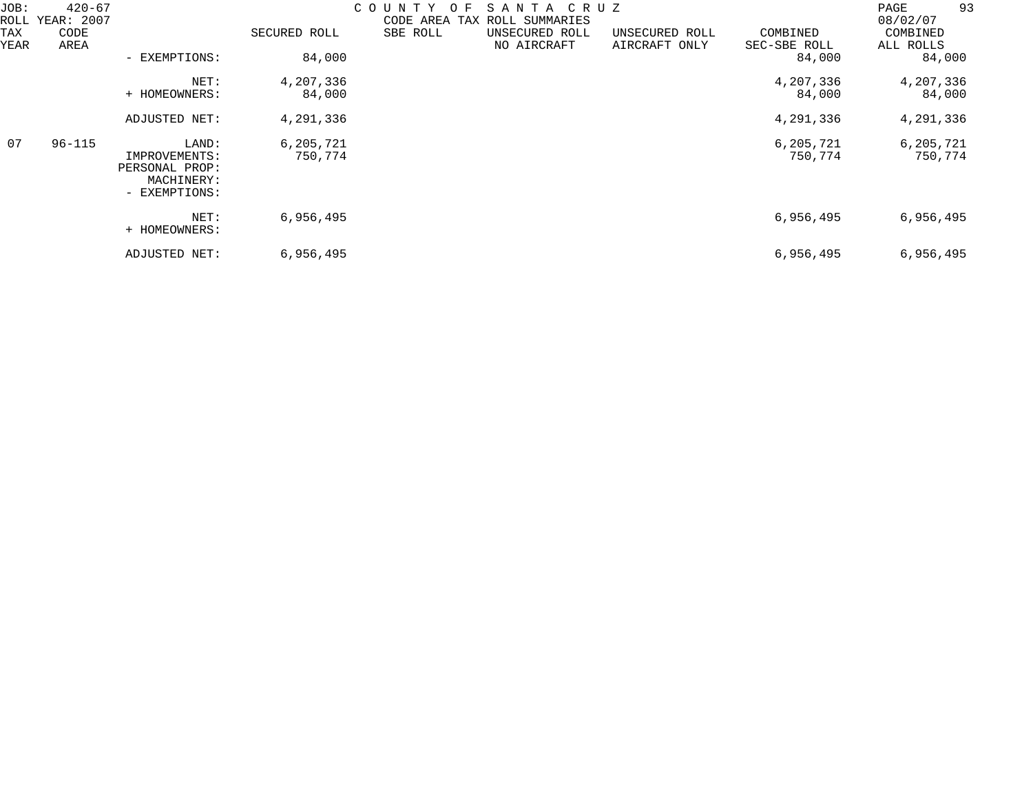| JOB:<br>ROLL | 420-67<br>YEAR: 2007 |                                                                         |                      | COUNTY<br>$\Omega$<br>SANTA<br>C R U Z<br>F.<br>CODE AREA TAX<br>ROLL SUMMARIES |                               |                                 |                          | 93<br>PAGE<br>08/02/07 |
|--------------|----------------------|-------------------------------------------------------------------------|----------------------|---------------------------------------------------------------------------------|-------------------------------|---------------------------------|--------------------------|------------------------|
| TAX<br>YEAR  | CODE<br>AREA         |                                                                         | SECURED ROLL         | SBE ROLL                                                                        | UNSECURED ROLL<br>NO AIRCRAFT | UNSECURED ROLL<br>AIRCRAFT ONLY | COMBINED<br>SEC-SBE ROLL | COMBINED<br>ALL ROLLS  |
|              |                      | - EXEMPTIONS:                                                           | 84,000               |                                                                                 |                               |                                 | 84,000                   | 84,000                 |
|              |                      | NET:<br>+ HOMEOWNERS:                                                   | 4,207,336<br>84,000  |                                                                                 |                               |                                 | 4,207,336<br>84,000      | 4,207,336<br>84,000    |
|              |                      | ADJUSTED NET:                                                           | 4,291,336            |                                                                                 |                               |                                 | 4,291,336                | 4,291,336              |
| 07           | $96 - 115$           | LAND:<br>IMPROVEMENTS:<br>PERSONAL PROP:<br>MACHINERY:<br>- EXEMPTIONS: | 6,205,721<br>750,774 |                                                                                 |                               |                                 | 6,205,721<br>750,774     | 6,205,721<br>750,774   |
|              |                      | NET:<br>+ HOMEOWNERS:                                                   | 6,956,495            |                                                                                 |                               |                                 | 6,956,495                | 6,956,495              |
|              |                      | ADJUSTED NET:                                                           | 6,956,495            |                                                                                 |                               |                                 | 6,956,495                | 6,956,495              |